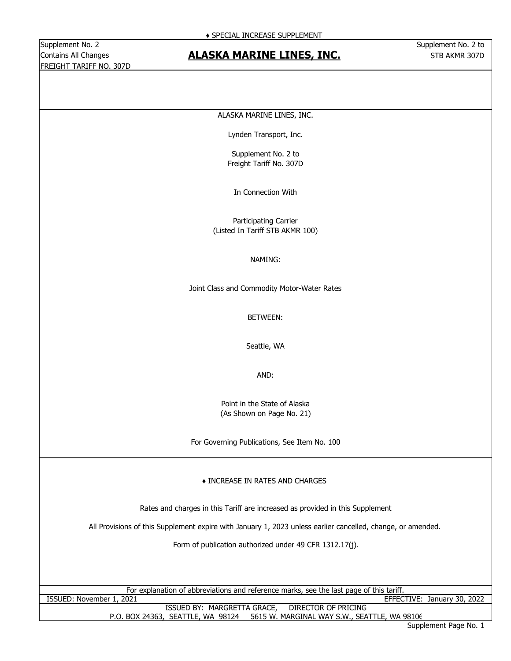Supplement No. 2 Supplement No. 2 to FREIGHT TARIFF NO. 307D

## Contains All Changes **STB ACT ACTES AT ACT ACT ACT ACT ACT ACT A STB AKMR 307D** Contains All Changes

#### ALASKA MARINE LINES, INC.

Lynden Transport, Inc.

Supplement No. 2 to Freight Tariff No. 307D

In Connection With

Participating Carrier (Listed In Tariff STB AKMR 100)

#### NAMING:

Joint Class and Commodity Motor-Water Rates

BETWEEN:

Seattle, WA

AND:

Point in the State of Alaska (As Shown on Page No. 21)

For Governing Publications, See Item No. 100

#### ♦ INCREASE IN RATES AND CHARGES

Rates and charges in this Tariff are increased as provided in this Supplement

All Provisions of this Supplement expire with January 1, 2023 unless earlier cancelled, change, or amended.

Form of publication authorized under 49 CFR 1312.17(j).

|                          | For explanation of abbreviations and reference marks, see the last page of this tariff. |                             |  |
|--------------------------|-----------------------------------------------------------------------------------------|-----------------------------|--|
| ISSUED: November 1, 2021 |                                                                                         | EFFECTIVE: January 30, 2022 |  |

P.O. BOX 24363, SEATTLE, WA 98124 5615 W. MARGINAL WAY S.W., SEATTLE, WA 98106 ISSUED BY: MARGRETTA GRACE, DIRECTOR OF PRICING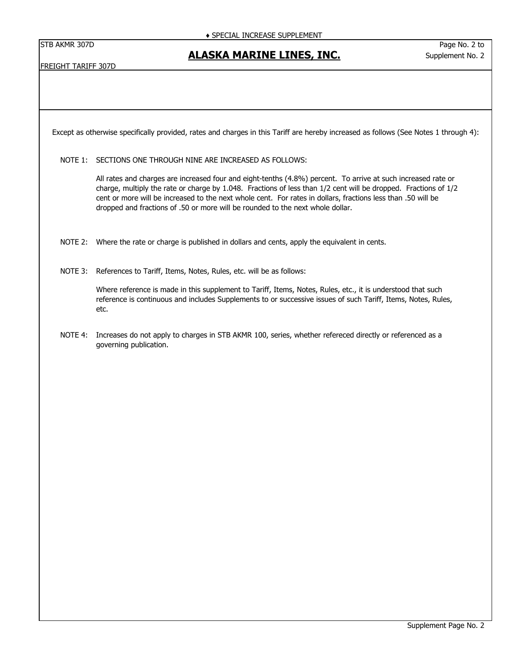### **ALASKA MARINE LINES, INC.**

FREIGHT TARIFF 307D

Except as otherwise specifically provided, rates and charges in this Tariff are hereby increased as follows (See Notes 1 through 4):

NOTE 1: SECTIONS ONE THROUGH NINE ARE INCREASED AS FOLLOWS:

All rates and charges are increased four and eight-tenths (4.8%) percent. To arrive at such increased rate or charge, multiply the rate or charge by 1.048. Fractions of less than 1/2 cent will be dropped. Fractions of 1/2 cent or more will be increased to the next whole cent. For rates in dollars, fractions less than .50 will be dropped and fractions of .50 or more will be rounded to the next whole dollar.

- NOTE 2: Where the rate or charge is published in dollars and cents, apply the equivalent in cents.
- NOTE 3: References to Tariff, Items, Notes, Rules, etc. will be as follows:

Where reference is made in this supplement to Tariff, Items, Notes, Rules, etc., it is understood that such reference is continuous and includes Supplements to or successive issues of such Tariff, Items, Notes, Rules, etc.

NOTE 4: Increases do not apply to charges in STB AKMR 100, series, whether refereced directly or referenced as a governing publication.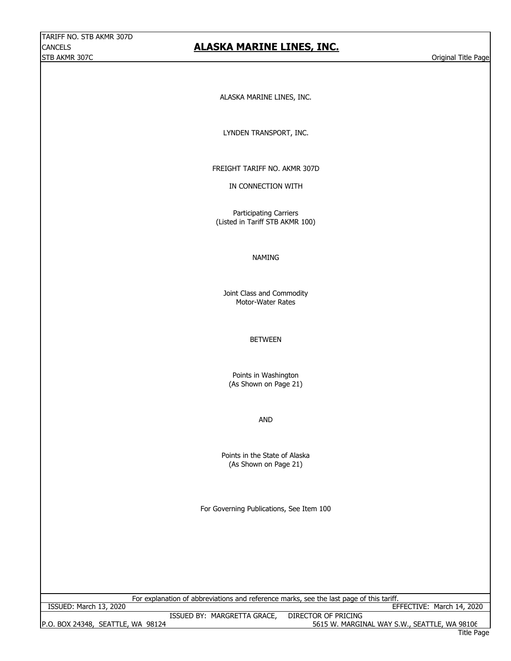## **ALASKA MARINE LINES, INC.**

ALASKA MARINE LINES, INC.

LYNDEN TRANSPORT, INC.

FREIGHT TARIFF NO. AKMR 307D

IN CONNECTION WITH

Participating Carriers (Listed in Tariff STB AKMR 100)

#### NAMING

Joint Class and Commodity Motor-Water Rates

BETWEEN

Points in Washington (As Shown on Page 21)

AND

(As Shown on Page 21) Points in the State of Alaska

For Governing Publications, See Item 100

For explanation of abbreviations and reference marks, see the last page of this tariff.

P.O. BOX 24348, SEATTLE, WA 98124 5615 W. MARGINAL WAY S.W., SEATTLE, WA 98106

ISSUED BY: MARGRETTA GRACE, DIRECTOR OF PRICING ISSUED: March 13, 2020 EFFECTIVE: March 14, 2020

Title Page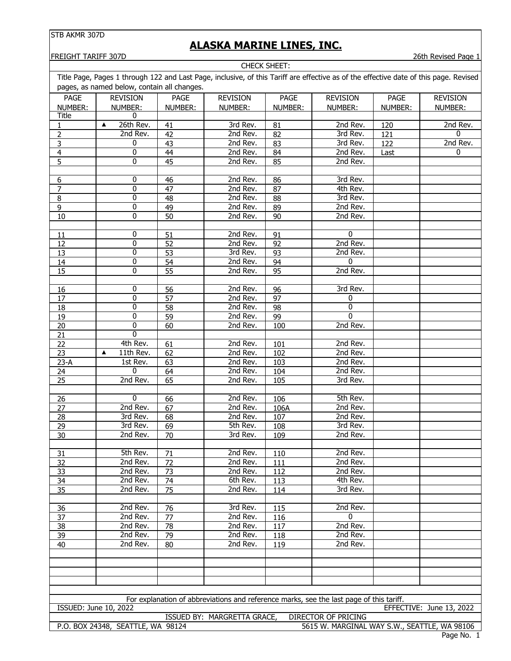# **ALASKA MARINE LINES, INC.**

**FREIGHT TARIFF 307D** 26th Revised Page 1

|                                                                                                                                       | CHECK SHEET:                                |                 |                             |                 |                                                                                         |                |                          |
|---------------------------------------------------------------------------------------------------------------------------------------|---------------------------------------------|-----------------|-----------------------------|-----------------|-----------------------------------------------------------------------------------------|----------------|--------------------------|
| Title Page, Pages 1 through 122 and Last Page, inclusive, of this Tariff are effective as of the effective date of this page. Revised |                                             |                 |                             |                 |                                                                                         |                |                          |
|                                                                                                                                       | pages, as named below, contain all changes. |                 |                             |                 |                                                                                         |                |                          |
| <b>PAGE</b>                                                                                                                           | <b>REVISION</b>                             | <b>PAGE</b>     | <b>REVISION</b>             | PAGE            | <b>REVISION</b>                                                                         | PAGE           | <b>REVISION</b>          |
| NUMBER:                                                                                                                               | NUMBER:                                     | NUMBER:         | NUMBER:                     | NUMBER:         | NUMBER:                                                                                 | NUMBER:        | NUMBER:                  |
| Title                                                                                                                                 | 0                                           |                 |                             |                 |                                                                                         |                |                          |
| 1                                                                                                                                     | 26th Rev.<br>▲                              | 41              | 3rd Rev.                    | 81              | 2nd Rev.                                                                                | 120            | 2nd Rev.                 |
| $\overline{2}$                                                                                                                        | 2nd Rev.                                    | 42              | 2nd Rev.                    | 82              | 3rd Rev.                                                                                | 121            | 0                        |
| 3                                                                                                                                     | 0                                           | 43              | 2nd Rev.                    | 83              | 3rd Rev.                                                                                | $\frac{1}{22}$ | 2nd Rev.                 |
| 4                                                                                                                                     | 0                                           | 44              | 2nd Rev.                    | 84              | 2nd Rev.                                                                                | Last           | 0                        |
| 5                                                                                                                                     | 0                                           | 45              | 2nd Rev.                    | 85              | 2nd Rev.                                                                                |                |                          |
|                                                                                                                                       |                                             |                 |                             |                 |                                                                                         |                |                          |
| 6                                                                                                                                     | 0                                           | 46              | 2nd Rev.                    | 86              | 3rd Rev.                                                                                |                |                          |
| $\overline{7}$                                                                                                                        | 0                                           | 47              | 2nd Rev.                    | 87              | 4th Rev.                                                                                |                |                          |
| 8                                                                                                                                     | 0                                           | 48              | 2nd Rev.                    | 88              | 3rd Rev.                                                                                |                |                          |
| 9                                                                                                                                     | 0                                           | 49              | 2nd Rev.                    | 89              | 2nd Rev.                                                                                |                |                          |
| 10                                                                                                                                    | 0                                           | 50              | 2nd Rev.                    | 90              | 2nd Rev.                                                                                |                |                          |
| 11                                                                                                                                    | 0                                           | 51              | 2nd Rev.                    | 91              | 0                                                                                       |                |                          |
| $\overline{12}$                                                                                                                       | 0                                           | $\overline{52}$ | 2nd Rev.                    | $\overline{92}$ | 2nd Rev.                                                                                |                |                          |
| 13                                                                                                                                    | 0                                           | 53              | 3rd Rev.                    | 93              | 2nd Rev.                                                                                |                |                          |
| 14                                                                                                                                    | 0                                           | 54              | 2nd Rev.                    | 94              | 0                                                                                       |                |                          |
| 15                                                                                                                                    | 0                                           | 55              | 2nd Rev.                    | 95              | 2nd Rev.                                                                                |                |                          |
|                                                                                                                                       |                                             |                 |                             |                 |                                                                                         |                |                          |
| 16                                                                                                                                    | 0                                           | 56              | 2nd Rev.                    | 96              | 3rd Rev.                                                                                |                |                          |
| 17                                                                                                                                    | 0                                           | 57              | 2nd Rev.                    | 97              | 0                                                                                       |                |                          |
| 18                                                                                                                                    | 0                                           | 58              | 2nd Rev.                    | 98              | 0                                                                                       |                |                          |
| 19                                                                                                                                    | 0                                           | 59              | 2nd Rev.                    | 99              | 0                                                                                       |                |                          |
| 20                                                                                                                                    | 0                                           | 60              | 2nd Rev.                    | 100             | 2nd Rev.                                                                                |                |                          |
| 21                                                                                                                                    | 0                                           |                 |                             |                 |                                                                                         |                |                          |
| $\overline{22}$                                                                                                                       | 4th Rev.                                    | 61              | 2nd Rev.                    | 101             | 2nd Rev.                                                                                |                |                          |
| 23                                                                                                                                    | 11th Rev.<br>▲                              | 62              | 2nd Rev.                    | 102             | 2nd Rev.                                                                                |                |                          |
| $23-A$                                                                                                                                | 1st Rev.                                    | 63              | 2nd Rev.                    | 103             | 2nd Rev.                                                                                |                |                          |
| 24                                                                                                                                    | 0                                           | 64              | 2nd Rev.                    | 104             | 2nd Rev.                                                                                |                |                          |
| $\overline{25}$                                                                                                                       | 2nd Rev.                                    | 65              | 2nd Rev.                    | 105             | 3rd Rev.                                                                                |                |                          |
|                                                                                                                                       |                                             |                 |                             |                 |                                                                                         |                |                          |
| 26                                                                                                                                    | 0                                           | 66              | 2nd Rev.                    | 106             | 5th Rev.                                                                                |                |                          |
| 27                                                                                                                                    | 2nd Rev.                                    | 67              | 2nd Rev.                    | 106A            | 2nd Rev.                                                                                |                |                          |
| 28                                                                                                                                    | 3rd Rev.                                    | 68              | 2nd Rev.                    | 107             | 2nd Rev.                                                                                |                |                          |
| 29                                                                                                                                    | 3rd Rev.<br>2nd Rev.                        | 69              | 5th Rev.<br>3rd Rev.        | 108             | 3rd Rev.<br>2nd Rev.                                                                    |                |                          |
| 30                                                                                                                                    |                                             | 70              |                             | 109             |                                                                                         |                |                          |
| 31                                                                                                                                    | 5th Rev.                                    | 71              | 2nd Rev.                    | 110             | 2nd Rev.                                                                                |                |                          |
| 32                                                                                                                                    | 2nd Rev.                                    | 72              | 2nd Rev.                    | 111             | 2nd Rev.                                                                                |                |                          |
| 33                                                                                                                                    | 2nd Rev.                                    | 73              | 2nd Rev.                    | 112             | 2nd Rev.                                                                                |                |                          |
| 34                                                                                                                                    | 2nd Rev.                                    | 74              | 6th Rev.                    | 113             | $\overline{4}$ th Rev.                                                                  |                |                          |
| 35                                                                                                                                    | 2nd Rev.                                    | 75              | 2nd Rev.                    | 114             | 3rd Rev.                                                                                |                |                          |
|                                                                                                                                       |                                             |                 |                             |                 |                                                                                         |                |                          |
| 36                                                                                                                                    | 2nd Rev.                                    | 76              | 3rd Rev.                    | 115             | 2nd Rev.                                                                                |                |                          |
| 37                                                                                                                                    | 2nd Rev.                                    | 77              | 2nd Rev.                    | 116             | $\mathbf{0}$                                                                            |                |                          |
| 38                                                                                                                                    | 2nd Rev.                                    | 78              | 2nd Rev.                    | 117             | 2nd Rev.                                                                                |                |                          |
| $\overline{39}$                                                                                                                       | 2nd Rev.                                    | 79              | 2nd Rev.                    | 118             | 2nd Rev.                                                                                |                |                          |
| 40                                                                                                                                    | 2nd Rev.                                    | 80              | 2nd Rev.                    | 119             | 2nd Rev.                                                                                |                |                          |
|                                                                                                                                       |                                             |                 |                             |                 |                                                                                         |                |                          |
|                                                                                                                                       |                                             |                 |                             |                 |                                                                                         |                |                          |
|                                                                                                                                       |                                             |                 |                             |                 |                                                                                         |                |                          |
|                                                                                                                                       |                                             |                 |                             |                 |                                                                                         |                |                          |
|                                                                                                                                       |                                             |                 |                             |                 |                                                                                         |                |                          |
|                                                                                                                                       |                                             |                 |                             |                 | For explanation of abbreviations and reference marks, see the last page of this tariff. |                |                          |
| ISSUED: June 10, 2022                                                                                                                 |                                             |                 |                             |                 |                                                                                         |                | EFFECTIVE: June 13, 2022 |
|                                                                                                                                       |                                             |                 | ISSUED BY: MARGRETTA GRACE, |                 | <b>DIRECTOR OF PRICING</b>                                                              |                |                          |
|                                                                                                                                       | P.O. BOX 24348, SEATTLE, WA 98124           |                 |                             |                 | 5615 W. MARGINAL WAY S.W., SEATTLE, WA 98106                                            |                |                          |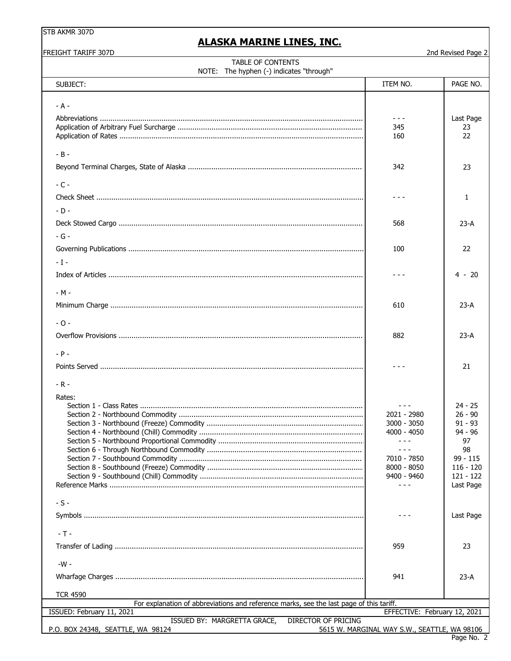FREIGHT TARIFF 307D

## **ALASKA MARINE LINES, INC.**

2nd Revised Page 2

| TABLE OF CONTENTS<br>NOTE: The hyphen (-) indicates "through"                                              |                                                                                                            |                                                                                                                     |
|------------------------------------------------------------------------------------------------------------|------------------------------------------------------------------------------------------------------------|---------------------------------------------------------------------------------------------------------------------|
| SUBJECT:                                                                                                   | ITEM NO.                                                                                                   | PAGE NO.                                                                                                            |
| $- A -$                                                                                                    | - - -<br>345<br>160                                                                                        | Last Page<br>23<br>22                                                                                               |
| $-B -$                                                                                                     | 342                                                                                                        | 23                                                                                                                  |
| $-C -$                                                                                                     |                                                                                                            |                                                                                                                     |
|                                                                                                            |                                                                                                            | $\mathbf{1}$                                                                                                        |
| $-D -$                                                                                                     |                                                                                                            |                                                                                                                     |
|                                                                                                            | 568                                                                                                        | $23-A$                                                                                                              |
| $-G -$<br>$-1-$                                                                                            | 100                                                                                                        | 22                                                                                                                  |
|                                                                                                            | - - -                                                                                                      | $4 - 20$                                                                                                            |
| $-M -$                                                                                                     | 610                                                                                                        | $23-A$                                                                                                              |
| $-0-$                                                                                                      | 882                                                                                                        | $23-A$                                                                                                              |
| $- P -$<br>$-R -$                                                                                          | - - -                                                                                                      | 21                                                                                                                  |
| Rates:                                                                                                     | - - -<br>2021 - 2980<br>3000 - 3050<br>4000 - 4050<br>7010 - 7850<br>$8000 - 8050$<br>9400 - 9460<br>- - - | $24 - 25$<br>$26 - 90$<br>$91 - 93$<br>94 - 96<br>97<br>98<br>$99 - 115$<br>$116 - 120$<br>$121 - 122$<br>Last Page |
| $-S -$                                                                                                     |                                                                                                            | Last Page                                                                                                           |
| $-T -$                                                                                                     |                                                                                                            |                                                                                                                     |
|                                                                                                            | 959                                                                                                        | 23                                                                                                                  |
| $-W -$                                                                                                     | 941                                                                                                        | $23-A$                                                                                                              |
| <b>TCR 4590</b><br>For explanation of abbreviations and reference marks, see the last page of this tariff. |                                                                                                            |                                                                                                                     |
| ISSUED: February 11, 2021                                                                                  | EFFECTIVE: February 12, 2021                                                                               |                                                                                                                     |
| ISSUED BY: MARGRETTA GRACE,<br><b>DIRECTOR OF PRICING</b>                                                  |                                                                                                            |                                                                                                                     |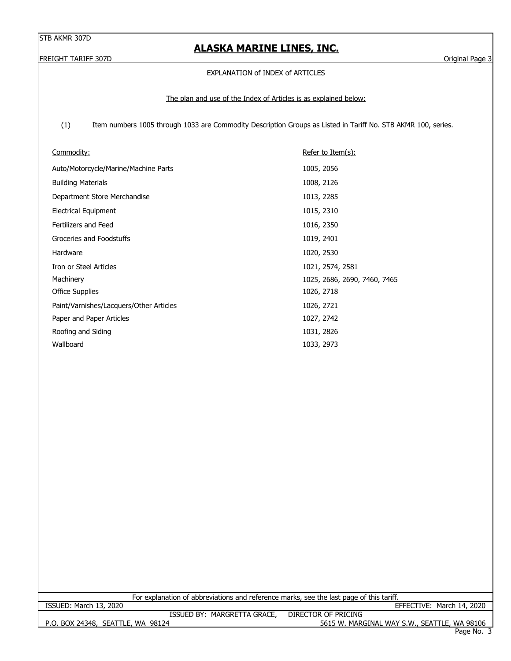## **ALASKA MARINE LINES, INC.**

FREIGHT TARIFF 307D Original Page 3

#### EXPLANATION of INDEX of ARTICLES

#### The plan and use of the Index of Articles is as explained below:

 (1) Item numbers 1005 through 1033 are Commodity Description Groups as Listed in Tariff No. STB AKMR 100, series.

| Commodity:                              | Refer to Item $(s)$ :        |
|-----------------------------------------|------------------------------|
| Auto/Motorcycle/Marine/Machine Parts    | 1005, 2056                   |
| <b>Building Materials</b>               | 1008, 2126                   |
| Department Store Merchandise            | 1013, 2285                   |
| <b>Electrical Equipment</b>             | 1015, 2310                   |
| Fertilizers and Feed                    | 1016, 2350                   |
| Groceries and Foodstuffs                | 1019, 2401                   |
| Hardware                                | 1020, 2530                   |
| Iron or Steel Articles                  | 1021, 2574, 2581             |
| Machinery                               | 1025, 2686, 2690, 7460, 7465 |
| <b>Office Supplies</b>                  | 1026, 2718                   |
| Paint/Varnishes/Lacquers/Other Articles | 1026, 2721                   |
| Paper and Paper Articles                | 1027, 2742                   |
| Roofing and Siding                      | 1031, 2826                   |
| Wallboard                               | 1033, 2973                   |

For explanation of abbreviations and reference marks, see the last page of this tariff.

P.O. BOX 24348, SEATTLE, WA 98124 5615 W. MARGINAL WAY S.W., SEATTLE, WA 98106 ISSUED: March 13, 2020 EFFECTIVE: March 14, 2020 ISSUED BY: MARGRETTA GRACE, DIRECTOR OF PRICING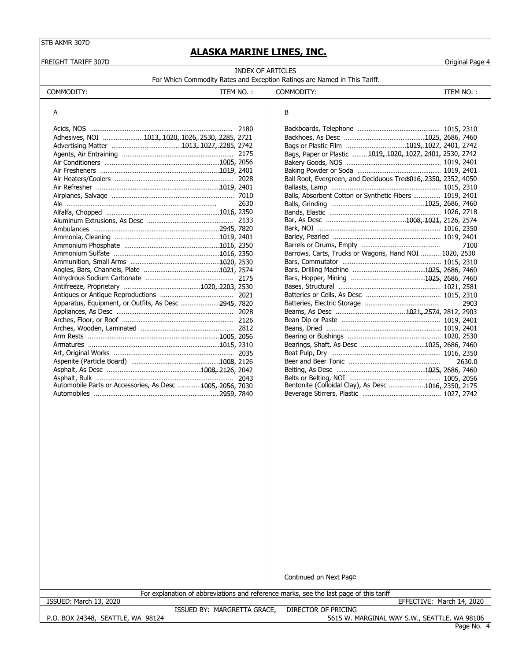FREIGHT TARIFF 307D Original Page 4

### **ALASKA MARINE LINES, INC.**

INDEX OF ARTICLES For Which Commodity Rates and Exception Ratings are Named in This Tariff.

| COMMODITY: | 'NO.<br>⊢w | ~~<br>.<br>COMMODITY: | $^4$ NO.<br>FМ |
|------------|------------|-----------------------|----------------|
|            |            |                       |                |

| A                                                         |      | B                                                              |        |
|-----------------------------------------------------------|------|----------------------------------------------------------------|--------|
|                                                           |      |                                                                |        |
| Adhesives, NOI 1013, 1020, 1026, 2530, 2285, 2721         |      |                                                                |        |
|                                                           |      |                                                                |        |
|                                                           |      | Bags, Paper or Plastic 1019, 1020, 1027, 2401, 2530, 2742      |        |
|                                                           |      |                                                                |        |
|                                                           |      |                                                                |        |
|                                                           |      | Ball Root, Evergreen, and Deciduous Tred 016, 2350, 2352, 4050 |        |
|                                                           |      |                                                                |        |
|                                                           |      | Balls, Absorbent Cotton or Synthetic Fibers  1019, 2401        |        |
| Ale ………………………………………………………………………                           | 2630 |                                                                |        |
|                                                           |      |                                                                |        |
|                                                           |      |                                                                |        |
|                                                           |      |                                                                |        |
|                                                           |      |                                                                |        |
|                                                           |      |                                                                | 7100   |
|                                                           |      | Barrows, Carts, Trucks or Wagons, Hand NOI  1020, 2530         |        |
|                                                           |      |                                                                |        |
|                                                           |      |                                                                |        |
|                                                           |      |                                                                |        |
|                                                           |      |                                                                |        |
|                                                           |      |                                                                |        |
| Apparatus, Equipment, or Outfits, As Desc 2945, 7820      |      |                                                                | 2903   |
|                                                           |      |                                                                |        |
|                                                           |      |                                                                |        |
|                                                           |      |                                                                |        |
|                                                           |      |                                                                |        |
|                                                           |      |                                                                |        |
|                                                           |      |                                                                |        |
|                                                           |      |                                                                | 2630.0 |
|                                                           |      |                                                                |        |
|                                                           |      |                                                                |        |
| Automobile Parts or Accessories, As Desc 1005, 2056, 7030 |      | Bentonite (Colloidal Clay), As Desc 1016, 2350, 2175           |        |
|                                                           |      |                                                                |        |

| Bags or Plastic Film 1019, 1027, 2401, 2742                    |        |
|----------------------------------------------------------------|--------|
| Bags, Paper or Plastic 1019, 1020, 1027, 2401, 2530, 2742      |        |
|                                                                |        |
|                                                                |        |
| Ball Root, Evergreen, and Deciduous Treds016, 2350, 2352, 4050 |        |
|                                                                |        |
| Balls, Absorbent Cotton or Synthetic Fibers  1019, 2401        |        |
|                                                                |        |
|                                                                |        |
|                                                                |        |
|                                                                |        |
|                                                                |        |
|                                                                |        |
| Barrows, Carts, Trucks or Wagons, Hand NOI  1020, 2530         |        |
|                                                                |        |
|                                                                |        |
|                                                                |        |
|                                                                |        |
|                                                                |        |
|                                                                |        |
|                                                                |        |
|                                                                |        |
|                                                                |        |
|                                                                |        |
| Bearings, Shaft, As Desc 1025, 2686, 7460                      |        |
|                                                                |        |
|                                                                | 2630.0 |
|                                                                |        |
|                                                                |        |
| Bentonite (Colloidal Clay), As Desc 1016, 2350, 2175           |        |
|                                                                |        |

Continued on Next Page

ISSUED: March 13, 2020 EFFECTIVE: March 14, 2020

For explanation of abbreviations and reference marks, see the last page of this tariff

P.O. BOX 24348, SEATTLE, WA 98124

ISSUED BY: MARGRETTA GRACE, DIRECTOR OF PRICING

Page No. 4 5615 W. MARGINAL WAY S.W., SEATTLE, WA 98106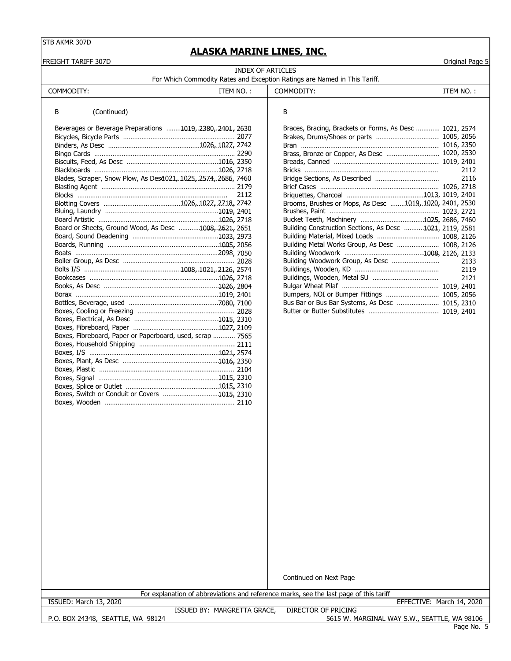FREIGHT TARIFF 307D Original Page 5

### **ALASKA MARINE LINES, INC.**

| INDEX OF ARTICLES                                                         |  |
|---------------------------------------------------------------------------|--|
| For Which Commodity Rates and Exception Ratings are Named in This Tariff. |  |

| COMMODITY:                                                     | ITEM NO.: | COMMODITY:                                               | ITEM NO.: |
|----------------------------------------------------------------|-----------|----------------------------------------------------------|-----------|
| B<br>(Continued)                                               |           | В                                                        |           |
| Beverages or Beverage Preparations 1019, 2380, 2401, 2630      |           | Braces, Bracing, Brackets or Forms, As Desc  1021, 2574  |           |
|                                                                |           |                                                          |           |
|                                                                |           |                                                          |           |
|                                                                |           | Brass, Bronze or Copper, As Desc  1020, 2530             |           |
|                                                                |           |                                                          |           |
|                                                                |           |                                                          | 2112      |
| Blades, Scraper, Snow Plow, As Desd021, 1025, 2574, 2686, 7460 |           |                                                          | 2116      |
|                                                                |           |                                                          |           |
|                                                                | 2112      |                                                          |           |
|                                                                |           | Brooms, Brushes or Mops, As Desc 1019, 1020, 2401, 2530  |           |
|                                                                |           |                                                          |           |
|                                                                |           |                                                          |           |
| Board or Sheets, Ground Wood, As Desc 1008, 2621, 2651         |           | Building Construction Sections, As Desc 1021, 2119, 2581 |           |
|                                                                |           |                                                          |           |
|                                                                |           | Building Metal Works Group, As Desc  1008, 2126          |           |
|                                                                |           |                                                          |           |
|                                                                |           |                                                          | 2133      |
|                                                                |           |                                                          | 2119      |
|                                                                |           |                                                          | 2121      |
|                                                                |           |                                                          |           |
|                                                                |           |                                                          |           |
|                                                                |           | Bus Bar or Bus Bar Systems, As Desc  1015, 2310          |           |
|                                                                |           |                                                          |           |
|                                                                |           |                                                          |           |
|                                                                |           |                                                          |           |
| Boxes, Fibreboard, Paper or Paperboard, used, scrap  7565      |           |                                                          |           |
|                                                                |           |                                                          |           |
|                                                                |           |                                                          |           |
|                                                                |           |                                                          |           |
|                                                                |           |                                                          |           |
|                                                                |           |                                                          |           |
|                                                                |           |                                                          |           |
| Boxes, Switch or Conduit or Covers 1015, 2310                  |           |                                                          |           |
|                                                                |           |                                                          |           |

Continued on Next Page

For explanation of abbreviations and reference marks, see the last page of this tariff

ISSUED: March 13, 2020 EFFECTIVE: March 14, 2020

P.O. BOX 24348, SEATTLE, WA 98124

ISSUED BY: MARGRETTA GRACE, DIRECTOR OF PRICING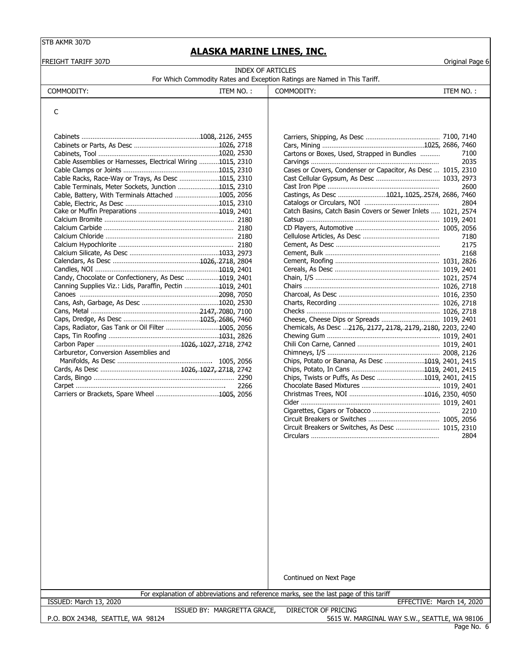### **ALASKA MARINE LINES, INC.**

| FREIGHT TARIFF 307D                                         |           |                                                                           |           | Original Page 6 |
|-------------------------------------------------------------|-----------|---------------------------------------------------------------------------|-----------|-----------------|
|                                                             |           | <b>INDEX OF ARTICLES</b>                                                  |           |                 |
|                                                             |           | For Which Commodity Rates and Exception Ratings are Named in This Tariff. |           |                 |
| COMMODITY:                                                  | ITEM NO.: | COMMODITY:                                                                | ITEM NO.: |                 |
| C                                                           |           |                                                                           |           |                 |
|                                                             |           |                                                                           |           |                 |
|                                                             |           |                                                                           |           |                 |
|                                                             |           | Cartons or Boxes, Used, Strapped in Bundles                               |           | 7100            |
| Cable Assemblies or Harnesses, Electrical Wiring 1015, 2310 |           |                                                                           |           | 2035            |
|                                                             |           | Cases or Covers, Condenser or Capacitor, As Desc  1015, 2310              |           |                 |
| Cable Racks, Race-Way or Trays, As Desc 1015, 2310          |           |                                                                           |           |                 |
| Cable Terminals, Meter Sockets, Junction 1015, 2310         |           |                                                                           |           | 2600            |
| Cable, Battery, With Terminals Attached 1005, 2056          |           | Castings, As Desc 1021, 1025, 2574, 2686, 7460                            |           |                 |
|                                                             |           |                                                                           |           | 2804            |
|                                                             |           | Catch Basins, Catch Basin Covers or Sewer Inlets  1021, 2574              |           |                 |
|                                                             |           |                                                                           |           |                 |
|                                                             |           |                                                                           |           |                 |
|                                                             |           |                                                                           |           | 7180            |
|                                                             |           |                                                                           |           | 2175            |
|                                                             |           |                                                                           |           | 2168            |
|                                                             |           |                                                                           |           |                 |
| Candy, Chocolate or Confectionery, As Desc 1019, 2401       |           |                                                                           |           |                 |
| Canning Supplies Viz.: Lids, Paraffin, Pectin 1019, 2401    |           |                                                                           |           |                 |
|                                                             |           |                                                                           |           |                 |
|                                                             |           |                                                                           |           |                 |
|                                                             |           |                                                                           |           |                 |
|                                                             |           |                                                                           |           |                 |
| Caps, Radiator, Gas Tank or Oil Filter 1005, 2056           |           | Chemicals, As Desc 2176, 2177, 2178, 2179, 2180, 2203, 2240               |           |                 |
|                                                             |           |                                                                           |           |                 |
|                                                             |           |                                                                           |           |                 |
| Carburetor, Conversion Assemblies and                       |           |                                                                           |           |                 |
|                                                             |           | Chips, Potato or Banana, As Desc 1019, 2401, 2415                         |           |                 |
|                                                             |           |                                                                           |           |                 |
|                                                             |           | Chips, Twists or Puffs, As Desc 1019, 2401, 2415                          |           |                 |
|                                                             | 2266      |                                                                           |           |                 |
|                                                             |           |                                                                           |           |                 |
|                                                             |           |                                                                           |           |                 |
|                                                             |           |                                                                           |           | 2210            |
|                                                             |           |                                                                           |           |                 |
|                                                             |           | Circuit Breakers or Switches, As Desc  1015, 2310                         |           |                 |
|                                                             |           |                                                                           |           | 2804            |
|                                                             |           |                                                                           |           |                 |
|                                                             |           |                                                                           |           |                 |
|                                                             |           |                                                                           |           |                 |
|                                                             |           |                                                                           |           |                 |
|                                                             |           |                                                                           |           |                 |
|                                                             |           |                                                                           |           |                 |

Continued on Next Page

For explanation of abbreviations and reference marks, see the last page of this tariff

ISSUED: March 13, 2020 EFFECTIVE: March 14, 2020

P.O. BOX 24348, SEATTLE, WA 98124

ISSUED BY: MARGRETTA GRACE, DIRECTOR OF PRICING 5615 W. MARGINAL WAY S.W., SEATTLE, WA 98106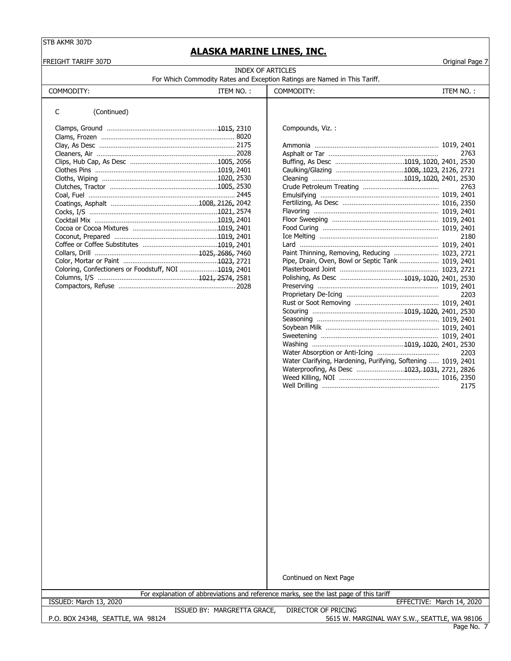### **ALASKA MARINE LINES, INC.**

FREIGHT TARIFF 307D Original Page 7

| INDEX OF ARTICLES                                                         |  |
|---------------------------------------------------------------------------|--|
| For Which Commodity Rates and Exception Ratings are Named in This Tariff. |  |

|            | For which Commodity Rates and Exception Ratings are Named in This Tariff. |            |
|------------|---------------------------------------------------------------------------|------------|
| COMMODITY: | ttem No. :                                                                | COMMODITY: |

|  | ITEM NO.: |  |
|--|-----------|--|
|  |           |  |

#### C (Continued)

|                                                      | Compounds, Viz. :                                  |      |
|------------------------------------------------------|----------------------------------------------------|------|
|                                                      |                                                    |      |
|                                                      |                                                    |      |
|                                                      |                                                    | 2763 |
|                                                      |                                                    |      |
|                                                      |                                                    |      |
|                                                      |                                                    |      |
|                                                      |                                                    | 2763 |
|                                                      |                                                    |      |
|                                                      |                                                    |      |
|                                                      |                                                    |      |
|                                                      |                                                    |      |
|                                                      |                                                    |      |
|                                                      |                                                    | 2180 |
|                                                      |                                                    |      |
|                                                      | Paint Thinning, Removing, Reducing  1023, 2721     |      |
|                                                      | Pipe, Drain, Oven, Bowl or Septic Tank  1019, 2401 |      |
| Coloring, Confectioners or Foodstuff, NOI 1019, 2401 |                                                    |      |
|                                                      |                                                    |      |
|                                                      |                                                    |      |

|                                                      | 2763                                                          |  |
|------------------------------------------------------|---------------------------------------------------------------|--|
|                                                      |                                                               |  |
|                                                      |                                                               |  |
|                                                      |                                                               |  |
|                                                      | 2763                                                          |  |
|                                                      |                                                               |  |
|                                                      |                                                               |  |
|                                                      |                                                               |  |
| Cocktail Mix ………………………………………………………1019. 2401         |                                                               |  |
|                                                      |                                                               |  |
|                                                      | 2180                                                          |  |
|                                                      |                                                               |  |
|                                                      | Paint Thinning, Removing, Reducing  1023, 2721                |  |
|                                                      | Pipe, Drain, Oven, Bowl or Septic Tank  1019, 2401            |  |
| Coloring, Confectioners or Foodstuff, NOI 1019, 2401 |                                                               |  |
|                                                      |                                                               |  |
|                                                      |                                                               |  |
|                                                      | 2203                                                          |  |
|                                                      |                                                               |  |
|                                                      |                                                               |  |
|                                                      |                                                               |  |
|                                                      |                                                               |  |
|                                                      |                                                               |  |
|                                                      |                                                               |  |
|                                                      | 2203                                                          |  |
|                                                      | Water Clarifying, Hardening, Purifying, Softening  1019, 2401 |  |
|                                                      | Waterproofing, As Desc 1023, 1031, 2721, 2826                 |  |
|                                                      |                                                               |  |
|                                                      | 2175                                                          |  |
|                                                      |                                                               |  |

Continued on Next Page

For explanation of abbreviations and reference marks, see the last page of this tariff

P.O. BOX 24348, SEATTLE, WA 98124

ISSUED BY: MARGRETTA GRACE, DIRECTOR OF PRICING ISSUED: March 13, 2020 EFFECTIVE: March 14, 2020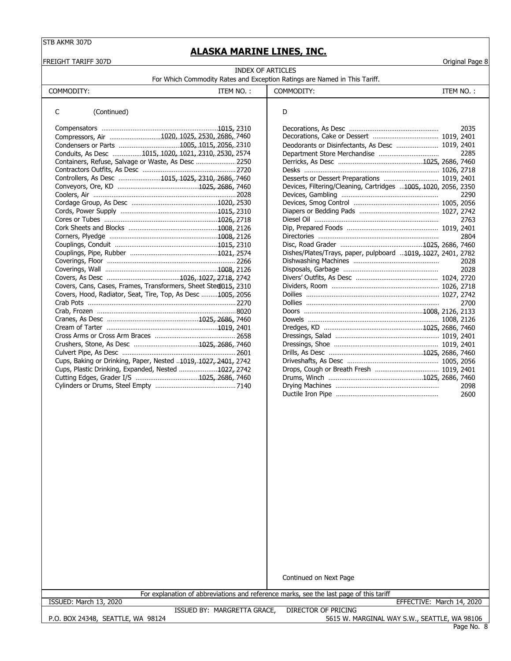**ALASKA MARINE LINES, INC.**

| FREIGHT TARIFF 307D                                            |                                                                           |                                                                | Original Page 8 |
|----------------------------------------------------------------|---------------------------------------------------------------------------|----------------------------------------------------------------|-----------------|
|                                                                | <b>INDEX OF ARTICLES</b>                                                  |                                                                |                 |
|                                                                | For Which Commodity Rates and Exception Ratings are Named in This Tariff. |                                                                |                 |
| COMMODITY:                                                     | ITEM NO.:                                                                 | COMMODITY:                                                     | ITEM NO.:       |
| C<br>(Continued)                                               |                                                                           | D                                                              |                 |
|                                                                |                                                                           |                                                                | 2035            |
| Compressors, Air 1020, 1025, 2530, 2686, 7460                  |                                                                           |                                                                |                 |
|                                                                |                                                                           | Deodorants or Disinfectants, As Desc  1019, 2401               |                 |
| Conduits, As Desc 1015, 1020, 1021, 2310, 2530, 2574           |                                                                           |                                                                | 2285            |
| Containers, Refuse, Salvage or Waste, As Desc  2250            |                                                                           |                                                                |                 |
|                                                                |                                                                           |                                                                |                 |
| Controllers, As Desc 1015, 1025, 2310, 2686, 7460              |                                                                           | Desserts or Dessert Preparations  1019, 2401                   |                 |
|                                                                |                                                                           | Devices, Filtering/Cleaning, Cartridges 1005, 1020, 2056, 2350 |                 |
|                                                                |                                                                           |                                                                | 2290            |
|                                                                |                                                                           |                                                                |                 |
|                                                                |                                                                           |                                                                |                 |
|                                                                |                                                                           |                                                                | 2763            |
|                                                                |                                                                           |                                                                |                 |
|                                                                |                                                                           |                                                                | 2804            |
|                                                                |                                                                           |                                                                |                 |
|                                                                |                                                                           | Dishes/Plates/Trays, paper, pulpboard 1019, 1027, 2401, 2782   |                 |
|                                                                |                                                                           |                                                                | 2028            |
|                                                                |                                                                           |                                                                | 2028            |
|                                                                |                                                                           |                                                                |                 |
|                                                                | Covers, Cans, Cases, Frames, Transformers, Sheet Stedl015, 2310           |                                                                |                 |
|                                                                | Covers, Hood, Radiator, Seat, Tire, Top, As Desc 1005, 2056               |                                                                |                 |
|                                                                |                                                                           |                                                                | 2700            |
|                                                                |                                                                           |                                                                |                 |
|                                                                |                                                                           |                                                                |                 |
|                                                                |                                                                           |                                                                |                 |
|                                                                |                                                                           |                                                                |                 |
|                                                                |                                                                           |                                                                |                 |
|                                                                |                                                                           |                                                                |                 |
| Cups, Baking or Drinking, Paper, Nested 1019, 1027, 2401, 2742 |                                                                           |                                                                |                 |
| Cups, Plastic Drinking, Expanded, Nested 1027, 2742            |                                                                           |                                                                |                 |
|                                                                |                                                                           |                                                                |                 |
|                                                                |                                                                           |                                                                | 2098<br>2600    |
|                                                                |                                                                           |                                                                |                 |
|                                                                |                                                                           |                                                                |                 |
|                                                                |                                                                           |                                                                |                 |
|                                                                |                                                                           |                                                                |                 |
|                                                                |                                                                           |                                                                |                 |
|                                                                |                                                                           |                                                                |                 |
|                                                                |                                                                           |                                                                |                 |
|                                                                |                                                                           |                                                                |                 |
|                                                                |                                                                           |                                                                |                 |
|                                                                |                                                                           |                                                                |                 |
|                                                                |                                                                           |                                                                |                 |
|                                                                |                                                                           |                                                                |                 |
|                                                                |                                                                           |                                                                |                 |

Continued on Next Page

For explanation of abbreviations and reference marks, see the last page of this tariff

ISSUED: March 13, 2020 EFFECTIVE: March 14, 2020

P.O. BOX 24348, SEATTLE, WA 98124

ISSUED BY: MARGRETTA GRACE, DIRECTOR OF PRICING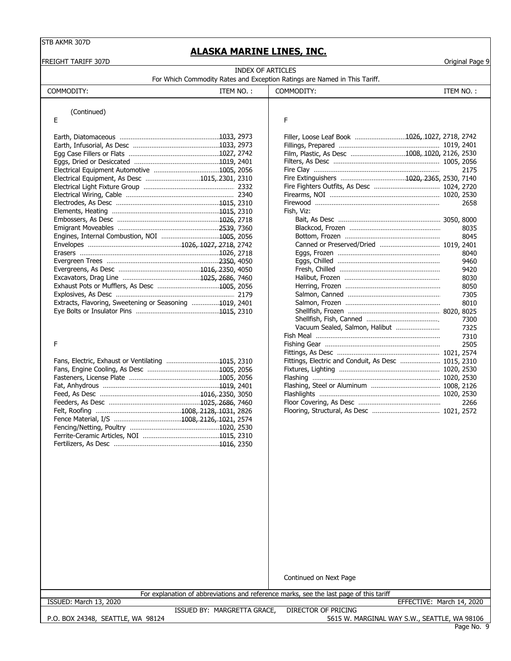## **ACKA MARTNE LINES IN**

|                                                         |                          | ALASKA MARINE LINES, INC.                                                              |           |                 |
|---------------------------------------------------------|--------------------------|----------------------------------------------------------------------------------------|-----------|-----------------|
| FREIGHT TARIFF 307D                                     | <b>INDEX OF ARTICLES</b> |                                                                                        |           | Original Page 9 |
|                                                         |                          | For Which Commodity Rates and Exception Ratings are Named in This Tariff.              |           |                 |
| COMMODITY:                                              | ITEM NO.:                | COMMODITY:                                                                             | ITEM NO.: |                 |
|                                                         |                          |                                                                                        |           |                 |
| (Continued)                                             |                          |                                                                                        |           |                 |
| Ε                                                       |                          | F                                                                                      |           |                 |
|                                                         |                          | Filler, Loose Leaf Book 1026,.1027, 2718, 2742                                         |           |                 |
|                                                         |                          |                                                                                        |           |                 |
|                                                         |                          | Film, Plastic, As Desc 1008, 1020, 2126, 2530                                          |           |                 |
|                                                         |                          |                                                                                        |           |                 |
|                                                         |                          |                                                                                        |           | 2175            |
| Electrical Equipment, As Desc 1015, 2301, 2310          |                          |                                                                                        |           |                 |
|                                                         |                          |                                                                                        |           |                 |
|                                                         |                          |                                                                                        |           |                 |
|                                                         |                          |                                                                                        |           | 2658            |
|                                                         |                          | Fish, Viz:                                                                             |           |                 |
|                                                         |                          |                                                                                        |           |                 |
|                                                         |                          |                                                                                        |           | 8035            |
|                                                         |                          |                                                                                        |           | 8045            |
|                                                         |                          |                                                                                        |           |                 |
|                                                         |                          |                                                                                        |           | 8040            |
|                                                         |                          |                                                                                        |           | 9460            |
|                                                         |                          |                                                                                        |           | 9420            |
|                                                         |                          |                                                                                        |           | 8030            |
|                                                         |                          |                                                                                        |           | 8050            |
|                                                         |                          |                                                                                        |           | 7305            |
| Extracts, Flavoring, Sweetening or Seasoning 1019, 2401 |                          |                                                                                        |           | 8010            |
|                                                         |                          |                                                                                        |           |                 |
|                                                         |                          |                                                                                        |           | 7300            |
|                                                         |                          | Vacuum Sealed, Salmon, Halibut                                                         |           | 7325            |
|                                                         |                          |                                                                                        |           | 7310            |
| F                                                       |                          |                                                                                        |           | 2505            |
|                                                         |                          |                                                                                        |           |                 |
| Fans, Electric, Exhaust or Ventilating 1015, 2310       |                          | Fittings, Electric and Conduit, As Desc  1015, 2310                                    |           |                 |
|                                                         |                          |                                                                                        |           |                 |
|                                                         |                          |                                                                                        |           |                 |
|                                                         |                          |                                                                                        |           |                 |
|                                                         |                          |                                                                                        |           |                 |
|                                                         |                          |                                                                                        |           | 2266            |
|                                                         |                          |                                                                                        |           |                 |
|                                                         |                          |                                                                                        |           |                 |
|                                                         |                          |                                                                                        |           |                 |
|                                                         |                          |                                                                                        |           |                 |
|                                                         |                          |                                                                                        |           |                 |
|                                                         |                          |                                                                                        |           |                 |
|                                                         |                          |                                                                                        |           |                 |
|                                                         |                          |                                                                                        |           |                 |
|                                                         |                          |                                                                                        |           |                 |
|                                                         |                          |                                                                                        |           |                 |
|                                                         |                          |                                                                                        |           |                 |
|                                                         |                          |                                                                                        |           |                 |
|                                                         |                          |                                                                                        |           |                 |
|                                                         |                          |                                                                                        |           |                 |
|                                                         |                          |                                                                                        |           |                 |
|                                                         |                          |                                                                                        |           |                 |
|                                                         |                          |                                                                                        |           |                 |
|                                                         |                          |                                                                                        |           |                 |
|                                                         |                          |                                                                                        |           |                 |
|                                                         |                          |                                                                                        |           |                 |
|                                                         |                          |                                                                                        |           |                 |
|                                                         |                          | Continued on Next Page                                                                 |           |                 |
|                                                         |                          | For explanation of abbreviations and reference marks, see the last page of this tariff |           |                 |
| ISSUED: March 13, 2020                                  |                          | EFFECTIVE: March 14, 2020                                                              |           |                 |

P.O. BOX 24348, SEATTLE, WA 98124

ISSUED BY: MARGRETTA GRACE, DIRECTOR OF PRICING

Page No. 9 5615 W. MARGINAL WAY S.W., SEATTLE, WA 98106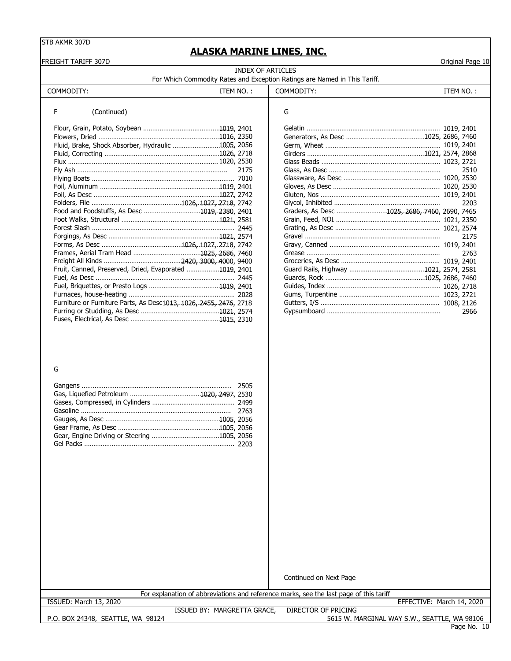FREIGHT TARIFF 307D Original Page 10

### **ALASKA MARINE LINES, INC.**

| INDEX OF ARTICLES<br>For Which Commodity Rates and Exception Ratings are Named in This Tariff. |  |  |  |  |
|------------------------------------------------------------------------------------------------|--|--|--|--|
|                                                                                                |  |  |  |  |

#### F (Continued)

| Fluid, Brake, Shock Absorber, Hydraulic 1005, 2056                |      |                                               |      |
|-------------------------------------------------------------------|------|-----------------------------------------------|------|
|                                                                   |      |                                               |      |
|                                                                   |      |                                               |      |
|                                                                   | 2175 |                                               | 2510 |
|                                                                   |      |                                               |      |
|                                                                   |      |                                               |      |
|                                                                   |      |                                               |      |
|                                                                   |      |                                               | 2203 |
| Food and Foodstuffs, As Desc 1019, 2380, 2401                     |      | Graders, As Desc 1025, 2686, 7460, 2690, 7465 |      |
|                                                                   |      |                                               |      |
|                                                                   |      |                                               |      |
|                                                                   |      |                                               | 2175 |
|                                                                   |      |                                               |      |
|                                                                   |      |                                               | 2763 |
|                                                                   |      |                                               |      |
| Fruit, Canned, Preserved, Dried, Evaporated 1019, 2401            |      |                                               |      |
|                                                                   |      |                                               |      |
|                                                                   |      |                                               |      |
|                                                                   |      |                                               |      |
| Furniture or Furniture Parts, As Desc1013, 1026, 2455, 2476, 2718 |      |                                               |      |
|                                                                   |      |                                               | 2966 |
|                                                                   |      |                                               |      |

| G                                             |      |
|-----------------------------------------------|------|
|                                               |      |
|                                               |      |
|                                               |      |
|                                               |      |
|                                               |      |
|                                               | 2510 |
|                                               |      |
|                                               |      |
|                                               |      |
|                                               | 2203 |
| Graders, As Desc 1025, 2686, 7460, 2690, 7465 |      |
|                                               |      |
|                                               |      |
|                                               | 2175 |
|                                               |      |
|                                               | 2763 |
|                                               |      |
|                                               |      |
|                                               |      |
|                                               |      |
|                                               |      |
|                                               |      |
|                                               | 2966 |

#### G

Continued on Next Page

For explanation of abbreviations and reference marks, see the last page of this tariff

ISSUED: March 13, 2020 EFFECTIVE: March 14, 2020

P.O. BOX 24348, SEATTLE, WA 98124 ISSUED BY: MARGRETTA GRACE, DIRECTOR OF PRICING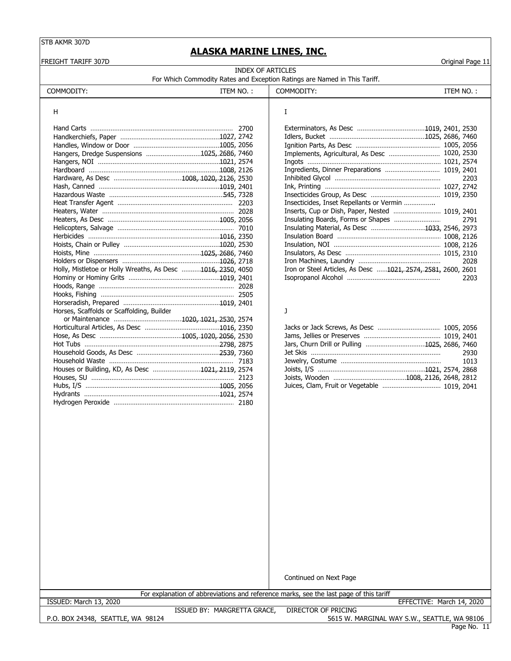FREIGHT TARIFF 307D Original Page 11

### **ALASKA MARINE LINES, INC.**

| INDEX OF ARTICLES                                                         |  |
|---------------------------------------------------------------------------|--|
| For Which Commodity Rates and Exception Ratings are Named in This Tariff. |  |

| COMMODITY:                                                  | ITEM NO.: | COMMODITY:                                                   | ITEM NO.: |      |
|-------------------------------------------------------------|-----------|--------------------------------------------------------------|-----------|------|
| H                                                           |           | Ι.                                                           |           |      |
|                                                             |           |                                                              |           |      |
|                                                             |           |                                                              |           |      |
|                                                             |           |                                                              |           |      |
|                                                             |           |                                                              |           |      |
| Hangers, Dredge Suspensions 1025, 2686, 7460                |           | Implements, Agricultural, As Desc  1020, 2530                |           |      |
|                                                             |           |                                                              |           |      |
|                                                             |           | Ingredients, Dinner Preparations  1019, 2401                 |           |      |
|                                                             |           |                                                              |           | 2203 |
|                                                             |           |                                                              |           |      |
|                                                             |           |                                                              |           |      |
|                                                             |           | Insecticides, Inset Repellants or Vermin                     |           |      |
|                                                             |           | Inserts, Cup or Dish, Paper, Nested  1019, 2401              |           |      |
|                                                             |           |                                                              |           | 2791 |
|                                                             |           | Insulating Material, As Desc 1033, 2546, 2973                |           |      |
|                                                             |           |                                                              |           |      |
|                                                             |           |                                                              |           |      |
|                                                             |           |                                                              |           |      |
|                                                             |           |                                                              |           | 2028 |
| Holly, Mistletoe or Holly Wreaths, As Desc 1016, 2350, 4050 |           | Iron or Steel Articles, As Desc 1021, 2574, 2581, 2600, 2601 |           |      |
|                                                             |           |                                                              |           | 2203 |
|                                                             |           |                                                              |           |      |
|                                                             |           |                                                              |           |      |
|                                                             |           |                                                              |           |      |
| Horses, Scaffolds or Scaffolding, Builder                   |           | J                                                            |           |      |
|                                                             |           |                                                              |           |      |
|                                                             |           |                                                              |           |      |
|                                                             |           |                                                              |           |      |
|                                                             |           | Jars, Churn Drill or Pulling 1025, 2686, 7460                |           |      |
|                                                             |           |                                                              |           | 2930 |
|                                                             |           |                                                              |           | 1013 |
| Houses or Building, KD, As Desc 1021, 2119, 2574            |           |                                                              |           |      |
|                                                             |           |                                                              |           |      |
|                                                             |           | Juices, Clam, Fruit or Vegetable  1019, 2041                 |           |      |
|                                                             |           |                                                              |           |      |
|                                                             |           |                                                              |           |      |

| Hangers, Dredge Suspensions 1025, 2686, 7460                |                                          |                                                                                                                                                                                                                  |
|-------------------------------------------------------------|------------------------------------------|------------------------------------------------------------------------------------------------------------------------------------------------------------------------------------------------------------------|
|                                                             |                                          |                                                                                                                                                                                                                  |
|                                                             |                                          |                                                                                                                                                                                                                  |
|                                                             |                                          | 2203                                                                                                                                                                                                             |
|                                                             |                                          |                                                                                                                                                                                                                  |
|                                                             |                                          |                                                                                                                                                                                                                  |
|                                                             | Insecticides, Inset Repellants or Vermin |                                                                                                                                                                                                                  |
|                                                             |                                          |                                                                                                                                                                                                                  |
|                                                             |                                          | 2791                                                                                                                                                                                                             |
|                                                             |                                          |                                                                                                                                                                                                                  |
|                                                             |                                          |                                                                                                                                                                                                                  |
|                                                             |                                          |                                                                                                                                                                                                                  |
|                                                             |                                          |                                                                                                                                                                                                                  |
|                                                             |                                          | 2028                                                                                                                                                                                                             |
| Holly, Mistletoe or Holly Wreaths, As Desc 1016, 2350, 4050 |                                          |                                                                                                                                                                                                                  |
|                                                             |                                          | 2203                                                                                                                                                                                                             |
|                                                             |                                          | Ingredients, Dinner Preparations  1019, 2401<br>Inserts, Cup or Dish, Paper, Nested  1019, 2401<br>Insulating Material, As Desc 1033, 2546, 2973<br>Iron or Steel Articles, As Desc 1021, 2574, 2581, 2600, 2601 |

| Houses or Building, KD, As Desc 1021. 2119, 2574 |  |  |
|--------------------------------------------------|--|--|
|                                                  |  |  |
|                                                  |  |  |

Continued on Next Page

For explanation of abbreviations and reference marks, see the last page of this tariff

ISSUED: March 13, 2020 EFFECTIVE: March 14, 2020

P.O. BOX 24348, SEATTLE, WA 98124

ISSUED BY: MARGRETTA GRACE, DIRECTOR OF PRICING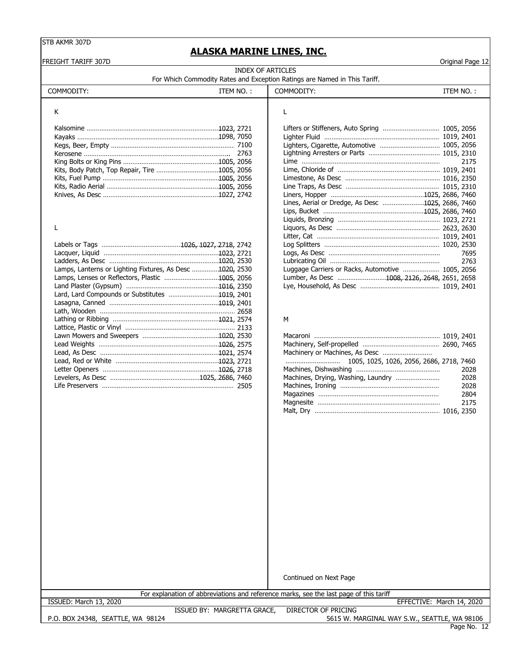### **ALASKA MARINE LINES, INC.**

FREIGHT TARIFF 307D Original Page 12

| INDEX OF ARTICLES                                                         |
|---------------------------------------------------------------------------|
| For Which Commodity Rates and Exception Ratings are Named in This Tariff. |

| <b>COMMODIT</b> | $MNO$ . | COMMODITY: | N0   |
|-----------------|---------|------------|------|
| ∼               | ьM      | ,,,,,      | '⊢M⊾ |
|                 |         |            |      |

| К |                                                   |      |
|---|---------------------------------------------------|------|
|   | Lifters or Stiffeners, Auto Spring  1005, 2056    |      |
|   |                                                   |      |
|   |                                                   |      |
|   |                                                   |      |
|   |                                                   | 2175 |
|   |                                                   |      |
|   |                                                   |      |
|   |                                                   |      |
|   |                                                   |      |
|   | Lines, Aerial or Dredge, As Desc 1025, 2686, 7460 |      |
|   |                                                   |      |

Liquids, Bronzing …………………………………………………1023, 2721

Litter, Cat ……………………………………………………………1019, 2401 Log Splitters ………………………………………………………… 1020, 2530 Lacquer, Liquid ……………………………………………………………1023…, 2721 Logs, As Desc ……………………………………………………… 7695 Ladders, As Desc …………………………………………………………1020, 2530 Lubricating Oil …………………………………………………… … 2763 Luggage Carriers or Racks, Automotive ……………… 1005, 2056 Lumber, As Desc …………………………1008, 2126, 2648, 2651, 2658 Lye, Household, As Desc ………………………………………… 1019, 2401

#### L Liquors, As Desc ………………………………………………… 2623, 2630

|                                                          | <b>PART INTO THE INTERNATIONAL PROPERTY INTO A PART OF A PART OF A PART OF A PART OF A PART OF A PART OF A PART O</b> |
|----------------------------------------------------------|-----------------------------------------------------------------------------------------------------------------------|
|                                                          |                                                                                                                       |
|                                                          | 7695                                                                                                                  |
|                                                          | 2763                                                                                                                  |
| Lamps, Lanterns or Lighting Fixtures, As Desc 1020, 2530 | Luggage Carriers or Racks, Automotive  1005, 2056                                                                     |
|                                                          | Lumber, As Desc 1008, 2126, 2648, 2651, 2658                                                                          |
|                                                          |                                                                                                                       |
| Lard, Lard Compounds or Substitutes 1019, 2401           |                                                                                                                       |
|                                                          |                                                                                                                       |
|                                                          |                                                                                                                       |
|                                                          | м                                                                                                                     |
|                                                          |                                                                                                                       |
|                                                          |                                                                                                                       |
|                                                          |                                                                                                                       |
|                                                          |                                                                                                                       |
|                                                          |                                                                                                                       |
|                                                          | 2028                                                                                                                  |
|                                                          | 2028                                                                                                                  |
|                                                          | 2028                                                                                                                  |

## $M$

| Machinery or Machines, As Desc |      |
|--------------------------------|------|
|                                |      |
|                                | 2028 |
|                                | 2028 |
|                                | 2028 |
|                                | 2804 |
|                                | 2175 |
|                                |      |

Continued on Next Page

For explanation of abbreviations and reference marks, see the last page of this tariff

ISSUED: March 13, 2020 EFFECTIVE: March 14, 2020

P.O. BOX 24348, SEATTLE, WA 98124

ISSUED BY: MARGRETTA GRACE, DIRECTOR OF PRICING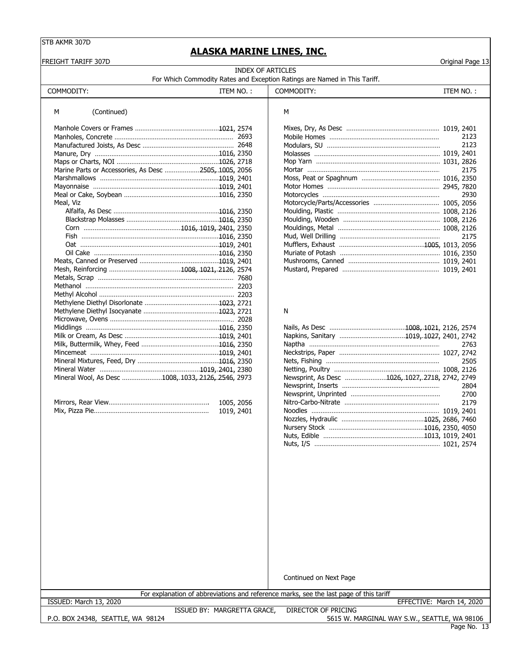## **ALASKA MARINE LINES, INC.**

| FREIGHT TARIFF 307D                                   |            | DINA MANINE EINES, INC.                                                                               |                                                 | Original Page 13 |
|-------------------------------------------------------|------------|-------------------------------------------------------------------------------------------------------|-------------------------------------------------|------------------|
|                                                       |            | <b>INDEX OF ARTICLES</b><br>For Which Commodity Rates and Exception Ratings are Named in This Tariff. |                                                 |                  |
| COMMODITY:                                            | ITEM NO.:  | COMMODITY:                                                                                            |                                                 | ITEM NO.:        |
| (Continued)<br>М                                      |            | М                                                                                                     |                                                 |                  |
|                                                       |            |                                                                                                       |                                                 |                  |
|                                                       |            |                                                                                                       |                                                 | 2123             |
|                                                       |            |                                                                                                       |                                                 | 2123             |
|                                                       |            |                                                                                                       |                                                 |                  |
|                                                       |            |                                                                                                       |                                                 |                  |
| Marine Parts or Accessories, As Desc 2505, 1005, 2056 |            |                                                                                                       |                                                 | 2175             |
|                                                       |            |                                                                                                       |                                                 |                  |
|                                                       |            |                                                                                                       |                                                 |                  |
|                                                       |            |                                                                                                       |                                                 | 2930             |
| Meal, Viz                                             |            |                                                                                                       |                                                 |                  |
|                                                       |            |                                                                                                       |                                                 |                  |
|                                                       |            |                                                                                                       |                                                 |                  |
|                                                       |            |                                                                                                       |                                                 |                  |
|                                                       |            |                                                                                                       |                                                 | 2175             |
|                                                       |            |                                                                                                       |                                                 |                  |
|                                                       |            |                                                                                                       |                                                 |                  |
|                                                       |            |                                                                                                       |                                                 |                  |
|                                                       |            |                                                                                                       |                                                 |                  |
|                                                       |            |                                                                                                       |                                                 |                  |
|                                                       |            |                                                                                                       |                                                 |                  |
|                                                       |            |                                                                                                       |                                                 |                  |
|                                                       |            |                                                                                                       |                                                 |                  |
|                                                       |            | N                                                                                                     |                                                 |                  |
|                                                       |            |                                                                                                       |                                                 |                  |
|                                                       |            |                                                                                                       |                                                 |                  |
|                                                       |            |                                                                                                       |                                                 |                  |
|                                                       |            |                                                                                                       |                                                 | 2763             |
|                                                       |            |                                                                                                       |                                                 |                  |
|                                                       |            |                                                                                                       |                                                 | 2505             |
|                                                       |            |                                                                                                       |                                                 |                  |
| Mineral Wool, As Desc 1008, 1033, 2126, 2546, 2973    |            |                                                                                                       | Newsprint, As Desc 1026, 1027, 2718, 2742, 2749 |                  |
|                                                       |            |                                                                                                       |                                                 | 2804             |
|                                                       |            |                                                                                                       |                                                 | 2700             |
|                                                       | 1005, 2056 |                                                                                                       |                                                 | 2179             |
|                                                       | 1019, 2401 |                                                                                                       |                                                 |                  |
|                                                       |            |                                                                                                       |                                                 |                  |
|                                                       |            |                                                                                                       |                                                 |                  |
|                                                       |            |                                                                                                       |                                                 |                  |
|                                                       |            |                                                                                                       |                                                 |                  |
|                                                       |            |                                                                                                       |                                                 |                  |
|                                                       |            | Continued on Next Page                                                                                |                                                 |                  |
|                                                       |            |                                                                                                       |                                                 |                  |

For explanation of abbreviations and reference marks, see the last page of this tariff

ISSUED BY: MARGRETTA GRACE, DIRECTOR OF PRICING

P.O. BOX 24348, SEATTLE, WA 98124

ISSUED: March 13, 2020 EFFECTIVE: March 14, 2020

Page No. 13 5615 W. MARGINAL WAY S.W., SEATTLE, WA 98106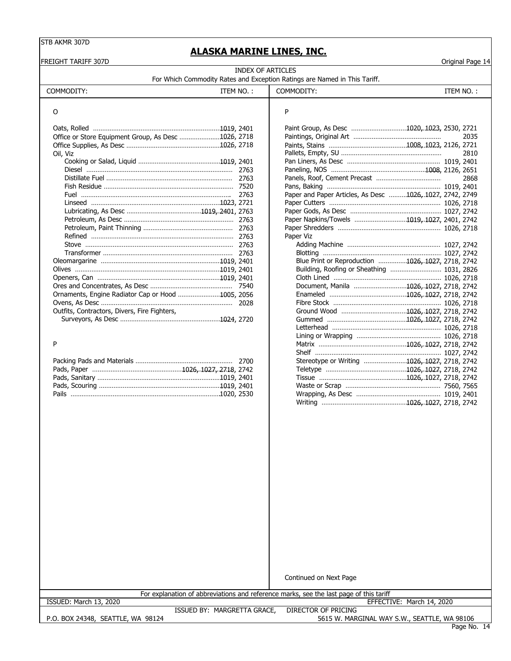FREIGHT TARIFF 307D Original Page 14

### **ALASKA MARINE LINES, INC.**

| INDEX OF ARTICLES                                                         |  |
|---------------------------------------------------------------------------|--|
| For Which Commodity Rates and Exception Ratings are Named in This Tariff. |  |

|                                                     |           | For Which Commodity Rates and Exception Ratings are Named in This Tariff. |           |
|-----------------------------------------------------|-----------|---------------------------------------------------------------------------|-----------|
| COMMODITY:                                          | ITEM NO.: | COMMODITY:                                                                | ITEM NO.: |
|                                                     |           |                                                                           |           |
|                                                     |           | Paint Group, As Desc 1020, 1023, 2530, 2721                               |           |
| Office or Store Equipment Group, As Desc 1026, 2718 |           |                                                                           |           |
|                                                     |           |                                                                           |           |
| Oil. Viz                                            |           |                                                                           |           |
|                                                     |           |                                                                           |           |
|                                                     |           |                                                                           |           |
|                                                     |           |                                                                           |           |
| Fish Residue                                        | 7520      | Pans Raking                                                               | 1019 7401 |

|   | í  |   |  |
|---|----|---|--|
| I |    | I |  |
|   | ۰. | I |  |
|   |    |   |  |

|  | Stereotype or Writing 1026, 1027, 2718, 2742 |  |  |
|--|----------------------------------------------|--|--|
|  |                                              |  |  |
|  |                                              |  |  |
|  |                                              |  |  |
|  |                                              |  |  |

|                                                     |  | Pallit Group, AS Desc 1020, 1023, 2330, 2721             |      |
|-----------------------------------------------------|--|----------------------------------------------------------|------|
| Office or Store Equipment Group, As Desc 1026, 2718 |  |                                                          | 2035 |
|                                                     |  |                                                          |      |
| Oil, Viz                                            |  |                                                          | 2810 |
|                                                     |  |                                                          |      |
|                                                     |  |                                                          |      |
|                                                     |  |                                                          | 2868 |
|                                                     |  |                                                          |      |
|                                                     |  | Paper and Paper Articles, As Desc 1026, 1027, 2742, 2749 |      |
|                                                     |  |                                                          |      |
|                                                     |  |                                                          |      |
|                                                     |  | Paper Napkins/Towels 1019, 1027, 2401, 2742              |      |
|                                                     |  |                                                          |      |
|                                                     |  | Paper Viz                                                |      |
|                                                     |  |                                                          |      |
|                                                     |  |                                                          |      |
|                                                     |  | Blue Print or Reproduction 1026, 1027, 2718, 2742        |      |
|                                                     |  |                                                          |      |
|                                                     |  |                                                          |      |
|                                                     |  | Document, Manila 1026, 1027, 2718, 2742                  |      |
| Ornaments, Engine Radiator Cap or Hood 1005, 2056   |  |                                                          |      |
|                                                     |  |                                                          |      |
| Outfits, Contractors, Divers, Fire Fighters,        |  |                                                          |      |
|                                                     |  |                                                          |      |
|                                                     |  |                                                          |      |
|                                                     |  |                                                          |      |
| Þ                                                   |  |                                                          |      |
|                                                     |  |                                                          |      |
|                                                     |  | Stereotype or Writing 1026, 1027, 2718, 2742             |      |
|                                                     |  |                                                          |      |
|                                                     |  |                                                          |      |
|                                                     |  |                                                          |      |
|                                                     |  |                                                          |      |
|                                                     |  |                                                          |      |

Continued on Next Page

|                              | For explanation of abbreviations and reference marks, see the last page of this tariff |                     |                              |
|------------------------------|----------------------------------------------------------------------------------------|---------------------|------------------------------|
| 2020<br>ISSUED:<br>March 13. |                                                                                        |                     | March 14, 2020<br>EFFECTIVE: |
|                              | <b>MARGRETTA GRACE</b><br>ISSUED BY:                                                   | DIRECTOR OF PRICING |                              |

P.O. BOX 24348, SEATTLE, WA 98124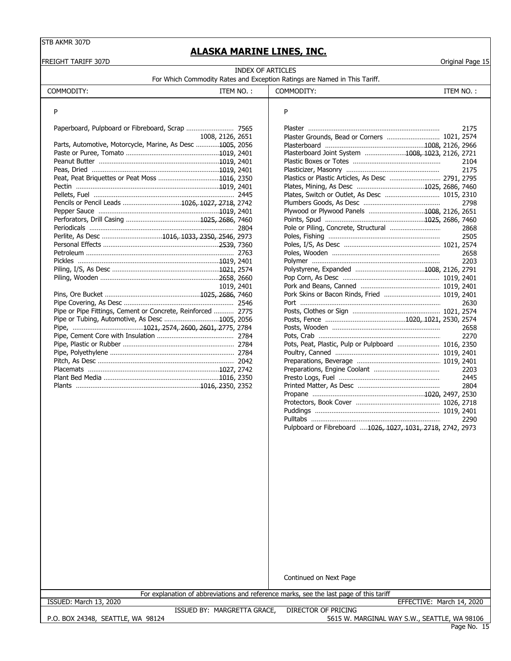## **ALASKA MARINE LINES, INC.**

| FREIGHT TARIFF 307D                                         |                          | TUIVT I IMITAITE EAITEU) AITUI                                                         | Original Page 15 |
|-------------------------------------------------------------|--------------------------|----------------------------------------------------------------------------------------|------------------|
|                                                             | <b>INDEX OF ARTICLES</b> | For Which Commodity Rates and Exception Ratings are Named in This Tariff.              |                  |
| COMMODITY:<br>ITEM NO.:                                     |                          | COMMODITY:                                                                             | ITEM NO.:        |
| P                                                           |                          | P                                                                                      |                  |
|                                                             |                          |                                                                                        | 2175             |
| 1008, 2126, 2651                                            |                          | Plaster Grounds, Bead or Corners  1021, 2574                                           |                  |
| Parts, Automotive, Motorcycle, Marine, As Desc 1005, 2056   |                          |                                                                                        |                  |
|                                                             |                          | Plasterboard Joint System 1008, 1023, 2126, 2721                                       |                  |
|                                                             |                          |                                                                                        | 2104             |
|                                                             |                          |                                                                                        | 2175             |
|                                                             |                          |                                                                                        |                  |
|                                                             |                          |                                                                                        |                  |
|                                                             |                          |                                                                                        |                  |
| Pencils or Pencil Leads 1026, 1027, 2718, 2742              |                          |                                                                                        | 2798             |
|                                                             |                          | Plywood or Plywood Panels 1008, 2126, 2651                                             |                  |
|                                                             |                          |                                                                                        |                  |
|                                                             |                          |                                                                                        | 2868             |
| Perlite, As Desc 1016, 1033, 2350, 2546, 2973               |                          |                                                                                        | 2505             |
|                                                             |                          |                                                                                        |                  |
|                                                             |                          |                                                                                        | 2658             |
|                                                             |                          |                                                                                        | 2203             |
|                                                             |                          |                                                                                        |                  |
|                                                             |                          |                                                                                        |                  |
| 1019, 2401                                                  |                          |                                                                                        |                  |
|                                                             |                          | Pork Skins or Bacon Rinds, Fried  1019, 2401                                           |                  |
|                                                             |                          |                                                                                        | 2630             |
| Pipe or Pipe Fittings, Cement or Concrete, Reinforced  2775 |                          |                                                                                        |                  |
|                                                             |                          |                                                                                        |                  |
|                                                             |                          |                                                                                        | 2658             |
|                                                             |                          |                                                                                        | 2270             |
|                                                             |                          | Pots, Peat, Plastic, Pulp or Pulpboard  1016, 2350                                     |                  |
|                                                             |                          |                                                                                        |                  |
|                                                             |                          |                                                                                        |                  |
|                                                             |                          |                                                                                        | 2203             |
|                                                             |                          |                                                                                        | 2445             |
|                                                             |                          |                                                                                        | 2804             |
|                                                             |                          |                                                                                        |                  |
|                                                             |                          |                                                                                        |                  |
|                                                             |                          |                                                                                        | 2290             |
|                                                             |                          | Pulpboard or Fibreboard 1026, 1027, 1031, 2718, 2742, 2973                             |                  |
|                                                             |                          |                                                                                        |                  |
|                                                             |                          |                                                                                        |                  |
|                                                             |                          |                                                                                        |                  |
|                                                             |                          |                                                                                        |                  |
|                                                             |                          |                                                                                        |                  |
|                                                             |                          |                                                                                        |                  |
|                                                             |                          |                                                                                        |                  |
|                                                             |                          |                                                                                        |                  |
|                                                             |                          |                                                                                        |                  |
|                                                             |                          |                                                                                        |                  |
|                                                             |                          |                                                                                        |                  |
|                                                             |                          |                                                                                        |                  |
|                                                             |                          |                                                                                        |                  |
|                                                             |                          |                                                                                        |                  |
|                                                             |                          |                                                                                        |                  |
|                                                             |                          |                                                                                        |                  |
|                                                             |                          |                                                                                        |                  |
|                                                             |                          | Continued on Next Page                                                                 |                  |
|                                                             |                          |                                                                                        |                  |
|                                                             |                          | For explanation of abbreviations and reference marks, see the last page of this tariff |                  |

P.O. BOX 24348, SEATTLE, WA 98124

ISSUED: March 13, 2020 EFFECTIVE: March 14, 2020

ISSUED BY: MARGRETTA GRACE, DIRECTOR OF PRICING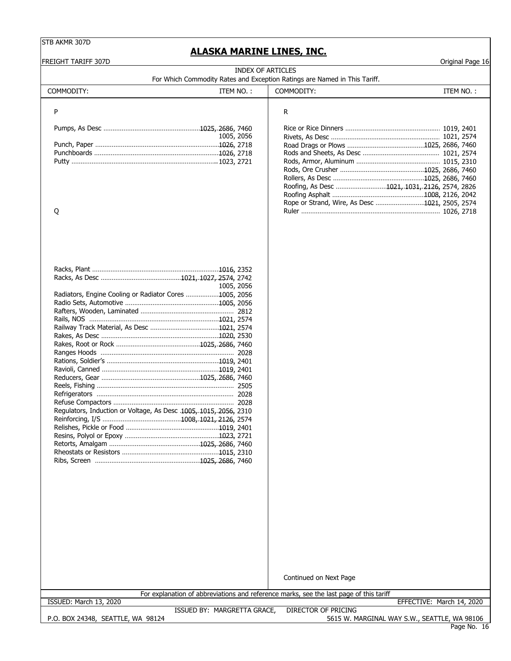### **ALASKA MARINE LINES, INC.**

FREIGHT TARIFF 307D Original Page 16 COMMODITY: ITEM NO. : | COMMODITY: ITEM NO. : P R Pumps, As Desc …………………………………………………1025, 2686, 7460 Rice or Rice Dinners ……………………………………………… 1019, 2401 1005, 2056 Rivets, As Desc …………………………………………………… 1021, 2574 Road Drags or Plows ……………………………………1025, 2686, 7460<br>Rods and Sheets, As Desc …………………………………… 1021, 2574 Punchboards …………………………………………………………… 1026, 2718 Putty ……………………………………………………………………..1023, 2721 Rods, Armor, Aluminum …………………………………………1015, 2310 Rods, Ore Crusher ……………………………………………… 1025, … 2686, 7460 Rollers, As Desc ………………………………………………… 1025…, 2686, 7460 Roofing, As Desc ………………………………………………… 1021, 1031, 2126, 2574, 2826 Roofing Asphalt ………………………………………………… 1008…, 2126, 2042 Rope or Strand, Wire, As Desc ……………………………1021…, 2505, 2574 Q Ruler ……………………………………………………………………1026, 2718 Racks, Plant …………………………………………………………………1016…, 2352 Racks, As Desc ……………………………………………………………… 1021, 1027, 2574…, 2742 1005, 2056 Radiators, Engine Cooling or Radiator Cores .................1005, 2056 Radio Sets, Automotive …………………………………………………1005…, 2056 Rafters, Wooden, Laminated …………………………………………… 2812 Rails, NOS …………………………………………………………………… 1021…, 2574 Railway Track Material, As Desc ……………………………………… 1021…, 2574 Rakes, As Desc ……………………………………………………………… 1020, 2530 … Rakes, Root or Rock ……………………………………………………… 1025, 2686…, 7460 Ranges Hoods …………………………………………………………………2028 Rations, Soldier's …………………………………………………………… 1019…, 2401 Ravioli, Canned ……………………………………………………………… 1019, 2401 Reducers, Gear ……………………………………………………………… 1025, 2686…, 7460 Reels, Fishing ………………………………………………………………… 2505 Refrigerators ………………………………………………………………… 2028 Refuse Compactors ………………………………………………………… 2028 Regulators, Induction or Voltage, As Desc .1005, 1015, 2056, 2310 Reinforcing, I/S ……………………………………………………………… 1008, 1021, 2126, 2574 Relishes, Pickle or Food …………………………………………………1019…, 2401 Resins, Polyol or Epoxy …………………………………………………… 1023, 2721 Retorts, Amalgam ………………………………………………………… 1025, 2686…, 7460 Rheostats or Resistors …………………………………………………… 1015…, 2310 Ribs, Screen ………………………………………………………………… 1025, 2686…, 7460 Continued on Next Page P.O. BOX 24348, SEATTLE, WA 98124 ISSUED BY: MARGRETTA GRACE, DIRECTOR OF PRICING 5615 W. MARGINAL WAY S.W., SEATTLE, WA 98106 INDEX OF ARTICLES For Which Commodity Rates and Exception Ratings are Named in This Tariff. For explanation of abbreviations and reference marks, see the last page of this tariff ISSUED: March 13, 2020 EFFECTIVE: March 14, 2020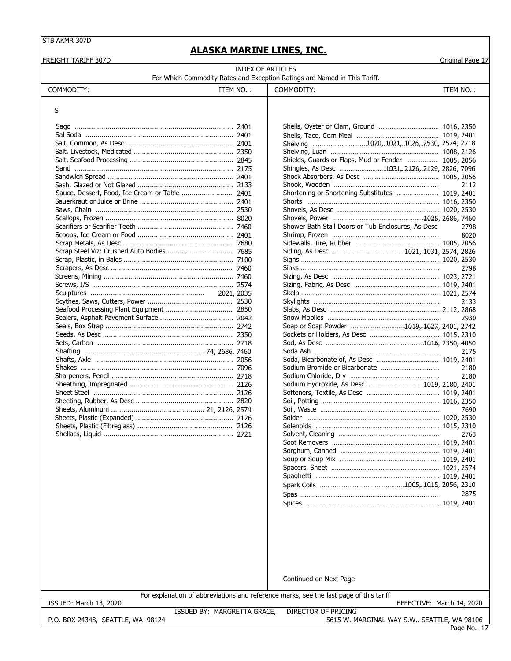### **ALASKA MARINE LINES, INC.**

FREIGHT TARIFF 307D Original Page 17

INDEX OF ARTICLES

For Which Commodity Rates and Exception Ratings are Named in This Tariff.

| ITEM NO. |  |
|----------|--|
|          |  |

#### S

| Sauce, Dessert, Food, Ice Cream or Table  2401 |      |
|------------------------------------------------|------|
|                                                |      |
|                                                |      |
|                                                |      |
|                                                |      |
|                                                |      |
|                                                |      |
| Scrap Steel Viz: Crushed Auto Bodies           | 7685 |
|                                                |      |
|                                                |      |
|                                                |      |
|                                                |      |
|                                                |      |
|                                                |      |
|                                                |      |
|                                                |      |
|                                                |      |
|                                                |      |
|                                                |      |
|                                                |      |
|                                                |      |
|                                                |      |
|                                                |      |
|                                                |      |
|                                                |      |
|                                                |      |
|                                                |      |
|                                                |      |
|                                                |      |
|                                                |      |
|                                                |      |

COMMODITY: COMMODITY:

| 2401           |                                                     |      |
|----------------|-----------------------------------------------------|------|
| 2401           |                                                     |      |
| …………… 2401     | Shelving 1020, 1021, 1026, 2530, 2574, 2718         |      |
| …………… 2350     |                                                     |      |
| 2845           | Shields, Guards or Flaps, Mud or Fender  1005, 2056 |      |
| …………… 2175     | Shingles, As Desc 1031, 2126, 2129, 2826, 7096      |      |
| 2401           |                                                     |      |
| 2133           |                                                     | 2112 |
| . 2401         | Shortening or Shortening Substitutes  1019, 2401    |      |
| 2401           |                                                     |      |
| …………… 2530     |                                                     |      |
| 8020           |                                                     |      |
| …………… 7460     | Shower Bath Stall Doors or Tub Enclosures, As Desc  | 2798 |
| 2401           |                                                     | 8020 |
| …………… 7680     |                                                     |      |
| …………… 7685     |                                                     |      |
| 7100           |                                                     |      |
| ………… 7460      |                                                     | 2798 |
| ………… 7460      |                                                     |      |
| 2574           |                                                     |      |
| 2021, 2035     |                                                     |      |
| 2530           |                                                     | 2133 |
| …………… 2850     |                                                     |      |
| 2042           |                                                     | 2930 |
| 2742           | Soap or Soap Powder 1019, 1027, 2401, 2742          |      |
| . 2350         |                                                     |      |
| 2718           |                                                     |      |
| 74, 2686, 7460 |                                                     | 2175 |
| …………… 2056     |                                                     |      |
| …………… 7096     |                                                     | 2180 |
| 2718           |                                                     | 2180 |
| 2126           | Sodium Hydroxide, As Desc 1019, 2180, 2401          |      |
| 2126           |                                                     |      |
| 2820           |                                                     |      |
| 21, 2126, 2574 |                                                     | 7690 |
| 2126           |                                                     |      |
| …………… 2126     |                                                     |      |
| . 2721         |                                                     | 2763 |
|                |                                                     |      |
|                |                                                     |      |
|                |                                                     |      |
|                |                                                     |      |
|                |                                                     |      |
|                |                                                     |      |
|                |                                                     | 2875 |
|                |                                                     |      |
|                |                                                     |      |

Continued on Next Page

For explanation of abbreviations and reference marks, see the last page of this tariff

ISSUED BY: MARGRETTA GRACE,

ISSUED: March 13, 2020 EFFECTIVE: March 14, 2020

P.O. BOX 24348, SEATTLE, WA 98124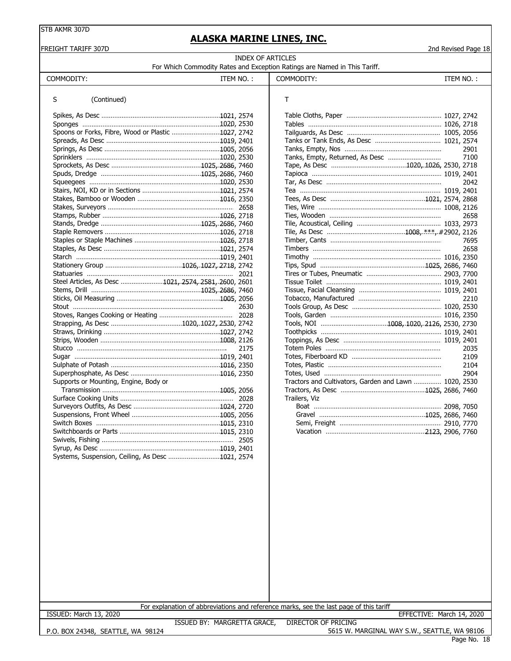#### FREIGHT TARIFF 307D 2nd Revised Page 18

## **ALASKA MARINE LINES, INC.**

| INDEX OF ARTICLES                                                         |  |  |  |  |
|---------------------------------------------------------------------------|--|--|--|--|
| For Which Commodity Rates and Exception Ratings are Named in This Tariff. |  |  |  |  |

| COMMODITY:                                           | ITEM NO.: | COMMODITY:                                            | ITEM NO.: |
|------------------------------------------------------|-----------|-------------------------------------------------------|-----------|
| (Continued)<br>S                                     |           | Τ                                                     |           |
|                                                      |           |                                                       |           |
|                                                      |           |                                                       |           |
| Spoons or Forks, Fibre, Wood or Plastic 1027, 2742   |           |                                                       |           |
|                                                      |           |                                                       |           |
|                                                      |           |                                                       | 2901      |
|                                                      |           |                                                       | 7100      |
|                                                      |           |                                                       |           |
|                                                      |           |                                                       |           |
|                                                      |           |                                                       | 2042      |
|                                                      |           |                                                       |           |
|                                                      |           |                                                       |           |
|                                                      |           |                                                       |           |
|                                                      |           |                                                       | 2658      |
|                                                      |           |                                                       |           |
|                                                      |           |                                                       |           |
|                                                      |           |                                                       | 7695      |
|                                                      |           |                                                       | 2658      |
|                                                      |           |                                                       |           |
|                                                      |           |                                                       |           |
|                                                      | 2021      |                                                       |           |
| Steel Articles, As Desc 1021, 2574, 2581, 2600, 2601 |           |                                                       |           |
|                                                      |           |                                                       |           |
|                                                      |           |                                                       | 2210      |
|                                                      | 2630      |                                                       |           |
|                                                      |           |                                                       |           |
|                                                      |           |                                                       |           |
|                                                      |           |                                                       |           |
|                                                      |           |                                                       |           |
| Stucco                                               | 2175      |                                                       | 2035      |
|                                                      |           |                                                       | 2109      |
|                                                      |           |                                                       | 2104      |
|                                                      |           |                                                       | 2904      |
| Supports or Mounting, Engine, Body or                |           | Tractors and Cultivators, Garden and Lawn  1020, 2530 |           |
|                                                      |           |                                                       |           |
|                                                      |           | Trailers, Viz                                         |           |
|                                                      |           |                                                       |           |
|                                                      |           |                                                       |           |
|                                                      |           |                                                       |           |
|                                                      |           |                                                       |           |
|                                                      |           |                                                       |           |
|                                                      |           |                                                       |           |
| Systems, Suspension, Ceiling, As Desc 1021, 2574     |           |                                                       |           |
|                                                      |           |                                                       |           |

| т                                                     |      |
|-------------------------------------------------------|------|
|                                                       |      |
|                                                       |      |
|                                                       |      |
|                                                       |      |
|                                                       |      |
| Tanks, Empty, Returned, As Desc                       | 7100 |
|                                                       |      |
|                                                       |      |
|                                                       | 2042 |
|                                                       |      |
|                                                       |      |
|                                                       |      |
|                                                       | 2658 |
|                                                       |      |
|                                                       |      |
|                                                       |      |
|                                                       | 2658 |
|                                                       |      |
|                                                       |      |
|                                                       |      |
|                                                       |      |
|                                                       |      |
|                                                       | 2210 |
|                                                       |      |
|                                                       |      |
|                                                       |      |
|                                                       |      |
|                                                       |      |
|                                                       | 2035 |
|                                                       | 2109 |
|                                                       | 2104 |
|                                                       | 2904 |
| Tractors and Cultivators, Garden and Lawn  1020, 2530 |      |
|                                                       |      |
| Trailers, Viz                                         |      |
|                                                       |      |
|                                                       |      |
|                                                       |      |
|                                                       |      |

For explanation of abbreviations and reference marks, see the last page of this tariff

ISSUED: March 13, 2020 EFFECTIVE: March 14, 2020

P.O. BOX 24348, SEATTLE, WA 98124

ISSUED BY: MARGRETTA GRACE, DIRECTOR OF PRICING 5615 W. MARGINAL WAY S.W., SEATTLE, WA 98106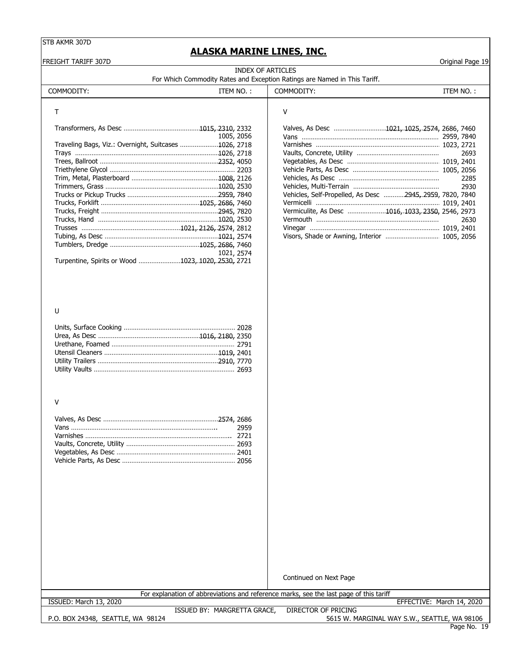### **ALASKA MARINE LINES, INC.**

FREIGHT TARIFF 307D **Original Page 19** 

**INDEX OF ARTICLES**<br>and Exception Ratin For Which Commodity Rates and Exception Ratings are Named in This Tariff.

| For Writer Commodity Rates and Exception Ratings are Named in This Tami |  |  |  |
|-------------------------------------------------------------------------|--|--|--|
|                                                                         |  |  |  |

| COMMODITY:                                            | ITEM NO.:  | COMMODITY:                                                | ITEM NO.:    |
|-------------------------------------------------------|------------|-----------------------------------------------------------|--------------|
|                                                       |            | v                                                         |              |
|                                                       | 1005, 2056 | Valves, As Desc 1021, 1025, 2574, 2686, 7460              |              |
| Traveling Bags, Viz.: Overnight, Suitcases 1026, 2718 |            |                                                           | 2693         |
|                                                       |            |                                                           |              |
|                                                       |            |                                                           | 2285<br>2930 |
|                                                       |            | Vehicles, Self-Propelled, As Desc  2945, 2959, 7820, 7840 |              |
|                                                       |            | Vermiculite, As Desc 1016, 1033, 2350, 2546, 2973         | 2630         |
|                                                       |            |                                                           |              |
|                                                       | 1021, 2574 |                                                           |              |
| Turpentine, Spirits or Wood 1023, 1020, 2530, 2721    |            |                                                           |              |

| 2310, 2332 | Valves, As Desc 1021, 1025, 2574, 2686, 7460             |
|------------|----------------------------------------------------------|
| 1005, 2056 |                                                          |
| 1026, 2718 |                                                          |
| 1026, 2718 | 2693                                                     |
| 2352, 4050 |                                                          |
| 2203       |                                                          |
| 1008, 2126 | 2285                                                     |
| 1020, 2530 | 2930                                                     |
| 2959, 7840 | Vehicles, Self-Propelled, As Desc 2945, 2959, 7820, 7840 |
| 2686.7460  |                                                          |
| 2945.7820  | Vermiculite, As Desc 1016, 1033, 2350, 2546, 2973        |
| 1020, 2530 | 2630                                                     |
| 2574, 2812 |                                                          |
| 1021, 2574 | Visors, Shade or Awning, Interior  1005, 2056            |

#### U

#### V

Continued on Next Page

For explanation of abbreviations and reference marks, see the last page of this tariff

P.O. BOX 24348, SEATTLE, WA 98124

ISSUED: March 13, 2020 EFFECTIVE: March 14, 2020

ISSUED BY: MARGRETTA GRACE, DIRECTOR OF PRICING

Page No. 19 5615 W. MARGINAL WAY S.W., SEATTLE, WA 98106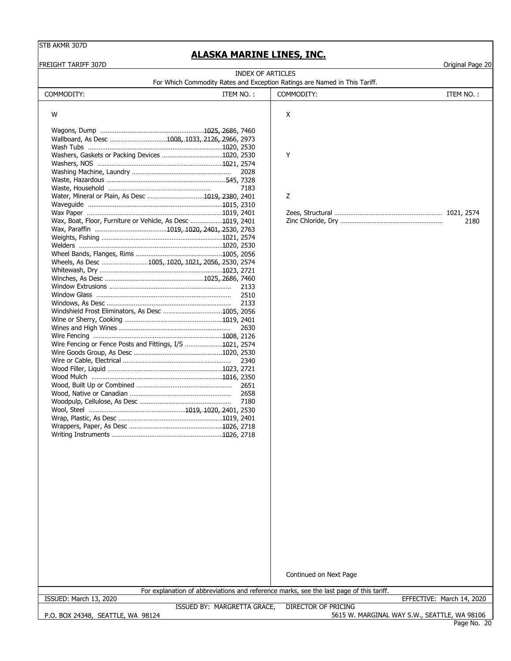## **ALASKA MARINE LINES, INC.**

| <b>FREIGHT TARIFF 307D</b>                                                                                        |                            | Original Page 20          |
|-------------------------------------------------------------------------------------------------------------------|----------------------------|---------------------------|
| <b>INDEX OF ARTICLES</b><br>For Which Commodity Rates and Exception Ratings are Named in This Tariff.             |                            |                           |
| COMMODITY:<br>ITEM NO.:                                                                                           | COMMODITY:                 | ITEM NO.:                 |
|                                                                                                                   |                            |                           |
| W                                                                                                                 | X                          |                           |
|                                                                                                                   |                            |                           |
|                                                                                                                   |                            |                           |
| Wallboard, As Desc 1008, 1033, 2126, 2966, 2973                                                                   |                            |                           |
|                                                                                                                   |                            |                           |
|                                                                                                                   | Y                          |                           |
|                                                                                                                   |                            |                           |
| 2028                                                                                                              |                            |                           |
| 7183                                                                                                              |                            |                           |
| Water, Mineral or Plain, As Desc 1019, 2380, 2401                                                                 | Z                          |                           |
|                                                                                                                   |                            |                           |
|                                                                                                                   |                            |                           |
| Wax, Boat, Floor, Furniture or Vehicle, As Desc 1019, 2401                                                        |                            | 2180                      |
|                                                                                                                   |                            |                           |
|                                                                                                                   |                            |                           |
|                                                                                                                   |                            |                           |
|                                                                                                                   |                            |                           |
| Wheels, As Desc 1005, 1020, 1021, 2056, 2530, 2574                                                                |                            |                           |
|                                                                                                                   |                            |                           |
|                                                                                                                   |                            |                           |
| 2133                                                                                                              |                            |                           |
| 2510                                                                                                              |                            |                           |
| 2133                                                                                                              |                            |                           |
|                                                                                                                   |                            |                           |
|                                                                                                                   |                            |                           |
| 2630                                                                                                              |                            |                           |
|                                                                                                                   |                            |                           |
| Wire Fencing or Fence Posts and Fittings, I/S 1021, 2574                                                          |                            |                           |
|                                                                                                                   |                            |                           |
| 2340                                                                                                              |                            |                           |
|                                                                                                                   |                            |                           |
|                                                                                                                   |                            |                           |
| 2651                                                                                                              |                            |                           |
|                                                                                                                   |                            |                           |
| 7180                                                                                                              |                            |                           |
|                                                                                                                   |                            |                           |
|                                                                                                                   |                            |                           |
|                                                                                                                   |                            |                           |
|                                                                                                                   |                            |                           |
|                                                                                                                   |                            |                           |
|                                                                                                                   |                            |                           |
|                                                                                                                   |                            |                           |
|                                                                                                                   |                            |                           |
|                                                                                                                   |                            |                           |
|                                                                                                                   |                            |                           |
|                                                                                                                   |                            |                           |
|                                                                                                                   |                            |                           |
|                                                                                                                   |                            |                           |
|                                                                                                                   |                            |                           |
|                                                                                                                   |                            |                           |
|                                                                                                                   |                            |                           |
|                                                                                                                   |                            |                           |
|                                                                                                                   |                            |                           |
|                                                                                                                   |                            |                           |
|                                                                                                                   | Continued on Next Page     |                           |
|                                                                                                                   |                            |                           |
| For explanation of abbreviations and reference marks, see the last page of this tariff.<br>ISSUED: March 13, 2020 |                            | EFFECTIVE: March 14, 2020 |
| ISSUED BY: MARGRETTA GRACE,                                                                                       | <b>DIRECTOR OF PRICING</b> |                           |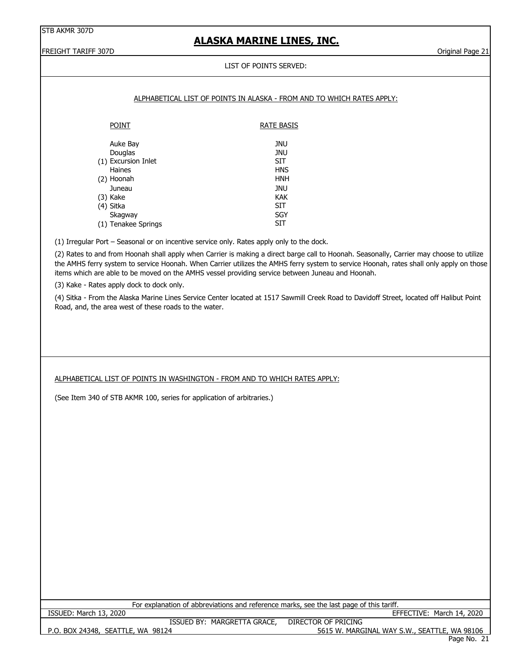# **ALASKA MARINE LINES, INC.**

FREIGHT TARIFF 307D **Calculation Control Control Control Control Control Control Control Control Control Control Control Control Control Control Control Control Control Control Control Control Control Control Control Contr** 

### LIST OF POINTS SERVED:

|                                                                                                  | LIST OF FOINTS SENVED.                                                                                                                                                                                                                                                              |
|--------------------------------------------------------------------------------------------------|-------------------------------------------------------------------------------------------------------------------------------------------------------------------------------------------------------------------------------------------------------------------------------------|
|                                                                                                  |                                                                                                                                                                                                                                                                                     |
|                                                                                                  | ALPHABETICAL LIST OF POINTS IN ALASKA - FROM AND TO WHICH RATES APPLY:                                                                                                                                                                                                              |
| <b>POINT</b>                                                                                     | <b>RATE BASIS</b>                                                                                                                                                                                                                                                                   |
| Auke Bay                                                                                         | <b>JNU</b>                                                                                                                                                                                                                                                                          |
| Douglas                                                                                          | <b>JNU</b>                                                                                                                                                                                                                                                                          |
| (1) Excursion Inlet                                                                              | <b>SIT</b>                                                                                                                                                                                                                                                                          |
| Haines<br>(2) Hoonah                                                                             | <b>HNS</b><br><b>HNH</b>                                                                                                                                                                                                                                                            |
| Juneau                                                                                           | <b>JNU</b>                                                                                                                                                                                                                                                                          |
| $(3)$ Kake                                                                                       | KAK                                                                                                                                                                                                                                                                                 |
| (4) Sitka                                                                                        | <b>SIT</b>                                                                                                                                                                                                                                                                          |
| Skagway                                                                                          | SGY                                                                                                                                                                                                                                                                                 |
| (1) Tenakee Springs                                                                              | <b>SIT</b>                                                                                                                                                                                                                                                                          |
| (1) Irregular Port - Seasonal or on incentive service only. Rates apply only to the dock.        |                                                                                                                                                                                                                                                                                     |
| items which are able to be moved on the AMHS vessel providing service between Juneau and Hoonah. | (2) Rates to and from Hoonah shall apply when Carrier is making a direct barge call to Hoonah. Seasonally, Carrier may choose to utilize<br>the AMHS ferry system to service Hoonah. When Carrier utilizes the AMHS ferry system to service Hoonah, rates shall only apply on those |
| (3) Kake - Rates apply dock to dock only.                                                        |                                                                                                                                                                                                                                                                                     |
| Road, and, the area west of these roads to the water.                                            | (4) Sitka - From the Alaska Marine Lines Service Center located at 1517 Sawmill Creek Road to Davidoff Street, located off Halibut Point                                                                                                                                            |
|                                                                                                  |                                                                                                                                                                                                                                                                                     |
|                                                                                                  |                                                                                                                                                                                                                                                                                     |
|                                                                                                  |                                                                                                                                                                                                                                                                                     |
|                                                                                                  |                                                                                                                                                                                                                                                                                     |
|                                                                                                  |                                                                                                                                                                                                                                                                                     |
| ALPHABETICAL LIST OF POINTS IN WASHINGTON - FROM AND TO WHICH RATES APPLY:                       |                                                                                                                                                                                                                                                                                     |
|                                                                                                  |                                                                                                                                                                                                                                                                                     |
| (See Item 340 of STB AKMR 100, series for application of arbitraries.)                           |                                                                                                                                                                                                                                                                                     |
|                                                                                                  |                                                                                                                                                                                                                                                                                     |
|                                                                                                  |                                                                                                                                                                                                                                                                                     |
|                                                                                                  |                                                                                                                                                                                                                                                                                     |
|                                                                                                  |                                                                                                                                                                                                                                                                                     |
|                                                                                                  |                                                                                                                                                                                                                                                                                     |
|                                                                                                  |                                                                                                                                                                                                                                                                                     |
|                                                                                                  |                                                                                                                                                                                                                                                                                     |
|                                                                                                  |                                                                                                                                                                                                                                                                                     |
|                                                                                                  |                                                                                                                                                                                                                                                                                     |
|                                                                                                  |                                                                                                                                                                                                                                                                                     |
|                                                                                                  |                                                                                                                                                                                                                                                                                     |
|                                                                                                  |                                                                                                                                                                                                                                                                                     |
|                                                                                                  |                                                                                                                                                                                                                                                                                     |
|                                                                                                  |                                                                                                                                                                                                                                                                                     |
|                                                                                                  |                                                                                                                                                                                                                                                                                     |
|                                                                                                  |                                                                                                                                                                                                                                                                                     |
|                                                                                                  |                                                                                                                                                                                                                                                                                     |
|                                                                                                  |                                                                                                                                                                                                                                                                                     |
|                                                                                                  | For explanation of abbreviations and reference marks, see the last page of this tariff.                                                                                                                                                                                             |
| ISSUED: March 13, 2020                                                                           | EFFECTIVE: March 14, 2020                                                                                                                                                                                                                                                           |
| ISSUED BY: MARGRETTA GRACE,<br>P.O. BOX 24348, SEATTLE, WA 98124                                 | <b>DIRECTOR OF PRICING</b><br>5615 W. MARGINAL WAY S.W., SEATTLE, WA 98106                                                                                                                                                                                                          |
|                                                                                                  |                                                                                                                                                                                                                                                                                     |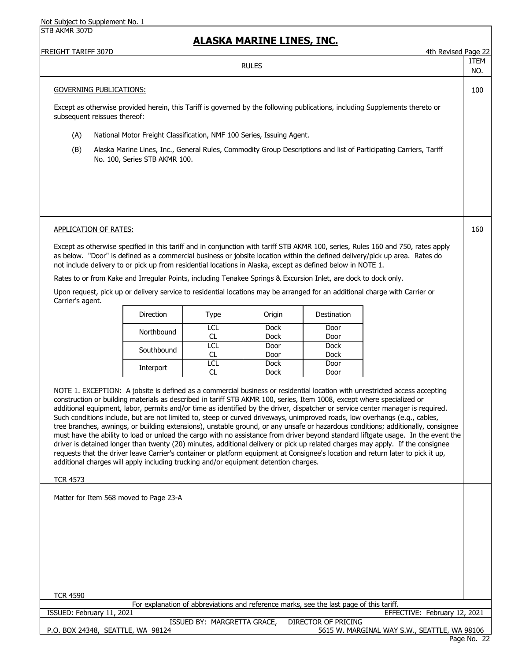### **ALASKA MARINE LINES, INC.**

| FREIGHT TARIFF 307D | $\sim$ $\sim$<br>1+h<br>‡th Revised<br>Page<br>. |
|---------------------|--------------------------------------------------|
|                     | $\mathbf{r}$                                     |

ITEM NO.

### GOVERNING PUBLICATIONS: 100

Except as otherwise provided herein, this Tariff is governed by the following publications, including Supplements thereto or subsequent reissues thereof:

RULES

- (A) National Motor Freight Classification, NMF 100 Series, Issuing Agent.
- (B) Alaska Marine Lines, Inc., General Rules, Commodity Group Descriptions and list of Participating Carriers, Tariff No. 100, Series STB AKMR 100.

#### APPLICATION OF RATES: 160

Except as otherwise specified in this tariff and in conjunction with tariff STB AKMR 100, series, Rules 160 and 750, rates apply as below. "Door" is defined as a commercial business or jobsite location within the defined delivery/pick up area. Rates do not include delivery to or pick up from residential locations in Alaska, except as defined below in NOTE 1.

Rates to or from Kake and Irregular Points, including Tenakee Springs & Excursion Inlet, are dock to dock only.

Upon request, pick up or delivery service to residential locations may be arranged for an additional charge with Carrier or Carrier's agent.

| <b>Direction</b> | Type | Origin      | Destination |
|------------------|------|-------------|-------------|
|                  | LCL  | <b>Dock</b> | Door        |
| Northbound       | CL   | <b>Dock</b> | Door        |
| Southbound       | LCL  | Door        | <b>Dock</b> |
|                  |      | Door        | <b>Dock</b> |
| Interport        | LCL  | <b>Dock</b> | Door        |
|                  |      | Dock        | Door        |

NOTE 1. EXCEPTION: A jobsite is defined as a commercial business or residential location with unrestricted access accepting construction or building materials as described in tariff STB AKMR 100, series, Item 1008, except where specialized or additional equipment, labor, permits and/or time as identified by the driver, dispatcher or service center manager is required. Such conditions include, but are not limited to, steep or curved driveways, unimproved roads, low overhangs (e.g., cables, tree branches, awnings, or building extensions), unstable ground, or any unsafe or hazardous conditions; additionally, consignee must have the ability to load or unload the cargo with no assistance from driver beyond standard liftgate usage. In the event the driver is detained longer than twenty (20) minutes, additional delivery or pick up related charges may apply. If the consignee requests that the driver leave Carrier's container or platform equipment at Consignee's location and return later to pick it up, additional charges will apply including trucking and/or equipment detention charges.

#### TCR 4573

Matter for Item 568 moved to Page 23-A

| TCR 4590                                                                                |                                              |
|-----------------------------------------------------------------------------------------|----------------------------------------------|
| For explanation of abbreviations and reference marks, see the last page of this tariff. |                                              |
| ISSUED: February 11, 2021                                                               | EFFECTIVE: February 12, 2021                 |
| ISSUED BY: MARGRETTA GRACE,                                                             | DIRECTOR OF PRICING                          |
| P.O. BOX 24348, SEATTLE, WA 98124                                                       | 5615 W. MARGINAL WAY S.W., SEATTLE, WA 98106 |
|                                                                                         | Page No. 22                                  |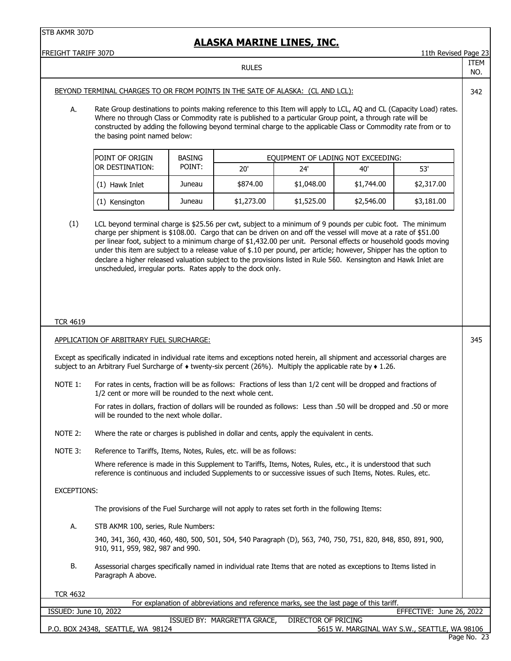| FREIGHT TARIFF 307D   |                                                                                                                                                                                                                                                                                                                                                                                                                                                                                                                                                                                                                                                          |               |                             |                                                                                         |            | 11th Revised Page 23                         |             |
|-----------------------|----------------------------------------------------------------------------------------------------------------------------------------------------------------------------------------------------------------------------------------------------------------------------------------------------------------------------------------------------------------------------------------------------------------------------------------------------------------------------------------------------------------------------------------------------------------------------------------------------------------------------------------------------------|---------------|-----------------------------|-----------------------------------------------------------------------------------------|------------|----------------------------------------------|-------------|
|                       |                                                                                                                                                                                                                                                                                                                                                                                                                                                                                                                                                                                                                                                          |               | <b>RULES</b>                |                                                                                         |            |                                              | ITEM<br>NO. |
|                       | BEYOND TERMINAL CHARGES TO OR FROM POINTS IN THE SATE OF ALASKA: (CL AND LCL):                                                                                                                                                                                                                                                                                                                                                                                                                                                                                                                                                                           |               |                             |                                                                                         |            |                                              | 342         |
| А.                    | Rate Group destinations to points making reference to this Item will apply to LCL, AQ and CL (Capacity Load) rates.<br>Where no through Class or Commodity rate is published to a particular Group point, a through rate will be<br>constructed by adding the following beyond terminal charge to the applicable Class or Commodity rate from or to<br>the basing point named below:                                                                                                                                                                                                                                                                     |               |                             |                                                                                         |            |                                              |             |
|                       | POINT OF ORIGIN                                                                                                                                                                                                                                                                                                                                                                                                                                                                                                                                                                                                                                          | <b>BASING</b> |                             | EQUIPMENT OF LADING NOT EXCEEDING:                                                      |            |                                              |             |
|                       | OR DESTINATION:                                                                                                                                                                                                                                                                                                                                                                                                                                                                                                                                                                                                                                          | POINT:        | 20'                         | 24'                                                                                     | 40'        | 53'                                          |             |
|                       | (1) Hawk Inlet                                                                                                                                                                                                                                                                                                                                                                                                                                                                                                                                                                                                                                           | Juneau        | \$874.00                    | \$1,048.00                                                                              | \$1,744.00 | \$2,317.00                                   |             |
|                       | (1) Kensington                                                                                                                                                                                                                                                                                                                                                                                                                                                                                                                                                                                                                                           | Juneau        | \$1,273.00                  | \$1,525.00                                                                              | \$2,546.00 | \$3,181.00                                   |             |
| (1)                   | LCL beyond terminal charge is \$25.56 per cwt, subject to a minimum of 9 pounds per cubic foot. The minimum<br>charge per shipment is \$108.00. Cargo that can be driven on and off the vessel will move at a rate of \$51.00<br>per linear foot, subject to a minimum charge of \$1,432.00 per unit. Personal effects or household goods moving<br>under this item are subject to a release value of \$.10 per pound, per article; however, Shipper has the option to<br>declare a higher released valuation subject to the provisions listed in Rule 560. Kensington and Hawk Inlet are<br>unscheduled, irregular ports. Rates apply to the dock only. |               |                             |                                                                                         |            |                                              |             |
| <b>TCR 4619</b>       |                                                                                                                                                                                                                                                                                                                                                                                                                                                                                                                                                                                                                                                          |               |                             |                                                                                         |            |                                              |             |
|                       | APPLICATION OF ARBITRARY FUEL SURCHARGE:                                                                                                                                                                                                                                                                                                                                                                                                                                                                                                                                                                                                                 |               |                             |                                                                                         |            |                                              | 345         |
|                       | Except as specifically indicated in individual rate items and exceptions noted herein, all shipment and accessorial charges are<br>subject to an Arbitrary Fuel Surcharge of $\bullet$ twenty-six percent (26%). Multiply the applicable rate by $\bullet$ 1.26.                                                                                                                                                                                                                                                                                                                                                                                         |               |                             |                                                                                         |            |                                              |             |
| NOTE 1:               | For rates in cents, fraction will be as follows: Fractions of less than 1/2 cent will be dropped and fractions of<br>1/2 cent or more will be rounded to the next whole cent.                                                                                                                                                                                                                                                                                                                                                                                                                                                                            |               |                             |                                                                                         |            |                                              |             |
|                       | For rates in dollars, fraction of dollars will be rounded as follows: Less than .50 will be dropped and .50 or more<br>will be rounded to the next whole dollar.                                                                                                                                                                                                                                                                                                                                                                                                                                                                                         |               |                             |                                                                                         |            |                                              |             |
| NOTE 2:               | Where the rate or charges is published in dollar and cents, apply the equivalent in cents.                                                                                                                                                                                                                                                                                                                                                                                                                                                                                                                                                               |               |                             |                                                                                         |            |                                              |             |
| NOTE 3:               | Reference to Tariffs, Items, Notes, Rules, etc. will be as follows:                                                                                                                                                                                                                                                                                                                                                                                                                                                                                                                                                                                      |               |                             |                                                                                         |            |                                              |             |
|                       | Where reference is made in this Supplement to Tariffs, Items, Notes, Rules, etc., it is understood that such<br>reference is continuous and included Supplements to or successive issues of such Items, Notes. Rules, etc.                                                                                                                                                                                                                                                                                                                                                                                                                               |               |                             |                                                                                         |            |                                              |             |
| <b>EXCEPTIONS:</b>    |                                                                                                                                                                                                                                                                                                                                                                                                                                                                                                                                                                                                                                                          |               |                             |                                                                                         |            |                                              |             |
|                       | The provisions of the Fuel Surcharge will not apply to rates set forth in the following Items:                                                                                                                                                                                                                                                                                                                                                                                                                                                                                                                                                           |               |                             |                                                                                         |            |                                              |             |
| А.                    | STB AKMR 100, series, Rule Numbers:                                                                                                                                                                                                                                                                                                                                                                                                                                                                                                                                                                                                                      |               |                             |                                                                                         |            |                                              |             |
|                       | 340, 341, 360, 430, 460, 480, 500, 501, 504, 540 Paragraph (D), 563, 740, 750, 751, 820, 848, 850, 891, 900,<br>910, 911, 959, 982, 987 and 990.                                                                                                                                                                                                                                                                                                                                                                                                                                                                                                         |               |                             |                                                                                         |            |                                              |             |
| В.                    | Assessorial charges specifically named in individual rate Items that are noted as exceptions to Items listed in<br>Paragraph A above.                                                                                                                                                                                                                                                                                                                                                                                                                                                                                                                    |               |                             |                                                                                         |            |                                              |             |
| <b>TCR 4632</b>       |                                                                                                                                                                                                                                                                                                                                                                                                                                                                                                                                                                                                                                                          |               |                             |                                                                                         |            |                                              |             |
|                       |                                                                                                                                                                                                                                                                                                                                                                                                                                                                                                                                                                                                                                                          |               |                             | For explanation of abbreviations and reference marks, see the last page of this tariff. |            |                                              |             |
| ISSUED: June 10, 2022 |                                                                                                                                                                                                                                                                                                                                                                                                                                                                                                                                                                                                                                                          |               | ISSUED BY: MARGRETTA GRACE, | <b>DIRECTOR OF PRICING</b>                                                              |            | EFFECTIVE: June 26, 2022                     |             |
|                       | P.O. BOX 24348, SEATTLE, WA 98124                                                                                                                                                                                                                                                                                                                                                                                                                                                                                                                                                                                                                        |               |                             |                                                                                         |            | 5615 W. MARGINAL WAY S.W., SEATTLE, WA 98106 |             |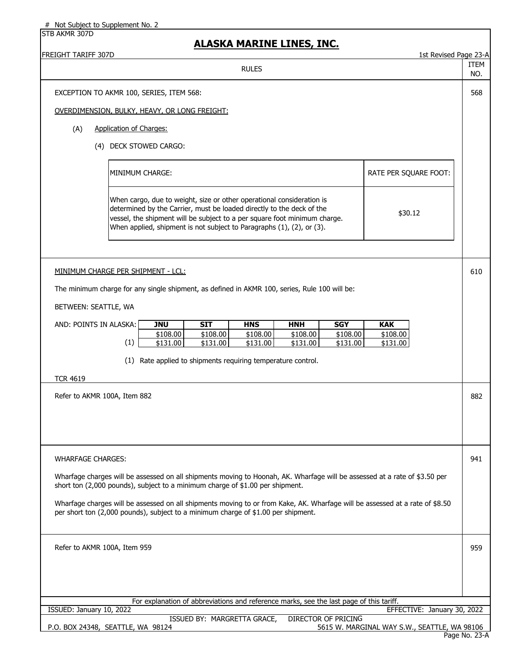STB AKMR 307D

## **ALASKA MARINE LINES, INC.**

| <b>FREIGHT TARIFF 307D</b>                                                                                                                                                                                        |                                                                                                                                                                                                                                                                                                      |                      |                             |                      |                      |                      | 1st Revised Page 23-A                        |                    |
|-------------------------------------------------------------------------------------------------------------------------------------------------------------------------------------------------------------------|------------------------------------------------------------------------------------------------------------------------------------------------------------------------------------------------------------------------------------------------------------------------------------------------------|----------------------|-----------------------------|----------------------|----------------------|----------------------|----------------------------------------------|--------------------|
|                                                                                                                                                                                                                   |                                                                                                                                                                                                                                                                                                      |                      | <b>RULES</b>                |                      |                      |                      |                                              | <b>ITEM</b><br>NO. |
| EXCEPTION TO AKMR 100, SERIES, ITEM 568:                                                                                                                                                                          |                                                                                                                                                                                                                                                                                                      |                      |                             |                      |                      |                      |                                              | 568                |
| OVERDIMENSION, BULKY, HEAVY, OR LONG FREIGHT:                                                                                                                                                                     |                                                                                                                                                                                                                                                                                                      |                      |                             |                      |                      |                      |                                              |                    |
| <b>Application of Charges:</b><br>(A)                                                                                                                                                                             |                                                                                                                                                                                                                                                                                                      |                      |                             |                      |                      |                      |                                              |                    |
| (4) DECK STOWED CARGO:                                                                                                                                                                                            |                                                                                                                                                                                                                                                                                                      |                      |                             |                      |                      |                      |                                              |                    |
|                                                                                                                                                                                                                   | MINIMUM CHARGE:                                                                                                                                                                                                                                                                                      |                      |                             |                      |                      |                      | RATE PER SQUARE FOOT:                        |                    |
|                                                                                                                                                                                                                   |                                                                                                                                                                                                                                                                                                      |                      |                             |                      |                      |                      |                                              |                    |
|                                                                                                                                                                                                                   | When cargo, due to weight, size or other operational consideration is<br>determined by the Carrier, must be loaded directly to the deck of the<br>vessel, the shipment will be subject to a per square foot minimum charge.<br>When applied, shipment is not subject to Paragraphs (1), (2), or (3). |                      |                             |                      |                      | \$30.12              |                                              |                    |
|                                                                                                                                                                                                                   |                                                                                                                                                                                                                                                                                                      |                      |                             |                      |                      |                      |                                              |                    |
| MINIMUM CHARGE PER SHIPMENT - LCL:                                                                                                                                                                                |                                                                                                                                                                                                                                                                                                      |                      |                             |                      |                      |                      |                                              | 610                |
| The minimum charge for any single shipment, as defined in AKMR 100, series, Rule 100 will be:                                                                                                                     |                                                                                                                                                                                                                                                                                                      |                      |                             |                      |                      |                      |                                              |                    |
| BETWEEN: SEATTLE, WA                                                                                                                                                                                              |                                                                                                                                                                                                                                                                                                      |                      |                             |                      |                      |                      |                                              |                    |
| AND: POINTS IN ALASKA:                                                                                                                                                                                            | <b>JNU</b>                                                                                                                                                                                                                                                                                           | <b>SIT</b>           | <b>HNS</b>                  | <b>HNH</b>           | <b>SGY</b>           | <b>KAK</b>           |                                              |                    |
| (1)                                                                                                                                                                                                               | \$108.00<br>$\sqrt{$131.00}$                                                                                                                                                                                                                                                                         | \$108.00<br>\$131.00 | \$108.00<br>\$131.00        | \$108.00<br>\$131.00 | \$108.00<br>\$131.00 | \$108.00<br>\$131.00 |                                              |                    |
|                                                                                                                                                                                                                   | (1) Rate applied to shipments requiring temperature control.                                                                                                                                                                                                                                         |                      |                             |                      |                      |                      |                                              |                    |
| <b>TCR 4619</b>                                                                                                                                                                                                   |                                                                                                                                                                                                                                                                                                      |                      |                             |                      |                      |                      |                                              |                    |
| Refer to AKMR 100A, Item 882                                                                                                                                                                                      |                                                                                                                                                                                                                                                                                                      |                      |                             |                      |                      |                      |                                              | 882                |
|                                                                                                                                                                                                                   |                                                                                                                                                                                                                                                                                                      |                      |                             |                      |                      |                      |                                              |                    |
|                                                                                                                                                                                                                   |                                                                                                                                                                                                                                                                                                      |                      |                             |                      |                      |                      |                                              |                    |
|                                                                                                                                                                                                                   |                                                                                                                                                                                                                                                                                                      |                      |                             |                      |                      |                      |                                              |                    |
| <b>WHARFAGE CHARGES:</b>                                                                                                                                                                                          |                                                                                                                                                                                                                                                                                                      |                      |                             |                      |                      |                      |                                              | 941                |
| Wharfage charges will be assessed on all shipments moving to Hoonah, AK. Wharfage will be assessed at a rate of \$3.50 per<br>short ton (2,000 pounds), subject to a minimum charge of \$1.00 per shipment.       |                                                                                                                                                                                                                                                                                                      |                      |                             |                      |                      |                      |                                              |                    |
| Wharfage charges will be assessed on all shipments moving to or from Kake, AK. Wharfage will be assessed at a rate of \$8.50<br>per short ton (2,000 pounds), subject to a minimum charge of \$1.00 per shipment. |                                                                                                                                                                                                                                                                                                      |                      |                             |                      |                      |                      |                                              |                    |
| Refer to AKMR 100A, Item 959                                                                                                                                                                                      |                                                                                                                                                                                                                                                                                                      |                      |                             |                      |                      |                      |                                              | 959                |
|                                                                                                                                                                                                                   |                                                                                                                                                                                                                                                                                                      |                      |                             |                      |                      |                      |                                              |                    |
|                                                                                                                                                                                                                   |                                                                                                                                                                                                                                                                                                      |                      |                             |                      |                      |                      |                                              |                    |
|                                                                                                                                                                                                                   | For explanation of abbreviations and reference marks, see the last page of this tariff.                                                                                                                                                                                                              |                      |                             |                      |                      |                      |                                              |                    |
| ISSUED: January 10, 2022                                                                                                                                                                                          |                                                                                                                                                                                                                                                                                                      |                      |                             |                      |                      |                      | EFFECTIVE: January 30, 2022                  |                    |
| P.O. BOX 24348, SEATTLE, WA 98124                                                                                                                                                                                 |                                                                                                                                                                                                                                                                                                      |                      | ISSUED BY: MARGRETTA GRACE, |                      | DIRECTOR OF PRICING  |                      | 5615 W. MARGINAL WAY S.W., SEATTLE, WA 98106 |                    |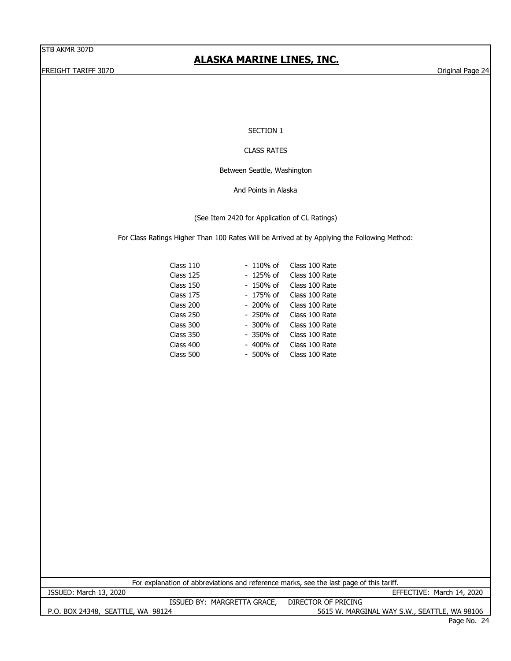# **ALASKA MARINE LINES, INC.**

FREIGHT TARIFF 307D Original Page 24

SECTION 1

#### CLASS RATES

Between Seattle, Washington

And Points in Alaska

(See Item 2420 for Application of CL Ratings)

For Class Ratings Higher Than 100 Rates Will be Arrived at by Applying the Following Method:

| Class 110 | - 110% of   | Class 100 Rate |
|-----------|-------------|----------------|
| Class 125 | - 125% of   | Class 100 Rate |
| Class 150 | - 150% of   | Class 100 Rate |
| Class 175 | - 175% of   | Class 100 Rate |
| Class 200 | - 200% of   | Class 100 Rate |
| Class 250 | $-250\%$ of | Class 100 Rate |
| Class 300 | - 300% of   | Class 100 Rate |
| Class 350 | - 350% of   | Class 100 Rate |
| Class 400 | - 400% of   | Class 100 Rate |
| Class 500 | - 500% of   | Class 100 Rate |
|           |             |                |

For explanation of abbreviations and reference marks, see the last page of this tariff.

ISSUED: March 13, 2020 EFFECTIVE: March 14, 2020 ISSUED BY: MARGRETTA GRACE, DIRECTOR OF PRICING

P.O. BOX 24348, SEATTLE, WA 98124 5615 W. MARGINAL WAY S.W., SEATTLE, WA 98106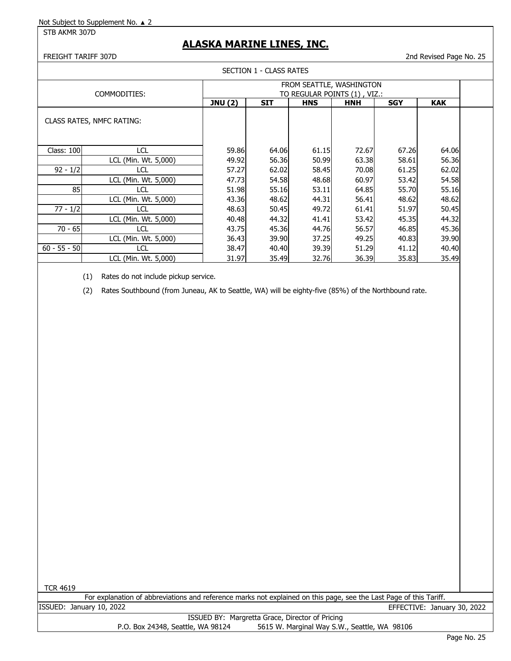## **ALASKA MARINE LINES, INC.**

FREIGHT TARIFF 307D 2nd Revised Page No. 25

|                   |                           |                | SECTION 1 - CLASS RATES |            |                                                          |            |            |  |
|-------------------|---------------------------|----------------|-------------------------|------------|----------------------------------------------------------|------------|------------|--|
|                   | COMMODITIES:              |                |                         |            | FROM SEATTLE, WASHINGTON<br>TO REGULAR POINTS (1), VIZ.: |            |            |  |
|                   |                           | <b>JNU (2)</b> | <b>SIT</b>              | <b>HNS</b> | <b>HNH</b>                                               | <b>SGY</b> | <b>KAK</b> |  |
|                   | CLASS RATES, NMFC RATING: |                |                         |            |                                                          |            |            |  |
| <b>Class: 100</b> | LCL                       | 59.86          | 64.06                   | 61.15      | 72.67                                                    | 67.26      | 64.06      |  |
|                   | LCL (Min. Wt. 5,000)      | 49.92          | 56.36                   | 50.99      | 63.38                                                    | 58.61      | 56.36      |  |
| $92 - 1/2$        | LCL                       | 57.27          | 62.02                   | 58.45      | 70.08                                                    | 61.25      | 62.02      |  |
|                   | LCL (Min. Wt. 5,000)      | 47.73          | 54.58                   | 48.68      | 60.97                                                    | 53.42      | 54.58      |  |
| 85                | LCL                       | 51.98          | 55.16                   | 53.11      | 64.85                                                    | 55.70      | 55.16      |  |
|                   | LCL (Min. Wt. 5,000)      | 43.36          | 48.62                   | 44.31      | 56.41                                                    | 48.62      | 48.62      |  |
| $77 - 1/2$        | <b>LCL</b>                | 48.63          | 50.45                   | 49.72      | 61.41                                                    | 51.97      | 50.45      |  |
|                   | LCL (Min. Wt. 5,000)      | 40.48          | 44.32                   | 41.41      | 53.42                                                    | 45.35      | 44.32      |  |
| $70 - 65$         | LCL                       | 43.75          | 45.36                   | 44.76      | 56.57                                                    | 46.85      | 45.36      |  |
|                   | LCL (Min. Wt. 5,000)      | 36.43          | 39.90                   | 37.25      | 49.25                                                    | 40.83      | 39.90      |  |
| $60 - 55 - 50$    | <b>LCL</b>                | 38.47          | 40.40                   | 39.39      | 51.29                                                    | 41.12      | 40.40      |  |
|                   | LCL (Min. Wt. 5,000)      | 31.97          | 35.49                   | 32.76      | 36.39                                                    | 35.83      | 35.49      |  |

(1) Rates do not include pickup service.

(2) Rates Southbound (from Juneau, AK to Seattle, WA) will be eighty-five (85%) of the Northbound rate.

TCR 4619

For explanation of abbreviations and reference marks not explained on this page, see the Last Page of this Tariff. ISSUED: January 10, 2022 EFFECTIVE: January 30, 2022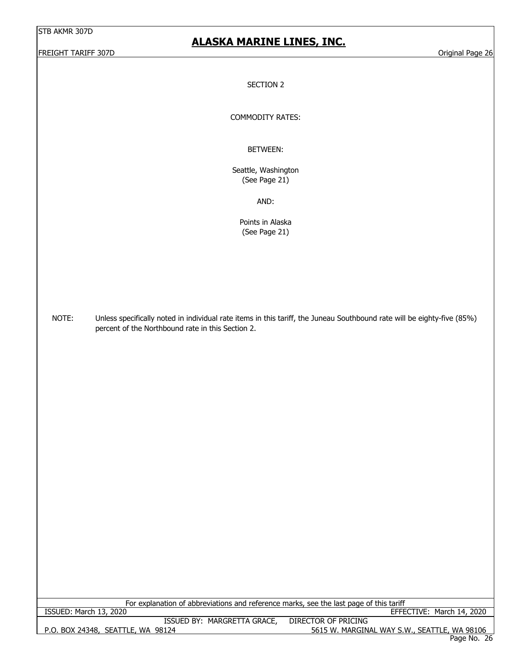FREIGHT TARIFF 307D **Original Page 26** 

## **ALASKA MARINE LINES, INC.**

SECTION 2

COMMODITY RATES:

BETWEEN:

Seattle, Washington (See Page 21)

AND:

Points in Alaska (See Page 21)

NOTE: Unless specifically noted in individual rate items in this tariff, the Juneau Southbound rate will be eighty-five (85%) percent of the Northbound rate in this Section 2.

P.O. BOX 24348, SEATTLE, WA 98124 5615 W. MARGINAL WAY S.W., SEATTLE, WA 98106 ISSUED BY: MARGRETTA GRACE, DIRECTOR OF PRICING For explanation of abbreviations and reference marks, see the last page of this tariff<br>EFFE EFFECTIVE: March 14, 2020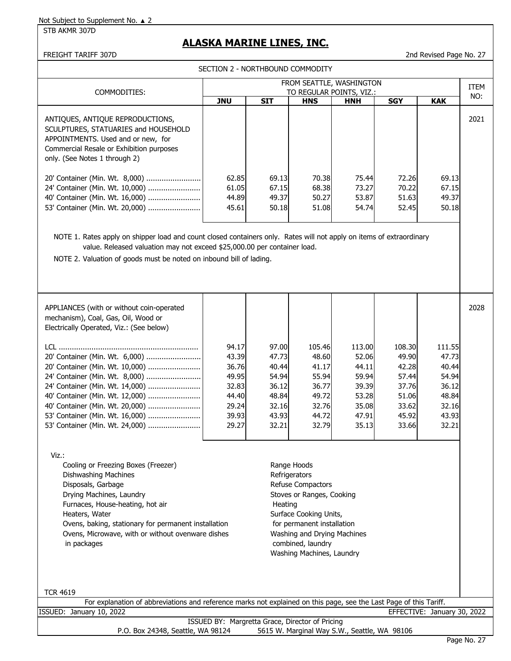STB AKMR 307D

## **ALASKA MARINE LINES, INC.**

FREIGHT TARIFF 307D 2nd Revised Page No. 27

SECTION 2 - NORTHBOUND COMMODITY

| COMMODITIES:                                                                                                                                                                                                                                                                                        | FROM SEATTLE, WASHINGTON<br>TO REGULAR POINTS, VIZ.:                             |                         |                         |                         |                         |                         |      |  |
|-----------------------------------------------------------------------------------------------------------------------------------------------------------------------------------------------------------------------------------------------------------------------------------------------------|----------------------------------------------------------------------------------|-------------------------|-------------------------|-------------------------|-------------------------|-------------------------|------|--|
|                                                                                                                                                                                                                                                                                                     | <b>SGY</b><br><b>JNU</b><br><b>SIT</b><br><b>HNS</b><br><b>KAK</b><br><b>HNH</b> |                         |                         |                         |                         |                         | NO:  |  |
| ANTIQUES, ANTIQUE REPRODUCTIONS,<br>SCULPTURES, STATUARIES and HOUSEHOLD<br>APPOINTMENTS. Used and or new, for<br>Commercial Resale or Exhibition purposes<br>only. (See Notes 1 through 2)<br>20' Container (Min. Wt. 8,000)<br>24' Container (Min. Wt. 10,000)<br>40' Container (Min. Wt. 16,000) | 62.85<br>61.05<br>44.89                                                          | 69.13<br>67.15<br>49.37 | 70.38<br>68.38<br>50.27 | 75.44<br>73.27<br>53.87 | 72.26<br>70.22<br>51.63 | 69.13<br>67.15<br>49.37 | 2021 |  |
| 53' Container (Min. Wt. 20,000)                                                                                                                                                                                                                                                                     | 45.61                                                                            | 50.18                   | 51.08                   | 54.74                   | 52.45                   | 50.18                   |      |  |
| NOTE 1. Rates apply on shipper load and count closed containers only. Rates will not apply on items of extraordinary<br>value. Released valuation may not exceed \$25,000.00 per container load.<br>NOTE 2. Valuation of goods must be noted on inbound bill of lading.                             |                                                                                  |                         |                         |                         |                         |                         |      |  |
| APPLIANCES (with or without coin-operated<br>mechanism), Coal, Gas, Oil, Wood or<br>Electrically Operated, Viz.: (See below)                                                                                                                                                                        |                                                                                  |                         |                         |                         |                         |                         | 2028 |  |

|                                 | 94.17 | 97.00 | 105.46 | 113.00 | 108.30 | 111.55 |  |
|---------------------------------|-------|-------|--------|--------|--------|--------|--|
| 20' Container (Min. Wt. 6,000)  | 43.39 | 47.73 | 48.60  | 52.06  | 49.90  | 47.73  |  |
| 20' Container (Min. Wt. 10,000) | 36.76 | 40.44 | 41.17  | 44.11  | 42.28  | 40.44  |  |
|                                 | 49.95 | 54.94 | 55.94  | 59.94  | 57.44  | 54.94  |  |
| 24' Container (Min. Wt. 14,000) | 32.83 | 36.12 | 36.77  | 39.39  | 37.76  | 36.12  |  |
| 40' Container (Min. Wt. 12,000) | 44.40 | 48.84 | 49.72  | 53.28  | 51.06  | 48.84  |  |
| 40' Container (Min. Wt. 20,000) | 29.24 | 32.16 | 32.76  | 35.08  | 33.62  | 32.16  |  |
| 53' Container (Min. Wt. 16,000) | 39.93 | 43.93 | 44.72  | 47.91  | 45.92  | 43.93  |  |
| 53' Container (Min. Wt. 24,000) | 29.27 | 32.21 | 32.79  | 35.13  | 33.66  | 32.21  |  |

| Viz.:                                                |                                                                                                                    |
|------------------------------------------------------|--------------------------------------------------------------------------------------------------------------------|
| Cooling or Freezing Boxes (Freezer)                  | Range Hoods                                                                                                        |
| Dishwashing Machines                                 | Refrigerators                                                                                                      |
| Disposals, Garbage                                   | <b>Refuse Compactors</b>                                                                                           |
| Drying Machines, Laundry                             | Stoves or Ranges, Cooking                                                                                          |
| Furnaces, House-heating, hot air                     | Heating                                                                                                            |
| Heaters, Water                                       | Surface Cooking Units,                                                                                             |
| Ovens, baking, stationary for permanent installation | for permanent installation                                                                                         |
| Ovens, Microwave, with or without ovenware dishes    | Washing and Drying Machines                                                                                        |
| in packages                                          | combined, laundry                                                                                                  |
|                                                      | Washing Machines, Laundry                                                                                          |
|                                                      |                                                                                                                    |
|                                                      |                                                                                                                    |
|                                                      |                                                                                                                    |
| <b>TCR 4619</b>                                      |                                                                                                                    |
|                                                      | For explanation of abbreviations and reference marks not explained on this page, see the Last Page of this Tariff. |
| ISSUED: January 10, 2022                             | EFFECTIVE: January 30, 2022                                                                                        |
|                                                      | ISSUED BY: Margretta Grace, Director of Pricing                                                                    |

P.O. Box 24348, Seattle, WA 98124 5615 W. Marginal Way S.W., Seattle, WA 98106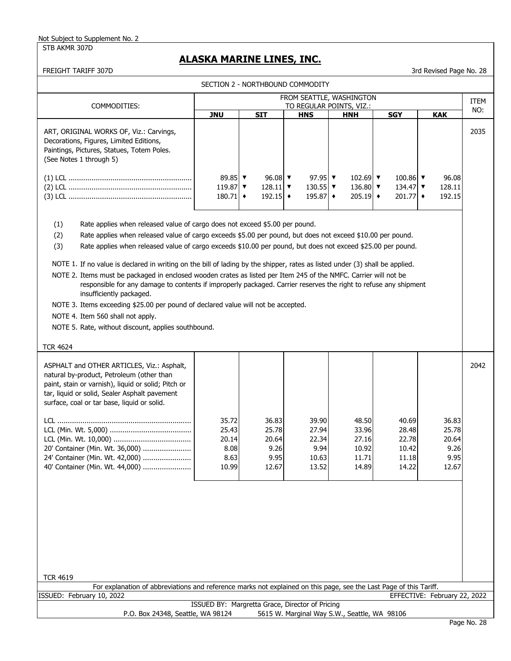STB AKMR 307D

## **ALASKA MARINE LINES, INC.**

FREIGHT TARIFF 307D 3rd Revised Page No. 28

| SECTION 2 - NORTHBOUND COMMODITY                                                                                                                                                                                                                                                                                                                                                                                                                                                                                                                                                                                                                                                                                                                                                                                                                                                                                                      |                                                                            |                                                                            |                                                                                   |                                                                                  |                                                                                 |                                                  |      |  |  |
|---------------------------------------------------------------------------------------------------------------------------------------------------------------------------------------------------------------------------------------------------------------------------------------------------------------------------------------------------------------------------------------------------------------------------------------------------------------------------------------------------------------------------------------------------------------------------------------------------------------------------------------------------------------------------------------------------------------------------------------------------------------------------------------------------------------------------------------------------------------------------------------------------------------------------------------|----------------------------------------------------------------------------|----------------------------------------------------------------------------|-----------------------------------------------------------------------------------|----------------------------------------------------------------------------------|---------------------------------------------------------------------------------|--------------------------------------------------|------|--|--|
|                                                                                                                                                                                                                                                                                                                                                                                                                                                                                                                                                                                                                                                                                                                                                                                                                                                                                                                                       |                                                                            |                                                                            |                                                                                   | FROM SEATTLE, WASHINGTON                                                         |                                                                                 |                                                  | ITEM |  |  |
| COMMODITIES:                                                                                                                                                                                                                                                                                                                                                                                                                                                                                                                                                                                                                                                                                                                                                                                                                                                                                                                          | <b>JNU</b>                                                                 | <b>SIT</b>                                                                 | <u>TO REGULAR POINTS, VIZ.:</u><br><b>HNS</b>                                     | <b>HNH</b>                                                                       | <b>SGY</b>                                                                      | <b>KAK</b>                                       | NO:  |  |  |
| ART, ORIGINAL WORKS OF, Viz.: Carvings,<br>Decorations, Figures, Limited Editions,<br>Paintings, Pictures, Statues, Totem Poles.<br>(See Notes 1 through 5)                                                                                                                                                                                                                                                                                                                                                                                                                                                                                                                                                                                                                                                                                                                                                                           |                                                                            |                                                                            |                                                                                   |                                                                                  |                                                                                 |                                                  | 2035 |  |  |
|                                                                                                                                                                                                                                                                                                                                                                                                                                                                                                                                                                                                                                                                                                                                                                                                                                                                                                                                       | 89.85 $\triangledown$<br>119.87 $\blacktriangledown$<br>$180.71$ $\bullet$ | 96.08 $\blacktriangledown$<br>128.11 $\triangledown$<br>$192.15$ $\bullet$ | 97.95 $\blacktriangledown$<br>130.55 $\blacktriangledown$<br>$195.87 \rightarrow$ | 102.69 $\blacktriangledown$<br>136.80 $\blacktriangledown$<br>$205.19$ $\bullet$ | 100.86 $\blacktriangledown$<br>134.47 $\triangledown$<br>$201.77$ $\rightarrow$ | 96.08<br>128.11<br>192.15                        |      |  |  |
| (1)<br>Rate applies when released value of cargo does not exceed \$5.00 per pound.<br>(2)<br>Rate applies when released value of cargo exceeds \$5.00 per pound, but does not exceed \$10.00 per pound.<br>(3)<br>Rate applies when released value of cargo exceeds \$10.00 per pound, but does not exceed \$25.00 per pound.<br>NOTE 1. If no value is declared in writing on the bill of lading by the shipper, rates as listed under (3) shall be applied.<br>NOTE 2. Items must be packaged in enclosed wooden crates as listed per Item 245 of the NMFC. Carrier will not be<br>responsible for any damage to contents if improperly packaged. Carrier reserves the right to refuse any shipment<br>insufficiently packaged.<br>NOTE 3. Items exceeding \$25.00 per pound of declared value will not be accepted.<br>NOTE 4. Item 560 shall not apply.<br>NOTE 5. Rate, without discount, applies southbound.<br><b>TCR 4624</b> |                                                                            |                                                                            |                                                                                   |                                                                                  |                                                                                 |                                                  |      |  |  |
| ASPHALT and OTHER ARTICLES, Viz.: Asphalt,<br>natural by-product, Petroleum (other than<br>paint, stain or varnish), liquid or solid; Pitch or<br>tar, liquid or solid, Sealer Asphalt pavement<br>surface, coal or tar base, liquid or solid.<br>20' Container (Min. Wt. 36,000)<br>24' Container (Min. Wt. 42,000)<br>40' Container (Min. Wt. 44,000)                                                                                                                                                                                                                                                                                                                                                                                                                                                                                                                                                                               | 35.72<br>25.43<br>20.14<br>8.08<br>8.63<br>10.99                           | 36.83<br>25.78<br>20.64<br>9.26<br>9.95<br>12.67                           | 39.90<br>27.94<br>22.34<br>9.94<br>10.63<br>13.52                                 | 48.50<br>33.96<br>27.16<br>10.92<br>11.71<br>14.89                               | 40.69<br>28.48<br>22.78<br>10.42<br>11.18<br>14.22                              | 36.83<br>25.78<br>20.64<br>9.26<br>9.95<br>12.67 | 2042 |  |  |
| <b>TCR 4619</b><br>For explanation of abbreviations and reference marks not explained on this page, see the Last Page of this Tariff.                                                                                                                                                                                                                                                                                                                                                                                                                                                                                                                                                                                                                                                                                                                                                                                                 |                                                                            |                                                                            |                                                                                   |                                                                                  |                                                                                 |                                                  |      |  |  |
| ISSUED: February 10, 2022                                                                                                                                                                                                                                                                                                                                                                                                                                                                                                                                                                                                                                                                                                                                                                                                                                                                                                             |                                                                            |                                                                            |                                                                                   |                                                                                  |                                                                                 | EFFECTIVE: February 22, 2022                     |      |  |  |
| ISSUED BY: Margretta Grace, Director of Pricing<br>P.O. Box 24348, Seattle, WA 98124<br>5615 W. Marginal Way S.W., Seattle, WA 98106                                                                                                                                                                                                                                                                                                                                                                                                                                                                                                                                                                                                                                                                                                                                                                                                  |                                                                            |                                                                            |                                                                                   |                                                                                  |                                                                                 |                                                  |      |  |  |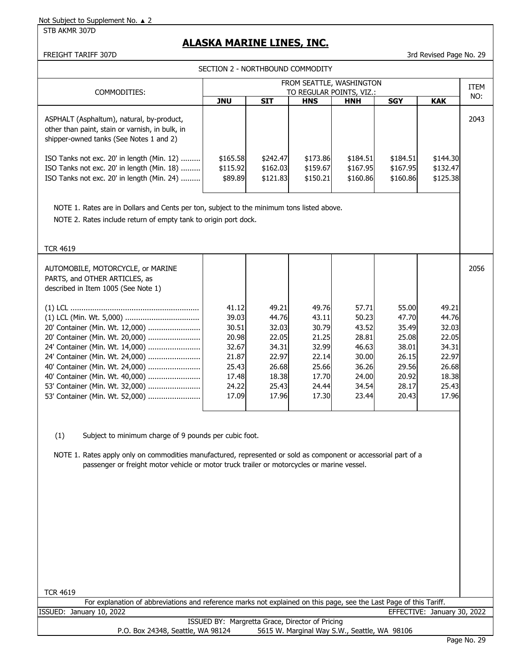STB AKMR 307D

# **ALASKA MARINE LINES, INC.**

#### FREIGHT TARIFF 307D 3rd Revised Page No. 29

SECTION 2 - NORTHBOUND COMMODITY

| COMMODITIES:                                                                                                                                                                                                                                                                                                                                                                                                           |                                                 | FROM SEATTLE, WASHINGTON<br>TO REGULAR POINTS, VIZ.: |                                              |                                  |                                  |                                  |      |
|------------------------------------------------------------------------------------------------------------------------------------------------------------------------------------------------------------------------------------------------------------------------------------------------------------------------------------------------------------------------------------------------------------------------|-------------------------------------------------|------------------------------------------------------|----------------------------------------------|----------------------------------|----------------------------------|----------------------------------|------|
|                                                                                                                                                                                                                                                                                                                                                                                                                        | <b>JNU</b>                                      | <b>SIT</b>                                           | <b>HNS</b>                                   | <b>HNH</b>                       | <b>SGY</b>                       | <b>KAK</b>                       | NO:  |
| ASPHALT (Asphaltum), natural, by-product,<br>other than paint, stain or varnish, in bulk, in<br>shipper-owned tanks (See Notes 1 and 2)                                                                                                                                                                                                                                                                                |                                                 |                                                      |                                              |                                  |                                  |                                  | 2043 |
| ISO Tanks not exc. 20' in length (Min. 12)<br>ISO Tanks not exc. 20' in length (Min. 18)<br>ISO Tanks not exc. 20' in length (Min. 24)                                                                                                                                                                                                                                                                                 | \$165.58<br>\$115.92<br>\$89.89                 | \$242.47<br>\$162.03<br>\$121.83                     | \$173.86<br>\$159.67<br>\$150.21             | \$184.51<br>\$167.95<br>\$160.86 | \$184.51<br>\$167.95<br>\$160.86 | \$144.30<br>\$132.47<br>\$125.38 |      |
| NOTE 1. Rates are in Dollars and Cents per ton, subject to the minimum tons listed above.<br>NOTE 2. Rates include return of empty tank to origin port dock.                                                                                                                                                                                                                                                           |                                                 |                                                      |                                              |                                  |                                  |                                  |      |
| <b>TCR 4619</b>                                                                                                                                                                                                                                                                                                                                                                                                        |                                                 |                                                      |                                              |                                  |                                  |                                  |      |
| AUTOMOBILE, MOTORCYCLE, or MARINE<br>PARTS, and OTHER ARTICLES, as<br>described in Item 1005 (See Note 1)                                                                                                                                                                                                                                                                                                              |                                                 |                                                      |                                              |                                  |                                  |                                  | 2056 |
|                                                                                                                                                                                                                                                                                                                                                                                                                        | 41.12                                           | 49.21                                                | 49.76                                        | 57.71                            | 55.00                            | 49.21                            |      |
|                                                                                                                                                                                                                                                                                                                                                                                                                        | 39.03                                           | 44.76                                                | 43.11                                        | 50.23                            | 47.70                            | 44.76                            |      |
| 20' Container (Min. Wt. 12,000)<br>20' Container (Min. Wt. 20,000)                                                                                                                                                                                                                                                                                                                                                     | 30.51<br>20.98                                  | 32.03<br>22.05                                       | 30.79<br>21.25                               | 43.52<br>28.81                   | 35.49<br>25.08                   | 32.03<br>22.05                   |      |
| 24' Container (Min. Wt. 14,000)                                                                                                                                                                                                                                                                                                                                                                                        | 32.67                                           | 34.31                                                | 32.99                                        | 46.63                            | 38.01                            | 34.31                            |      |
| 24' Container (Min. Wt. 24,000)                                                                                                                                                                                                                                                                                                                                                                                        | 21.87                                           | 22.97                                                | 22.14                                        | 30.00                            | 26.15                            | 22.97                            |      |
| 40' Container (Min. Wt. 24,000)                                                                                                                                                                                                                                                                                                                                                                                        | 25.43                                           | 26.68                                                | 25.66                                        | 36.26                            | 29.56                            | 26.68                            |      |
| 40' Container (Min. Wt. 40,000)<br>53' Container (Min. Wt. 32,000)                                                                                                                                                                                                                                                                                                                                                     | 17.48<br>24.22                                  | 18.38<br>25.43                                       | 17.70<br>24.44                               | 24.00<br>34.54                   | 20.92<br>28.17                   | 18.38<br>25.43                   |      |
| 53' Container (Min. Wt. 52,000)                                                                                                                                                                                                                                                                                                                                                                                        | 17.09                                           | 17.96                                                | 17.30                                        | 23.44                            | 20.43                            | 17.96                            |      |
| (1)<br>Subject to minimum charge of 9 pounds per cubic foot.<br>NOTE 1. Rates apply only on commodities manufactured, represented or sold as component or accessorial part of a<br>passenger or freight motor vehicle or motor truck trailer or motorcycles or marine vessel.<br><b>TCR 4619</b><br>For explanation of abbreviations and reference marks not explained on this page, see the Last Page of this Tariff. |                                                 |                                                      |                                              |                                  |                                  |                                  |      |
| ISSUED: January 10, 2022                                                                                                                                                                                                                                                                                                                                                                                               |                                                 |                                                      |                                              |                                  |                                  | EFFECTIVE: January 30, 2022      |      |
| P.O. Box 24348, Seattle, WA 98124                                                                                                                                                                                                                                                                                                                                                                                      | ISSUED BY: Margretta Grace, Director of Pricing |                                                      | 5615 W. Marginal Way S.W., Seattle, WA 98106 |                                  |                                  |                                  |      |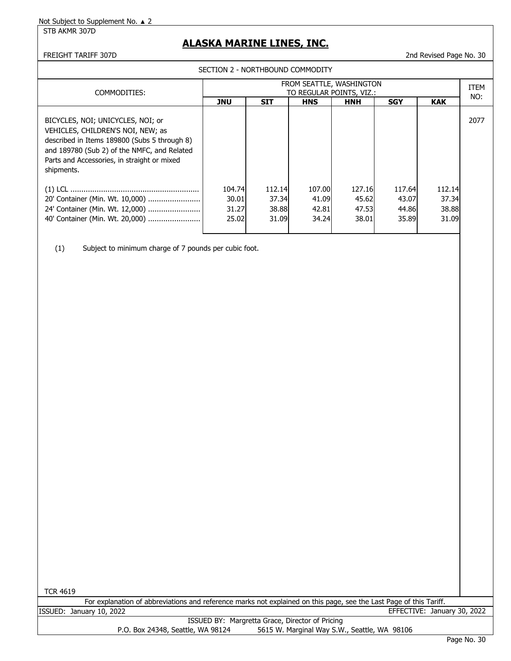STB AKMR 307D

## **ALASKA MARINE LINES, INC.**

#### FREIGHT TARIFF 307D 2nd Revised Page No. 30

SECTION 2 - NORTHBOUND COMMODITY

| COMMODITIES:                                                                                                                                                                                                                       | FROM SEATTLE, WASHINGTON<br>TO REGULAR POINTS, VIZ.: |                                   |                                   |                                   |                                   |                                   |      |
|------------------------------------------------------------------------------------------------------------------------------------------------------------------------------------------------------------------------------------|------------------------------------------------------|-----------------------------------|-----------------------------------|-----------------------------------|-----------------------------------|-----------------------------------|------|
|                                                                                                                                                                                                                                    | <b>JNU</b>                                           | <b>SIT</b>                        | <b>HNS</b>                        | <b>HNH</b>                        | <b>SGY</b>                        | <b>KAK</b>                        | NO:  |
| BICYCLES, NOI; UNICYCLES, NOI; or<br>VEHICLES, CHILDREN'S NOI, NEW; as<br>described in Items 189800 (Subs 5 through 8)<br>and 189780 (Sub 2) of the NMFC, and Related<br>Parts and Accessories, in straight or mixed<br>shipments. |                                                      |                                   |                                   |                                   |                                   |                                   | 2077 |
| 20' Container (Min. Wt. 10,000)<br>24' Container (Min. Wt. 12,000)<br>40' Container (Min. Wt. 20,000)                                                                                                                              | 104.74<br>30.01<br>31.27<br>25.02                    | 112.14<br>37.34<br>38.88<br>31.09 | 107.00<br>41.09<br>42.81<br>34.24 | 127.16<br>45.62<br>47.53<br>38.01 | 117.64<br>43.07<br>44.86<br>35.89 | 112.14<br>37.34<br>38.88<br>31.09 |      |

(1) Subject to minimum charge of 7 pounds per cubic foot.

TCR 4619

|         |                  | For explanation of abbreviations and reference marks not explained on this page, see the Last Page of this Tariff. |       |                  |
|---------|------------------|--------------------------------------------------------------------------------------------------------------------|-------|------------------|
| ISSUED: | January 10, 2022 |                                                                                                                    | TIVE: | January 30, 2022 |
|         |                  | <b>ICCLIED BV: Margrotta Craco, Director of Driging</b>                                                            |       |                  |

ISSUED BY: Margretta Grace, Director of Pricing P.O. Box 24348, Seattle, WA 98124 5615 W. Marginal Way S.W., Seattle, WA 98106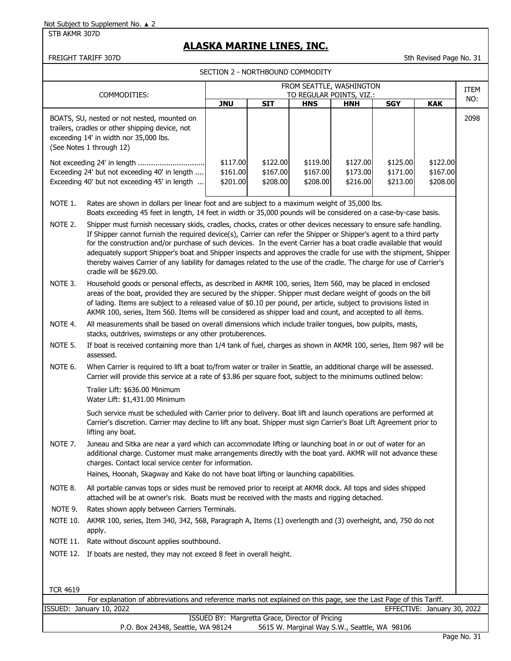#### STB AKMR 307D

## **ALASKA MARINE LINES, INC.**

FREIGHT TARIFF 307D 5th Revised Page No. 31

SECTION 2 - NORTHBOUND COMMODITY

|                                                                                        | FROM SEATTLE, WASHINGTON                                                                                                                                                                                                                                                                                                                                                                                                                                                                                                                                                                                                                |                                  |                                  |                                  |                                  |                                  |                                  |                    |  |
|----------------------------------------------------------------------------------------|-----------------------------------------------------------------------------------------------------------------------------------------------------------------------------------------------------------------------------------------------------------------------------------------------------------------------------------------------------------------------------------------------------------------------------------------------------------------------------------------------------------------------------------------------------------------------------------------------------------------------------------------|----------------------------------|----------------------------------|----------------------------------|----------------------------------|----------------------------------|----------------------------------|--------------------|--|
|                                                                                        | COMMODITIES:                                                                                                                                                                                                                                                                                                                                                                                                                                                                                                                                                                                                                            |                                  |                                  | TO REGULAR POINTS, VIZ.:         |                                  |                                  |                                  | <b>ITEM</b><br>NO: |  |
|                                                                                        | BOATS, SU, nested or not nested, mounted on<br>trailers, cradles or other shipping device, not<br>exceeding 14' in width nor 35,000 lbs.<br>(See Notes 1 through 12)                                                                                                                                                                                                                                                                                                                                                                                                                                                                    | <b>JNU</b>                       | <b>SIT</b>                       | <b>HNS</b>                       | <b>HNH</b>                       | <b>SGY</b>                       | <b>KAK</b>                       | 2098               |  |
|                                                                                        | Not exceeding 24' in length<br>Exceeding 24' but not exceeding 40' in length<br>Exceeding 40' but not exceeding 45' in length                                                                                                                                                                                                                                                                                                                                                                                                                                                                                                           | \$117.00<br>\$161.00<br>\$201.00 | \$122.00<br>\$167.00<br>\$208.00 | \$119.00<br>\$167.00<br>\$208.00 | \$127.00<br>\$173.00<br>\$216.00 | \$125.00<br>\$171.00<br>\$213.00 | \$122.00<br>\$167.00<br>\$208.00 |                    |  |
| NOTE 1.                                                                                | Rates are shown in dollars per linear foot and are subject to a maximum weight of 35,000 lbs.<br>Boats exceeding 45 feet in length, 14 feet in width or 35,000 pounds will be considered on a case-by-case basis.                                                                                                                                                                                                                                                                                                                                                                                                                       |                                  |                                  |                                  |                                  |                                  |                                  |                    |  |
| NOTE 2.                                                                                | Shipper must furnish necessary skids, cradles, chocks, crates or other devices necessary to ensure safe handling.<br>If Shipper cannot furnish the required device(s), Carrier can refer the Shipper or Shipper's agent to a third party<br>for the construction and/or purchase of such devices. In the event Carrier has a boat cradle available that would<br>adequately support Shipper's boat and Shipper inspects and approves the cradle for use with the shipment, Shipper<br>thereby waives Carrier of any liability for damages related to the use of the cradle. The charge for use of Carrier's<br>cradle will be \$629.00. |                                  |                                  |                                  |                                  |                                  |                                  |                    |  |
| NOTE 3.                                                                                | Household goods or personal effects, as described in AKMR 100, series, Item 560, may be placed in enclosed<br>areas of the boat, provided they are secured by the shipper. Shipper must declare weight of goods on the bill<br>of lading. Items are subject to a released value of \$0.10 per pound, per article, subject to provisions listed in<br>AKMR 100, series, Item 560. Items will be considered as shipper load and count, and accepted to all items.                                                                                                                                                                         |                                  |                                  |                                  |                                  |                                  |                                  |                    |  |
| NOTE 4.                                                                                | All measurements shall be based on overall dimensions which include trailer tongues, bow pulpits, masts,<br>stacks, outdrives, swimsteps or any other protuberences.                                                                                                                                                                                                                                                                                                                                                                                                                                                                    |                                  |                                  |                                  |                                  |                                  |                                  |                    |  |
| NOTE 5.                                                                                | If boat is received containing more than 1/4 tank of fuel, charges as shown in AKMR 100, series, Item 987 will be<br>assessed.                                                                                                                                                                                                                                                                                                                                                                                                                                                                                                          |                                  |                                  |                                  |                                  |                                  |                                  |                    |  |
| NOTE 6.                                                                                | When Carrier is required to lift a boat to/from water or trailer in Seattle, an additional charge will be assessed.<br>Carrier will provide this service at a rate of \$3.86 per square foot, subject to the minimums outlined below:                                                                                                                                                                                                                                                                                                                                                                                                   |                                  |                                  |                                  |                                  |                                  |                                  |                    |  |
|                                                                                        | Trailer Lift: \$636.00 Minimum<br>Water Lift: \$1,431.00 Minimum                                                                                                                                                                                                                                                                                                                                                                                                                                                                                                                                                                        |                                  |                                  |                                  |                                  |                                  |                                  |                    |  |
|                                                                                        | Such service must be scheduled with Carrier prior to delivery. Boat lift and launch operations are performed at<br>Carrier's discretion. Carrier may decline to lift any boat. Shipper must sign Carrier's Boat Lift Agreement prior to<br>lifting any boat.                                                                                                                                                                                                                                                                                                                                                                            |                                  |                                  |                                  |                                  |                                  |                                  |                    |  |
| NOTE 7.                                                                                | Juneau and Sitka are near a yard which can accommodate lifting or launching boat in or out of water for an<br>additional charge. Customer must make arrangements directly with the boat yard. AKMR will not advance these<br>charges. Contact local service center for information.<br>Haines, Hoonah, Skagway and Kake do not have boat lifting or launching capabilities.                                                                                                                                                                                                                                                             |                                  |                                  |                                  |                                  |                                  |                                  |                    |  |
| NOTE 8.                                                                                | All portable canvas tops or sides must be removed prior to receipt at AKMR dock. All tops and sides shipped<br>attached will be at owner's risk. Boats must be received with the masts and rigging detached.                                                                                                                                                                                                                                                                                                                                                                                                                            |                                  |                                  |                                  |                                  |                                  |                                  |                    |  |
| NOTE 9.                                                                                | Rates shown apply between Carriers Terminals.                                                                                                                                                                                                                                                                                                                                                                                                                                                                                                                                                                                           |                                  |                                  |                                  |                                  |                                  |                                  |                    |  |
| <b>NOTE 10.</b>                                                                        | AKMR 100, series, Item 340, 342, 568, Paragraph A, Items (1) overlength and (3) overheight, and, 750 do not<br>apply.                                                                                                                                                                                                                                                                                                                                                                                                                                                                                                                   |                                  |                                  |                                  |                                  |                                  |                                  |                    |  |
| <b>NOTE 11.</b>                                                                        | Rate without discount applies southbound.                                                                                                                                                                                                                                                                                                                                                                                                                                                                                                                                                                                               |                                  |                                  |                                  |                                  |                                  |                                  |                    |  |
|                                                                                        | NOTE 12. If boats are nested, they may not exceed 8 feet in overall height.                                                                                                                                                                                                                                                                                                                                                                                                                                                                                                                                                             |                                  |                                  |                                  |                                  |                                  |                                  |                    |  |
| <b>TCR 4619</b>                                                                        |                                                                                                                                                                                                                                                                                                                                                                                                                                                                                                                                                                                                                                         |                                  |                                  |                                  |                                  |                                  |                                  |                    |  |
|                                                                                        | For explanation of abbreviations and reference marks not explained on this page, see the Last Page of this Tariff.                                                                                                                                                                                                                                                                                                                                                                                                                                                                                                                      |                                  |                                  |                                  |                                  |                                  |                                  |                    |  |
| ISSUED: January 10, 2022<br>EFFECTIVE: January 30, 2022<br>TCCUIDDDUL Mawawatha Cwasaa |                                                                                                                                                                                                                                                                                                                                                                                                                                                                                                                                                                                                                                         |                                  |                                  |                                  |                                  |                                  |                                  |                    |  |

ISSUED BY: Margretta Grace, Director of Pricing P.O. Box 24348, Seattle, WA 98124 5615 W. Marginal Way S.W., Seattle, WA 98106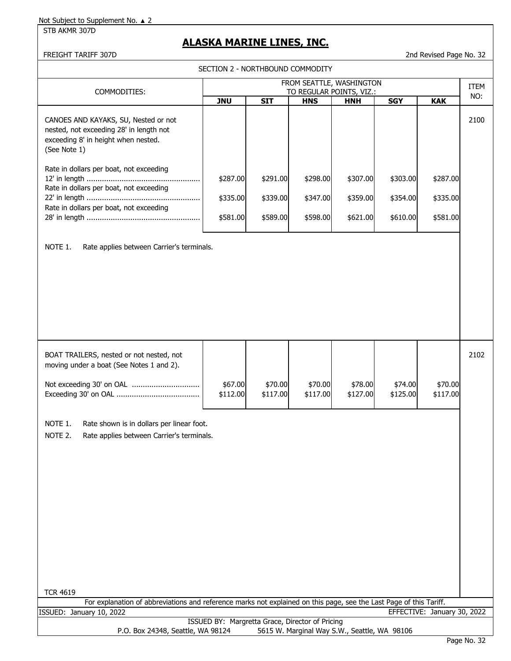STB AKMR 307D

# **ALASKA MARINE LINES, INC.**

FREIGHT TARIFF 307D 2nd Revised Page No. 32

SECTION 2 - NORTHBOUND COMMODITY

| FROM SEATTLE, WASHINGTON                                                                                                                                                                                                                            |                                  |                                  |                                        |                                  |                                  | ITEM                             |      |
|-----------------------------------------------------------------------------------------------------------------------------------------------------------------------------------------------------------------------------------------------------|----------------------------------|----------------------------------|----------------------------------------|----------------------------------|----------------------------------|----------------------------------|------|
| COMMODITIES:                                                                                                                                                                                                                                        | <b>JNU</b>                       | <b>SIT</b>                       | TO REGULAR POINTS, VIZ.:<br><b>HNS</b> | <b>HNH</b>                       | <b>SGY</b>                       | <b>KAK</b>                       | NO:  |
| CANOES AND KAYAKS, SU, Nested or not<br>nested, not exceeding 28' in length not<br>exceeding 8' in height when nested.<br>(See Note 1)                                                                                                              |                                  |                                  |                                        |                                  |                                  |                                  | 2100 |
| Rate in dollars per boat, not exceeding<br>Rate in dollars per boat, not exceeding<br>Rate in dollars per boat, not exceeding                                                                                                                       | \$287.00<br>\$335.00<br>\$581.00 | \$291.00<br>\$339.00<br>\$589.00 | \$298.00<br>\$347.00<br>\$598.00       | \$307.00<br>\$359.00<br>\$621.00 | \$303.00<br>\$354.00<br>\$610.00 | \$287.00<br>\$335.00<br>\$581.00 |      |
| NOTE 1.<br>Rate applies between Carrier's terminals.                                                                                                                                                                                                |                                  |                                  |                                        |                                  |                                  |                                  |      |
| BOAT TRAILERS, nested or not nested, not<br>moving under a boat (See Notes 1 and 2).<br>Not exceeding 30' on OAL<br>NOTE 1.<br>Rate shown is in dollars per linear foot.<br>NOTE 2.<br>Rate applies between Carrier's terminals.<br><b>TCR 4619</b> | \$67.00<br>\$112.00              | \$70.00<br>\$117.00              | \$70.00<br>\$117.00                    | \$78.00<br>\$127.00              | \$74.00<br>\$125.00              | \$70.00<br>\$117.00              | 2102 |
| For explanation of abbreviations and reference marks not explained on this page, see the Last Page of this Tariff.                                                                                                                                  |                                  |                                  |                                        |                                  |                                  |                                  |      |
| ISSUED: January 10, 2022                                                                                                                                                                                                                            |                                  |                                  |                                        |                                  |                                  | EFFECTIVE: January 30, 2022      |      |
| ISSUED BY: Margretta Grace, Director of Pricing<br>5615 W. Marginal Way S.W., Seattle, WA 98106<br>P.O. Box 24348, Seattle, WA 98124                                                                                                                |                                  |                                  |                                        |                                  |                                  |                                  |      |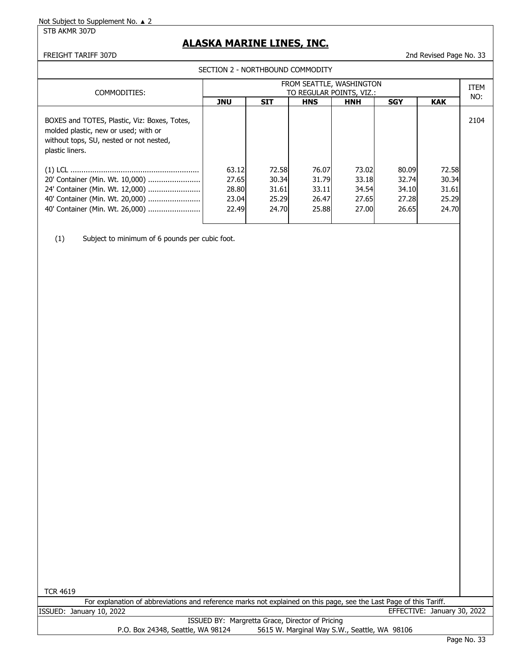STB AKMR 307D

# **ALASKA MARINE LINES, INC.**

## FREIGHT TARIFF 307D 2nd Revised Page No. 33

SECTION 2 - NORTHBOUND COMMODITY

| COMMODITIES:                                                                                                                                       | FROM SEATTLE, WASHINGTON<br>TO REGULAR POINTS, VIZ.: |                                           |                                           |                                           |                                           |                                           |      |  |
|----------------------------------------------------------------------------------------------------------------------------------------------------|------------------------------------------------------|-------------------------------------------|-------------------------------------------|-------------------------------------------|-------------------------------------------|-------------------------------------------|------|--|
|                                                                                                                                                    | <b>JNU</b>                                           | <b>SIT</b>                                | <b>HNS</b>                                | <b>HNH</b>                                | <b>SGY</b>                                | <b>KAK</b>                                | NO:  |  |
| BOXES and TOTES, Plastic, Viz: Boxes, Totes,<br>molded plastic, new or used; with or<br>without tops, SU, nested or not nested,<br>plastic liners. |                                                      |                                           |                                           |                                           |                                           |                                           | 2104 |  |
| 20' Container (Min. Wt. 10,000)<br>24' Container (Min. Wt. 12,000)<br>40' Container (Min. Wt. 20,000)<br>40' Container (Min. Wt. 26,000)           | 63.12<br>27.65<br>28.80<br>23.04<br>22.49            | 72.58<br>30.34<br>31.61<br>25.29<br>24.70 | 76.07<br>31.79<br>33.11<br>26.47<br>25.88 | 73.02<br>33.18<br>34.54<br>27.65<br>27.00 | 80.09<br>32.74<br>34.10<br>27.28<br>26.65 | 72.58<br>30.34<br>31.61<br>25.29<br>24.70 |      |  |

(1) Subject to minimum of 6 pounds per cubic foot.

TCR 4619

|                          | For explanation of abbreviations and reference marks not explained on this page, see the Last Page of this Tariff. |                                                 |  |                             |  |
|--------------------------|--------------------------------------------------------------------------------------------------------------------|-------------------------------------------------|--|-----------------------------|--|
| ISSUED: January 10, 2022 |                                                                                                                    |                                                 |  | EFFECTIVE: January 30, 2022 |  |
|                          |                                                                                                                    | ISSUED RV: Margretta Crace, Director of Pricing |  |                             |  |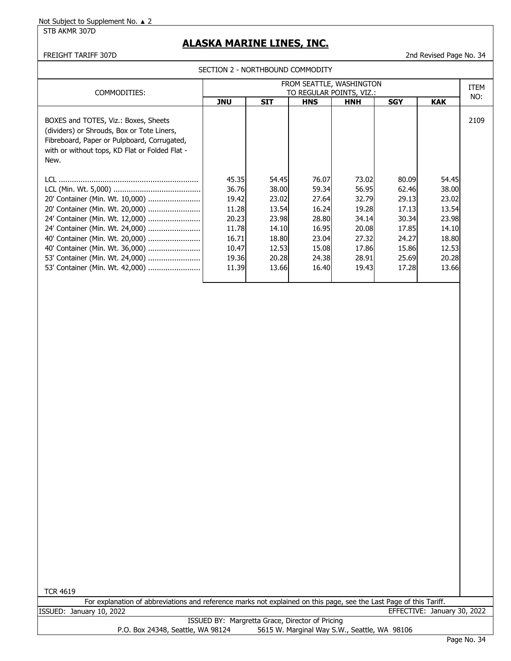STB AKMR 307D

# **ALASKA MARINE LINES, INC.**

### FREIGHT TARIFF 307D 2nd Revised Page No. 34

SECTION 2 - NORTHBOUND COMMODITY

| COMMODITIES:                                                                                                                                                                                | FROM SEATTLE, WASHINGTON<br>TO REGULAR POINTS, VIZ.:        |                                                              |                                                             |                                                             |                                                             |                                                             |      |  |
|---------------------------------------------------------------------------------------------------------------------------------------------------------------------------------------------|-------------------------------------------------------------|--------------------------------------------------------------|-------------------------------------------------------------|-------------------------------------------------------------|-------------------------------------------------------------|-------------------------------------------------------------|------|--|
|                                                                                                                                                                                             | <b>JNU</b>                                                  | <b>SIT</b>                                                   | <b>HNS</b>                                                  | <b>HNH</b>                                                  | <b>SGY</b>                                                  | <b>KAK</b>                                                  | NO:  |  |
| BOXES and TOTES, Viz.: Boxes, Sheets<br>(dividers) or Shrouds, Box or Tote Liners,<br>Fibreboard, Paper or Pulpboard, Corrugated,<br>with or without tops, KD Flat or Folded Flat -<br>New. |                                                             |                                                              |                                                             |                                                             |                                                             |                                                             | 2109 |  |
| LCL.<br>20' Container (Min. Wt. 10,000)<br>20' Container (Min. Wt. 20,000)<br>24' Container (Min. Wt. 12,000)  <br>24' Container (Min. Wt. 24,000)<br>40' Container (Min. Wt. 20,000)       | 45.35<br>36.76<br>19.42<br>11.28<br>20.23<br>11.78<br>16.71 | 54.45I<br>38.00<br>23.02<br>13.54<br>23.98<br>14.10<br>18.80 | 76.07<br>59.34<br>27.64<br>16.24<br>28.80<br>16.95<br>23.04 | 73.02<br>56.95<br>32.79<br>19.28<br>34.14<br>20.08<br>27.32 | 80.09<br>62.46<br>29.13<br>17.13<br>30.34<br>17.85<br>24.27 | 54.45<br>38.00<br>23.02<br>13.54<br>23.98<br>14.10<br>18.80 |      |  |
| 40' Container (Min. Wt. 36,000)<br>53' Container (Min. Wt. 24,000)<br>53' Container (Min. Wt. 42,000)                                                                                       | 10.47<br>19.36<br>11.39                                     | 12.53<br>20.28<br>13.66                                      | 15.08<br>24.38<br>16.40                                     | 17.86<br>28.91<br>19.43                                     | 15.86<br>25.69<br>17.28                                     | 12.53<br>20.28<br>13.66                                     |      |  |

TCR 4619

For explanation of abbreviations and reference marks not explained on this page, see the Last Page of this Tariff. ISSUED: January 10, 2022 EFFECTIVE: January 30, 2022

ISSUED BY: Margretta Grace, Director of Pricing P.O. Box 24348, Seattle, WA 98124 5615 W. Marginal Way S.W., Seattle, WA 98106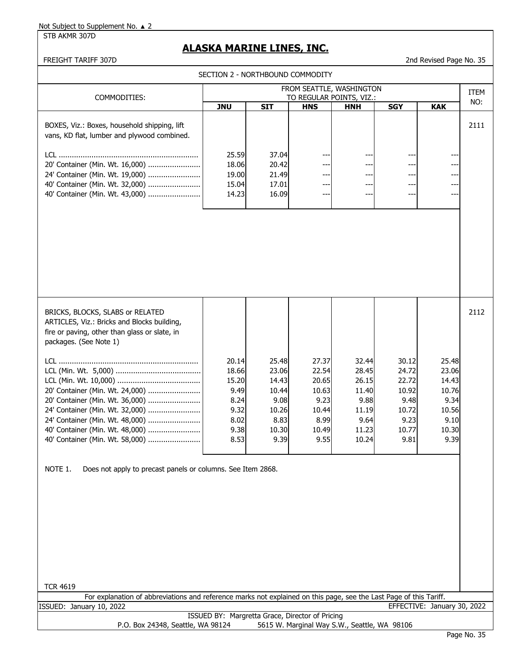STB AKMR 307D

# **ALASKA MARINE LINES, INC.**

FREIGHT TARIFF 307D 2nd Revised Page No. 35

| SECTION 2 - NORTHBOUND COMMODITY                                                                                                                                                                                                                                                                                                                                                                                                                                                                                                                                                                |                                                                         |                                                                            |                                                                            |                                                                             |                                                                            |                                                                            |             |  |
|-------------------------------------------------------------------------------------------------------------------------------------------------------------------------------------------------------------------------------------------------------------------------------------------------------------------------------------------------------------------------------------------------------------------------------------------------------------------------------------------------------------------------------------------------------------------------------------------------|-------------------------------------------------------------------------|----------------------------------------------------------------------------|----------------------------------------------------------------------------|-----------------------------------------------------------------------------|----------------------------------------------------------------------------|----------------------------------------------------------------------------|-------------|--|
|                                                                                                                                                                                                                                                                                                                                                                                                                                                                                                                                                                                                 |                                                                         |                                                                            |                                                                            | FROM SEATTLE, WASHINGTON                                                    |                                                                            |                                                                            | <b>ITEM</b> |  |
| COMMODITIES:                                                                                                                                                                                                                                                                                                                                                                                                                                                                                                                                                                                    | <b>JNU</b>                                                              | <b>SIT</b>                                                                 | <b>HNS</b>                                                                 | TO REGULAR POINTS, VIZ.:<br><b>HNH</b>                                      | <b>SGY</b>                                                                 | <b>KAK</b>                                                                 | NO:         |  |
| BOXES, Viz.: Boxes, household shipping, lift<br>vans, KD flat, lumber and plywood combined.<br>20' Container (Min. Wt. 16,000)<br>24' Container (Min. Wt. 19,000)<br>40' Container (Min. Wt. 32,000)<br>40' Container (Min. Wt. 43,000)                                                                                                                                                                                                                                                                                                                                                         | 25.59<br>18.06<br>19.00<br>15.04<br>14.23                               | 37.04<br>20.42<br>21.49<br>17.01<br>16.09                                  | ---<br>---<br>---<br>---                                                   | ---<br>---<br>---<br>---                                                    | ---<br>---<br>---<br>---                                                   | ---<br>---<br>---<br>---<br>---                                            | 2111        |  |
| BRICKS, BLOCKS, SLABS or RELATED<br>ARTICLES, Viz.: Bricks and Blocks building,<br>fire or paving, other than glass or slate, in<br>packages. (See Note 1)<br>20' Container (Min. Wt. 24,000)<br>20' Container (Min. Wt. 36,000)<br>24' Container (Min. Wt. 32,000)<br>24' Container (Min. Wt. 48,000)<br>40' Container (Min. Wt. 48,000)<br>40' Container (Min. Wt. 58,000)<br>NOTE 1.<br>Does not apply to precast panels or columns. See Item 2868.<br><b>TCR 4619</b><br>For explanation of abbreviations and reference marks not explained on this page, see the Last Page of this Tariff. | 20.14<br>18.66<br>15.20<br>9.49<br>8.24<br>9.32<br>8.02<br>9.38<br>8.53 | 25.48<br>23.06<br>14.43<br>10.44<br>9.08<br>10.26<br>8.83<br>10.30<br>9.39 | 27.37<br>22.54<br>20.65<br>10.63<br>9.23<br>10.44<br>8.99<br>10.49<br>9.55 | 32.44<br>28.45<br>26.15<br>11.40<br>9.88<br>11.19<br>9.64<br>11.23<br>10.24 | 30.12<br>24.72<br>22.72<br>10.92<br>9.48<br>10.72<br>9.23<br>10.77<br>9.81 | 25.48<br>23.06<br>14.43<br>10.76<br>9.34<br>10.56<br>9.10<br>10.30<br>9.39 | 2112        |  |
| ISSUED: January 10, 2022                                                                                                                                                                                                                                                                                                                                                                                                                                                                                                                                                                        |                                                                         |                                                                            |                                                                            |                                                                             |                                                                            | EFFECTIVE: January 30, 2022                                                |             |  |
| P.O. Box 24348, Seattle, WA 98124                                                                                                                                                                                                                                                                                                                                                                                                                                                                                                                                                               | ISSUED BY: Margretta Grace, Director of Pricing                         |                                                                            |                                                                            | 5615 W. Marginal Way S.W., Seattle, WA 98106                                |                                                                            |                                                                            |             |  |

## Page No. 35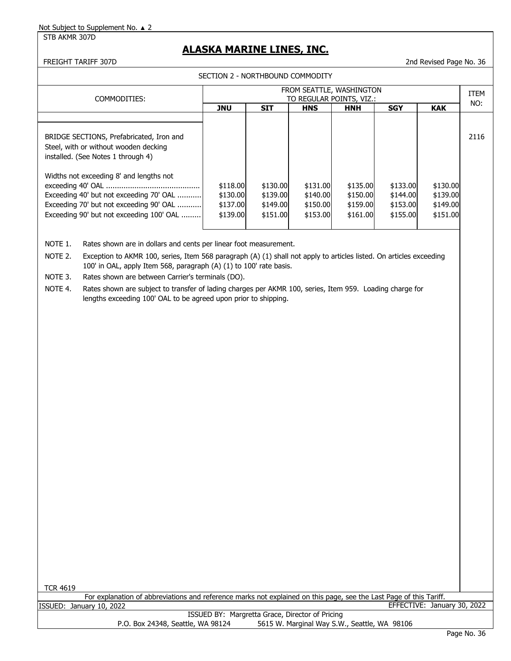STB AKMR 307D

# **ALASKA MARINE LINES, INC.**

### FREIGHT TARIFF 307D 2nd Revised Page No. 36

SECTION 2 - NORTHBOUND COMMODITY

|                                                                                                                                                                           | FROM SEATTLE, WASHINGTON                     |                                              |                                              |                                              |                                              |                                              |      |  |
|---------------------------------------------------------------------------------------------------------------------------------------------------------------------------|----------------------------------------------|----------------------------------------------|----------------------------------------------|----------------------------------------------|----------------------------------------------|----------------------------------------------|------|--|
| COMMODITIES:                                                                                                                                                              |                                              |                                              |                                              | TO REGULAR POINTS, VIZ.:                     |                                              |                                              | NO:  |  |
|                                                                                                                                                                           | <b>JNU</b>                                   | <b>SIT</b>                                   | <b>HNS</b>                                   | <b>HNH</b>                                   | <b>SGY</b>                                   | <b>KAK</b>                                   |      |  |
|                                                                                                                                                                           |                                              |                                              |                                              |                                              |                                              |                                              |      |  |
| BRIDGE SECTIONS, Prefabricated, Iron and<br>Steel, with or without wooden decking<br>installed. (See Notes 1 through 4)                                                   |                                              |                                              |                                              |                                              |                                              |                                              | 2116 |  |
| Widths not exceeding 8' and lengths not<br>Exceeding 40' but not exceeding 70' OAL<br>Exceeding 70' but not exceeding 90' OAL<br>Exceeding 90' but not exceeding 100' OAL | \$118.00<br>\$130.00<br>\$137.00<br>\$139.00 | \$130.00<br>\$139.00<br>\$149.00<br>\$151.00 | \$131.00<br>\$140.00<br>\$150.00<br>\$153.00 | \$135.00<br>\$150.00<br>\$159.00<br>\$161.00 | \$133.00<br>\$144.00<br>\$153.00<br>\$155.00 | \$130.00<br>\$139.00<br>\$149.00<br>\$151.00 |      |  |

NOTE 1. Rates shown are in dollars and cents per linear foot measurement.

NOTE 2. Exception to AKMR 100, series, Item 568 paragraph (A) (1) shall not apply to articles listed. On articles exceeding 100' in OAL, apply Item 568, paragraph (A) (1) to 100' rate basis.

NOTE 3. Rates shown are between Carrier's terminals (DO).

NOTE 4. Rates shown are subject to transfer of lading charges per AKMR 100, series, Item 959. Loading charge for lengths exceeding 100' OAL to be agreed upon prior to shipping.

For explanation of abbreviations and reference marks not explained on this page, see the Last Page of this Tariff. ISSUED: January 10, 2022 EFFECTIVE: January 30, 2022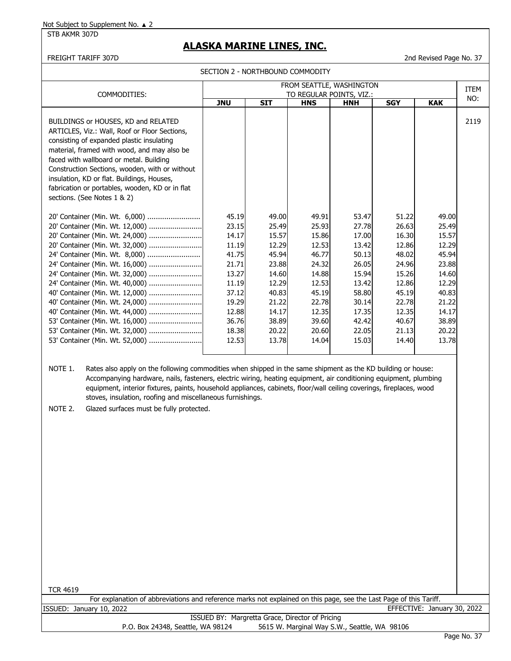#### STB AKMR 307D

## **ALASKA MARINE LINES, INC.**

FREIGHT TARIFF 307D 2nd Revised Page No. 37

SECTION 2 - NORTHBOUND COMMODITY

| FROM SEATTLE, WASHINGTON<br>COMMODITIES:<br>TO REGULAR POINTS, VIZ.:                                                                                                                                                                                                                                                                                                                                          |                                                                                                                            |                                                                                                                            |                                                                                                                            |                                                                                                                            |                                                                                                                            |                                                                                                                            | <b>ITEM</b> |
|---------------------------------------------------------------------------------------------------------------------------------------------------------------------------------------------------------------------------------------------------------------------------------------------------------------------------------------------------------------------------------------------------------------|----------------------------------------------------------------------------------------------------------------------------|----------------------------------------------------------------------------------------------------------------------------|----------------------------------------------------------------------------------------------------------------------------|----------------------------------------------------------------------------------------------------------------------------|----------------------------------------------------------------------------------------------------------------------------|----------------------------------------------------------------------------------------------------------------------------|-------------|
|                                                                                                                                                                                                                                                                                                                                                                                                               | <b>JNU</b>                                                                                                                 | <b>SIT</b>                                                                                                                 | <b>HNS</b>                                                                                                                 | <b>HNH</b>                                                                                                                 | <b>SGY</b>                                                                                                                 | <b>KAK</b>                                                                                                                 | NO:         |
| BUILDINGS or HOUSES, KD and RELATED<br>ARTICLES, Viz.: Wall, Roof or Floor Sections,<br>consisting of expanded plastic insulating<br>material, framed with wood, and may also be<br>faced with wallboard or metal. Building<br>Construction Sections, wooden, with or without<br>insulation, KD or flat. Buildings, Houses,<br>fabrication or portables, wooden, KD or in flat<br>sections. (See Notes 1 & 2) |                                                                                                                            |                                                                                                                            |                                                                                                                            |                                                                                                                            |                                                                                                                            |                                                                                                                            | 2119        |
| 20' Container (Min. Wt. 6,000)<br>20' Container (Min. Wt. 24,000)<br>20' Container (Min. Wt. 32,000)<br>24' Container (Min. Wt. 8,000)<br>24' Container (Min. Wt. 16,000)<br>40' Container (Min. Wt. 24,000)<br>40' Container (Min. Wt. 44,000)<br>53' Container (Min. Wt. 16,000)<br>53' Container (Min. Wt. 32,000)<br>53' Container (Min. Wt. 52,000)                                                      | 45.19<br>23.15<br>14.17<br>11.19<br>41.75<br>21.71<br>13.27<br>11.19<br>37.12<br>19.29<br>12.88<br>36.76<br>18.38<br>12.53 | 49.00<br>25.49<br>15.57<br>12.29<br>45.94<br>23.88<br>14.60<br>12.29<br>40.83<br>21.22<br>14.17<br>38.89<br>20.22<br>13.78 | 49.91<br>25.93<br>15.86<br>12.53<br>46.77<br>24.32<br>14.88<br>12.53<br>45.19<br>22.78<br>12.35<br>39.60<br>20.60<br>14.04 | 53.47<br>27.78<br>17.00<br>13.42<br>50.13<br>26.05<br>15.94<br>13.42<br>58.80<br>30.14<br>17.35<br>42.42<br>22.05<br>15.03 | 51.22<br>26.63<br>16.30<br>12.86<br>48.02<br>24.96<br>15.26<br>12.86<br>45.19<br>22.78<br>12.35<br>40.67<br>21.13<br>14.40 | 49.00<br>25.49<br>15.57<br>12.29<br>45.94<br>23.88<br>14.60<br>12.29<br>40.83<br>21.22<br>14.17<br>38.89<br>20.22<br>13.78 |             |

NOTE 1. Rates also apply on the following commodities when shipped in the same shipment as the KD building or house: Accompanying hardware, nails, fasteners, electric wiring, heating equipment, air conditioning equipment, plumbing equipment, interior fixtures, paints, household appliances, cabinets, floor/wall ceiling coverings, fireplaces, wood stoves, insulation, roofing and miscellaneous furnishings.

NOTE 2. Glazed surfaces must be fully protected.

TCR 4619

For explanation of abbreviations and reference marks not explained on this page, see the Last Page of this Tariff. ISSUED: January 10, 2022 EFFECTIVE: January 30, 2022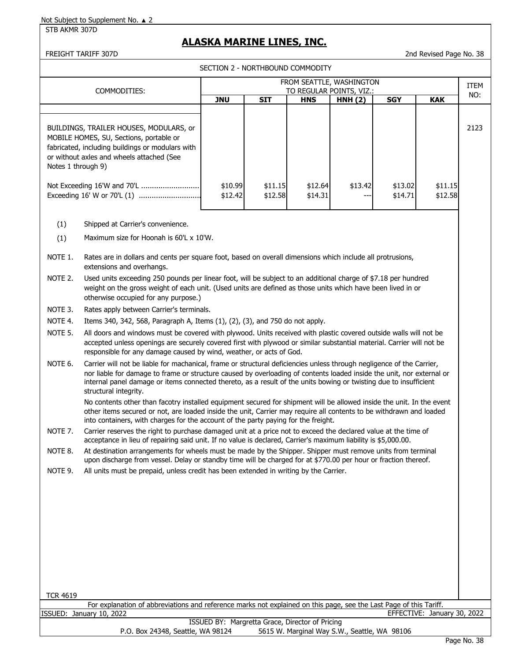STB AKMR 307D

## **ALASKA MARINE LINES, INC.**

FREIGHT TARIFF 307D 2nd Revised Page No. 38

SECTION 2 - NORTHBOUND COMMODITY

|                    | COMMODITIES:                                                                                                                                                                                                                  | FROM SEATTLE, WASHINGTON<br>TO REGULAR POINTS, VIZ.: |     |            |        |            |            |      |
|--------------------|-------------------------------------------------------------------------------------------------------------------------------------------------------------------------------------------------------------------------------|------------------------------------------------------|-----|------------|--------|------------|------------|------|
|                    |                                                                                                                                                                                                                               | <b>JNU</b>                                           | SIT | <b>HNS</b> | HNH(2) | <b>SGY</b> | <b>KAK</b> | NO:  |
|                    |                                                                                                                                                                                                                               |                                                      |     |            |        |            |            |      |
| Notes 1 through 9) | BUILDINGS, TRAILER HOUSES, MODULARS, or<br>MOBILE HOMES, SU, Sections, portable or<br>fabricated, including buildings or modulars with<br>or without axles and wheels attached (See                                           |                                                      |     |            |        |            |            | 2123 |
|                    | Not Exceeding 16'W and 70'L<br>\$10.99<br>\$11.15<br>\$12.64<br>\$13.42<br>\$13.02<br>\$11.15<br>\$12.42<br>\$12.58<br>\$14.31<br>\$14.71<br>\$12.58                                                                          |                                                      |     |            |        |            |            |      |
| (1)                | Shipped at Carrier's convenience.                                                                                                                                                                                             |                                                      |     |            |        |            |            |      |
| (1)                | Maximum size for Hoonah is 60'L x 10'W.                                                                                                                                                                                       |                                                      |     |            |        |            |            |      |
| NOTE 1.            | Rates are in dollars and cents per square foot, based on overall dimensions which include all protrusions,<br>extensions and overhangs.                                                                                       |                                                      |     |            |        |            |            |      |
| NOTE 2.            | Used units exceeding 250 pounds per linear foot, will be subject to an additional charge of \$7.18 per hundred<br>weight on the gross weight of each unit. (Used units are defined as those units which have been lived in or |                                                      |     |            |        |            |            |      |

NOTE 3. Rates apply between Carrier's terminals.

otherwise occupied for any purpose.)

NOTE 4. Items 340, 342, 568, Paragraph A, Items (1), (2), (3), and 750 do not apply.

NOTE 5. All doors and windows must be covered with plywood. Units received with plastic covered outside walls will not be accepted unless openings are securely covered first with plywood or similar substantial material. Carrier will not be responsible for any damage caused by wind, weather, or acts of God.

NOTE 6. Carrier will not be liable for machanical, frame or structural deficiencies unless through negligence of the Carrier, nor liable for damage to frame or structure caused by overloading of contents loaded inside the unit, nor external or internal panel damage or items connected thereto, as a result of the units bowing or twisting due to insufficient structural integrity.

No contents other than facotry installed equipment secured for shipment will be allowed inside the unit. In the event other items secured or not, are loaded inside the unit, Carrier may require all contents to be withdrawn and loaded into containers, with charges for the account of the party paying for the freight.

NOTE 7. Carrier reserves the right to purchase damaged unit at a price not to exceed the declared value at the time of acceptance in lieu of repairing said unit. If no value is declared, Carrier's maximum liability is \$5,000.00.

NOTE 8. At destination arrangements for wheels must be made by the Shipper. Shipper must remove units from terminal upon discharge from vessel. Delay or standby time will be charged for at \$770.00 per hour or fraction thereof.

NOTE 9. All units must be prepaid, unless credit has been extended in writing by the Carrier.

For explanation of abbreviations and reference marks not explained on this page, see the Last Page of this Tariff.<br>ISSUED: January 10, 2022 EFFECTIVE: January 30, 2022

|                                   | ISSUED BY: Margretta Grace, Director of Pricing |
|-----------------------------------|-------------------------------------------------|
| P.O. Box 24348, Seattle, WA 98124 | 5615 W. Marginal Way S.W., Seattle, WA 98106    |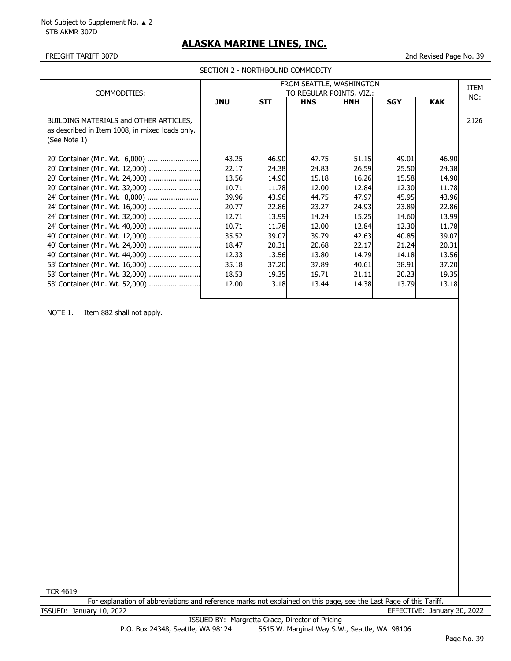STB AKMR 307D

## **ALASKA MARINE LINES, INC.**

FREIGHT TARIFF 307D 2nd Revised Page No. 39

SECTION 2 - NORTHBOUND COMMODITY

| COMMODITIES:                                                                                              | FROM SEATTLE, WASHINGTON<br>TO REGULAR POINTS, VIZ.: |                |                |                |                |                | <b>ITEM</b> |
|-----------------------------------------------------------------------------------------------------------|------------------------------------------------------|----------------|----------------|----------------|----------------|----------------|-------------|
|                                                                                                           | <b>JNU</b>                                           | <b>SIT</b>     | <b>HNS</b>     | <b>HNH</b>     | <b>SGY</b>     | <b>KAK</b>     | NO:         |
| BUILDING MATERIALS and OTHER ARTICLES,<br>as described in Item 1008, in mixed loads only.<br>(See Note 1) |                                                      |                |                |                |                |                | 2126        |
|                                                                                                           | 43.25                                                | 46.90          | 47.75          | 51.15          | 49.01          | 46.90          |             |
| 20' Container (Min. Wt. 12,000)<br>20' Container (Min. Wt. 24,000)                                        | 22.17<br>13.56                                       | 24.38<br>14.90 | 24.83<br>15.18 | 26.59<br>16.26 | 25.50<br>15.58 | 24.38<br>14.90 |             |
| 20' Container (Min. Wt. 32,000)                                                                           | 10.71                                                | 11.78          | 12.00          | 12.84          | 12.30          | 11.78          |             |
| 24' Container (Min. Wt. 8,000)                                                                            | 39.96                                                | 43.96          | 44.75          | 47.97          | 45.95          | 43.96          |             |
| 24' Container (Min. Wt. 16,000)                                                                           | 20.77                                                | 22.86          | 23.27          | 24.93          | 23.89          | 22.86          |             |
| 24' Container (Min. Wt. 32,000)                                                                           | 12.71                                                | 13.99          | 14.24          | 15.25          | 14.60          | 13.99          |             |
| 24' Container (Min. Wt. 40,000)                                                                           | 10.71                                                | 11.78          | 12.00          | 12.84          | 12.30          | 11.78          |             |
| 40' Container (Min. Wt. 12,000)                                                                           | 35.52                                                | 39.07          | 39.79          | 42.63          | 40.85          | 39.07          |             |
| 40' Container (Min. Wt. 24,000)                                                                           | 18.47                                                | 20.31          | 20.68          | 22.17          | 21.24          | 20.31          |             |
| 40' Container (Min. Wt. 44,000)                                                                           | 12.33                                                | 13.56          | 13.80          | 14.79          | 14.18          | 13.56          |             |
| 53' Container (Min. Wt. 16,000)                                                                           | 35.18                                                | 37.20          | 37.89          | 40.61          | 38.91          | 37.20          |             |
| 53' Container (Min. Wt. 32,000)                                                                           | 18.53                                                | 19.35          | 19.71          | 21.11          | 20.23          | 19.35          |             |
| 53' Container (Min. Wt. 52,000)                                                                           | 12.00                                                | 13.18          | 13.44          | 14.38          | 13.79          | 13.18          |             |

NOTE 1. Item 882 shall not apply.

TCR 4619

For explanation of abbreviations and reference marks not explained on this page, see the Last Page of this Tariff. ISSUED: January 10, 2022 EFFECTIVE: January 30, 2022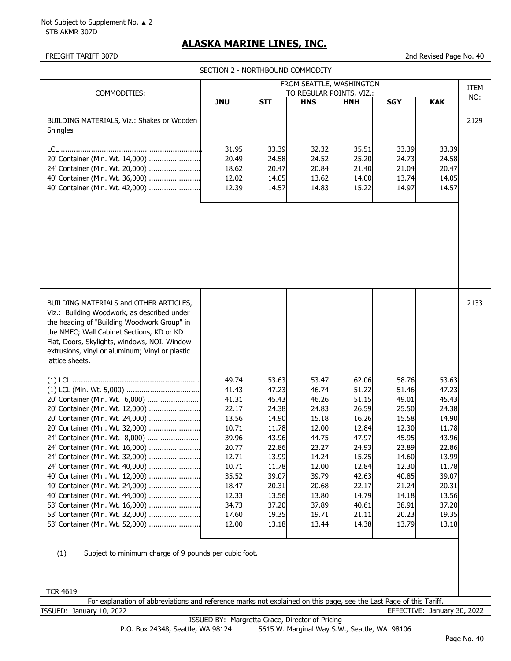STB AKMR 307D

## **ALASKA MARINE LINES, INC.**

## FREIGHT TARIFF 307D 2nd Revised Page No. 40

| SECTION 2 - NORTHBOUND COMMODITY                                                                                                                                                                                                                                                                        |                                                 |                |                |                                              |                |                             |      |  |
|---------------------------------------------------------------------------------------------------------------------------------------------------------------------------------------------------------------------------------------------------------------------------------------------------------|-------------------------------------------------|----------------|----------------|----------------------------------------------|----------------|-----------------------------|------|--|
|                                                                                                                                                                                                                                                                                                         |                                                 |                |                | FROM SEATTLE, WASHINGTON                     |                |                             | ITEM |  |
| COMMODITIES:                                                                                                                                                                                                                                                                                            |                                                 |                |                | TO REGULAR POINTS, VIZ.:                     |                |                             | NO:  |  |
|                                                                                                                                                                                                                                                                                                         | <b>JNU</b>                                      | <b>SIT</b>     | <b>HNS</b>     | HNH                                          | <b>SGY</b>     | <b>KAK</b>                  |      |  |
| BUILDING MATERIALS, Viz.: Shakes or Wooden<br>Shingles                                                                                                                                                                                                                                                  |                                                 |                |                |                                              |                |                             | 2129 |  |
|                                                                                                                                                                                                                                                                                                         | 31.95                                           | 33.39          | 32.32          | 35.51                                        | 33.39          | 33.39                       |      |  |
| 20' Container (Min. Wt. 14,000)                                                                                                                                                                                                                                                                         | 20.49                                           | 24.58          | 24.52          | 25.20                                        | 24.73          | 24.58                       |      |  |
| 24' Container (Min. Wt. 20,000)                                                                                                                                                                                                                                                                         | 18.62                                           | 20.47          | 20.84          | 21.40                                        | 21.04          | 20.47                       |      |  |
| 40' Container (Min. Wt. 36,000)                                                                                                                                                                                                                                                                         | 12.02                                           | 14.05          | 13.62          | 14.00                                        | 13.74          | 14.05                       |      |  |
| 40' Container (Min. Wt. 42,000)                                                                                                                                                                                                                                                                         | 12.39                                           | 14.57          | 14.83          | 15.22                                        | 14.97          | 14.57                       |      |  |
|                                                                                                                                                                                                                                                                                                         |                                                 |                |                |                                              |                |                             |      |  |
|                                                                                                                                                                                                                                                                                                         |                                                 |                |                |                                              |                |                             |      |  |
| BUILDING MATERIALS and OTHER ARTICLES,<br>Viz.: Building Woodwork, as described under<br>the heading of "Building Woodwork Group" in<br>the NMFC; Wall Cabinet Sections, KD or KD<br>Flat, Doors, Skylights, windows, NOI. Window<br>extrusions, vinyl or aluminum; Vinyl or plastic<br>lattice sheets. | 49.74<br>41.43                                  | 53.63<br>47.23 | 53.47<br>46.74 | 62.06<br>51.22                               | 58.76<br>51.46 | 53.63<br>47.23              | 2133 |  |
| 20' Container (Min. Wt. 6,000)                                                                                                                                                                                                                                                                          | 41.31                                           | 45.43          | 46.26          | 51.15                                        | 49.01          | 45.43                       |      |  |
| 20' Container (Min. Wt. 12,000)                                                                                                                                                                                                                                                                         | 22.17                                           | 24.38          | 24.83          | 26.59                                        | 25.50          | 24.38                       |      |  |
| 20' Container (Min. Wt. 24,000)                                                                                                                                                                                                                                                                         | 13.56                                           | 14.90          | 15.18          | 16.26                                        | 15.58          | 14.90                       |      |  |
| 20' Container (Min. Wt. 32,000)                                                                                                                                                                                                                                                                         | 10.71                                           | 11.78          | 12.00          | 12.84                                        | 12.30          | 11.78                       |      |  |
| 24' Container (Min. Wt. 8,000)                                                                                                                                                                                                                                                                          | 39.96                                           | 43.96          | 44.75          | 47.97                                        | 45.95          | 43.96                       |      |  |
| 24' Container (Min. Wt. 16,000)                                                                                                                                                                                                                                                                         | 20.77                                           | 22.86          | 23.27          | 24.93                                        | 23.89          | 22.86                       |      |  |
| 24' Container (Min. Wt. 32,000)<br>24' Container (Min. Wt. 40,000)                                                                                                                                                                                                                                      | 12.71<br>10.71                                  | 13.99<br>11.78 | 14.24<br>12.00 | 15.25<br>12.84                               | 14.60<br>12.30 | 13.99<br>11.78              |      |  |
| 40' Container (Min. Wt. 12,000)                                                                                                                                                                                                                                                                         | 35.52                                           | 39.07          | 39.79          | 42.63                                        | 40.85          | 39.07                       |      |  |
| 40' Container (Min. Wt. 24,000)                                                                                                                                                                                                                                                                         | 18.47                                           | 20.31          | 20.68          | 22.17                                        | 21.24          | 20.31                       |      |  |
| 40' Container (Min. Wt. 44,000)                                                                                                                                                                                                                                                                         | 12.33                                           | 13.56          | 13.80          | 14.79                                        | 14.18          | 13.56                       |      |  |
| 53' Container (Min. Wt. 16,000)                                                                                                                                                                                                                                                                         | 34.73                                           | 37.20          | 37.89          | 40.61                                        | 38.91          | 37.20                       |      |  |
| 53' Container (Min. Wt. 32,000)                                                                                                                                                                                                                                                                         | 17.60                                           | 19.35          | 19.71          | 21.11                                        | 20.23          | 19.35                       |      |  |
| 53' Container (Min. Wt. 52,000)                                                                                                                                                                                                                                                                         | 12.00                                           | 13.18          | 13.44          | 14.38                                        | 13.79          | 13.18                       |      |  |
| (1)<br>Subject to minimum charge of 9 pounds per cubic foot.                                                                                                                                                                                                                                            |                                                 |                |                |                                              |                |                             |      |  |
| <b>TCR 4619</b>                                                                                                                                                                                                                                                                                         |                                                 |                |                |                                              |                |                             |      |  |
| For explanation of abbreviations and reference marks not explained on this page, see the Last Page of this Tariff.<br>ISSUED: January 10, 2022                                                                                                                                                          |                                                 |                |                |                                              |                | EFFECTIVE: January 30, 2022 |      |  |
|                                                                                                                                                                                                                                                                                                         | ISSUED BY: Margretta Grace, Director of Pricing |                |                |                                              |                |                             |      |  |
| P.O. Box 24348, Seattle, WA 98124                                                                                                                                                                                                                                                                       |                                                 |                |                | 5615 W. Marginal Way S.W., Seattle, WA 98106 |                |                             |      |  |

Page No. 40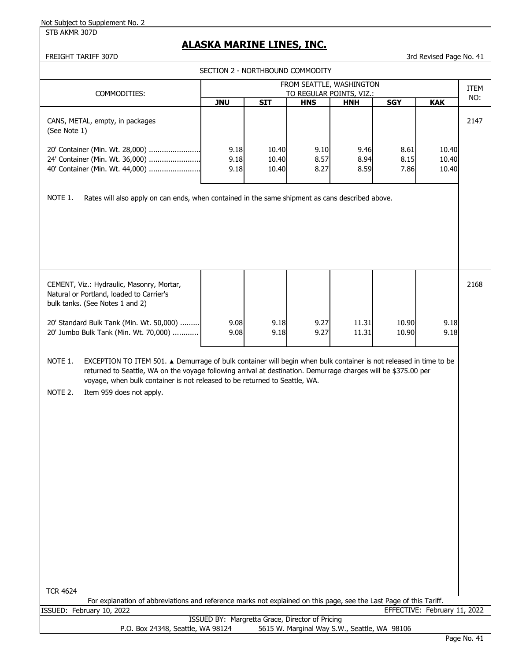STB AKMR 307D

# **ALASKA MARINE LINES, INC.**

FREIGHT TARIFF 307D 3rd Revised Page No. 41

|                                                                                                                                                                                                                                                                                                                              | SECTION 2 - NORTHBOUND COMMODITY                |                         |                      |                                                      |                      |                              |      |  |
|------------------------------------------------------------------------------------------------------------------------------------------------------------------------------------------------------------------------------------------------------------------------------------------------------------------------------|-------------------------------------------------|-------------------------|----------------------|------------------------------------------------------|----------------------|------------------------------|------|--|
|                                                                                                                                                                                                                                                                                                                              |                                                 |                         |                      | FROM SEATTLE, WASHINGTON<br>TO REGULAR POINTS, VIZ.: |                      |                              |      |  |
| COMMODITIES:                                                                                                                                                                                                                                                                                                                 | <b>JNU</b>                                      | <b>SIT</b>              | <b>HNS</b>           | <b>HNH</b>                                           | <b>SGY</b>           | <b>KAK</b>                   | NO:  |  |
| CANS, METAL, empty, in packages<br>(See Note 1)                                                                                                                                                                                                                                                                              |                                                 |                         |                      |                                                      |                      |                              | 2147 |  |
| 20' Container (Min. Wt. 28,000)<br>24' Container (Min. Wt. 36,000)<br>40' Container (Min. Wt. 44,000)                                                                                                                                                                                                                        | 9.18<br>9.18<br>9.18                            | 10.40<br>10.40<br>10.40 | 9.10<br>8.57<br>8.27 | 9.46<br>8.94<br>8.59                                 | 8.61<br>8.15<br>7.86 | 10.40<br>10.40<br>10.40      |      |  |
| NOTE 1.<br>Rates will also apply on can ends, when contained in the same shipment as cans described above.                                                                                                                                                                                                                   |                                                 |                         |                      |                                                      |                      |                              |      |  |
| CEMENT, Viz.: Hydraulic, Masonry, Mortar,<br>Natural or Portland, loaded to Carrier's<br>bulk tanks. (See Notes 1 and 2)                                                                                                                                                                                                     |                                                 |                         |                      |                                                      |                      |                              | 2168 |  |
| 20' Standard Bulk Tank (Min. Wt. 50,000)<br>20' Jumbo Bulk Tank (Min. Wt. 70,000)                                                                                                                                                                                                                                            | 9.08<br>9.08                                    | 9.18<br>9.18            | 9.27<br>9.27         | 11.31<br>11.31                                       | 10.90<br>10.90       | 9.18<br>9.18                 |      |  |
| EXCEPTION TO ITEM 501. ▲ Demurrage of bulk container will begin when bulk container is not released in time to be<br>NOTE 1.<br>returned to Seattle, WA on the voyage following arrival at destination. Demurrage charges will be \$375.00 per<br>voyage, when bulk container is not released to be returned to Seattle, WA. |                                                 |                         |                      |                                                      |                      |                              |      |  |
| NOTE 2.<br>Item 959 does not apply.                                                                                                                                                                                                                                                                                          |                                                 |                         |                      |                                                      |                      |                              |      |  |
|                                                                                                                                                                                                                                                                                                                              |                                                 |                         |                      |                                                      |                      |                              |      |  |
|                                                                                                                                                                                                                                                                                                                              |                                                 |                         |                      |                                                      |                      |                              |      |  |
|                                                                                                                                                                                                                                                                                                                              |                                                 |                         |                      |                                                      |                      |                              |      |  |
|                                                                                                                                                                                                                                                                                                                              |                                                 |                         |                      |                                                      |                      |                              |      |  |
|                                                                                                                                                                                                                                                                                                                              |                                                 |                         |                      |                                                      |                      |                              |      |  |
| <b>TCR 4624</b><br>For explanation of abbreviations and reference marks not explained on this page, see the Last Page of this Tariff.                                                                                                                                                                                        |                                                 |                         |                      |                                                      |                      |                              |      |  |
| ISSUED: February 10, 2022                                                                                                                                                                                                                                                                                                    |                                                 |                         |                      |                                                      |                      | EFFECTIVE: February 11, 2022 |      |  |
| P.O. Box 24348, Seattle, WA 98124                                                                                                                                                                                                                                                                                            | ISSUED BY: Margretta Grace, Director of Pricing |                         |                      | 5615 W. Marginal Way S.W., Seattle, WA 98106         |                      |                              |      |  |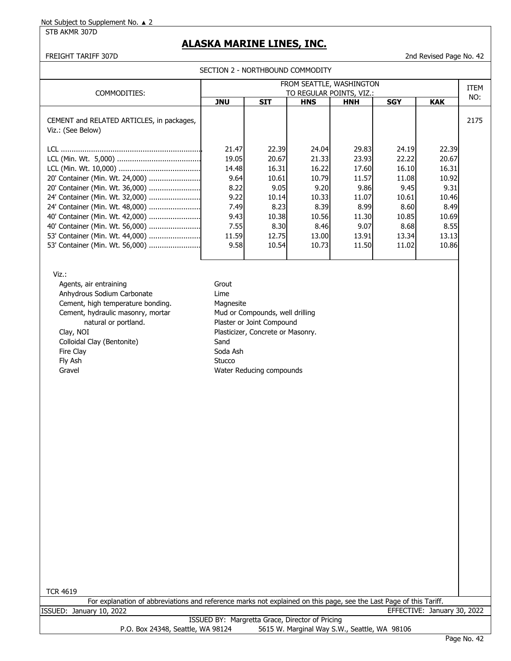STB AKMR 307D

## **ALASKA MARINE LINES, INC.**

FREIGHT TARIFF 307D 2nd Revised Page No. 42

| COMMODITIES:                                                   | FROM SEATTLE, WASHINGTON<br>TO REGULAR POINTS, VIZ.: |            |            |            |            |            |      |
|----------------------------------------------------------------|------------------------------------------------------|------------|------------|------------|------------|------------|------|
|                                                                | <b>JNU</b>                                           | <b>SIT</b> | <b>HNS</b> | <b>HNH</b> | <b>SGY</b> | <b>KAK</b> | NO:  |
| CEMENT and RELATED ARTICLES, in packages,<br>Viz.: (See Below) |                                                      |            |            |            |            |            | 2175 |
| LCL.                                                           | 21.47                                                | 22.39      | 24.04      | 29.83      | 24.19      | 22.39      |      |
|                                                                | 19.05                                                | 20.67      | 21.33      | 23.93      | 22.22      | 20.67      |      |
|                                                                | 14.48                                                | 16.31      | 16.22      | 17.60      | 16.10      | 16.31      |      |
|                                                                | 9.64                                                 | 10.61      | 10.79      | 11.57      | 11.08      | 10.92      |      |
|                                                                | 8.22                                                 | 9.05       | 9.20       | 9.86       | 9.45       | 9.31       |      |
|                                                                | 9.22                                                 | 10.14      | 10.33      | 11.07      | 10.61      | 10.46      |      |
| 24' Container (Min. Wt. 48,000)                                | 7.49                                                 | 8.23       | 8.39       | 8.99       | 8.60       | 8.49       |      |
|                                                                | 9.43                                                 | 10.38      | 10.56      | 11.30      | 10.85      | 10.69      |      |
|                                                                | 7.55I                                                | 8.30       | 8.46       | 9.07       | 8.68       | 8.55       |      |
| 53' Container (Min. Wt. 44,000)                                | 11.59                                                | 12.75      | 13.00      | 13.91      | 13.34      | 13.13      |      |
|                                                                | 9.58                                                 | 10.54      | 10.73      | 11.50      | 11.02      | 10.86      |      |

Viz.:

Agents, air entraining Grout Anhydrous Sodium Carbonate **Lime** Cement, high temperature bonding. Magnesite Cement, hydraulic masonry, mortar Mud or Compounds, well drilling natural or portland. The process of Plaster or Joint Compound Clay, NOI Plasticizer, Concrete or Masonry. Colloidal Clay (Bentonite) Sand Fire Clay **Soda Ash** Fly Ash Stucco Gravel Gravel **Gravel Compounds Water Reducing compounds** 

TCR 4619

|                          | For explanation of abbreviations and reference marks not explained on this page, see the Last Page of this Tariff. |                             |  |
|--------------------------|--------------------------------------------------------------------------------------------------------------------|-----------------------------|--|
| ISSUED: January 10, 2022 |                                                                                                                    | EFFECTIVE: January 30, 2022 |  |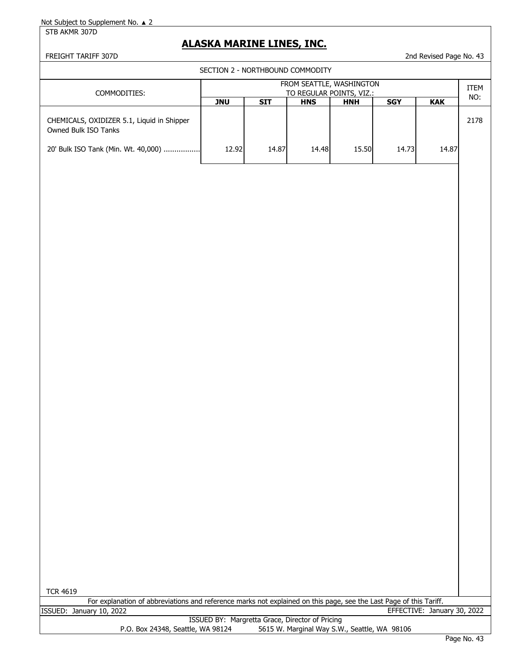STB AKMR 307D

# **ALASKA MARINE LINES, INC.**

FREIGHT TARIFF 307D 2nd Revised Page No. 43

SECTION 2 - NORTHROUND COMMODITY

|                                                                      |            | SECTION Z - NORTHBOUND COMMODITY |            |            |            |            |      |
|----------------------------------------------------------------------|------------|----------------------------------|------------|------------|------------|------------|------|
| FROM SEATTLE, WASHINGTON<br>COMMODITIES:<br>TO REGULAR POINTS, VIZ.: |            |                                  |            |            |            | ITEM       |      |
|                                                                      | <b>JNU</b> | STT                              | <b>HNS</b> | <b>HNH</b> | <b>SGY</b> | <b>KAK</b> | NO:  |
| CHEMICALS, OXIDIZER 5.1, Liquid in Shipper<br>Owned Bulk ISO Tanks   |            |                                  |            |            |            |            | 2178 |
| 20' Bulk ISO Tank (Min. Wt. 40,000)                                  | 12.92      | 14.87                            | 14.48      | 15.50      | 14.73      | 14.87      |      |
|                                                                      |            |                                  |            |            |            |            |      |
|                                                                      |            |                                  |            |            |            |            |      |
|                                                                      |            |                                  |            |            |            |            |      |
|                                                                      |            |                                  |            |            |            |            |      |
|                                                                      |            |                                  |            |            |            |            |      |
|                                                                      |            |                                  |            |            |            |            |      |
|                                                                      |            |                                  |            |            |            |            |      |
|                                                                      |            |                                  |            |            |            |            |      |
|                                                                      |            |                                  |            |            |            |            |      |
|                                                                      |            |                                  |            |            |            |            |      |
|                                                                      |            |                                  |            |            |            |            |      |
|                                                                      |            |                                  |            |            |            |            |      |
|                                                                      |            |                                  |            |            |            |            |      |
|                                                                      |            |                                  |            |            |            |            |      |
|                                                                      |            |                                  |            |            |            |            |      |
|                                                                      |            |                                  |            |            |            |            |      |

TCR 4619

|                          | For explanation of abbreviations and reference marks not explained on this page, see the Last Page of this Tariff. |  |  |
|--------------------------|--------------------------------------------------------------------------------------------------------------------|--|--|
| ISSUED: January 10, 2022 | EFFECTIVE: January 30, 2022                                                                                        |  |  |

|                                   | ISSUED BY: Margretta Grace, Director of Pricing |
|-----------------------------------|-------------------------------------------------|
| P.O. Box 24348, Seattle, WA 98124 | 5615 W. Marginal Way S.W., Seattle, WA 98106    |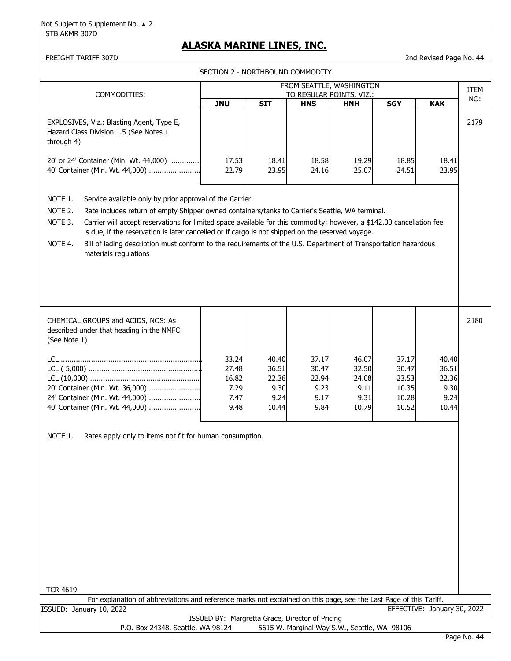## STB AKMR 307D

# **ALASKA MARINE LINES, INC.**

FREIGHT TARIFF 307D 2nd Revised Page No. 44

| SECTION 2 - NORTHBOUND COMMODITY                                                                                                                                                                                                                                                                                                                                                                                                                                                                                                                                                |                                                 |                                                  |                                                      |                                                  |                                                    |                                                  |      |  |  |
|---------------------------------------------------------------------------------------------------------------------------------------------------------------------------------------------------------------------------------------------------------------------------------------------------------------------------------------------------------------------------------------------------------------------------------------------------------------------------------------------------------------------------------------------------------------------------------|-------------------------------------------------|--------------------------------------------------|------------------------------------------------------|--------------------------------------------------|----------------------------------------------------|--------------------------------------------------|------|--|--|
|                                                                                                                                                                                                                                                                                                                                                                                                                                                                                                                                                                                 |                                                 |                                                  | FROM SEATTLE, WASHINGTON<br>TO REGULAR POINTS, VIZ.: |                                                  |                                                    |                                                  |      |  |  |
| COMMODITIES:                                                                                                                                                                                                                                                                                                                                                                                                                                                                                                                                                                    | <b>JNU</b>                                      | <b>SIT</b>                                       | <b>HNS</b>                                           | <b>HNH</b>                                       | <b>SGY</b>                                         | <b>KAK</b>                                       | NO:  |  |  |
| EXPLOSIVES, Viz.: Blasting Agent, Type E,<br>Hazard Class Division 1.5 (See Notes 1<br>through 4)                                                                                                                                                                                                                                                                                                                                                                                                                                                                               |                                                 |                                                  |                                                      |                                                  |                                                    |                                                  | 2179 |  |  |
| 20' or 24' Container (Min. Wt. 44,000)<br>40' Container (Min. Wt. 44,000)                                                                                                                                                                                                                                                                                                                                                                                                                                                                                                       | 17.53<br>22.79                                  | 18.41<br>23.95                                   | 18.58<br>24.16                                       | 19.29<br>25.07                                   | 18.85<br>24.51                                     | 18.41<br>23.95                                   |      |  |  |
| NOTE 1.<br>Service available only by prior approval of the Carrier.<br>NOTE 2.<br>Rate includes return of empty Shipper owned containers/tanks to Carrier's Seattle, WA terminal.<br>NOTE 3.<br>Carrier will accept reservations for limited space available for this commodity; however, a \$142.00 cancellation fee<br>is due, if the reservation is later cancelled or if cargo is not shipped on the reserved voyage.<br>NOTE 4.<br>Bill of lading description must conform to the requirements of the U.S. Department of Transportation hazardous<br>materials regulations |                                                 |                                                  |                                                      |                                                  |                                                    |                                                  |      |  |  |
| CHEMICAL GROUPS and ACIDS, NOS: As<br>described under that heading in the NMFC:<br>(See Note 1)                                                                                                                                                                                                                                                                                                                                                                                                                                                                                 |                                                 |                                                  |                                                      |                                                  |                                                    |                                                  | 2180 |  |  |
| 20' Container (Min. Wt. 36,000)<br>24' Container (Min. Wt. 44,000)<br>40' Container (Min. Wt. 44,000)                                                                                                                                                                                                                                                                                                                                                                                                                                                                           | 33.24<br>27.48<br>16.82<br>7.29<br>7.47<br>9.48 | 40.40<br>36.51<br>22.36<br>9.30<br>9.24<br>10.44 | 37.17<br>30.47<br>22.94<br>9.23<br>9.17<br>9.84      | 46.07<br>32.50<br>24.08<br>9.11<br>9.31<br>10.79 | 37.17<br>30.47<br>23.53<br>10.35<br>10.28<br>10.52 | 40.40<br>36.51<br>22.36<br>9.30<br>9.24<br>10.44 |      |  |  |
| NOTE 1.<br>Rates apply only to items not fit for human consumption.<br><b>TCR 4619</b>                                                                                                                                                                                                                                                                                                                                                                                                                                                                                          |                                                 |                                                  |                                                      |                                                  |                                                    |                                                  |      |  |  |
| For explanation of abbreviations and reference marks not explained on this page, see the Last Page of this Tariff.                                                                                                                                                                                                                                                                                                                                                                                                                                                              |                                                 |                                                  |                                                      |                                                  |                                                    |                                                  |      |  |  |
| ISSUED: January 10, 2022                                                                                                                                                                                                                                                                                                                                                                                                                                                                                                                                                        |                                                 | ISSUED BY: Margretta Grace, Director of Pricing  |                                                      |                                                  |                                                    | EFFECTIVE: January 30, 2022                      |      |  |  |
| P.O. Box 24348, Seattle, WA 98124                                                                                                                                                                                                                                                                                                                                                                                                                                                                                                                                               |                                                 |                                                  | 5615 W. Marginal Way S.W., Seattle, WA 98106         |                                                  |                                                    |                                                  |      |  |  |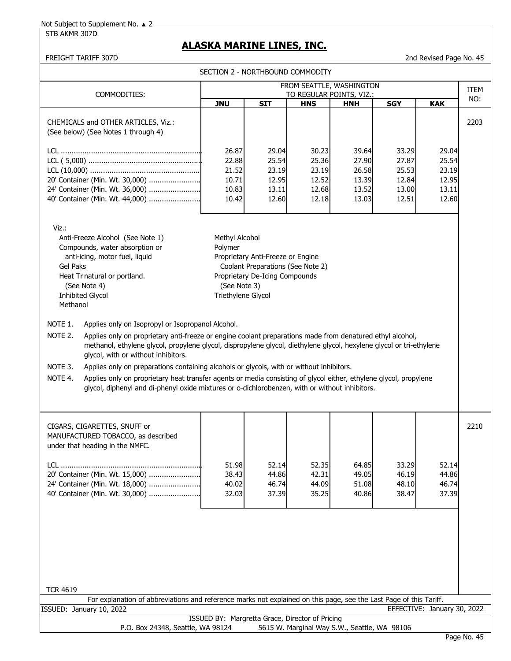## STB AKMR 307D

# **ALASKA MARINE LINES, INC.**

FREIGHT TARIFF 307D 2nd Revised Page No. 45

|                                                                                                                                                                                                                                                                                                                                                                                                                                                                                                                                                                                                                                                                                              | SECTION 2 - NORTHBOUND COMMODITY                                |                                                                                                          |                                                    |                                                    |                                                    |                                                    |      |
|----------------------------------------------------------------------------------------------------------------------------------------------------------------------------------------------------------------------------------------------------------------------------------------------------------------------------------------------------------------------------------------------------------------------------------------------------------------------------------------------------------------------------------------------------------------------------------------------------------------------------------------------------------------------------------------------|-----------------------------------------------------------------|----------------------------------------------------------------------------------------------------------|----------------------------------------------------|----------------------------------------------------|----------------------------------------------------|----------------------------------------------------|------|
| FROM SEATTLE, WASHINGTON<br>TO REGULAR POINTS, VIZ.:<br>COMMODITIES:                                                                                                                                                                                                                                                                                                                                                                                                                                                                                                                                                                                                                         |                                                                 |                                                                                                          |                                                    |                                                    |                                                    |                                                    | ITEM |
|                                                                                                                                                                                                                                                                                                                                                                                                                                                                                                                                                                                                                                                                                              | <b>JNU</b>                                                      | <b>SIT</b>                                                                                               | <b>HNS</b>                                         | <b>HNH</b>                                         | <b>SGY</b>                                         | <b>KAK</b>                                         | NO:  |
| CHEMICALS and OTHER ARTICLES, Viz.:<br>(See below) (See Notes 1 through 4)                                                                                                                                                                                                                                                                                                                                                                                                                                                                                                                                                                                                                   |                                                                 |                                                                                                          |                                                    |                                                    |                                                    |                                                    | 2203 |
| 20' Container (Min. Wt. 30,000)<br>24' Container (Min. Wt. 36,000)<br>40' Container (Min. Wt. 44,000)                                                                                                                                                                                                                                                                                                                                                                                                                                                                                                                                                                                        | 26.87<br>22.88<br>21.52<br>10.71<br>10.83<br>10.42              | 29.04<br>25.54<br>23.19<br>12.95<br>13.11<br>12.60                                                       | 30.23<br>25.36<br>23.19<br>12.52<br>12.68<br>12.18 | 39.64<br>27.90<br>26.58<br>13.39<br>13.52<br>13.03 | 33.29<br>27.87<br>25.53<br>12.84<br>13.00<br>12.51 | 29.04<br>25.54<br>23.19<br>12.95<br>13.11<br>12.60 |      |
| Viz.:<br>Anti-Freeze Alcohol (See Note 1)<br>Compounds, water absorption or<br>anti-icing, motor fuel, liquid<br><b>Gel Paks</b><br>Heat Tr natural or portland.<br>(See Note 4)<br><b>Inhibited Glycol</b><br>Methanol                                                                                                                                                                                                                                                                                                                                                                                                                                                                      | Methyl Alcohol<br>Polymer<br>(See Note 3)<br>Triethylene Glycol | Proprietary Anti-Freeze or Engine<br>Coolant Preparations (See Note 2)<br>Proprietary De-Icing Compounds |                                                    |                                                    |                                                    |                                                    |      |
| NOTE 1.<br>Applies only on Isopropyl or Isopropanol Alcohol.<br>NOTE 2.<br>Applies only on proprietary anti-freeze or engine coolant preparations made from denatured ethyl alcohol,<br>methanol, ethylene glycol, propylene glycol, dispropylene glycol, diethylene glycol, hexylene glycol or tri-ethylene<br>glycol, with or without inhibitors.<br>NOTE 3.<br>Applies only on preparations containing alcohols or glycols, with or without inhibitors.<br>NOTE 4.<br>Applies only on proprietary heat transfer agents or media consisting of glycol either, ethylene glycol, propylene<br>glycol, diphenyl and di-phenyl oxide mixtures or o-dichlorobenzen, with or without inhibitors. |                                                                 |                                                                                                          |                                                    |                                                    |                                                    |                                                    |      |
| CIGARS, CIGARETTES, SNUFF or<br>MANUFACTURED TOBACCO, as described<br>under that heading in the NMFC.<br>20' Container (Min. Wt. 15,000)<br>24' Container (Min. Wt. 18,000)                                                                                                                                                                                                                                                                                                                                                                                                                                                                                                                  | 51.98<br>38.43<br>40.02                                         | 52.14<br>44.86<br>46.74                                                                                  | 52.35<br>42.31<br>44.09                            | 64.85<br>49.05<br>51.08                            | 33.29<br>46.19<br>48.10                            | 52.14<br>44.86<br>46.74                            | 2210 |
| 40' Container (Min. Wt. 30,000)<br><b>TCR 4619</b><br>For explanation of abbreviations and reference marks not explained on this page, see the Last Page of this Tariff.                                                                                                                                                                                                                                                                                                                                                                                                                                                                                                                     | 32.03                                                           | 37.39                                                                                                    | 35.25                                              | 40.86                                              | 38.47                                              | 37.39                                              |      |
| ISSUED: January 10, 2022                                                                                                                                                                                                                                                                                                                                                                                                                                                                                                                                                                                                                                                                     |                                                                 |                                                                                                          |                                                    |                                                    |                                                    | EFFECTIVE: January 30, 2022                        |      |
| P.O. Box 24348, Seattle, WA 98124                                                                                                                                                                                                                                                                                                                                                                                                                                                                                                                                                                                                                                                            | ISSUED BY: Margretta Grace, Director of Pricing                 |                                                                                                          | 5615 W. Marginal Way S.W., Seattle, WA 98106       |                                                    |                                                    |                                                    |      |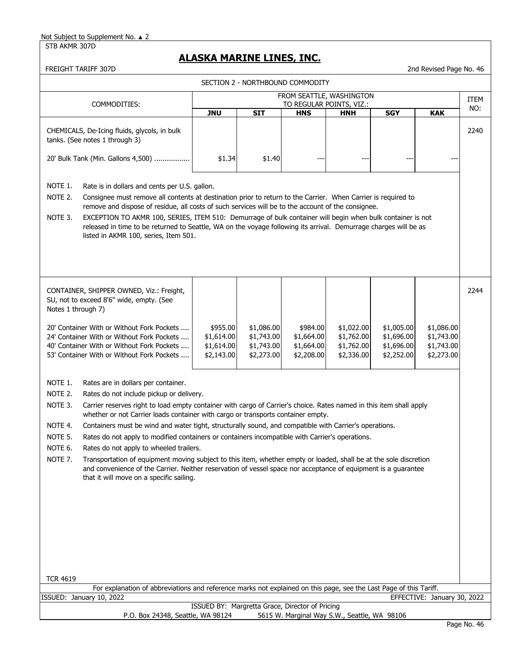STB AKMR 307D

# **ALASKA MARINE LINES, INC.**

| FREIGHT TARIFF 307D                                                                                                                                                                                                                                                                                    |                                                 |                          |                                              |                          |                          | 2nd Revised Page No. 46     |             |  |
|--------------------------------------------------------------------------------------------------------------------------------------------------------------------------------------------------------------------------------------------------------------------------------------------------------|-------------------------------------------------|--------------------------|----------------------------------------------|--------------------------|--------------------------|-----------------------------|-------------|--|
|                                                                                                                                                                                                                                                                                                        |                                                 |                          | SECTION 2 - NORTHBOUND COMMODITY             |                          |                          |                             |             |  |
|                                                                                                                                                                                                                                                                                                        |                                                 |                          | FROM SEATTLE, WASHINGTON                     |                          |                          |                             | <b>ITEM</b> |  |
| COMMODITIES:                                                                                                                                                                                                                                                                                           | TO REGULAR POINTS, VIZ.:                        |                          |                                              |                          |                          |                             |             |  |
|                                                                                                                                                                                                                                                                                                        | <b>JNU</b>                                      | <b>SIT</b>               | <b>HNS</b>                                   | <b>HNH</b>               | <b>SGY</b>               | <b>KAK</b>                  | NO:         |  |
| CHEMICALS, De-Icing fluids, glycols, in bulk<br>tanks. (See notes 1 through 3)                                                                                                                                                                                                                         |                                                 |                          |                                              |                          |                          |                             | 2240        |  |
| 20' Bulk Tank (Min. Gallons 4,500)                                                                                                                                                                                                                                                                     | \$1.34                                          | \$1.40                   |                                              |                          |                          |                             |             |  |
| NOTE 1.<br>Rate is in dollars and cents per U.S. gallon.                                                                                                                                                                                                                                               |                                                 |                          |                                              |                          |                          |                             |             |  |
| NOTE 2.<br>Consignee must remove all contents at destination prior to return to the Carrier. When Carrier is required to<br>remove and dispose of residue, all costs of such services will be to the account of the consignee.                                                                         |                                                 |                          |                                              |                          |                          |                             |             |  |
| EXCEPTION TO AKMR 100, SERIES, ITEM 510: Demurrage of bulk container will begin when bulk container is not<br>NOTE 3.<br>released in time to be returned to Seattle, WA on the voyage following its arrival. Demurrage charges will be as<br>listed in AKMR 100, series, Item 501.                     |                                                 |                          |                                              |                          |                          |                             |             |  |
|                                                                                                                                                                                                                                                                                                        |                                                 |                          |                                              |                          |                          |                             |             |  |
| CONTAINER, SHIPPER OWNED, Viz.: Freight,<br>SU, not to exceed 8'6" wide, empty. (See<br>Notes 1 through 7)                                                                                                                                                                                             |                                                 |                          |                                              |                          |                          |                             | 2244        |  |
| 20' Container With or Without Fork Pockets                                                                                                                                                                                                                                                             | \$955.00                                        | \$1,086.00               | \$984.00                                     | \$1,022.00               | \$1,005.00               | \$1,086.00                  |             |  |
| 24' Container With or Without Fork Pockets                                                                                                                                                                                                                                                             | \$1,614.00                                      | \$1,743.00               | \$1,664.00                                   | \$1,762.00               | \$1,696.00               | \$1,743.00                  |             |  |
| 40' Container With or Without Fork Pockets<br>53' Container With or Without Fork Pockets                                                                                                                                                                                                               | \$1,614.00<br>\$2,143.00                        | \$1,743.00<br>\$2,273.00 | \$1,664.00<br>\$2,208.00                     | \$1,762.00<br>\$2,336.00 | \$1,696.00<br>\$2,252.00 | \$1,743.00<br>\$2,273.00    |             |  |
|                                                                                                                                                                                                                                                                                                        |                                                 |                          |                                              |                          |                          |                             |             |  |
| NOTE 1.<br>Rates are in dollars per container.                                                                                                                                                                                                                                                         |                                                 |                          |                                              |                          |                          |                             |             |  |
| NOTE 2.<br>Rates do not include pickup or delivery.                                                                                                                                                                                                                                                    |                                                 |                          |                                              |                          |                          |                             |             |  |
| NOTE 3.<br>Carrier reserves right to load empty container with cargo of Carrier's choice. Rates named in this item shall apply<br>whether or not Carrier loads container with cargo or transports container empty.                                                                                     |                                                 |                          |                                              |                          |                          |                             |             |  |
| NOTE 4.<br>Containers must be wind and water tight, structurally sound, and compatible with Carrier's operations.                                                                                                                                                                                      |                                                 |                          |                                              |                          |                          |                             |             |  |
| NOTE <sub>5</sub><br>Rates do not apply to modified containers or containers incompatible with Carrier's operations.                                                                                                                                                                                   |                                                 |                          |                                              |                          |                          |                             |             |  |
| NOTE 6.<br>Rates do not apply to wheeled trailers.                                                                                                                                                                                                                                                     |                                                 |                          |                                              |                          |                          |                             |             |  |
| NOTE <sub>7</sub> .<br>Transportation of equipment moving subject to this item, whether empty or loaded, shall be at the sole discretion<br>and convenience of the Carrier. Neither reservation of vessel space nor acceptance of equipment is a guarantee<br>that it will move on a specific sailing. |                                                 |                          |                                              |                          |                          |                             |             |  |
|                                                                                                                                                                                                                                                                                                        |                                                 |                          |                                              |                          |                          |                             |             |  |
|                                                                                                                                                                                                                                                                                                        |                                                 |                          |                                              |                          |                          |                             |             |  |
|                                                                                                                                                                                                                                                                                                        |                                                 |                          |                                              |                          |                          |                             |             |  |
|                                                                                                                                                                                                                                                                                                        |                                                 |                          |                                              |                          |                          |                             |             |  |
|                                                                                                                                                                                                                                                                                                        |                                                 |                          |                                              |                          |                          |                             |             |  |
|                                                                                                                                                                                                                                                                                                        |                                                 |                          |                                              |                          |                          |                             |             |  |
| <b>TCR 4619</b>                                                                                                                                                                                                                                                                                        |                                                 |                          |                                              |                          |                          |                             |             |  |
| For explanation of abbreviations and reference marks not explained on this page, see the Last Page of this Tariff.                                                                                                                                                                                     |                                                 |                          |                                              |                          |                          |                             |             |  |
| ISSUED: January 10, 2022                                                                                                                                                                                                                                                                               |                                                 |                          |                                              |                          |                          | EFFECTIVE: January 30, 2022 |             |  |
| P.O. Box 24348, Seattle, WA 98124                                                                                                                                                                                                                                                                      | ISSUED BY: Margretta Grace, Director of Pricing |                          | 5615 W. Marginal Way S.W., Seattle, WA 98106 |                          |                          |                             |             |  |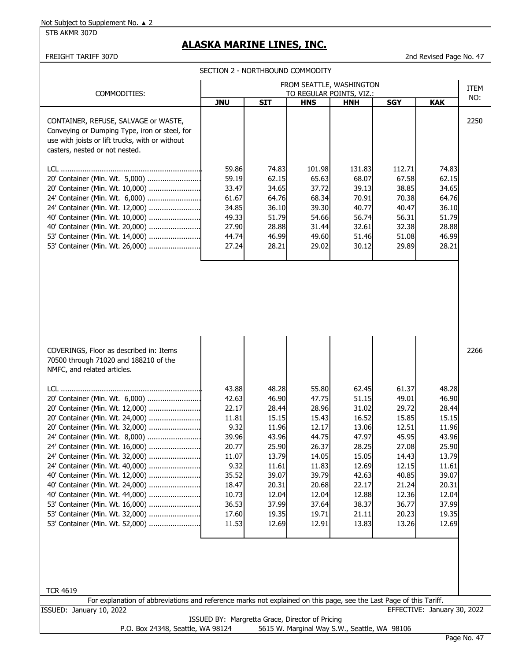STB AKMR 307D

# **ALASKA MARINE LINES, INC.**

## FREIGHT TARIFF 307D 2nd Revised Page No. 47

SECTION 2 - NORTHBOUND COMMODITY

|                                                                                                                                                                                                                                                                                                                                                                                                                                                                                                                                                                                                                                                                                                                                                                  | FROM SEATTLE, WASHINGTON                                                                                                          |                                                                                                                                     |                                                                                                                                     |                                                                                                                                     |                                                                                                                                     |                                                                                                                                     |             |
|------------------------------------------------------------------------------------------------------------------------------------------------------------------------------------------------------------------------------------------------------------------------------------------------------------------------------------------------------------------------------------------------------------------------------------------------------------------------------------------------------------------------------------------------------------------------------------------------------------------------------------------------------------------------------------------------------------------------------------------------------------------|-----------------------------------------------------------------------------------------------------------------------------------|-------------------------------------------------------------------------------------------------------------------------------------|-------------------------------------------------------------------------------------------------------------------------------------|-------------------------------------------------------------------------------------------------------------------------------------|-------------------------------------------------------------------------------------------------------------------------------------|-------------------------------------------------------------------------------------------------------------------------------------|-------------|
| COMMODITIES:                                                                                                                                                                                                                                                                                                                                                                                                                                                                                                                                                                                                                                                                                                                                                     |                                                                                                                                   |                                                                                                                                     |                                                                                                                                     | TO REGULAR POINTS, VIZ.:                                                                                                            |                                                                                                                                     |                                                                                                                                     | ITEM<br>NO: |
| CONTAINER, REFUSE, SALVAGE or WASTE,<br>Conveying or Dumping Type, iron or steel, for<br>use with joists or lift trucks, with or without<br>casters, nested or not nested.<br>20' Container (Min. Wt. 5,000)<br>20' Container (Min. Wt. 10,000)<br>24' Container (Min. Wt. 6,000)<br>24' Container (Min. Wt. 12,000)<br>40' Container (Min. Wt. 10,000)<br>40' Container (Min. Wt. 20,000)<br>53' Container (Min. Wt. 14,000)<br>53' Container (Min. Wt. 26,000)                                                                                                                                                                                                                                                                                                 | <b>JNU</b><br>59.86<br>59.19<br>33.47<br>61.67<br>34.85<br>49.33<br>27.90<br>44.74<br>27.24                                       | <b>SIT</b><br>74.83<br>62.15<br>34.65<br>64.76<br>36.10<br>51.79<br>28.88<br>46.99<br>28.21                                         | <b>HNS</b><br>101.98<br>65.63<br>37.72<br>68.34<br>39.30<br>54.66<br>31.44<br>49.60<br>29.02                                        | <b>HNH</b><br>131.83<br>68.07<br>39.13<br>70.91<br>40.77<br>56.74<br>32.61<br>51.46<br>30.12                                        | <b>SGY</b><br>112.71<br>67.58<br>38.85<br>70.38<br>40.47<br>56.31<br>32.38<br>51.08<br>29.89                                        | <b>KAK</b><br>74.83<br>62.15<br>34.65<br>64.76<br>36.10<br>51.79<br>28.88<br>46.99<br>28.21                                         | 2250        |
| COVERINGS, Floor as described in: Items<br>70500 through 71020 and 188210 of the<br>NMFC, and related articles.<br>20' Container (Min. Wt. 6,000)<br>20' Container (Min. Wt. 12,000)<br>20' Container (Min. Wt. 24,000)<br>20' Container (Min. Wt. 32,000)<br>24' Container (Min. Wt. 8,000)<br>24' Container (Min. Wt. 16,000)<br>24' Container (Min. Wt. 32,000)<br>24' Container (Min. Wt. 40,000)<br>40' Container (Min. Wt. 12,000)<br>40' Container (Min. Wt. 24,000)<br>40' Container (Min. Wt. 44,000)<br>53' Container (Min. Wt. 16,000)<br>53' Container (Min. Wt. 32,000)<br>53' Container (Min. Wt. 52,000)<br><b>TCR 4619</b><br>For explanation of abbreviations and reference marks not explained on this page, see the Last Page of this Tariff. | 43.88<br>42.63<br>22.17<br>11.81<br>9.32<br>39.96<br>20.77<br>11.07<br>9.32<br>35.52<br>18.47<br>10.73<br>36.53<br>17.60<br>11.53 | 48.28<br>46.90<br>28.44<br>15.15<br>11.96<br>43.96<br>25.90<br>13.79<br>11.61<br>39.07<br>20.31<br>12.04<br>37.99<br>19.35<br>12.69 | 55.80<br>47.75<br>28.96<br>15.43<br>12.17<br>44.75<br>26.37<br>14.05<br>11.83<br>39.79<br>20.68<br>12.04<br>37.64<br>19.71<br>12.91 | 62.45<br>51.15<br>31.02<br>16.52<br>13.06<br>47.97<br>28.25<br>15.05<br>12.69<br>42.63<br>22.17<br>12.88<br>38.37<br>21.11<br>13.83 | 61.37<br>49.01<br>29.72<br>15.85<br>12.51<br>45.95<br>27.08<br>14.43<br>12.15<br>40.85<br>21.24<br>12.36<br>36.77<br>20.23<br>13.26 | 48.28<br>46.90<br>28.44<br>15.15<br>11.96<br>43.96<br>25.90<br>13.79<br>11.61<br>39.07<br>20.31<br>12.04<br>37.99<br>19.35<br>12.69 | 2266        |
| ISSUED: January 10, 2022                                                                                                                                                                                                                                                                                                                                                                                                                                                                                                                                                                                                                                                                                                                                         |                                                                                                                                   |                                                                                                                                     |                                                                                                                                     |                                                                                                                                     |                                                                                                                                     | EFFECTIVE: January 30, 2022                                                                                                         |             |
| P.O. Box 24348, Seattle, WA 98124                                                                                                                                                                                                                                                                                                                                                                                                                                                                                                                                                                                                                                                                                                                                | ISSUED BY: Margretta Grace, Director of Pricing                                                                                   |                                                                                                                                     |                                                                                                                                     | 5615 W. Marginal Way S.W., Seattle, WA 98106                                                                                        |                                                                                                                                     |                                                                                                                                     |             |
|                                                                                                                                                                                                                                                                                                                                                                                                                                                                                                                                                                                                                                                                                                                                                                  |                                                                                                                                   |                                                                                                                                     |                                                                                                                                     |                                                                                                                                     |                                                                                                                                     |                                                                                                                                     | Page No. 47 |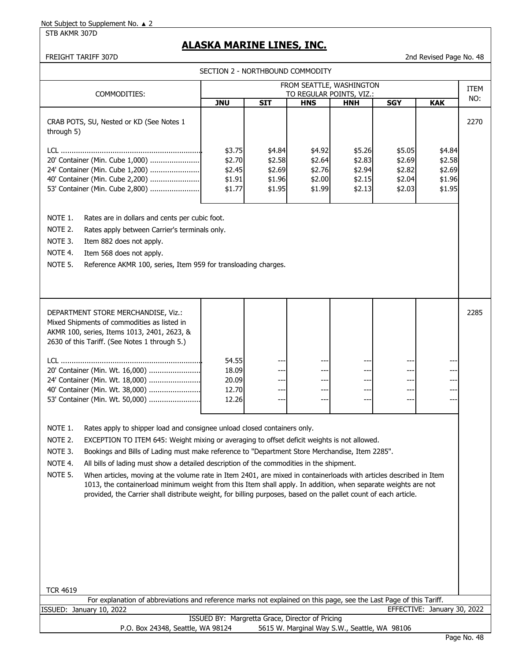STB AKMR 307D

## **ALASKA MARINE LINES, INC.**

| FREIGHT TARIFF 307D<br>2nd Revised Page No. 48                                                                                                                                                                                                                                                                                                                                                                                                                                                                                                                                                                                                                                                                                                                                         |                                                |                                                |                                                |                                                |                                                |                                                |             |
|----------------------------------------------------------------------------------------------------------------------------------------------------------------------------------------------------------------------------------------------------------------------------------------------------------------------------------------------------------------------------------------------------------------------------------------------------------------------------------------------------------------------------------------------------------------------------------------------------------------------------------------------------------------------------------------------------------------------------------------------------------------------------------------|------------------------------------------------|------------------------------------------------|------------------------------------------------|------------------------------------------------|------------------------------------------------|------------------------------------------------|-------------|
|                                                                                                                                                                                                                                                                                                                                                                                                                                                                                                                                                                                                                                                                                                                                                                                        | SECTION 2 - NORTHBOUND COMMODITY               |                                                |                                                |                                                |                                                |                                                |             |
|                                                                                                                                                                                                                                                                                                                                                                                                                                                                                                                                                                                                                                                                                                                                                                                        |                                                |                                                |                                                | FROM SEATTLE, WASHINGTON                       |                                                |                                                | <b>ITEM</b> |
| COMMODITIES:                                                                                                                                                                                                                                                                                                                                                                                                                                                                                                                                                                                                                                                                                                                                                                           | <b>JNU</b>                                     | <b>SIT</b>                                     | <b>HNS</b>                                     | TO REGULAR POINTS, VIZ.:<br><b>HNH</b>         | <b>SGY</b>                                     | <b>KAK</b>                                     | NO:         |
| CRAB POTS, SU, Nested or KD (See Notes 1<br>through 5)                                                                                                                                                                                                                                                                                                                                                                                                                                                                                                                                                                                                                                                                                                                                 |                                                |                                                |                                                |                                                |                                                |                                                | 2270        |
| 20' Container (Min. Cube 1,000)<br>24' Container (Min. Cube 1,200)<br>40' Container (Min. Cube 2,200)<br>53' Container (Min. Cube 2,800)                                                                                                                                                                                                                                                                                                                                                                                                                                                                                                                                                                                                                                               | \$3.75<br>\$2.70<br>\$2.45<br>\$1.91<br>\$1.77 | \$4.84<br>\$2.58<br>\$2.69<br>\$1.96<br>\$1.95 | \$4.92<br>\$2.64<br>\$2.76<br>\$2.00<br>\$1.99 | \$5.26<br>\$2.83<br>\$2.94<br>\$2.15<br>\$2.13 | \$5.05<br>\$2.69<br>\$2.82<br>\$2.04<br>\$2.03 | \$4.84<br>\$2.58<br>\$2.69<br>\$1.96<br>\$1.95 |             |
| NOTE 1.<br>Rates are in dollars and cents per cubic foot.<br>NOTE 2.<br>Rates apply between Carrier's terminals only.<br>NOTE 3.<br>Item 882 does not apply.<br>NOTE 4.<br>Item 568 does not apply.<br>NOTE 5.<br>Reference AKMR 100, series, Item 959 for transloading charges.                                                                                                                                                                                                                                                                                                                                                                                                                                                                                                       |                                                |                                                |                                                |                                                |                                                |                                                |             |
| DEPARTMENT STORE MERCHANDISE, Viz.:<br>Mixed Shipments of commodities as listed in<br>AKMR 100, series, Items 1013, 2401, 2623, &<br>2630 of this Tariff. (See Notes 1 through 5.)<br>20' Container (Min. Wt. 16,000)<br>24' Container (Min. Wt. 18,000)<br>40' Container (Min. Wt. 38,000)<br>53' Container (Min. Wt. 50,000)                                                                                                                                                                                                                                                                                                                                                                                                                                                         | 54.55<br>18.09<br>20.09<br>12.70<br>12.26      | ---<br>---                                     | ---<br>---<br>---<br>---                       | ---<br>---<br>---<br>$---$                     | ---<br>---                                     | $--$                                           | 2285        |
| NOTE 1.<br>Rates apply to shipper load and consignee unload closed containers only.<br>NOTE 2.<br>EXCEPTION TO ITEM 645: Weight mixing or averaging to offset deficit weights is not allowed.<br>NOTE 3.<br>Bookings and Bills of Lading must make reference to "Department Store Merchandise, Item 2285".<br>NOTE 4.<br>All bills of lading must show a detailed description of the commodities in the shipment.<br>NOTE 5.<br>When articles, moving at the volume rate in Item 2401, are mixed in containerloads with articles described in Item<br>1013, the containerload minimum weight from this Item shall apply. In addition, when separate weights are not<br>provided, the Carrier shall distribute weight, for billing purposes, based on the pallet count of each article. |                                                |                                                |                                                |                                                |                                                |                                                |             |
| <b>TCR 4619</b><br>For explanation of abbreviations and reference marks not explained on this page, see the Last Page of this Tariff.                                                                                                                                                                                                                                                                                                                                                                                                                                                                                                                                                                                                                                                  |                                                |                                                |                                                |                                                |                                                |                                                |             |
| ISSUED: January 10, 2022                                                                                                                                                                                                                                                                                                                                                                                                                                                                                                                                                                                                                                                                                                                                                               |                                                |                                                |                                                |                                                |                                                | EFFECTIVE: January 30, 2022                    |             |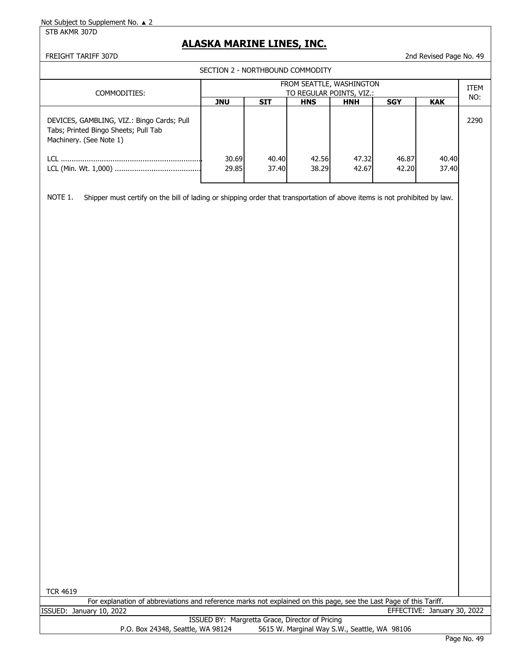STB AKMR 307D

## **ALASKA MARINE LINES, INC.**

## FREIGHT TARIFF 307D 2nd Revised Page No. 49

SECTION 2 - NORTHBOUND COMMODITY

| COMMODITIES:                                                                                                  | FROM SEATTLE, WASHINGTON<br>TO REGULAR POINTS, VIZ.: |            |            |            |            |            |      |  |
|---------------------------------------------------------------------------------------------------------------|------------------------------------------------------|------------|------------|------------|------------|------------|------|--|
|                                                                                                               | <b>JNU</b>                                           | <b>SIT</b> | <b>HNS</b> | <b>HNH</b> | <b>SGY</b> | <b>KAK</b> | NO:  |  |
| DEVICES, GAMBLING, VIZ.: Bingo Cards; Pull<br>Tabs; Printed Bingo Sheets; Pull Tab<br>Machinery. (See Note 1) |                                                      |            |            |            |            |            | 2290 |  |
| TCL.                                                                                                          | 30.69                                                | 40.40      | 42.56      | 47.32      | 46.87      | 40.40      |      |  |
|                                                                                                               | 29.85                                                | 37.40      | 38.29      | 42.67      | 42.20      | 37.40      |      |  |
|                                                                                                               |                                                      |            |            |            |            |            |      |  |
|                                                                                                               |                                                      |            |            |            |            |            |      |  |

NOTE 1. Shipper must certify on the bill of lading or shipping order that transportation of above items is not prohibited by law.

TCR 4619

|                          | For explanation of abbreviations and reference marks not explained on this page, see the Last Page of this Tariff. |                             |  |
|--------------------------|--------------------------------------------------------------------------------------------------------------------|-----------------------------|--|
| ISSUED: January 10, 2022 |                                                                                                                    | EFFECTIVE: January 30, 2022 |  |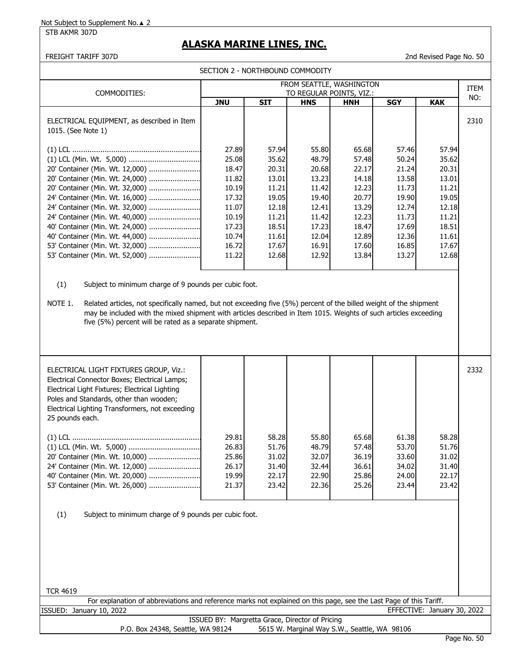## STB AKMR 307D

# **ALASKA MARINE LINES, INC.**

FREIGHT TARIFF 307D 2nd Revised Page No. 50

| SECTION 2 - NORTHBOUND COMMODITY                                                                                                                                                                                                                                                                                                                                                                                                                                                                                                                                                                                                                                                                                                           |                                                                                                          |                                                                                                          |                                                                                                          |                                                                                                          |                                                                                                          |                                                                                                          |      |
|--------------------------------------------------------------------------------------------------------------------------------------------------------------------------------------------------------------------------------------------------------------------------------------------------------------------------------------------------------------------------------------------------------------------------------------------------------------------------------------------------------------------------------------------------------------------------------------------------------------------------------------------------------------------------------------------------------------------------------------------|----------------------------------------------------------------------------------------------------------|----------------------------------------------------------------------------------------------------------|----------------------------------------------------------------------------------------------------------|----------------------------------------------------------------------------------------------------------|----------------------------------------------------------------------------------------------------------|----------------------------------------------------------------------------------------------------------|------|
|                                                                                                                                                                                                                                                                                                                                                                                                                                                                                                                                                                                                                                                                                                                                            |                                                                                                          |                                                                                                          |                                                                                                          | FROM SEATTLE, WASHINGTON                                                                                 |                                                                                                          |                                                                                                          | ITEM |
| COMMODITIES:                                                                                                                                                                                                                                                                                                                                                                                                                                                                                                                                                                                                                                                                                                                               | <b>JNU</b>                                                                                               | <b>SIT</b>                                                                                               | <b>HNS</b>                                                                                               | TO REGULAR POINTS, VIZ.:<br><b>HNH</b>                                                                   | <b>SGY</b>                                                                                               | <b>KAK</b>                                                                                               | NO:  |
| ELECTRICAL EQUIPMENT, as described in Item<br>1015. (See Note 1)                                                                                                                                                                                                                                                                                                                                                                                                                                                                                                                                                                                                                                                                           |                                                                                                          |                                                                                                          |                                                                                                          |                                                                                                          |                                                                                                          |                                                                                                          | 2310 |
| 20' Container (Min. Wt. 12,000)<br>20' Container (Min. Wt. 24,000)<br>20' Container (Min. Wt. 32,000)<br>24' Container (Min. Wt. 16,000)<br>24' Container (Min. Wt. 32,000)<br>24' Container (Min. Wt. 40,000)<br>40' Container (Min. Wt. 24,000)<br>40' Container (Min. Wt. 44,000)<br>53' Container (Min. Wt. 32,000)<br>53' Container (Min. Wt. 52,000)<br>(1)<br>Subject to minimum charge of 9 pounds per cubic foot.<br>NOTE 1.<br>Related articles, not specifically named, but not exceeding five (5%) percent of the billed weight of the shipment<br>may be included with the mixed shipment with articles described in Item 1015. Weights of such articles exceeding<br>five (5%) percent will be rated as a separate shipment. | 27.89<br>25.08<br>18.47<br>11.82<br>10.19<br>17.32<br>11.07<br>10.19<br>17.23<br>10.74<br>16.72<br>11.22 | 57.94<br>35.62<br>20.31<br>13.01<br>11.21<br>19.05<br>12.18<br>11.21<br>18.51<br>11.61<br>17.67<br>12.68 | 55.80<br>48.79<br>20.68<br>13.23<br>11.42<br>19.40<br>12.41<br>11.42<br>17.23<br>12.04<br>16.91<br>12.92 | 65.68<br>57.48<br>22.17<br>14.18<br>12.23<br>20.77<br>13.29<br>12.23<br>18.47<br>12.89<br>17.60<br>13.84 | 57.46<br>50.24<br>21.24<br>13.58<br>11.73<br>19.90<br>12.74<br>11.73<br>17.69<br>12.36<br>16.85<br>13.27 | 57.94<br>35.62<br>20.31<br>13.01<br>11.21<br>19.05<br>12.18<br>11.21<br>18.51<br>11.61<br>17.67<br>12.68 |      |
| ELECTRICAL LIGHT FIXTURES GROUP, Viz.:<br>Electrical Connector Boxes; Electrical Lamps;<br>Electrical Light Fixtures; Electrical Lighting<br>Poles and Standards, other than wooden;<br>Electrical Lighting Transformers, not exceeding<br>25 pounds each.<br>20' Container (Min. Wt. 10,000)<br>24' Container (Min. Wt. 12,000)<br>40' Container (Min. Wt. 20,000)<br>53' Container (Min. Wt. 26,000)                                                                                                                                                                                                                                                                                                                                     | 29.81<br>26.83<br>25.86<br>26.17<br>19.99<br>21.37                                                       | 58.28<br>51.76<br>31.02<br>31.40<br>22.17<br>23.42                                                       | 55.80<br>48.79<br>32.07<br>32.44<br>22.90<br>22.36                                                       | 65.68<br>57.48<br>36.19<br>36.61<br>25.86<br>25.26                                                       | 61.38<br>53.70<br>33.60<br>34.02<br>24.00<br>23.44                                                       | 58.28<br>51.76<br>31.02<br>31.40<br>22.17<br>23.42                                                       | 2332 |

(1) Subject to minimum charge of 9 pounds per cubic foot.

|         | -or<br>' explanation of | abbreviations and : |    |   | In reference marks not explained on this page, see the Last Page of this Tariff. |                |      |
|---------|-------------------------|---------------------|----|---|----------------------------------------------------------------------------------|----------------|------|
| ISSUED: | 2022<br>Januarv<br>TO.  |                     |    |   | <b>ALE</b>                                                                       | 30.<br>January | 2022 |
|         |                         | TOOLIER BLL         | n. | . |                                                                                  |                |      |

ISSUED BY: Margretta Grace, Director of Pricing<br>P.O. Box 24348, Seattle, WA 98124 5615 W. Marginal Way S.W 5615 W. Marginal Way S.W., Seattle, WA 98106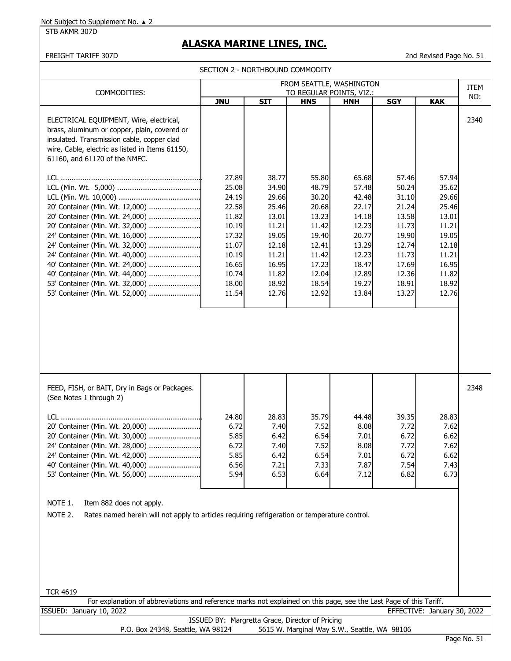STB AKMR 307D

# **ALASKA MARINE LINES, INC.**

FREIGHT TARIFF 307D 2nd Revised Page No. 51

SECTION 2 - NORTHBOUND COMMODITY

| FROM SEATTLE, WASHINGTON                                                                                                                                                                                                                                                                                                                                   |                                                                                                                   |                                                                                                                   |                                                                                                                   |                                                                                                                   |                                                                                                                   |                                                                                                                   | ITEM |
|------------------------------------------------------------------------------------------------------------------------------------------------------------------------------------------------------------------------------------------------------------------------------------------------------------------------------------------------------------|-------------------------------------------------------------------------------------------------------------------|-------------------------------------------------------------------------------------------------------------------|-------------------------------------------------------------------------------------------------------------------|-------------------------------------------------------------------------------------------------------------------|-------------------------------------------------------------------------------------------------------------------|-------------------------------------------------------------------------------------------------------------------|------|
| COMMODITIES:                                                                                                                                                                                                                                                                                                                                               | <b>JNU</b>                                                                                                        | <b>SIT</b>                                                                                                        | <b>HNS</b>                                                                                                        | TO REGULAR POINTS, VIZ.:<br><b>HNH</b>                                                                            | <b>SGY</b>                                                                                                        | <b>KAK</b>                                                                                                        | NO:  |
| ELECTRICAL EQUIPMENT, Wire, electrical,<br>brass, aluminum or copper, plain, covered or<br>insulated. Transmission cable, copper clad<br>wire, Cable, electric as listed in Items 61150,<br>61160, and 61170 of the NMFC.                                                                                                                                  |                                                                                                                   |                                                                                                                   |                                                                                                                   |                                                                                                                   |                                                                                                                   |                                                                                                                   | 2340 |
| 20' Container (Min. Wt. 12,000)<br>20' Container (Min. Wt. 24,000)<br>20' Container (Min. Wt. 32,000)<br>24' Container (Min. Wt. 16,000)<br>24' Container (Min. Wt. 32,000)<br>24' Container (Min. Wt. 40,000)<br>40' Container (Min. Wt. 24,000)<br>40' Container (Min. Wt. 44,000)<br>53' Container (Min. Wt. 32,000)<br>53' Container (Min. Wt. 52,000) | 27.89<br>25.08<br>24.19<br>22.58<br>11.82<br>10.19<br>17.32<br>11.07<br>10.19<br>16.65<br>10.74<br>18.00<br>11.54 | 38.77<br>34.90<br>29.66<br>25.46<br>13.01<br>11.21<br>19.05<br>12.18<br>11.21<br>16.95<br>11.82<br>18.92<br>12.76 | 55.80<br>48.79<br>30.20<br>20.68<br>13.23<br>11.42<br>19.40<br>12.41<br>11.42<br>17.23<br>12.04<br>18.54<br>12.92 | 65.68<br>57.48<br>42.48<br>22.17<br>14.18<br>12.23<br>20.77<br>13.29<br>12.23<br>18.47<br>12.89<br>19.27<br>13.84 | 57.46<br>50.24<br>31.10<br>21.24<br>13.58<br>11.73<br>19.90<br>12.74<br>11.73<br>17.69<br>12.36<br>18.91<br>13.27 | 57.94<br>35.62<br>29.66<br>25.46<br>13.01<br>11.21<br>19.05<br>12.18<br>11.21<br>16.95<br>11.82<br>18.92<br>12.76 |      |
| FEED, FISH, or BAIT, Dry in Bags or Packages.<br>(See Notes 1 through 2)                                                                                                                                                                                                                                                                                   |                                                                                                                   |                                                                                                                   |                                                                                                                   |                                                                                                                   |                                                                                                                   |                                                                                                                   | 2348 |
| 20' Container (Min. Wt. 20,000)<br>20' Container (Min. Wt. 30,000)<br>24' Container (Min. Wt. 28,000)<br>24' Container (Min. Wt. 42,000)<br>40' Container (Min. Wt. 40,000)<br>53' Container (Min. Wt. 56,000)                                                                                                                                             | 24.80<br>6.72<br>5.85<br>6.72<br>5.85<br>6.56<br>5.94                                                             | 28.83<br>7.40<br>6.42<br>7.40<br>6.42<br>7.21<br>6.53                                                             | 35.79<br>7.52<br>6.54<br>7.52<br>6.54<br>7.33<br>6.64                                                             | 44.48<br>8.08<br>7.01<br>8.08<br>7.01<br>7.87<br>7.12                                                             | 39.35<br>7.72<br>6.72<br>7.72<br>6.72<br>7.54<br>6.82                                                             | 28.83<br>7.62<br>6.62<br>7.62<br>6.62<br>7.43<br>6.73                                                             |      |
| NOTE 1.<br>Item 882 does not apply.<br>NOTE 2.<br>Rates named herein will not apply to articles requiring refrigeration or temperature control.<br><b>TCR 4619</b>                                                                                                                                                                                         |                                                                                                                   |                                                                                                                   |                                                                                                                   |                                                                                                                   |                                                                                                                   |                                                                                                                   |      |
| For explanation of abbreviations and reference marks not explained on this page, see the Last Page of this Tariff.                                                                                                                                                                                                                                         |                                                                                                                   |                                                                                                                   |                                                                                                                   |                                                                                                                   |                                                                                                                   |                                                                                                                   |      |
| ISSUED: January 10, 2022                                                                                                                                                                                                                                                                                                                                   |                                                                                                                   |                                                                                                                   |                                                                                                                   |                                                                                                                   |                                                                                                                   | EFFECTIVE: January 30, 2022                                                                                       |      |
|                                                                                                                                                                                                                                                                                                                                                            | ISSUED BY: Margretta Grace, Director of Pricing                                                                   |                                                                                                                   |                                                                                                                   |                                                                                                                   |                                                                                                                   |                                                                                                                   |      |
| P.O. Box 24348, Seattle, WA 98124<br>5615 W. Marginal Way S.W., Seattle, WA 98106<br>$D2Q0 N0 F1$                                                                                                                                                                                                                                                          |                                                                                                                   |                                                                                                                   |                                                                                                                   |                                                                                                                   |                                                                                                                   |                                                                                                                   |      |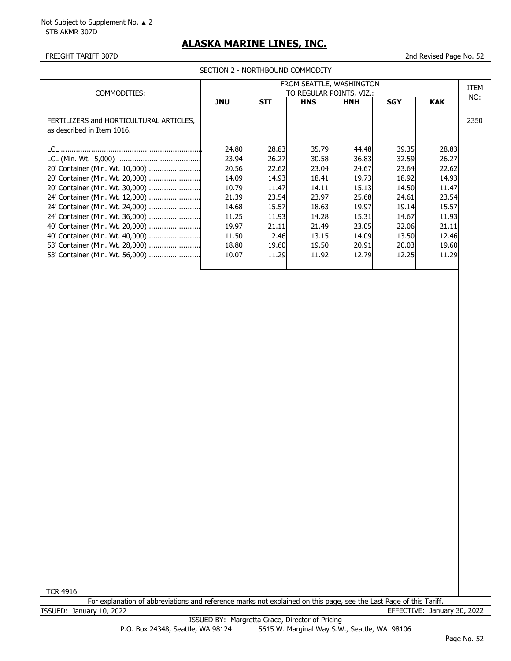STB AKMR 307D

# **ALASKA MARINE LINES, INC.**

FREIGHT TARIFF 307D 2nd Revised Page No. 52

|  | SECTION 2 - NORTHBOUND COMMODITY |  |
|--|----------------------------------|--|
|--|----------------------------------|--|

| COMMODITIES:                            | FROM SEATTLE, WASHINGTON<br>TO REGULAR POINTS, VIZ.: |                                                                                  |       |       |       |       |      |  |
|-----------------------------------------|------------------------------------------------------|----------------------------------------------------------------------------------|-------|-------|-------|-------|------|--|
|                                         |                                                      | <b>JNU</b><br><b>SIT</b><br><b>HNH</b><br><b>SGY</b><br><b>KAK</b><br><b>HNS</b> |       |       |       |       |      |  |
|                                         |                                                      |                                                                                  |       |       |       |       |      |  |
| FERTILIZERS and HORTICULTURAL ARTICLES, |                                                      |                                                                                  |       |       |       |       | 2350 |  |
| as described in Item 1016.              |                                                      |                                                                                  |       |       |       |       |      |  |
|                                         |                                                      |                                                                                  |       |       |       |       |      |  |
|                                         | 24.80                                                | 28.83                                                                            | 35.79 | 44.48 | 39.35 | 28.83 |      |  |
|                                         | 23.94                                                | 26.27                                                                            | 30.58 | 36.83 | 32.59 | 26.27 |      |  |
| 20' Container (Min. Wt. 10,000)         | 20.56                                                | 22.62                                                                            | 23.04 | 24.67 | 23.64 | 22.62 |      |  |
| 20' Container (Min. Wt. 20,000)         | 14.09                                                | 14.93                                                                            | 18.41 | 19.73 | 18.92 | 14.93 |      |  |
| 20' Container (Min. Wt. 30,000)         | 10.79                                                | 11.47                                                                            | 14.11 | 15.13 | 14.50 | 11.47 |      |  |
| 24' Container (Min. Wt. 12,000)         | 21.39                                                | 23.54                                                                            | 23.97 | 25.68 | 24.61 | 23.54 |      |  |
| 24' Container (Min. Wt. 24,000)         | 14.68                                                | 15.57                                                                            | 18.63 | 19.97 | 19.14 | 15.57 |      |  |
| 24' Container (Min. Wt. 36,000)         | 11.25                                                | 11.93                                                                            | 14.28 | 15.31 | 14.67 | 11.93 |      |  |
| 40' Container (Min. Wt. 20,000)         | 19.97                                                | 21.11                                                                            | 21.49 | 23.05 | 22.06 | 21.11 |      |  |
| 40' Container (Min. Wt. 40,000)         | 11.50                                                | 12.46                                                                            | 13.15 | 14.09 | 13.50 | 12.46 |      |  |
| 53' Container (Min. Wt. 28,000)         | 18.80                                                | 19.60                                                                            | 19.50 | 20.91 | 20.03 | 19.60 |      |  |
| 53' Container (Min. Wt. 56,000)         | 10.07                                                | 11.29                                                                            | 11.92 | 12.79 | 12.25 | 11.29 |      |  |
|                                         |                                                      |                                                                                  |       |       |       |       |      |  |

TCR 4916

|                          | For explanation of abbreviations and reference marks not explained on this page, see the Last Page of this Tariff. |                             |  |
|--------------------------|--------------------------------------------------------------------------------------------------------------------|-----------------------------|--|
| ISSUED: January 10, 2022 |                                                                                                                    | EFFECTIVE: January 30, 2022 |  |

ISSUED BY: Margretta Grace, Director of Pricing<br>P.O. Box 24348, Seattle, WA 98124 5615 W. Marginal Way S.W 5615 W. Marginal Way S.W., Seattle, WA 98106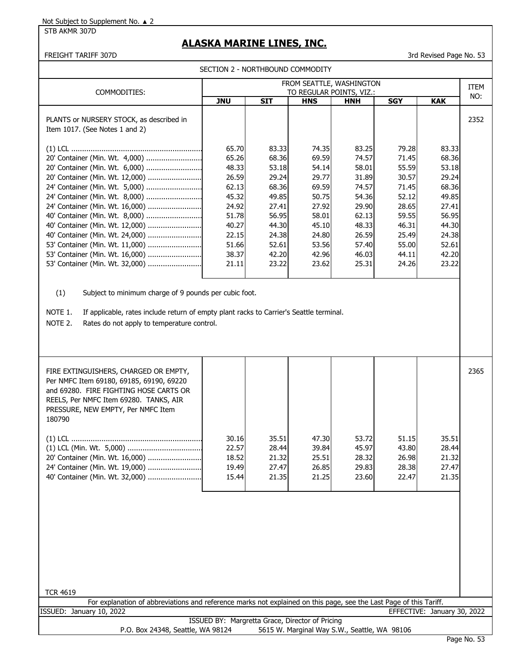STB AKMR 307D

# **ALASKA MARINE LINES, INC.**

FREIGHT TARIFF 307D 3rd Revised Page No. 53

SECTION 2 - NORTHBOUND COMMODITY

| COMMODITIES:                                                               | FROM SEATTLE, WASHINGTON<br>TO REGULAR POINTS, VIZ.: |            |            |            |            |            |      |  |
|----------------------------------------------------------------------------|------------------------------------------------------|------------|------------|------------|------------|------------|------|--|
|                                                                            | <b>JNU</b>                                           | <b>SIT</b> | <b>HNS</b> | <b>HNH</b> | <b>SGY</b> | <b>KAK</b> | NO:  |  |
| PLANTS or NURSERY STOCK, as described in<br>Item 1017. (See Notes 1 and 2) |                                                      |            |            |            |            |            | 2352 |  |
|                                                                            | 65.70                                                | 83.33      | 74.35      | 83.25      | 79.28      | 83.33      |      |  |
| 20' Container (Min. Wt. 4,000)                                             | 65.26                                                | 68.36      | 69.59      | 74.57      | 71.45      | 68.36      |      |  |
| 20' Container (Min. Wt. 6,000)                                             | 48.33                                                | 53.18      | 54.14      | 58.01      | 55.59      | 53.18      |      |  |
| 20' Container (Min. Wt. 12,000)                                            | 26.59                                                | 29.24      | 29.77      | 31.89      | 30.57      | 29.24      |      |  |
| 24' Container (Min. Wt. 5,000)                                             | 62.13                                                | 68.36      | 69.59      | 74.57      | 71.45      | 68.36      |      |  |
| 24' Container (Min. Wt. 8,000)                                             | 45.32                                                | 49.85      | 50.75      | 54.36      | 52.12      | 49.85      |      |  |
| 24' Container (Min. Wt. 16,000)                                            | 24.92                                                | 27.41      | 27.92      | 29.90      | 28.65      | 27.41      |      |  |
| 40' Container (Min. Wt. 8,000)                                             | 51.78                                                | 56.95      | 58.01      | 62.13      | 59.55      | 56.95      |      |  |
| 40' Container (Min. Wt. 12,000)                                            | 40.27                                                | 44.30      | 45.10      | 48.33      | 46.31      | 44.30      |      |  |
| 40' Container (Min. Wt. 24,000)                                            | 22.15                                                | 24.38      | 24.80      | 26.59      | 25.49      | 24.38      |      |  |
| 53' Container (Min. Wt. 11,000)                                            | 51.66                                                | 52.61      | 53.56      | 57.40      | 55.00      | 52.61      |      |  |
|                                                                            | 38.37                                                | 42.20      | 42.96      | 46.03      | 44.11      | 42.20      |      |  |
| 53' Container (Min. Wt. 32,000)                                            | 21.11                                                | 23.22      | 23.62      | 25.31      | 24.26      | 23.22      |      |  |
|                                                                            |                                                      |            |            |            |            |            |      |  |

(1) Subject to minimum charge of 9 pounds per cubic foot.

NOTE 1. If applicable, rates include return of empty plant racks to Carrier's Seattle terminal.

NOTE 2. Rates do not apply to temperature control.

| FIRE EXTINGUISHERS, CHARGED OR EMPTY,<br>Per NMFC Item 69180, 69185, 69190, 69220<br>and 69280. FIRE FIGHTING HOSE CARTS OR<br>REELS, Per NMFC Item 69280. TANKS, AIR<br>PRESSURE, NEW EMPTY, Per NMFC Item<br>180790 |                                           |                                           |                                           |                                           |                                           |                                           | 2365 |
|-----------------------------------------------------------------------------------------------------------------------------------------------------------------------------------------------------------------------|-------------------------------------------|-------------------------------------------|-------------------------------------------|-------------------------------------------|-------------------------------------------|-------------------------------------------|------|
| 20' Container (Min. Wt. 16,000)<br>24' Container (Min. Wt. 19,000)<br>40' Container (Min. Wt. 32,000)                                                                                                                 | 30.16<br>22.57<br>18.52<br>19.49<br>15.44 | 35.51<br>28.44<br>21.32<br>27.47<br>21.35 | 47.30<br>39.84<br>25.51<br>26.85<br>21.25 | 53.72<br>45.97<br>28.32<br>29.83<br>23.60 | 51.15<br>43.80<br>26.98<br>28.38<br>22.47 | 35.51<br>28.44<br>21.32<br>27.47<br>21.35 |      |
|                                                                                                                                                                                                                       |                                           |                                           |                                           |                                           |                                           |                                           |      |

| <b>TCR 4619</b>                                                                                                    |  |
|--------------------------------------------------------------------------------------------------------------------|--|
| For explanation of abbreviations and reference marks not explained on this page, see the Last Page of this Tariff. |  |
| EFFECTIVE: January 30, 2022<br>ISSUED: January 10, 2022                                                            |  |
| ISSUED BY: Margretta Grace, Director of Pricing                                                                    |  |

P.O. Box 24348, Seattle, WA 98124 5615 W. Marginal Way S.W., Seattle, WA 98106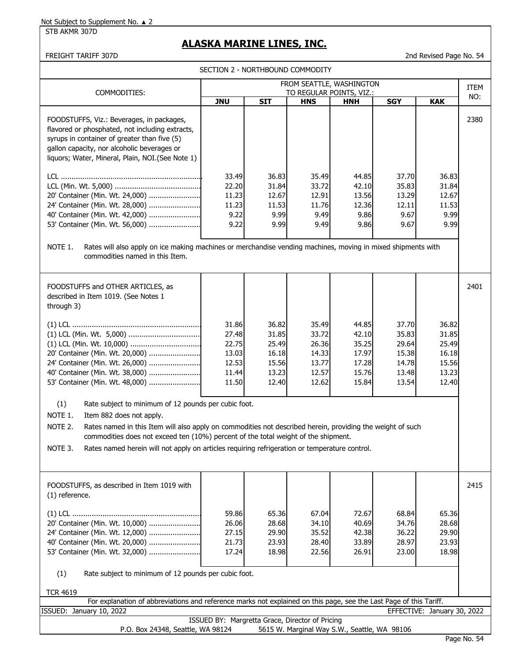STB AKMR 307D

# **ALASKA MARINE LINES, INC.**

FREIGHT TARIFF 307D 2nd Revised Page No. 54

SECTION 2 - NORTHBOUND COMMODITY

| COMMODITIES:                                                                                                                                                                                                                                                                                                           | FROM SEATTLE, WASHINGTON<br>TO REGULAR POINTS, VIZ.: |                                  |                                  |                                  |                                  |                                  |              |  |
|------------------------------------------------------------------------------------------------------------------------------------------------------------------------------------------------------------------------------------------------------------------------------------------------------------------------|------------------------------------------------------|----------------------------------|----------------------------------|----------------------------------|----------------------------------|----------------------------------|--------------|--|
|                                                                                                                                                                                                                                                                                                                        | <b>JNU</b>                                           | <b>SIT</b>                       | <b>HNS</b>                       | <b>HNH</b>                       | <b>SGY</b>                       | <b>KAK</b>                       | NO:          |  |
| FOODSTUFFS, Viz.: Beverages, in packages,<br>flavored or phosphated, not including extracts,<br>syrups in container of greater than five (5)<br>gallon capacity, nor alcoholic beverages or<br>liquors; Water, Mineral, Plain, NOI. (See Note 1)<br>20' Container (Min. Wt. 24,000)<br>24' Container (Min. Wt. 28,000) | 33.49<br>22.20<br>11.23<br>11.23                     | 36.83<br>31.84<br>12.67<br>11.53 | 35.49<br>33.72<br>12.91<br>11.76 | 44.85<br>42.10<br>13.56<br>12.36 | 37.70<br>35.83<br>13.29<br>12.11 | 36.83<br>31.84<br>12.67<br>11.53 | 2380         |  |
| 40' Container (Min. Wt. 42,000)                                                                                                                                                                                                                                                                                        | 9.22                                                 | 9.99                             | 9.49                             | 9.86                             | 9.67                             | 9.99                             |              |  |
| 53' Container (Min. Wt. 56,000)<br>9.22<br>9.99<br>9.86<br>9.67<br>9.99<br>9.49<br>Rates will also apply on ice making machines or merchandise vending machines, moving in mixed shipments with<br>NOTE 1.<br>commodities named in this Item.                                                                          |                                                      |                                  |                                  |                                  |                                  |                                  |              |  |
|                                                                                                                                                                                                                                                                                                                        |                                                      |                                  |                                  |                                  |                                  |                                  |              |  |
| $FAAAB2T11FFA = 1.42T11FA, ABTTCI FCA$                                                                                                                                                                                                                                                                                 |                                                      |                                  |                                  |                                  |                                  |                                  | <b>DAO</b> 1 |  |

| FOODSTUFFS and OTHER ARTICLES, as<br>described in Item 1019. (See Notes 1<br>through 3) |       |       |       |       |       |       | 2401 |
|-----------------------------------------------------------------------------------------|-------|-------|-------|-------|-------|-------|------|
|                                                                                         | 31.86 | 36.82 | 35.49 | 44.85 | 37.70 | 36.82 |      |
|                                                                                         | 27.48 | 31.85 | 33.72 | 42.10 | 35.83 | 31.85 |      |
|                                                                                         | 22.75 | 25.49 | 26.36 | 35.25 | 29.64 | 25.49 |      |
| 20' Container (Min. Wt. 20,000)                                                         | 13.03 | 16.18 | 14.33 | 17.97 | 15.38 | 16.18 |      |
| 24' Container (Min. Wt. 26,000)                                                         | 12.53 | 15.56 | 13.77 | 17.28 | 14.78 | 15.56 |      |
| 40' Container (Min. Wt. 38,000)                                                         | 11.44 | 13.23 | 12.57 | 15.76 | 13.48 | 13.23 |      |
| 53' Container (Min. Wt. 48,000)                                                         | 11.50 | 12.40 | 12.62 | 15.84 | 13.54 | 12.40 |      |
|                                                                                         |       |       |       |       |       |       |      |

(1) Rate subject to minimum of 12 pounds per cubic foot.

NOTE 1. Item 882 does not apply.

NOTE 2. Rates named in this Item will also apply on commodities not described herein, providing the weight of such commodities does not exceed ten (10%) percent of the total weight of the shipment.

NOTE 3. Rates named herein will not apply on articles requiring refrigeration or temperature control.

| FOODSTUFFS, as described in Item 1019 with<br>$(1)$ reference.                                        |                                           |                                           |                                            |                                           |                                           |                                           | 2415 |
|-------------------------------------------------------------------------------------------------------|-------------------------------------------|-------------------------------------------|--------------------------------------------|-------------------------------------------|-------------------------------------------|-------------------------------------------|------|
| 20' Container (Min. Wt. 10,000)<br>40' Container (Min. Wt. 20,000)<br>53' Container (Min. Wt. 32,000) | 59.86<br>26.06<br>27.15<br>21.73<br>17.24 | 65.36<br>28.68<br>29.90<br>23.93<br>18.98 | 67.04<br>34.10<br>35.52L<br>28.40<br>22.56 | 72.67<br>40.69<br>42.38<br>33.89<br>26.91 | 68.84<br>34.76<br>36.22<br>28.97<br>23.00 | 65.36<br>28.68<br>29.90<br>23.93<br>18.98 |      |
|                                                                                                       |                                           |                                           |                                            |                                           |                                           |                                           |      |

(1) Rate subject to minimum of 12 pounds per cubic foot.

| <b>TCR 4619</b>                                                                                                    |  |  |  |  |  |  |  |  |
|--------------------------------------------------------------------------------------------------------------------|--|--|--|--|--|--|--|--|
| For explanation of abbreviations and reference marks not explained on this page, see the Last Page of this Tariff. |  |  |  |  |  |  |  |  |
| EFFECTIVE: January 30, 2022<br>ISSUED: January 10, 2022                                                            |  |  |  |  |  |  |  |  |
| ISSUED BY: Margretta Grace, Director of Pricing                                                                    |  |  |  |  |  |  |  |  |
| 5615 W. Marginal Way S.W., Seattle, WA 98106<br>P.O. Box 24348, Seattle, WA 98124                                  |  |  |  |  |  |  |  |  |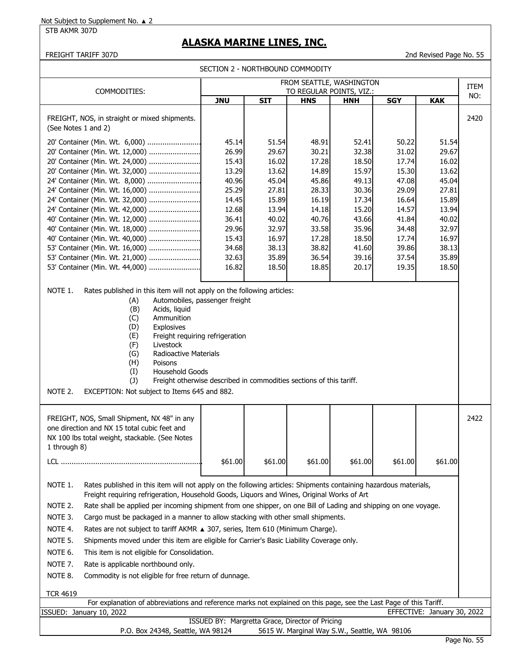STB AKMR 307D

# **ALASKA MARINE LINES, INC.**

#### FREIGHT TARIFF 307D 2nd Revised Page No. 55

|                                                                                                                                                                                                                                                                                                                                                                                                                                                                                                                                                                                                                                                                                                                                                                                                                                                                                                                                     |                                                                                                                            | SECTION 2 - NORTHBOUND COMMODITY                                                                                           |                                                                                                                            |                                                                                                                            |                                                                                                                            |                                                                                                                            |             |
|-------------------------------------------------------------------------------------------------------------------------------------------------------------------------------------------------------------------------------------------------------------------------------------------------------------------------------------------------------------------------------------------------------------------------------------------------------------------------------------------------------------------------------------------------------------------------------------------------------------------------------------------------------------------------------------------------------------------------------------------------------------------------------------------------------------------------------------------------------------------------------------------------------------------------------------|----------------------------------------------------------------------------------------------------------------------------|----------------------------------------------------------------------------------------------------------------------------|----------------------------------------------------------------------------------------------------------------------------|----------------------------------------------------------------------------------------------------------------------------|----------------------------------------------------------------------------------------------------------------------------|----------------------------------------------------------------------------------------------------------------------------|-------------|
|                                                                                                                                                                                                                                                                                                                                                                                                                                                                                                                                                                                                                                                                                                                                                                                                                                                                                                                                     |                                                                                                                            |                                                                                                                            |                                                                                                                            | FROM SEATTLE, WASHINGTON                                                                                                   |                                                                                                                            |                                                                                                                            | <b>ITEM</b> |
| COMMODITIES:                                                                                                                                                                                                                                                                                                                                                                                                                                                                                                                                                                                                                                                                                                                                                                                                                                                                                                                        | <b>JNU</b>                                                                                                                 | <b>SIT</b>                                                                                                                 | <b>HNS</b>                                                                                                                 | TO REGULAR POINTS, VIZ.:<br><b>HNH</b>                                                                                     | <b>SGY</b>                                                                                                                 | <b>KAK</b>                                                                                                                 | NO:         |
| FREIGHT, NOS, in straight or mixed shipments.<br>(See Notes 1 and 2)                                                                                                                                                                                                                                                                                                                                                                                                                                                                                                                                                                                                                                                                                                                                                                                                                                                                |                                                                                                                            |                                                                                                                            |                                                                                                                            |                                                                                                                            |                                                                                                                            |                                                                                                                            | 2420        |
| 20' Container (Min. Wt. 6,000)<br>20' Container (Min. Wt. 12,000)<br>20' Container (Min. Wt. 24,000)<br>20' Container (Min. Wt. 32,000)<br>24' Container (Min. Wt. 8,000)<br>24' Container (Min. Wt. 16,000)<br>24' Container (Min. Wt. 32,000)<br>24' Container (Min. Wt. 42,000)<br>40' Container (Min. Wt. 12,000)<br>40' Container (Min. Wt. 18,000)<br>40' Container (Min. Wt. 40,000)<br>53' Container (Min. Wt. 16,000)<br>53' Container (Min. Wt. 21,000)<br>53' Container (Min. Wt. 44,000)<br>NOTE 1.<br>Rates published in this item will not apply on the following articles:<br>Automobiles, passenger freight<br>(A)<br>(B)<br>Acids, liquid<br>(C)<br>Ammunition<br>(D)<br>Explosives<br>(E)<br>Freight requiring refrigeration<br>(F)<br>Livestock<br>(G)<br>Radioactive Materials<br>(H)<br>Poisons<br>(I)<br><b>Household Goods</b><br>(1)<br>Freight otherwise described in commodities sections of this tariff. | 45.14<br>26.99<br>15.43<br>13.29<br>40.96<br>25.29<br>14.45<br>12.68<br>36.41<br>29.96<br>15.43<br>34.68<br>32.63<br>16.82 | 51.54<br>29.67<br>16.02<br>13.62<br>45.04<br>27.81<br>15.89<br>13.94<br>40.02<br>32.97<br>16.97<br>38.13<br>35.89<br>18.50 | 48.91<br>30.21<br>17.28<br>14.89<br>45.86<br>28.33<br>16.19<br>14.18<br>40.76<br>33.58<br>17.28<br>38.82<br>36.54<br>18.85 | 52.41<br>32.38<br>18.50<br>15.97<br>49.13<br>30.36<br>17.34<br>15.20<br>43.66<br>35.96<br>18.50<br>41.60<br>39.16<br>20.17 | 50.22<br>31.02<br>17.74<br>15.30<br>47.08<br>29.09<br>16.64<br>14.57<br>41.84<br>34.48<br>17.74<br>39.86<br>37.54<br>19.35 | 51.54<br>29.67<br>16.02<br>13.62<br>45.04<br>27.81<br>15.89<br>13.94<br>40.02<br>32.97<br>16.97<br>38.13<br>35.89<br>18.50 |             |
| NOTE 2.<br>EXCEPTION: Not subject to Items 645 and 882.                                                                                                                                                                                                                                                                                                                                                                                                                                                                                                                                                                                                                                                                                                                                                                                                                                                                             |                                                                                                                            |                                                                                                                            |                                                                                                                            |                                                                                                                            |                                                                                                                            |                                                                                                                            |             |
| FREIGHT, NOS, Small Shipment, NX 48" in any<br>one direction and NX 15 total cubic feet and                                                                                                                                                                                                                                                                                                                                                                                                                                                                                                                                                                                                                                                                                                                                                                                                                                         |                                                                                                                            |                                                                                                                            |                                                                                                                            |                                                                                                                            |                                                                                                                            |                                                                                                                            | 2422        |

| 1 through 8) | one direction and NX 15 total cubic feet and<br>NX 100 lbs total weight, stackable. (See Notes                                                                                                                 |         |         |         |         |         |         |  |  |
|--------------|----------------------------------------------------------------------------------------------------------------------------------------------------------------------------------------------------------------|---------|---------|---------|---------|---------|---------|--|--|
|              |                                                                                                                                                                                                                | \$61.00 | \$61.00 | \$61.00 | \$61.00 | \$61.00 | \$61.00 |  |  |
| NOTE 1.      | Rates published in this item will not apply on the following articles: Shipments containing hazardous materials,<br>Freight requiring refrigeration, Household Goods, Liquors and Wines, Original Works of Art |         |         |         |         |         |         |  |  |

NOTE 2. Rate shall be applied per incoming shipment from one shipper, on one Bill of Lading and shipping on one voyage.

NOTE 3. Cargo must be packaged in a manner to allow stacking with other small shipments.

NOTE 4. Rates are not subject to tariff AKMR ▲ 307, series, Item 610 (Minimum Charge).

NOTE 5. Shipments moved under this item are eligible for Carrier's Basic Liability Coverage only.

NOTE 6. This item is not eligible for Consolidation.

NOTE 7. Rate is applicable northbound only.

NOTE 8. Commodity is not eligible for free return of dunnage.

### TCR 4619

| For explanation of abbreviations and reference marks not explained on this page, see the Last Page of this Tariff. |                                              |  |  |  |  |  |  |  |  |
|--------------------------------------------------------------------------------------------------------------------|----------------------------------------------|--|--|--|--|--|--|--|--|
| ISSUED: January 10, 2022                                                                                           | EFFECTIVE: January 30, 2022                  |  |  |  |  |  |  |  |  |
| ISSUED BY: Margretta Grace, Director of Pricing                                                                    |                                              |  |  |  |  |  |  |  |  |
| P.O. Box 24348, Seattle, WA 98124                                                                                  | 5615 W. Marginal Way S.W., Seattle, WA 98106 |  |  |  |  |  |  |  |  |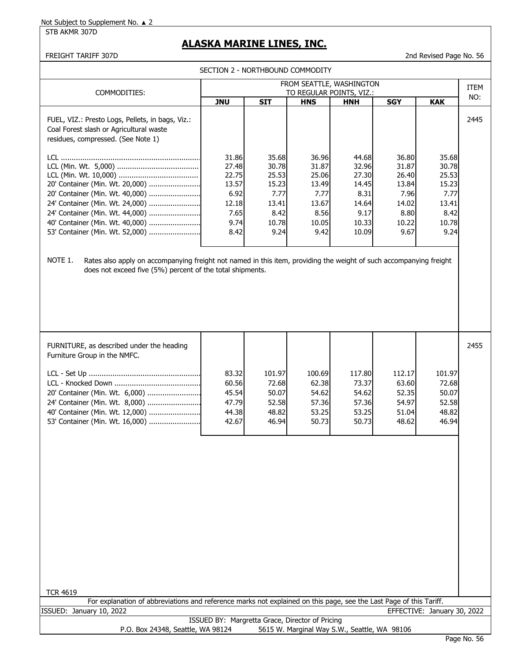STB AKMR 307D

# **ALASKA MARINE LINES, INC.**

FREIGHT TARIFF 307D 2nd Revised Page No. 56

SECTION 2 - NORTHBOUND COMMODITY

| COMMODITIES:                                                                                                                                                                                                           | FROM SEATTLE, WASHINGTON<br>TO REGULAR POINTS, VIZ.:                      |                                                                            |                                                                            |                                                                             |                                                                            |                                                                            |      |
|------------------------------------------------------------------------------------------------------------------------------------------------------------------------------------------------------------------------|---------------------------------------------------------------------------|----------------------------------------------------------------------------|----------------------------------------------------------------------------|-----------------------------------------------------------------------------|----------------------------------------------------------------------------|----------------------------------------------------------------------------|------|
|                                                                                                                                                                                                                        | <b>JNU</b>                                                                | <b>SIT</b>                                                                 | <b>HNS</b>                                                                 | <b>HNH</b>                                                                  | <b>SGY</b>                                                                 | <b>KAK</b>                                                                 | NO:  |
| FUEL, VIZ.: Presto Logs, Pellets, in bags, Viz.:<br>Coal Forest slash or Agricultural waste<br>residues, compressed. (See Note 1)                                                                                      |                                                                           |                                                                            |                                                                            |                                                                             |                                                                            |                                                                            | 2445 |
| LCL.<br>20' Container (Min. Wt. 20,000)<br>20' Container (Min. Wt. 40,000)<br>24' Container (Min. Wt. 24,000)<br>24' Container (Min. Wt. 44,000)<br>40' Container (Min. Wt. 40,000)<br>53' Container (Min. Wt. 52,000) | 31.86<br>27.48<br>22.75<br>13.57<br>6.92<br>12.18<br>7.65<br>9.74<br>8.42 | 35.68<br>30.78<br>25.53<br>15.23<br>7.77<br>13.41<br>8.42<br>10.78<br>9.24 | 36.96<br>31.87<br>25.06<br>13.49<br>7.77<br>13.67<br>8.56<br>10.05<br>9.42 | 44.68<br>32.96<br>27.30<br>14.45<br>8.31<br>14.64<br>9.17<br>10.33<br>10.09 | 36.80<br>31.87<br>26.40<br>13.84<br>7.96<br>14.02<br>8.80<br>10.22<br>9.67 | 35.68<br>30.78<br>25.53<br>15.23<br>7.77<br>13.41<br>8.42<br>10.78<br>9.24 |      |
| NOTE 1.<br>Rates also apply on accompanying freight not named in this item, providing the weight of such accompanying freight<br>does not exceed five (5%) percent of the total shipments.                             |                                                                           |                                                                            |                                                                            |                                                                             |                                                                            |                                                                            |      |

| FURNITURE, as described under the heading<br>Furniture Group in the NMFC. |       |        |        |        |        |        | 2455 |
|---------------------------------------------------------------------------|-------|--------|--------|--------|--------|--------|------|
|                                                                           | 83.32 | 101.97 | 100.69 | 117.80 | 112.17 | 101.97 |      |
|                                                                           | 60.56 | 72.68  | 62.38  | 73.37  | 63.60  | 72.68  |      |
| 20' Container (Min. Wt. 6,000)                                            | 45.54 | 50.07  | 54.62  | 54.62  | 52.35  | 50.07  |      |
| 24' Container (Min. Wt. 8,000)                                            | 47.79 | 52.58  | 57.36  | 57.36  | 54.97  | 52.58  |      |
|                                                                           | 44.38 | 48.82  | 53.25  | 53.25  | 51.04  | 48.82  |      |
| 53' Container (Min. Wt. 16,000)                                           | 42.67 | 46.94  | 50.73  | 50.73  | 48.62  | 46.94  |      |
|                                                                           |       |        |        |        |        |        |      |

| <b>TCR 4619</b>                   |                                                                                                                    |                             |
|-----------------------------------|--------------------------------------------------------------------------------------------------------------------|-----------------------------|
|                                   | For explanation of abbreviations and reference marks not explained on this page, see the Last Page of this Tariff. |                             |
| ISSUED: January 10, 2022          |                                                                                                                    | EFFECTIVE: January 30, 2022 |
|                                   | ISSUED BY: Margretta Grace, Director of Pricing                                                                    |                             |
| P.O. Box 24348, Seattle, WA 98124 | 5615 W. Marginal Way S.W., Seattle, WA 98106                                                                       |                             |
|                                   |                                                                                                                    | Page No. 56                 |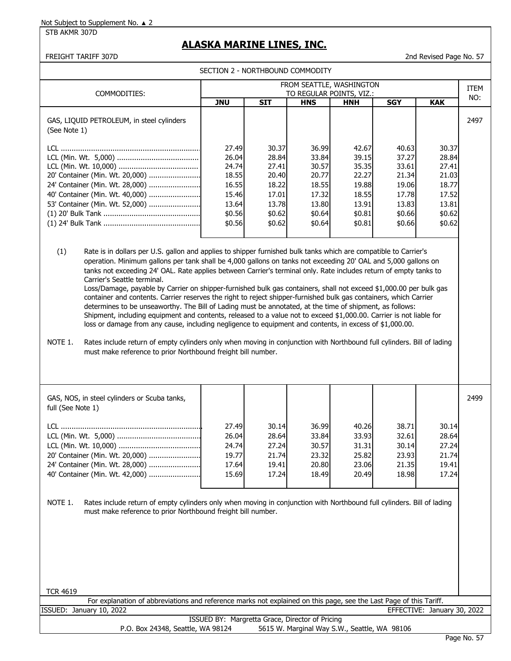STB AKMR 307D

## **ALASKA MARINE LINES, INC.**

FREIGHT TARIFF 307D 2nd Revised Page No. 57

|                                                                                                                                          | FROM SEATTLE, WASHINGTON                                                        |                                                                                 |                                                                                 |                                                                                 |                                                                                 |                                                                                 |      |
|------------------------------------------------------------------------------------------------------------------------------------------|---------------------------------------------------------------------------------|---------------------------------------------------------------------------------|---------------------------------------------------------------------------------|---------------------------------------------------------------------------------|---------------------------------------------------------------------------------|---------------------------------------------------------------------------------|------|
| COMMODITIES:                                                                                                                             |                                                                                 |                                                                                 |                                                                                 | TO REGULAR POINTS, VIZ.:                                                        |                                                                                 |                                                                                 | ITEM |
|                                                                                                                                          | <b>JNU</b>                                                                      | <b>SIT</b>                                                                      | <b>HNS</b>                                                                      | <b>HNH</b>                                                                      | <b>SGY</b>                                                                      | <b>KAK</b>                                                                      | NO:  |
| GAS, LIQUID PETROLEUM, in steel cylinders<br>(See Note 1)                                                                                |                                                                                 |                                                                                 |                                                                                 |                                                                                 |                                                                                 |                                                                                 | 2497 |
| 20' Container (Min. Wt. 20,000)<br>24' Container (Min. Wt. 28,000)<br>40' Container (Min. Wt. 40,000)<br>53' Container (Min. Wt. 52,000) | 27.49<br>26.04<br>24.74<br>18.55<br>16.55<br>15.46<br>13.64<br>\$0.56<br>\$0.56 | 30.37<br>28.84<br>27.41<br>20.40<br>18.22<br>17.01<br>13.78<br>\$0.62<br>\$0.62 | 36.99<br>33.84<br>30.57<br>20.77<br>18.55<br>17.32<br>13.80<br>\$0.64<br>\$0.64 | 42.67<br>39.15<br>35.35<br>22.27<br>19.88<br>18.55<br>13.91<br>\$0.81<br>\$0.81 | 40.63<br>37.27<br>33.61<br>21.34<br>19.06<br>17.78<br>13.83<br>\$0.66<br>\$0.66 | 30.37<br>28.84<br>27.41<br>21.03<br>18.77<br>17.52<br>13.81<br>\$0.62<br>\$0.62 |      |
|                                                                                                                                          |                                                                                 |                                                                                 |                                                                                 |                                                                                 |                                                                                 |                                                                                 |      |

(1) Rate is in dollars per U.S. gallon and applies to shipper furnished bulk tanks which are compatible to Carrier's operation. Minimum gallons per tank shall be 4,000 gallons on tanks not exceeding 20' OAL and 5,000 gallons on tanks not exceeding 24' OAL. Rate applies between Carrier's terminal only. Rate includes return of empty tanks to Carrier's Seattle terminal.

Loss/Damage, payable by Carrier on shipper-furnished bulk gas containers, shall not exceed \$1,000.00 per bulk gas container and contents. Carrier reserves the right to reject shipper-furnished bulk gas containers, which Carrier determines to be unseaworthy. The Bill of Lading must be annotated, at the time of shipment, as follows: Shipment, including equipment and contents, released to a value not to exceed \$1,000.00. Carrier is not liable for loss or damage from any cause, including negligence to equipment and contents, in excess of \$1,000.00.

NOTE 1. Rates include return of empty cylinders only when moving in conjunction with Northbound full cylinders. Bill of lading must make reference to prior Northbound freight bill number.

| GAS, NOS, in steel cylinders or Scuba tanks,<br>full (See Note 1) |       |       |       |       |       |       | 2499 |
|-------------------------------------------------------------------|-------|-------|-------|-------|-------|-------|------|
|                                                                   | 27.49 | 30.14 | 36.99 | 40.26 | 38.71 | 30.14 |      |
|                                                                   | 26.04 | 28.64 | 33.84 | 33.93 | 32.61 | 28.64 |      |
|                                                                   | 24.74 | 27.24 | 30.57 | 31.31 | 30.14 | 27.24 |      |
| 20' Container (Min. Wt. 20,000)                                   | 19.77 | 21.74 | 23.32 | 25.82 | 23.93 | 21.74 |      |
| 24' Container (Min. Wt. 28,000)                                   | 17.64 | 19.41 | 20.80 | 23.06 | 21.35 | 19.41 |      |
| 40' Container (Min. Wt. 42,000)                                   | 15.69 | 17.24 | 18.49 | 20.49 | 18.98 | 17.24 |      |
|                                                                   |       |       |       |       |       |       |      |

NOTE 1. Rates include return of empty cylinders only when moving in conjunction with Northbound full cylinders. Bill of lading must make reference to prior Northbound freight bill number.

|         | For explanation of abbreviations and reference marks not explained on this page, see the Last Page of this Tariff. |                  |                  |  |
|---------|--------------------------------------------------------------------------------------------------------------------|------------------|------------------|--|
| ISSUED: | 2022<br>January 10,                                                                                                | <b>EFFECTIVE</b> | January 30, 2022 |  |

|                                   | ISSUED BY: Margretta Grace, Director of Pricing |
|-----------------------------------|-------------------------------------------------|
| P.O. Box 24348, Seattle, WA 98124 | 5615 W. Marginal Way S.W., Seattle, WA 98106    |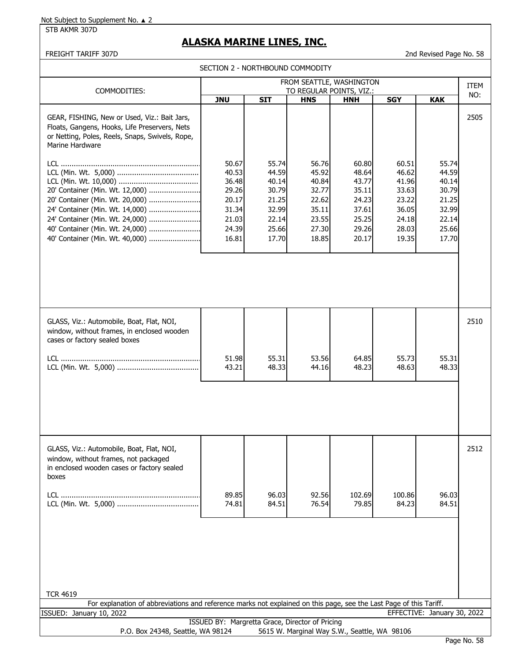STB AKMR 307D

# **ALASKA MARINE LINES, INC.**

## FREIGHT TARIFF 307D 2nd Revised Page No. 58

|  | SECTION 2 - NORTHBOUND COMMODITY |  |
|--|----------------------------------|--|
|--|----------------------------------|--|

|                                                                                                                                                                             | <b>JLCTION &amp; INONTHIDOOND COMMODITI</b><br>FROM SEATTLE, WASHINGTON |                                                             |                                                             |                                                             |                                                             |                                                             |             |
|-----------------------------------------------------------------------------------------------------------------------------------------------------------------------------|-------------------------------------------------------------------------|-------------------------------------------------------------|-------------------------------------------------------------|-------------------------------------------------------------|-------------------------------------------------------------|-------------------------------------------------------------|-------------|
| COMMODITIES:                                                                                                                                                                |                                                                         |                                                             |                                                             | TO REGULAR POINTS, VIZ.:                                    |                                                             |                                                             | ITEM<br>NO: |
|                                                                                                                                                                             | <b>JNU</b>                                                              | <b>SIT</b>                                                  | <b>HNS</b>                                                  | <b>HNH</b>                                                  | <b>SGY</b>                                                  | <b>KAK</b>                                                  |             |
| GEAR, FISHING, New or Used, Viz.: Bait Jars,<br>Floats, Gangens, Hooks, Life Preservers, Nets<br>or Netting, Poles, Reels, Snaps, Swivels, Rope,<br>Marine Hardware         | 50.67                                                                   | 55.74                                                       | 56.76                                                       | 60.80                                                       | 60.51                                                       | 55.74                                                       | 2505        |
| 20' Container (Min. Wt. 12,000)<br>20' Container (Min. Wt. 20,000)<br>24' Container (Min. Wt. 14,000)<br>24' Container (Min. Wt. 24,000)<br>40' Container (Min. Wt. 24,000) | 40.53<br>36.48<br>29.26<br>20.17<br>31.34<br>21.03<br>24.39             | 44.59<br>40.14<br>30.79<br>21.25<br>32.99<br>22.14<br>25.66 | 45.92<br>40.84<br>32.77<br>22.62<br>35.11<br>23.55<br>27.30 | 48.64<br>43.77<br>35.11<br>24.23<br>37.61<br>25.25<br>29.26 | 46.62<br>41.96<br>33.63<br>23.22<br>36.05<br>24.18<br>28.03 | 44.59<br>40.14<br>30.79<br>21.25<br>32.99<br>22.14<br>25.66 |             |
| 40' Container (Min. Wt. 40,000)                                                                                                                                             | 16.81                                                                   | 17.70                                                       | 18.85                                                       | 20.17                                                       | 19.35                                                       | 17.70                                                       |             |
| GLASS, Viz.: Automobile, Boat, Flat, NOI,<br>window, without frames, in enclosed wooden<br>cases or factory sealed boxes                                                    |                                                                         |                                                             |                                                             |                                                             |                                                             |                                                             | 2510        |
|                                                                                                                                                                             | 51.98<br>43.21                                                          | 55.31<br>48.33                                              | 53.56<br>44.16                                              | 64.85<br>48.23                                              | 55.73<br>48.63                                              | 55.31<br>48.33                                              |             |
|                                                                                                                                                                             |                                                                         |                                                             |                                                             |                                                             |                                                             |                                                             |             |
| GLASS, Viz.: Automobile, Boat, Flat, NOI,<br>window, without frames, not packaged<br>in enclosed wooden cases or factory sealed<br>boxes                                    |                                                                         |                                                             |                                                             |                                                             |                                                             |                                                             | 2512        |
|                                                                                                                                                                             | 89.85<br>74.81                                                          | 96.03<br>84.51                                              | 92.56<br>76.54                                              | 102.69<br>79.85                                             | 100.86<br>84.23                                             | 96.03<br>84.51                                              |             |
| <b>TCR 4619</b>                                                                                                                                                             |                                                                         |                                                             |                                                             |                                                             |                                                             |                                                             |             |
| For explanation of abbreviations and reference marks not explained on this page, see the Last Page of this Tariff.                                                          |                                                                         |                                                             |                                                             |                                                             |                                                             |                                                             |             |
| ISSUED: January 10, 2022                                                                                                                                                    |                                                                         |                                                             |                                                             |                                                             |                                                             | EFFECTIVE: January 30, 2022                                 |             |
| P.O. Box 24348, Seattle, WA 98124                                                                                                                                           | ISSUED BY: Margretta Grace, Director of Pricing                         |                                                             |                                                             | 5615 W. Marginal Way S.W., Seattle, WA 98106                |                                                             |                                                             |             |
|                                                                                                                                                                             |                                                                         |                                                             |                                                             |                                                             |                                                             |                                                             | Page No. 58 |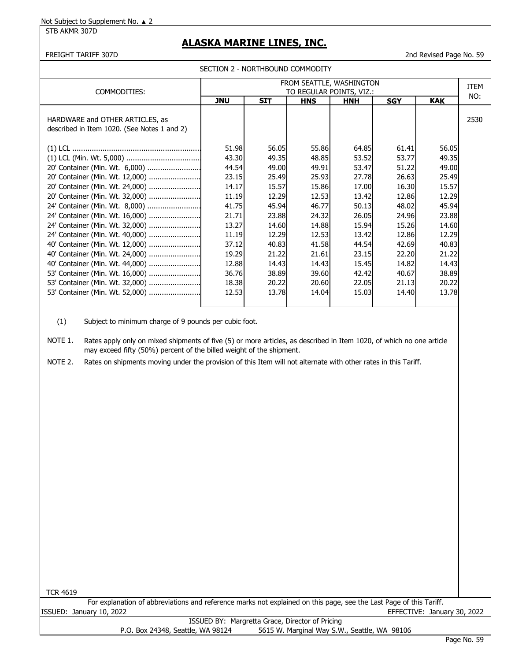STB AKMR 307D

# **ALASKA MARINE LINES, INC.**

FREIGHT TARIFF 307D 2nd Revised Page No. 59

| COMMODITIES:                                                                   | FROM SEATTLE, WASHINGTON<br>TO REGULAR POINTS, VIZ.: |            |            |            |            |            | <b>ITEM</b> |
|--------------------------------------------------------------------------------|------------------------------------------------------|------------|------------|------------|------------|------------|-------------|
|                                                                                | <b>JNU</b>                                           | <b>SIT</b> | <b>HNS</b> | <b>HNH</b> | <b>SGY</b> | <b>KAK</b> | NO:         |
| HARDWARE and OTHER ARTICLES, as<br>described in Item 1020. (See Notes 1 and 2) |                                                      |            |            |            |            |            | 2530        |
|                                                                                | 51.98                                                | 56.05      | 55.86      | 64.85      | 61.41      | 56.05      |             |
|                                                                                | 43.30                                                | 49.35      | 48.85      | 53.52      | 53.77      | 49.35      |             |
| 20' Container (Min. Wt. 6,000)                                                 | 44.54                                                | 49.00      | 49.91      | 53.47      | 51.22      | 49.00      |             |
| 20' Container (Min. Wt. 12,000)                                                | 23.15                                                | 25.49      | 25.93      | 27.78      | 26.63      | 25.49      |             |
| 20' Container (Min. Wt. 24,000)                                                | 14.17                                                | 15.57      | 15.86      | 17.00      | 16.30      | 15.57      |             |
| 20' Container (Min. Wt. 32,000)                                                | 11.19                                                | 12.29      | 12.53      | 13.42      | 12.86      | 12.29      |             |
| 24' Container (Min. Wt. 8,000)                                                 | 41.75                                                | 45.94      | 46.77      | 50.13      | 48.02      | 45.94      |             |
| 24' Container (Min. Wt. 16,000)                                                | 21.71                                                | 23.88      | 24.32      | 26.05      | 24.96      | 23.88      |             |
| 24' Container (Min. Wt. 32,000)                                                | 13.27                                                | 14.60      | 14.88      | 15.94      | 15.26      | 14.60      |             |
| 24' Container (Min. Wt. 40,000)                                                | 11.19                                                | 12.29      | 12.53      | 13.42      | 12.86      | 12.29      |             |
| 40' Container (Min. Wt. 12,000)                                                | 37.12                                                | 40.83      | 41.58      | 44.54      | 42.69      | 40.83      |             |
| 40' Container (Min. Wt. 24,000)                                                | 19.29                                                | 21.22      | 21.61      | 23.15      | 22.20      | 21.22      |             |
| 40' Container (Min. Wt. 44,000)                                                | 12.88                                                | 14.43      | 14.43      | 15.45      | 14.82      | 14.43      |             |
| 53' Container (Min. Wt. 16,000)                                                | 36.76                                                | 38.89      | 39.60      | 42.42      | 40.67      | 38.89      |             |
| 53' Container (Min. Wt. 32,000)                                                | 18.38                                                | 20.22      | 20.60      | 22.05      | 21.13      | 20.22      |             |
| 53' Container (Min. Wt. 52,000)                                                | 12.53                                                | 13.78      | 14.04      | 15.03      | 14.40      | 13.78      |             |

(1) Subject to minimum charge of 9 pounds per cubic foot.

NOTE 1. Rates apply only on mixed shipments of five (5) or more articles, as described in Item 1020, of which no one article may exceed fifty (50%) percent of the billed weight of the shipment.

NOTE 2. Rates on shipments moving under the provision of this Item will not alternate with other rates in this Tariff.

TCR 4619

ISSUED: January 10, 2022 EFFECTIVE: January 30, 2022 For explanation of abbreviations and reference marks not explained on this page, see the Last Page of this Tariff.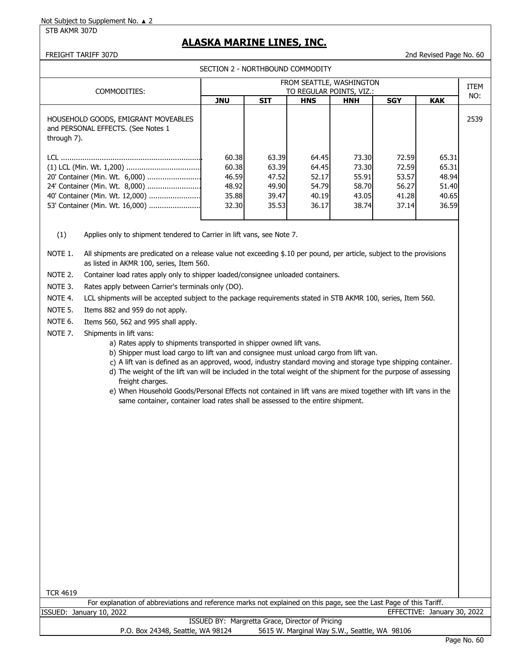STB AKMR 307D

# **ALASKA MARINE LINES, INC.**

FREIGHT TARIFF 307D 2nd Revised Page No. 60

|  | SECTION 2 - NORTHBOUND COMMODITY |  |
|--|----------------------------------|--|
|--|----------------------------------|--|

| FROM SEATTLE, WASHINGTON |                                                                                                      |                                                    |                                                    |                                                             |                                                     |                                                    |
|--------------------------|------------------------------------------------------------------------------------------------------|----------------------------------------------------|----------------------------------------------------|-------------------------------------------------------------|-----------------------------------------------------|----------------------------------------------------|
|                          |                                                                                                      |                                                    |                                                    |                                                             |                                                     | NO:                                                |
| <b>JNU</b>               | <b>SIT</b>                                                                                           | <b>HNS</b>                                         | <b>HNH</b>                                         | <b>SGY</b>                                                  | <b>KAK</b>                                          |                                                    |
|                          |                                                                                                      |                                                    |                                                    |                                                             |                                                     | 2539                                               |
|                          |                                                                                                      |                                                    |                                                    |                                                             | 65.31                                               |                                                    |
|                          |                                                                                                      |                                                    |                                                    |                                                             | 65.31                                               |                                                    |
|                          |                                                                                                      |                                                    | 55.91                                              |                                                             | 48.94                                               |                                                    |
|                          |                                                                                                      |                                                    |                                                    |                                                             | 51.40                                               |                                                    |
|                          |                                                                                                      |                                                    |                                                    |                                                             | 40.65                                               |                                                    |
|                          |                                                                                                      | 36.17                                              |                                                    |                                                             | 36.59                                               |                                                    |
|                          | 24' Container (Min. Wt. 8,000)<br>40' Container (Min. Wt. 12,000)<br>53' Container (Min. Wt. 16,000) | 60.38<br>60.38<br>46.59<br>48.92<br>35.88<br>32.30 | 63.39<br>63.39<br>47.52<br>49.90<br>39.47<br>35.53 | 64.45<br>73.30<br>64.45<br>52.17<br>54.79<br>40.19<br>38.74 | TO REGULAR POINTS, VIZ.:<br>73.30<br>58.70<br>43.05 | 72.59<br>72.59<br>53.57<br>56.27<br>41.28<br>37.14 |

(1) Applies only to shipment tendered to Carrier in lift vans, see Note 7.

NOTE 1. All shipments are predicated on a release value not exceeding \$.10 per pound, per article, subject to the provisions as listed in AKMR 100, series, Item 560.

NOTE 2. Container load rates apply only to shipper loaded/consignee unloaded containers.

NOTE 3. Rates apply between Carrier's terminals only (DO).

NOTE 4. LCL shipments will be accepted subject to the package requirements stated in STB AKMR 100, series, Item 560.

- NOTE 5. Items 882 and 959 do not apply.
- NOTE 6. Items 560, 562 and 995 shall apply.
- NOTE 7. Shipments in lift vans:
	- a) Rates apply to shipments transported in shipper owned lift vans.
	- b) Shipper must load cargo to lift van and consignee must unload cargo from lift van.
	- c) A lift van is defined as an approved, wood, industry standard moving and storage type shipping container.
	- d) The weight of the lift van will be included in the total weight of the shipment for the purpose of assessing freight charges.
	- e) When Household Goods/Personal Effects not contained in lift vans are mixed together with lift vans in the same container, container load rates shall be assessed to the entire shipment.

| TCR 4619 |  |
|----------|--|
|----------|--|

ISSUED: January 10, 2022 EFFECTIVE: January 30, 2022 ISSUED BY: Margretta Grace, Director of Pricing For explanation of abbreviations and reference marks not explained on this page, see the Last Page of this Tariff.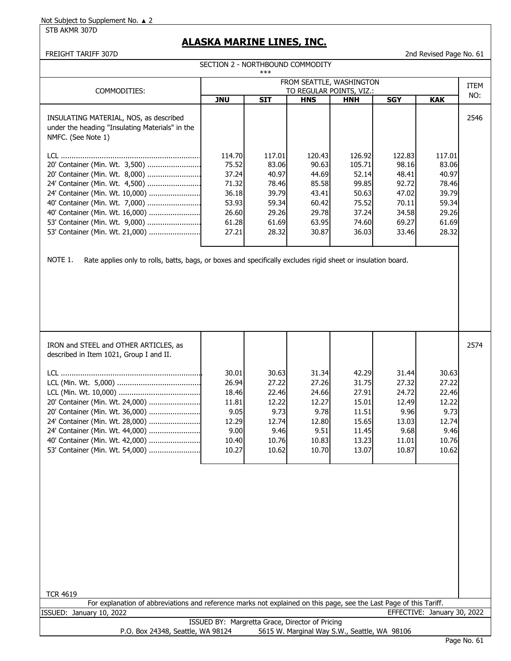STB AKMR 307D

# **ALASKA MARINE LINES, INC.**

SECTION 2 - NORTHBOUND COMMODITY

## FREIGHT TARIFF 307D 2nd Revised Page No. 61

|                                                                                                                                                                                                                                                                                                                                                                                 |                                                                                | ***                                                                            |                                                                                |                                                                                 |                                                                                |                                                                                |             |
|---------------------------------------------------------------------------------------------------------------------------------------------------------------------------------------------------------------------------------------------------------------------------------------------------------------------------------------------------------------------------------|--------------------------------------------------------------------------------|--------------------------------------------------------------------------------|--------------------------------------------------------------------------------|---------------------------------------------------------------------------------|--------------------------------------------------------------------------------|--------------------------------------------------------------------------------|-------------|
|                                                                                                                                                                                                                                                                                                                                                                                 | FROM SEATTLE, WASHINGTON                                                       |                                                                                |                                                                                |                                                                                 |                                                                                |                                                                                |             |
| COMMODITIES:                                                                                                                                                                                                                                                                                                                                                                    |                                                                                |                                                                                | TO REGULAR POINTS, VIZ.:                                                       |                                                                                 |                                                                                |                                                                                | ITEM<br>NO: |
|                                                                                                                                                                                                                                                                                                                                                                                 | <b>JNU</b>                                                                     | <b>SIT</b>                                                                     | <b>HNS</b>                                                                     | <b>HNH</b>                                                                      | <b>SGY</b>                                                                     | <b>KAK</b>                                                                     |             |
| INSULATING MATERIAL, NOS, as described<br>under the heading "Insulating Materials" in the<br>NMFC. (See Note 1)                                                                                                                                                                                                                                                                 |                                                                                |                                                                                |                                                                                |                                                                                 |                                                                                |                                                                                | 2546        |
| TCL.<br>20' Container (Min. Wt. 3,500)<br>20' Container (Min. Wt. 8,000)<br>24' Container (Min. Wt. 4,500)<br>24' Container (Min. Wt. 10,000)<br>40' Container (Min. Wt. 7,000)<br>53' Container (Min. Wt. 9,000)<br>53' Container (Min. Wt. 21,000)<br>NOTE 1.<br>Rate applies only to rolls, batts, bags, or boxes and specifically excludes rigid sheet or insulation board. | 114.70<br>75.52<br>37.24<br>71.32<br>36.18<br>53.93<br>26.60<br>61.28<br>27.21 | 117.01<br>83.06<br>40.97<br>78.46<br>39.79<br>59.34<br>29.26<br>61.69<br>28.32 | 120.43<br>90.63<br>44.69<br>85.58<br>43.41<br>60.42<br>29.78<br>63.95<br>30.87 | 126.92<br>105.71<br>52.14<br>99.85<br>50.63<br>75.52<br>37.24<br>74.60<br>36.03 | 122.83<br>98.16<br>48.41<br>92.72<br>47.02<br>70.11<br>34.58<br>69.27<br>33.46 | 117.01<br>83.06<br>40.97<br>78.46<br>39.79<br>59.34<br>29.26<br>61.69<br>28.32 |             |
|                                                                                                                                                                                                                                                                                                                                                                                 |                                                                                |                                                                                |                                                                                |                                                                                 |                                                                                |                                                                                |             |

| IRON and STEEL and OTHER ARTICLES, as<br>described in Item 1021, Group I and II. |       |       |       |       |       |       | 2574 |
|----------------------------------------------------------------------------------|-------|-------|-------|-------|-------|-------|------|
|                                                                                  | 30.01 | 30.63 | 31.34 | 42.29 | 31.44 | 30.63 |      |
|                                                                                  | 26.94 | 27.22 | 27.26 | 31.75 | 27.32 | 27.22 |      |
|                                                                                  | 18.46 | 22.46 | 24.66 | 27.91 | 24.72 | 22.46 |      |
| 20' Container (Min. Wt. 24,000)                                                  | 11.81 | 12.22 | 12.27 | 15.01 | 12.49 | 12.22 |      |
| 20' Container (Min. Wt. 36,000)                                                  | 9.05  | 9.73  | 9.78  | 11.51 | 9.96  | 9.73  |      |
|                                                                                  | 12.29 | 12.74 | 12.80 | 15.65 | 13.03 | 12.74 |      |
| 24' Container (Min. Wt. 44,000)                                                  | 9.00  | 9.46  | 9.51  | 11.45 | 9.68  | 9.46  |      |
| 40' Container (Min. Wt. 42,000)                                                  | 10.40 | 10.76 | 10.83 | 13.23 | 11.01 | 10.76 |      |
| 53' Container (Min. Wt. 54,000)                                                  | 10.27 | 10.62 | 10.70 | 13.07 | 10.87 | 10.62 |      |
|                                                                                  |       |       |       |       |       |       |      |

| <b>TCR 4619</b>                                                                                                    |             |
|--------------------------------------------------------------------------------------------------------------------|-------------|
| For explanation of abbreviations and reference marks not explained on this page, see the Last Page of this Tariff. |             |
| EFFECTIVE: January 30, 2022<br>ISSUED: January 10, 2022                                                            |             |
| ISSUED BY: Margretta Grace, Director of Pricing                                                                    |             |
| 5615 W. Marginal Way S.W., Seattle, WA 98106<br>P.O. Box 24348, Seattle, WA 98124                                  |             |
|                                                                                                                    | Page No. 61 |
|                                                                                                                    |             |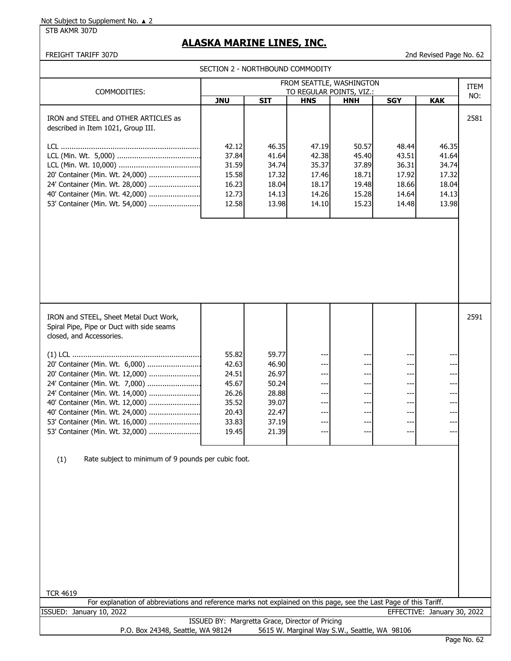STB AKMR 307D

# **ALASKA MARINE LINES, INC.**

FREIGHT TARIFF 307D 2nd Revised Page No. 62

|                                                                                                                                                                                                              |                                                             | SECTION 2 - NORTHBOUND COMMODITY                            |                                               |                                              |                                 |                                                                                     |      |
|--------------------------------------------------------------------------------------------------------------------------------------------------------------------------------------------------------------|-------------------------------------------------------------|-------------------------------------------------------------|-----------------------------------------------|----------------------------------------------|---------------------------------|-------------------------------------------------------------------------------------|------|
|                                                                                                                                                                                                              |                                                             |                                                             |                                               | FROM SEATTLE, WASHINGTON                     |                                 |                                                                                     | ITEM |
| COMMODITIES:<br>TO REGULAR POINTS, VIZ.:                                                                                                                                                                     |                                                             |                                                             |                                               |                                              |                                 |                                                                                     | NO:  |
|                                                                                                                                                                                                              | <b>JNU</b>                                                  | <b>SIT</b>                                                  | <b>HNS</b>                                    | <b>HNH</b>                                   | <b>SGY</b>                      | <b>KAK</b>                                                                          |      |
| IRON and STEEL and OTHER ARTICLES as<br>described in Item 1021, Group III.                                                                                                                                   |                                                             |                                                             |                                               |                                              |                                 |                                                                                     | 2581 |
|                                                                                                                                                                                                              | 42.12                                                       | 46.35                                                       | 47.19                                         | 50.57                                        | 48.44                           | 46.35                                                                               |      |
|                                                                                                                                                                                                              | 37.84                                                       | 41.64                                                       | 42.38                                         | 45.40                                        | 43.51                           | 41.64                                                                               |      |
| 20' Container (Min. Wt. 24,000)                                                                                                                                                                              | 31.59                                                       | 34.74                                                       | 35.37                                         | 37.89<br>18.71                               | 36.31<br>17.92                  | 34.74                                                                               |      |
| 24' Container (Min. Wt. 28,000)                                                                                                                                                                              | 15.58<br>16.23                                              | 17.32<br>18.04                                              | 17.46<br>18.17                                | 19.48                                        | 18.66                           | 17.32<br>18.04                                                                      |      |
| 40' Container (Min. Wt. 42,000)                                                                                                                                                                              | 12.73                                                       | 14.13                                                       | 14.26                                         | 15.28                                        | 14.64                           | 14.13                                                                               |      |
| 53' Container (Min. Wt. 54,000)                                                                                                                                                                              | 12.58                                                       | 13.98                                                       | 14.10                                         | 15.23                                        | 14.48                           | 13.98                                                                               |      |
|                                                                                                                                                                                                              |                                                             |                                                             |                                               |                                              |                                 |                                                                                     |      |
| IRON and STEEL, Sheet Metal Duct Work,<br>Spiral Pipe, Pipe or Duct with side seams                                                                                                                          |                                                             |                                                             |                                               |                                              |                                 |                                                                                     | 2591 |
| closed, and Accessories.                                                                                                                                                                                     |                                                             |                                                             |                                               |                                              |                                 |                                                                                     |      |
| 20' Container (Min. Wt. 6,000)<br>20' Container (Min. Wt. 12,000)<br>24' Container (Min. Wt. 7,000)<br>24' Container (Min. Wt. 14,000)<br>40' Container (Min. Wt. 12,000)<br>40' Container (Min. Wt. 24,000) | 55.82<br>42.63<br>24.51<br>45.67<br>26.26<br>35.52<br>20.43 | 59.77<br>46.90<br>26.97<br>50.24<br>28.88<br>39.07<br>22.47 | ---<br>---<br>---<br>---<br>---<br>---<br>--- | ---<br>---<br>---<br>---<br>---              | ---<br>---<br>---<br>---<br>--- | $---$<br>$\qquad \qquad \text{---}$<br>$---$<br>$\qquad \qquad \text{---}$<br>$---$ |      |
| 53' Container (Min. Wt. 16,000)                                                                                                                                                                              | 33.83                                                       | 37.19                                                       | $---$                                         | --                                           | ---                             |                                                                                     |      |
| 53' Container (Min. Wt. 32,000)                                                                                                                                                                              | 19.45                                                       | 21.39                                                       | $---$                                         | $---$                                        | $---$                           | $---$                                                                               |      |
| Rate subject to minimum of 9 pounds per cubic foot.<br>(1)<br><b>TCR 4619</b>                                                                                                                                |                                                             |                                                             |                                               |                                              |                                 |                                                                                     |      |
| For explanation of abbreviations and reference marks not explained on this page, see the Last Page of this Tariff.                                                                                           |                                                             |                                                             |                                               |                                              |                                 |                                                                                     |      |
| ISSUED: January 10, 2022                                                                                                                                                                                     |                                                             | ISSUED BY: Margretta Grace, Director of Pricing             |                                               |                                              |                                 | EFFECTIVE: January 30, 2022                                                         |      |
| P.O. Box 24348, Seattle, WA 98124                                                                                                                                                                            |                                                             |                                                             |                                               | 5615 W. Marginal Way S.W., Seattle, WA 98106 |                                 |                                                                                     |      |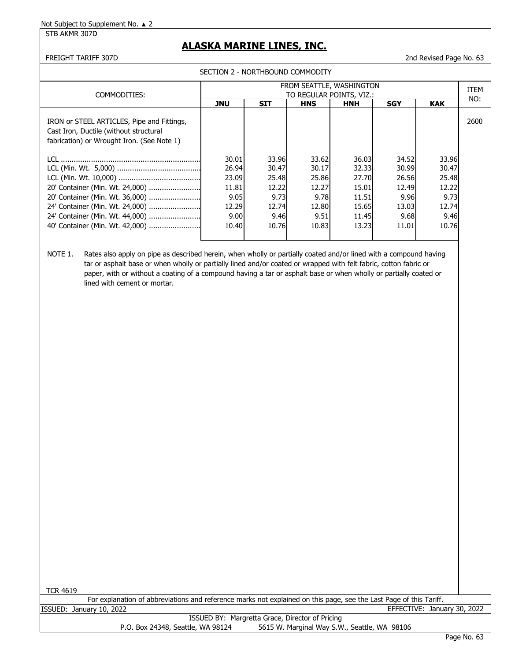#### STB AKMR 307D

## **ALASKA MARINE LINES, INC.**

FREIGHT TARIFF 307D 2nd Revised Page No. 63

| SECTION 2 - NORTHBOUND COMMODITY                                   |            |                        |                                                            |                                          |                                                                                |                                                                    |  |  |  |  |
|--------------------------------------------------------------------|------------|------------------------|------------------------------------------------------------|------------------------------------------|--------------------------------------------------------------------------------|--------------------------------------------------------------------|--|--|--|--|
| FROM SEATTLE, WASHINGTON                                           |            |                        |                                                            |                                          |                                                                                |                                                                    |  |  |  |  |
| <b>JNU</b>                                                         | <b>SIT</b> | <b>HNS</b>             | <b>HNH</b>                                                 | <b>SGY</b>                               | <b>KAK</b>                                                                     | NO:                                                                |  |  |  |  |
|                                                                    |            |                        |                                                            |                                          |                                                                                | 2600                                                               |  |  |  |  |
| 30.01<br>26.94<br>23.09<br>11.81<br>9.05<br>12.29<br>9.00<br>10.40 |            | 30.17<br>12.27<br>9.51 | 15.01<br>11.51                                             |                                          | 33.96<br>30.47<br>25.48<br>12.22<br>9.73<br>12.74<br>9.46<br>10.76             |                                                                    |  |  |  |  |
|                                                                    |            | 9.73                   | 33.96<br>30.47<br>25.48<br>12.22<br>12.74<br>9.46<br>10.76 | 33.62<br>25.86<br>9.78<br>12.80<br>10.83 | TO REGULAR POINTS, VIZ.:<br>36.03<br>32.33<br>27.70<br>15.65<br>11.45<br>13.23 | 34.52<br>30.99<br>26.56<br>12.49<br>9.96<br>13.03<br>9.68<br>11.01 |  |  |  |  |

NOTE 1. Rates also apply on pipe as described herein, when wholly or partially coated and/or lined with a compound having tar or asphalt base or when wholly or partially lined and/or coated or wrapped with felt fabric, cotton fabric or paper, with or without a coating of a compound having a tar or asphalt base or when wholly or partially coated or lined with cement or mortar.

TCR 4619

For explanation of abbreviations and reference marks not explained on this page, see the Last Page of this Tariff. ISSUED: January 10, 2022 EFFECTIVE: January 30, 2022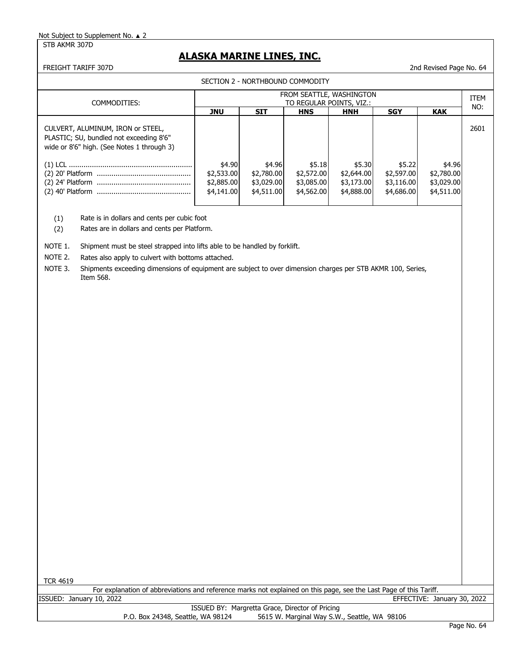STB AKMR 307D

## **ALASKA MARINE LINES, INC.**

FREIGHT TARIFF 307D 2nd Revised Page No. 64

|                                                                                                                            |                                                  |                                                      | SECTION 2 - NORTHBOUND COMMODITY                 |                                                  |                                                  |                                                  |      |
|----------------------------------------------------------------------------------------------------------------------------|--------------------------------------------------|------------------------------------------------------|--------------------------------------------------|--------------------------------------------------|--------------------------------------------------|--------------------------------------------------|------|
| COMMODITIES:                                                                                                               |                                                  | FROM SEATTLE, WASHINGTON<br>TO REGULAR POINTS, VIZ.: |                                                  |                                                  |                                                  |                                                  |      |
|                                                                                                                            | JNU                                              | <b>SIT</b>                                           | <b>HNS</b>                                       | <b>HNH</b>                                       | <b>SGY</b>                                       | <b>KAK</b>                                       | NO:  |
| CULVERT, ALUMINUM, IRON or STEEL,<br>PLASTIC; SU, bundled not exceeding 8'6"<br>wide or 8'6" high. (See Notes 1 through 3) |                                                  |                                                      |                                                  |                                                  |                                                  |                                                  | 2601 |
|                                                                                                                            | \$4.90<br>\$2,533.00<br>\$2,885.00<br>\$4,141.00 | \$4.96<br>\$2,780.00<br>\$3,029.00<br>\$4,511.00     | \$5.18<br>\$2,572.00<br>\$3,085.00<br>\$4,562.00 | \$5.30<br>\$2,644.00<br>\$3,173.00<br>\$4,888.00 | \$5.22<br>\$2,597.00<br>\$3,116.00<br>\$4,686.00 | \$4.96<br>\$2,780.00<br>\$3,029.00<br>\$4,511.00 |      |

(1) Rate is in dollars and cents per cubic foot

(2) Rates are in dollars and cents per Platform.

NOTE 1. Shipment must be steel strapped into lifts able to be handled by forklift.

NOTE 2. Rates also apply to culvert with bottoms attached.

NOTE 3. Shipments exceeding dimensions of equipment are subject to over dimension charges per STB AKMR 100, Series, Item 568.

TCR 4619

For explanation of abbreviations and reference marks not explained on this page, see the Last Page of this Tariff.

| ISSUED: | January 10, 2022                                                                  | EFFECTIVE: January 30, 2022 |
|---------|-----------------------------------------------------------------------------------|-----------------------------|
|         | ISSUED BY: Margretta Grace, Director of Pricing                                   |                             |
|         | 5615 W. Marginal Way S.W., Seattle, WA 98106<br>P.O. Box 24348, Seattle, WA 98124 |                             |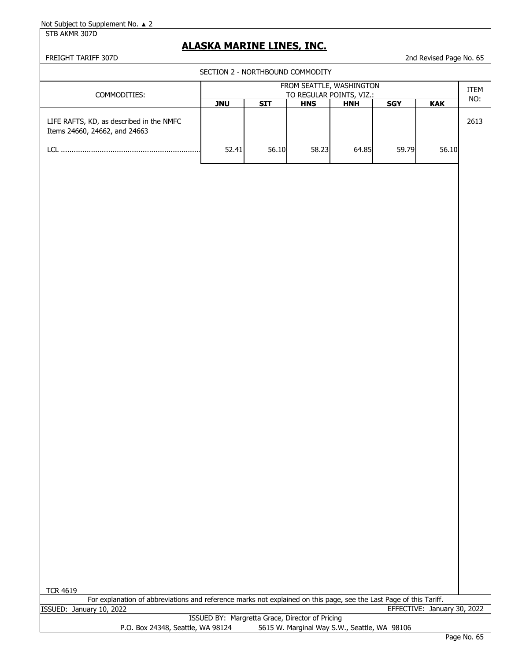#### STB AKMR 307D

## **ALASKA MARINE LINES, INC.**

FREIGHT TARIFF 307D 2nd Revised Page No. 65

| SECTION 2 - NORTHBOUND COMMODITY                                          |                                                      |            |            |            |            |            |      |  |  |  |
|---------------------------------------------------------------------------|------------------------------------------------------|------------|------------|------------|------------|------------|------|--|--|--|
| COMMODITIES:                                                              | FROM SEATTLE, WASHINGTON<br>TO REGULAR POINTS, VIZ.: |            |            |            |            |            |      |  |  |  |
|                                                                           | <b>JNU</b>                                           | <b>SIT</b> | <b>HNS</b> | <b>HNH</b> | <b>SGY</b> | <b>KAK</b> | NO:  |  |  |  |
| LIFE RAFTS, KD, as described in the NMFC<br>Items 24660, 24662, and 24663 |                                                      |            |            |            |            |            | 2613 |  |  |  |
| l Cl                                                                      | 52.41                                                | 56.10      | 58.23      | 64.85      | 59.79      | 56.10      |      |  |  |  |
|                                                                           |                                                      |            |            |            |            |            |      |  |  |  |

For explanation of abbreviations and reference marks not explained on this page, see the Last Page of this Tariff. ISSUED: January 10, 2022 EFFECTIVE: January 30, 2022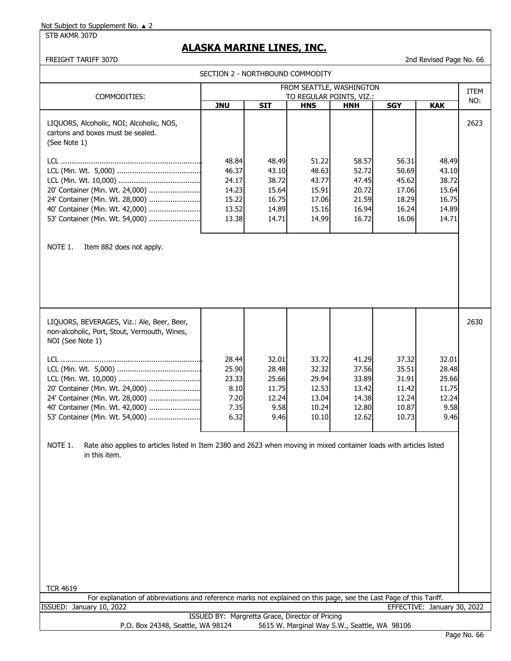STB AKMR 307D

# **ALASKA MARINE LINES, INC.**

FREIGHT TARIFF 307D 2nd Revised Page No. 66

|                                                                                                                                                  |                                                         | SECTION 2 - NORTHBOUND COMMODITY                          |                                                             |                                                             |                                                             |                                                           |      |
|--------------------------------------------------------------------------------------------------------------------------------------------------|---------------------------------------------------------|-----------------------------------------------------------|-------------------------------------------------------------|-------------------------------------------------------------|-------------------------------------------------------------|-----------------------------------------------------------|------|
|                                                                                                                                                  |                                                         |                                                           |                                                             | FROM SEATTLE, WASHINGTON                                    |                                                             |                                                           | ITEM |
| COMMODITIES:                                                                                                                                     | <b>JNU</b>                                              | <b>SIT</b>                                                | TO REGULAR POINTS, VIZ.:<br><b>HNS</b>                      | <b>HNH</b>                                                  | <b>SGY</b>                                                  | <b>KAK</b>                                                | NO:  |
| LIQUORS, Alcoholic, NOI; Alcoholic, NOS,<br>cartons and boxes must be sealed.<br>(See Note 1)                                                    | 48.84                                                   | 48.49                                                     | 51.22                                                       | 58.57                                                       | 56.31                                                       | 48.49                                                     | 2623 |
|                                                                                                                                                  | 46.37                                                   | 43.10                                                     | 48.63                                                       | 52.72                                                       | 50.69                                                       | 43.10                                                     |      |
|                                                                                                                                                  | 24.17                                                   | 38.72                                                     | 43.77                                                       | 47.45                                                       | 45.62                                                       | 38.72                                                     |      |
| 20' Container (Min. Wt. 24,000)<br>24' Container (Min. Wt. 28,000)                                                                               | 14.23<br>15.22                                          | 15.64<br>16.75                                            | 15.91<br>17.06                                              | 20.72<br>21.59                                              | 17.06<br>18.29                                              | 15.64<br>16.75                                            |      |
| 40' Container (Min. Wt. 42,000)                                                                                                                  | 13.52                                                   | 14.89                                                     | 15.16                                                       | 16.94                                                       | 16.24                                                       | 14.89                                                     |      |
| 53' Container (Min. Wt. 54,000)                                                                                                                  | 13.38                                                   | 14.71                                                     | 14.99                                                       | 16.72                                                       | 16.06                                                       | 14.71                                                     |      |
|                                                                                                                                                  |                                                         |                                                           |                                                             |                                                             |                                                             |                                                           |      |
| NOTE 1.<br>Item 882 does not apply.                                                                                                              |                                                         |                                                           |                                                             |                                                             |                                                             |                                                           |      |
| LIQUORS, BEVERAGES, Viz.: Ale, Beer, Beer,<br>non-alcoholic, Port, Stout, Vermouth, Wines,<br>NOI (See Note 1)                                   |                                                         |                                                           |                                                             |                                                             |                                                             |                                                           | 2630 |
| 20' Container (Min. Wt. 24,000)<br>24' Container (Min. Wt. 28,000)<br>40' Container (Min. Wt. 42,000)<br>53' Container (Min. Wt. 54,000)         | 28.44<br>25.90<br>23.33<br>8.10<br>7.20<br>7.35<br>6.32 | 32.01<br>28.48<br>25.66<br>11.75<br>12.24<br>9.58<br>9.46 | 33.72<br>32.32<br>29.94<br>12.53<br>13.04<br>10.24<br>10.10 | 41.29<br>37.56<br>33.89<br>13.42<br>14.38<br>12.80<br>12.62 | 37.32<br>35.51<br>31.91<br>11.42<br>12.24<br>10.87<br>10.73 | 32.01<br>28.48<br>25.66<br>11.75<br>12.24<br>9.58<br>9.46 |      |
| NOTE 1.<br>Rate also applies to articles listed in Item 2380 and 2623 when moving in mixed container loads with articles listed<br>in this item. |                                                         |                                                           |                                                             |                                                             |                                                             |                                                           |      |
|                                                                                                                                                  |                                                         |                                                           |                                                             |                                                             |                                                             |                                                           |      |
|                                                                                                                                                  |                                                         |                                                           |                                                             |                                                             |                                                             |                                                           |      |
| <b>TCR 4619</b>                                                                                                                                  |                                                         |                                                           |                                                             |                                                             |                                                             |                                                           |      |
| For explanation of abbreviations and reference marks not explained on this page, see the Last Page of this Tariff.                               |                                                         |                                                           |                                                             |                                                             |                                                             |                                                           |      |
| ISSUED: January 10, 2022                                                                                                                         |                                                         |                                                           |                                                             |                                                             |                                                             | EFFECTIVE: January 30, 2022                               |      |
| P.O. Box 24348, Seattle, WA 98124                                                                                                                |                                                         | ISSUED BY: Margretta Grace, Director of Pricing           |                                                             | 5615 W. Marginal Way S.W., Seattle, WA 98106                |                                                             |                                                           |      |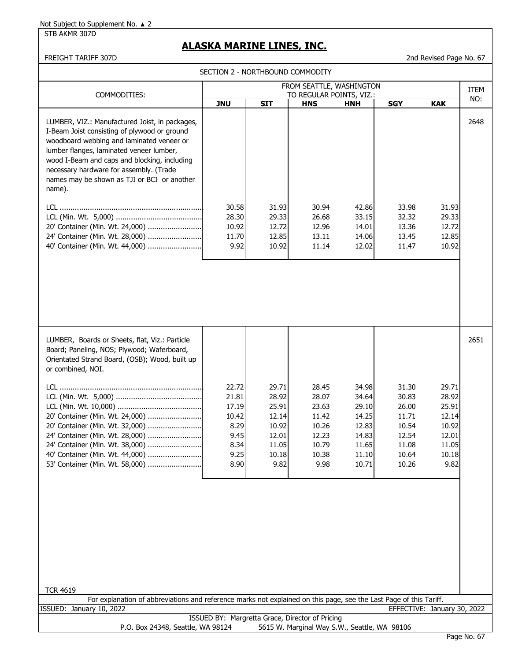#### STB AKMR 307D

# **ALASKA MARINE LINES, INC.**

FREIGHT TARIFF 307D 2nd Revised Page No. 67

|                                                                                                                                                                                                                                                                                                                                             | SECTION 2 - NORTHBOUND COMMODITY                                         |                                                                              |                                                                              |                                                                               |                                                                               |                                                                              |      |
|---------------------------------------------------------------------------------------------------------------------------------------------------------------------------------------------------------------------------------------------------------------------------------------------------------------------------------------------|--------------------------------------------------------------------------|------------------------------------------------------------------------------|------------------------------------------------------------------------------|-------------------------------------------------------------------------------|-------------------------------------------------------------------------------|------------------------------------------------------------------------------|------|
|                                                                                                                                                                                                                                                                                                                                             |                                                                          |                                                                              |                                                                              | FROM SEATTLE, WASHINGTON                                                      |                                                                               |                                                                              | ITEM |
| COMMODITIES:                                                                                                                                                                                                                                                                                                                                | <b>JNU</b>                                                               | <b>SIT</b>                                                                   | <b>HNS</b>                                                                   | TO REGULAR POINTS, VIZ.:<br><b>HNH</b>                                        | <b>SGY</b>                                                                    | <b>KAK</b>                                                                   | NO:  |
| LUMBER, VIZ.: Manufactured Joist, in packages,<br>I-Beam Joist consisting of plywood or ground<br>woodboard webbing and laminated veneer or<br>lumber flanges, laminated veneer lumber,<br>wood I-Beam and caps and blocking, including<br>necessary hardware for assembly. (Trade<br>names may be shown as TJI or BCI or another<br>name). |                                                                          |                                                                              |                                                                              |                                                                               |                                                                               |                                                                              | 2648 |
| 20' Container (Min. Wt. 24,000)<br>24' Container (Min. Wt. 28,000)<br>40' Container (Min. Wt. 44,000)                                                                                                                                                                                                                                       | 30.58<br>28.30<br>10.92<br>11.70<br>9.92                                 | 31.93<br>29.33<br>12.72<br>12.85<br>10.92                                    | 30.94<br>26.68<br>12.96<br>13.11<br>11.14                                    | 42.86<br>33.15<br>14.01<br>14.06<br>12.02                                     | 33.98<br>32.32<br>13.36<br>13.45<br>11.47                                     | 31.93<br>29.33<br>12.72<br>12.85<br>10.92                                    |      |
|                                                                                                                                                                                                                                                                                                                                             |                                                                          |                                                                              |                                                                              |                                                                               |                                                                               |                                                                              |      |
| LUMBER, Boards or Sheets, flat, Viz.: Particle<br>Board; Paneling, NOS; Plywood; Waferboard,<br>Orientated Strand Board, (OSB); Wood, built up<br>or combined, NOI.                                                                                                                                                                         |                                                                          |                                                                              |                                                                              |                                                                               |                                                                               |                                                                              | 2651 |
| 20' Container (Min. Wt. 24,000)<br>20' Container (Min. Wt. 32,000)<br>24' Container (Min. Wt. 28,000)<br>24' Container (Min. Wt. 38,000)<br>40' Container (Min. Wt. 44,000)<br>53' Container (Min. Wt. 58,000)                                                                                                                              | 22.72<br>21.81<br>17.19<br>10.42<br>8.29<br>9.45<br>8.34<br>9.25<br>8.90 | 29.71<br>28.92<br>25.91<br>12.14<br>10.92<br>12.01<br>11.05<br>10.18<br>9.82 | 28.45<br>28.07<br>23.63<br>11.42<br>10.26<br>12.23<br>10.79<br>10.38<br>9.98 | 34.98<br>34.64<br>29.10<br>14.25<br>12.83<br>14.83<br>11.65<br>11.10<br>10.71 | 31.30<br>30.83<br>26.00<br>11.71<br>10.54<br>12.54<br>11.08<br>10.64<br>10.26 | 29.71<br>28.92<br>25.91<br>12.14<br>10.92<br>12.01<br>11.05<br>10.18<br>9.82 |      |
| <b>TCR 4619</b><br>For explanation of abbreviations and reference marks not explained on this page, see the Last Page of this Tariff.                                                                                                                                                                                                       |                                                                          |                                                                              |                                                                              |                                                                               |                                                                               |                                                                              |      |
| ISSUED: January 10, 2022                                                                                                                                                                                                                                                                                                                    |                                                                          |                                                                              |                                                                              |                                                                               |                                                                               | EFFECTIVE: January 30, 2022                                                  |      |
|                                                                                                                                                                                                                                                                                                                                             | ISSUED BY: Margretta Grace, Director of Pricing                          |                                                                              |                                                                              |                                                                               |                                                                               |                                                                              |      |

P.O. Box 24348, Seattle, WA 98124 5615 W. Marginal Way S.W., Seattle, WA 98106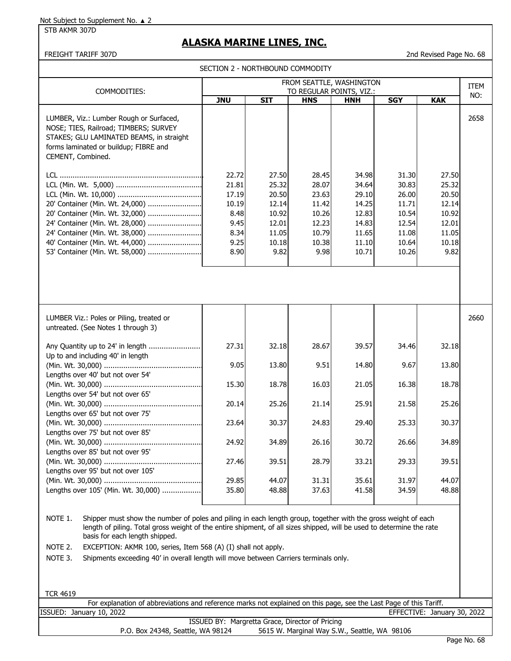STB AKMR 307D

## **ALASKA MARINE LINES, INC.**

FREIGHT TARIFF 307D 2nd Revised Page No. 68

SECTION 2 - NORTHBOUND COMMODITY

| FROM SEATTLE, WASHINGTON                                                                                                                                                                                                                                                                                                                                                                                                                                            |                                                                          |                                                                              |                                                                              |                                                                               |                                                                               |                                                                              |                    |
|---------------------------------------------------------------------------------------------------------------------------------------------------------------------------------------------------------------------------------------------------------------------------------------------------------------------------------------------------------------------------------------------------------------------------------------------------------------------|--------------------------------------------------------------------------|------------------------------------------------------------------------------|------------------------------------------------------------------------------|-------------------------------------------------------------------------------|-------------------------------------------------------------------------------|------------------------------------------------------------------------------|--------------------|
| COMMODITIES:                                                                                                                                                                                                                                                                                                                                                                                                                                                        | <b>JNU</b>                                                               | <b>SIT</b>                                                                   | <b>HNS</b>                                                                   | TO REGULAR POINTS, VIZ.:<br><b>HNH</b>                                        | <b>SGY</b>                                                                    | <b>KAK</b>                                                                   | <b>ITEM</b><br>NO: |
| LUMBER, Viz.: Lumber Rough or Surfaced,<br>NOSE; TIES, Railroad; TIMBERS; SURVEY<br>STAKES; GLU LAMINATED BEAMS, in straight<br>forms laminated or buildup; FIBRE and<br>CEMENT, Combined.                                                                                                                                                                                                                                                                          |                                                                          |                                                                              |                                                                              |                                                                               |                                                                               |                                                                              | 2658               |
| 20' Container (Min. Wt. 24,000)<br>20' Container (Min. Wt. 32,000)<br>24' Container (Min. Wt. 28,000)<br>24' Container (Min. Wt. 38,000)<br>40' Container (Min. Wt. 44,000)<br>53' Container (Min. Wt. 58,000)                                                                                                                                                                                                                                                      | 22.72<br>21.81<br>17.19<br>10.19<br>8.48<br>9.45<br>8.34<br>9.25<br>8.90 | 27.50<br>25.32<br>20.50<br>12.14<br>10.92<br>12.01<br>11.05<br>10.18<br>9.82 | 28.45<br>28.07<br>23.63<br>11.42<br>10.26<br>12.23<br>10.79<br>10.38<br>9.98 | 34.98<br>34.64<br>29.10<br>14.25<br>12.83<br>14.83<br>11.65<br>11.10<br>10.71 | 31.30<br>30.83<br>26.00<br>11.71<br>10.54<br>12.54<br>11.08<br>10.64<br>10.26 | 27.50<br>25.32<br>20.50<br>12.14<br>10.92<br>12.01<br>11.05<br>10.18<br>9.82 |                    |
|                                                                                                                                                                                                                                                                                                                                                                                                                                                                     |                                                                          |                                                                              |                                                                              |                                                                               |                                                                               |                                                                              |                    |
| LUMBER Viz.: Poles or Piling, treated or<br>untreated. (See Notes 1 through 3)                                                                                                                                                                                                                                                                                                                                                                                      |                                                                          |                                                                              |                                                                              |                                                                               |                                                                               |                                                                              | 2660               |
| Up to and including 40' in length                                                                                                                                                                                                                                                                                                                                                                                                                                   | 27.31                                                                    | 32.18                                                                        | 28.67                                                                        | 39.57                                                                         | 34.46                                                                         | 32.18                                                                        |                    |
|                                                                                                                                                                                                                                                                                                                                                                                                                                                                     | 9.05                                                                     | 13.80                                                                        | 9.51                                                                         | 14.80                                                                         | 9.67                                                                          | 13.80                                                                        |                    |
| Lengths over 40' but not over 54'<br>Lengths over 54' but not over 65'                                                                                                                                                                                                                                                                                                                                                                                              | 15.30                                                                    | 18.78                                                                        | 16.03                                                                        | 21.05                                                                         | 16.38                                                                         | 18.78                                                                        |                    |
| Lengths over 65' but not over 75'                                                                                                                                                                                                                                                                                                                                                                                                                                   | 20.14                                                                    | 25.26                                                                        | 21.14                                                                        | 25.91                                                                         | 21.58                                                                         | 25.26                                                                        |                    |
| Lengths over 75' but not over 85'                                                                                                                                                                                                                                                                                                                                                                                                                                   | 23.64                                                                    | 30.37                                                                        | 24.83                                                                        | 29.40                                                                         | 25.33                                                                         | 30.37                                                                        |                    |
| Lengths over 85' but not over 95'                                                                                                                                                                                                                                                                                                                                                                                                                                   | 24.92                                                                    | 34.89                                                                        | 26.16                                                                        | 30.72                                                                         | 26.66                                                                         | 34.89                                                                        |                    |
| Lengths over 95' but not over 105'                                                                                                                                                                                                                                                                                                                                                                                                                                  | 27.46                                                                    | 39.51                                                                        | 28.79                                                                        | 33.21                                                                         | 29.33                                                                         | 39.51                                                                        |                    |
| Lengths over 105' (Min. Wt. 30,000)                                                                                                                                                                                                                                                                                                                                                                                                                                 | 29.85<br>35.80                                                           | 44.07<br>48.88                                                               | 31.31<br>37.63                                                               | 35.61<br>41.58                                                                | 31.97<br>34.59                                                                | 44.07<br>48.88                                                               |                    |
| NOTE 1.<br>Shipper must show the number of poles and piling in each length group, together with the gross weight of each<br>length of piling. Total gross weight of the entire shipment, of all sizes shipped, will be used to determine the rate<br>basis for each length shipped.<br>NOTE 2.<br>EXCEPTION: AKMR 100, series, Item 568 (A) (I) shall not apply.<br>NOTE 3.<br>Shipments exceeding 40' in overall length will move between Carriers terminals only. |                                                                          |                                                                              |                                                                              |                                                                               |                                                                               |                                                                              |                    |
| <b>TCR 4619</b>                                                                                                                                                                                                                                                                                                                                                                                                                                                     |                                                                          |                                                                              |                                                                              |                                                                               |                                                                               |                                                                              |                    |
| For explanation of abbreviations and reference marks not explained on this page, see the Last Page of this Tariff.                                                                                                                                                                                                                                                                                                                                                  |                                                                          |                                                                              |                                                                              |                                                                               |                                                                               |                                                                              |                    |

| ISSUED: January 10, 2022                                                          | EFFECTIVE: January 30, 2022 |
|-----------------------------------------------------------------------------------|-----------------------------|
| ISSUED BY: Margretta Grace, Director of Pricing                                   |                             |
| 5615 W. Marginal Way S.W., Seattle, WA 98106<br>P.O. Box 24348, Seattle, WA 98124 |                             |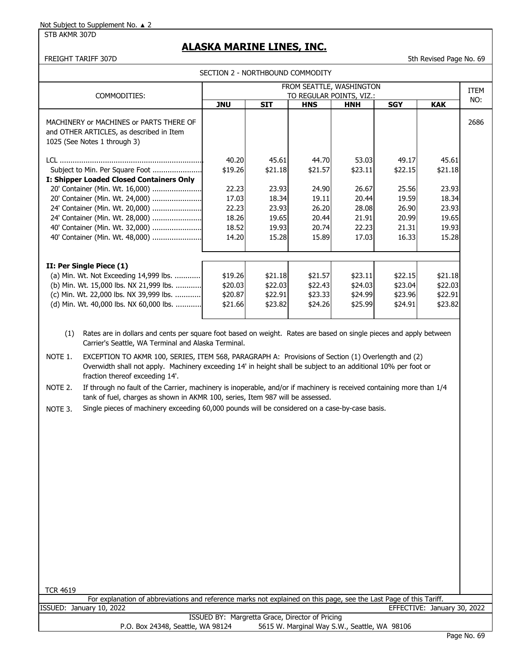STB AKMR 307D

## **ALASKA MARINE LINES, INC.**

FREIGHT TARIFF 307D 5th Revised Page No. 69

| COMMODITIES:                                                                                                        |            |                    | TO REGULAR POINTS, VIZ.: | FROM SEATTLE, WASHINGTON |                    |                    | <b>ITEM</b> |
|---------------------------------------------------------------------------------------------------------------------|------------|--------------------|--------------------------|--------------------------|--------------------|--------------------|-------------|
|                                                                                                                     | <b>JNU</b> | <b>SIT</b>         | <b>HNS</b>               | <b>HNH</b>               | <b>SGY</b>         | <b>KAK</b>         | NO:         |
| MACHINERY or MACHINES or PARTS THERE OF<br>and OTHER ARTICLES, as described in Item<br>1025 (See Notes 1 through 3) |            |                    |                          |                          |                    |                    | 2686        |
|                                                                                                                     | 40.20      | 45.61              | 44.70                    | 53.03                    | 49.17              | 45.61              |             |
| Subject to Min. Per Square Foot                                                                                     | \$19.26    | \$21.18            | \$21.57                  | \$23.11                  | \$22.15            | \$21.18            |             |
| I: Shipper Loaded Closed Containers Only                                                                            |            |                    |                          |                          |                    |                    |             |
| 20' Container (Min. Wt. 16,000)                                                                                     | 22.23      | 23.93              | 24.90                    | 26.67                    | 25.56              | 23.93              |             |
| 20' Container (Min. Wt. 24,000)                                                                                     | 17.03      | 18.34              | 19.11                    | 20.44                    | 19.59              | 18.34              |             |
| 24' Container (Min. Wt. 20,000)                                                                                     | 22.23      | 23.93              | 26.20                    | 28.08                    | 26.90              | 23.93              |             |
| 24' Container (Min. Wt. 28,000)                                                                                     | 18.26      | 19.65              | 20.44                    | 21.91                    | 20.99              | 19.65              |             |
| 40' Container (Min. Wt. 32,000)                                                                                     | 18.52      | 19.93              | 20.74                    | 22.23                    | 21.31              | 19.93              |             |
| 40' Container (Min. Wt. 48,000)                                                                                     | 14.20      | 15.28              | 15.89                    | 17.03                    | 16.33              | 15.28              |             |
|                                                                                                                     |            |                    |                          |                          |                    |                    |             |
| II: Per Single Piece (1)<br>(a) Min. Wt. Not Exceeding 14,999 lbs.                                                  | \$19.26    |                    | \$21.57                  | \$23.11                  |                    |                    |             |
| (b) Min. Wt. 15,000 lbs. NX 21,999 lbs.                                                                             | \$20.03    | \$21.18<br>\$22.03 | \$22.43                  | \$24.03                  | \$22.15<br>\$23.04 | \$21.18<br>\$22.03 |             |
| (c) Min. Wt. 22,000 lbs. NX 39,999 lbs.                                                                             | \$20.87    | \$22.91            | \$23.33                  | \$24.99                  | \$23.96            | \$22.91            |             |
| (d) Min. Wt. 40,000 lbs. NX 60,000 lbs.                                                                             | \$21.66    | \$23.82            | \$24.26                  | \$25.99                  | \$24.91            | \$23.82            |             |
|                                                                                                                     |            |                    |                          |                          |                    |                    |             |

Carrier's Seattle, WA Terminal and Alaska Terminal.

NOTE 1. EXCEPTION TO AKMR 100, SERIES, ITEM 568, PARAGRAPH A: Provisions of Section (1) Overlength and (2) Overwidth shall not apply. Machinery exceeding 14' in height shall be subject to an additional 10% per foot or fraction thereof exceeding 14'.

NOTE 2. If through no fault of the Carrier, machinery is inoperable, and/or if machinery is received containing more than 1/4 tank of fuel, charges as shown in AKMR 100, series, Item 987 will be assessed.

NOTE 3. Single pieces of machinery exceeding 60,000 pounds will be considered on a case-by-case basis.

| <b>TCR 4619</b>                                                                                                    |                 |
|--------------------------------------------------------------------------------------------------------------------|-----------------|
| For explanation of abbreviations and reference marks not explained on this page, see the Last Page of this Tariff. |                 |
| ISSUED: January 10, 2022<br>EFFECTIVE: January 30, 2022                                                            |                 |
| ISSUED BY: Margretta Grace, Director of Pricing                                                                    |                 |
| 5615 W. Marginal Way S.W., Seattle, WA 98106<br>P.O. Box 24348, Seattle, WA 98124                                  |                 |
|                                                                                                                    | $D220$ No. $60$ |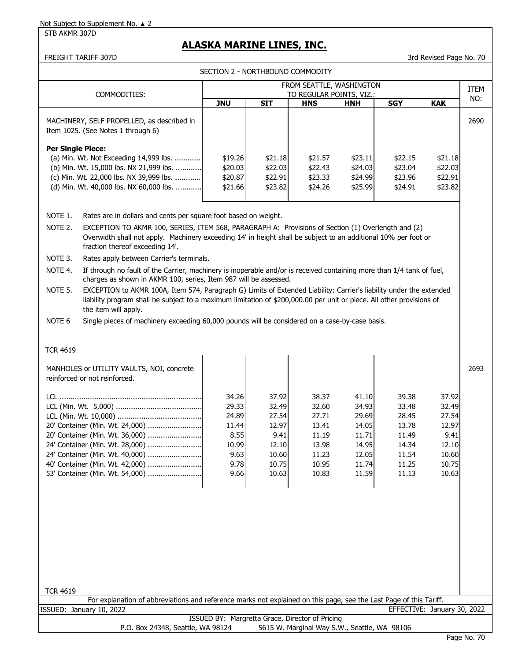# **ALASKA MARINE LINES, INC.**

FREIGHT TARIFF 307D 3rd Revised Page No. 70

SECTION 2 - NORTHBOUND COMMODITY

| FROM SEATTLE, WASHINGTON                                                                                                                          |                                                 |                |                                              |                |                |                             |                    |
|---------------------------------------------------------------------------------------------------------------------------------------------------|-------------------------------------------------|----------------|----------------------------------------------|----------------|----------------|-----------------------------|--------------------|
| COMMODITIES:                                                                                                                                      |                                                 |                | TO REGULAR POINTS, VIZ.:                     |                |                |                             | <b>ITEM</b><br>NO: |
|                                                                                                                                                   | <b>JNU</b>                                      | <b>SIT</b>     | <b>HNS</b>                                   | <b>HNH</b>     | <b>SGY</b>     | <b>KAK</b>                  |                    |
| MACHINERY, SELF PROPELLED, as described in                                                                                                        |                                                 |                |                                              |                |                |                             | 2690               |
| Item 1025. (See Notes 1 through 6)                                                                                                                |                                                 |                |                                              |                |                |                             |                    |
| <b>Per Single Piece:</b>                                                                                                                          |                                                 |                |                                              |                |                |                             |                    |
| (a) Min. Wt. Not Exceeding 14,999 lbs.                                                                                                            | \$19.26                                         | \$21.18        | \$21.57                                      | \$23.11        | \$22.15        | \$21.18                     |                    |
| (b) Min. Wt. 15,000 lbs. NX 21,999 lbs.                                                                                                           | \$20.03                                         | \$22.03        | \$22.43                                      | \$24.03        | \$23.04        | \$22.03                     |                    |
| (c) Min. Wt. 22,000 lbs. NX 39,999 lbs.                                                                                                           | \$20.87                                         | \$22.91        | \$23.33                                      | \$24.99        | \$23.96        | \$22.91                     |                    |
| (d) Min. Wt. 40,000 lbs. NX 60,000 lbs.                                                                                                           | \$21.66                                         | \$23.82        | \$24.26                                      | \$25.99        | \$24.91        | \$23.82                     |                    |
|                                                                                                                                                   |                                                 |                |                                              |                |                |                             |                    |
| NOTE 1.<br>Rates are in dollars and cents per square foot based on weight.                                                                        |                                                 |                |                                              |                |                |                             |                    |
| NOTE 2.<br>EXCEPTION TO AKMR 100, SERIES, ITEM 568, PARAGRAPH A: Provisions of Section (1) Overlength and (2)                                     |                                                 |                |                                              |                |                |                             |                    |
| Overwidth shall not apply. Machinery exceeding 14' in height shall be subject to an additional 10% per foot or<br>fraction thereof exceeding 14'. |                                                 |                |                                              |                |                |                             |                    |
| NOTE 3.<br>Rates apply between Carrier's terminals.                                                                                               |                                                 |                |                                              |                |                |                             |                    |
| NOTE 4.<br>If through no fault of the Carrier, machinery is inoperable and/or is received containing more than 1/4 tank of fuel,                  |                                                 |                |                                              |                |                |                             |                    |
| charges as shown in AKMR 100, series, Item 987 will be assessed.                                                                                  |                                                 |                |                                              |                |                |                             |                    |
| EXCEPTION to AKMR 100A, Item 574, Paragraph G) Limits of Extended Liability: Carrier's liability under the extended<br>NOTE 5.                    |                                                 |                |                                              |                |                |                             |                    |
| liability program shall be subject to a maximum limitation of \$200,000.00 per unit or piece. All other provisions of                             |                                                 |                |                                              |                |                |                             |                    |
| the item will apply.                                                                                                                              |                                                 |                |                                              |                |                |                             |                    |
| NOTE <sub>6</sub><br>Single pieces of machinery exceeding 60,000 pounds will be considered on a case-by-case basis.                               |                                                 |                |                                              |                |                |                             |                    |
|                                                                                                                                                   |                                                 |                |                                              |                |                |                             |                    |
| <b>TCR 4619</b>                                                                                                                                   |                                                 |                |                                              |                |                |                             |                    |
| MANHOLES or UTILITY VAULTS, NOI, concrete                                                                                                         |                                                 |                |                                              |                |                |                             | 2693               |
| reinforced or not reinforced.                                                                                                                     |                                                 |                |                                              |                |                |                             |                    |
|                                                                                                                                                   | 34.26                                           | 37.92          | 38.37                                        | 41.10          | 39.38          | 37.92                       |                    |
|                                                                                                                                                   | 29.33                                           | 32.49          | 32.60                                        | 34.93          | 33.48          | 32.49                       |                    |
|                                                                                                                                                   | 24.89                                           | 27.54          | 27.71                                        | 29.69          | 28.45          | 27.54                       |                    |
| 20' Container (Min. Wt. 24,000)                                                                                                                   | 11.44                                           | 12.97          | 13.41                                        | 14.05          | 13.78          | 12.97                       |                    |
| 20' Container (Min. Wt. 36,000)                                                                                                                   | 8.55                                            | 9.41           | 11.19                                        | 11.71          | 11.49          | 9.41                        |                    |
| 24' Container (Min. Wt. 28,000)                                                                                                                   | 10.99                                           | 12.10          | 13.98                                        | 14.95          | 14.34          | 12.10                       |                    |
| 24' Container (Min. Wt. 40,000)<br>40' Container (Min. Wt. 42,000)                                                                                | 9.63<br>9.78                                    | 10.60<br>10.75 | 11.23<br>10.95                               | 12.05<br>11.74 | 11.54<br>11.25 | 10.60<br>10.75              |                    |
| 53' Container (Min. Wt. 54,000)                                                                                                                   | 9.66                                            | 10.63          | 10.83                                        | 11.59          | 11.13          | 10.63                       |                    |
|                                                                                                                                                   |                                                 |                |                                              |                |                |                             |                    |
|                                                                                                                                                   |                                                 |                |                                              |                |                |                             |                    |
|                                                                                                                                                   |                                                 |                |                                              |                |                |                             |                    |
|                                                                                                                                                   |                                                 |                |                                              |                |                |                             |                    |
|                                                                                                                                                   |                                                 |                |                                              |                |                |                             |                    |
|                                                                                                                                                   |                                                 |                |                                              |                |                |                             |                    |
|                                                                                                                                                   |                                                 |                |                                              |                |                |                             |                    |
|                                                                                                                                                   |                                                 |                |                                              |                |                |                             |                    |
|                                                                                                                                                   |                                                 |                |                                              |                |                |                             |                    |
| <b>TCR 4619</b>                                                                                                                                   |                                                 |                |                                              |                |                |                             |                    |
| For explanation of abbreviations and reference marks not explained on this page, see the Last Page of this Tariff.                                |                                                 |                |                                              |                |                |                             |                    |
| ISSUED: January 10, 2022                                                                                                                          | ISSUED BY: Margretta Grace, Director of Pricing |                |                                              |                |                | EFFECTIVE: January 30, 2022 |                    |
| P.O. Box 24348, Seattle, WA 98124                                                                                                                 |                                                 |                | 5615 W. Marginal Way S.W., Seattle, WA 98106 |                |                |                             |                    |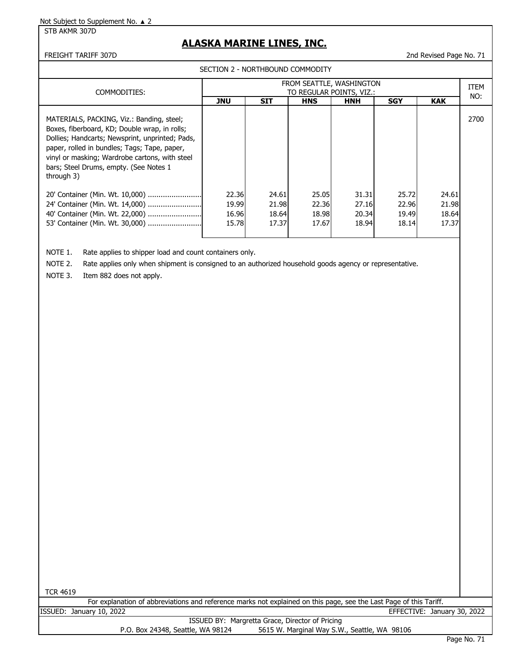STB AKMR 307D

# **ALASKA MARINE LINES, INC.**

FREIGHT TARIFF 307D 2nd Revised Page No. 71

SECTION 2 - NORTHBOUND COMMODITY

| COMMODITIES:                                                                                                                                                                                                                                                                                             | FROM SEATTLE, WASHINGTON<br>TO REGULAR POINTS, VIZ.: |                                  |                                  |                                  |                                  |                                  |      |
|----------------------------------------------------------------------------------------------------------------------------------------------------------------------------------------------------------------------------------------------------------------------------------------------------------|------------------------------------------------------|----------------------------------|----------------------------------|----------------------------------|----------------------------------|----------------------------------|------|
|                                                                                                                                                                                                                                                                                                          | <b>JNU</b>                                           | <b>SIT</b>                       | <b>HNS</b>                       | <b>HNH</b>                       | <b>SGY</b>                       | <b>KAK</b>                       | NO:  |
| MATERIALS, PACKING, Viz.: Banding, steel;<br>Boxes, fiberboard, KD; Double wrap, in rolls;<br>Dollies; Handcarts; Newsprint, unprinted; Pads,<br>paper, rolled in bundles; Tags; Tape, paper,<br>vinyl or masking; Wardrobe cartons, with steel<br>bars; Steel Drums, empty. (See Notes 1)<br>through 3) |                                                      |                                  |                                  |                                  |                                  |                                  | 2700 |
| 20' Container (Min. Wt. 10,000)<br>40' Container (Min. Wt. 22,000)<br>53' Container (Min. Wt. 30,000)                                                                                                                                                                                                    | 22.36<br>19.99<br>16.96<br>15.78                     | 24.61<br>21.98<br>18.64<br>17.37 | 25.05<br>22.36<br>18.98<br>17.67 | 31.31<br>27.16<br>20.34<br>18.94 | 25.72<br>22.96<br>19.49<br>18.14 | 24.61<br>21.98<br>18.64<br>17.37 |      |

NOTE 1. Rate applies to shipper load and count containers only.

NOTE 2. Rate applies only when shipment is consigned to an authorized household goods agency or representative.

NOTE 3. Item 882 does not apply.

TCR 4619

For explanation of abbreviations and reference marks not explained on this page, see the Last Page of this Tariff. ISSUED: January 10, 2022 EFFECTIVE: January 30, 2022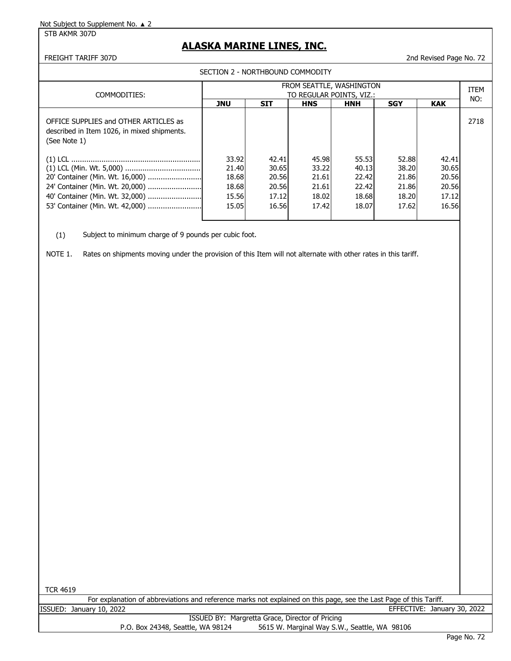STB AKMR 307D

## **ALASKA MARINE LINES, INC.**

FREIGHT TARIFF 307D 2nd Revised Page No. 72

| SECTION 2 - NORTHBOUND COMMODITY |                                                                                                      |                                                      |                                                    |                                                    |                                                    |                                                    |                                                    |      |
|----------------------------------|------------------------------------------------------------------------------------------------------|------------------------------------------------------|----------------------------------------------------|----------------------------------------------------|----------------------------------------------------|----------------------------------------------------|----------------------------------------------------|------|
|                                  | COMMODITIES:                                                                                         | FROM SEATTLE, WASHINGTON<br>TO REGULAR POINTS, VIZ.: |                                                    |                                                    |                                                    |                                                    |                                                    |      |
|                                  |                                                                                                      | <b>JNU</b>                                           | <b>SIT</b>                                         | <b>HNS</b>                                         | <b>HNH</b>                                         | <b>SGY</b>                                         | <b>KAK</b>                                         | NO:  |
|                                  | OFFICE SUPPLIES and OTHER ARTICLES as<br>described in Item 1026, in mixed shipments.<br>(See Note 1) |                                                      |                                                    |                                                    |                                                    |                                                    |                                                    | 2718 |
|                                  | 24' Container (Min. Wt. 20,000)<br>40' Container (Min. Wt. 32,000)                                   | 33.92<br>21.40<br>18.68<br>18.68<br>15.56<br>15.05   | 42.41<br>30.65<br>20.56<br>20.56<br>17.12<br>16.56 | 45.98<br>33.22<br>21.61<br>21.61<br>18.02<br>17.42 | 55.53<br>40.13<br>22.42<br>22.42<br>18.68<br>18.07 | 52.88<br>38.20<br>21.86<br>21.86<br>18.20<br>17.62 | 42.41<br>30.65<br>20.56<br>20.56<br>17.12<br>16.56 |      |

(1) Subject to minimum charge of 9 pounds per cubic foot.

NOTE 1. Rates on shipments moving under the provision of this Item will not alternate with other rates in this tariff.

TCR 4619

For explanation of abbreviations and reference marks not explained on this page, see the Last Page of this Tariff. ISSUED: January 10, 2022 EFFECTIVE: January 30, 2022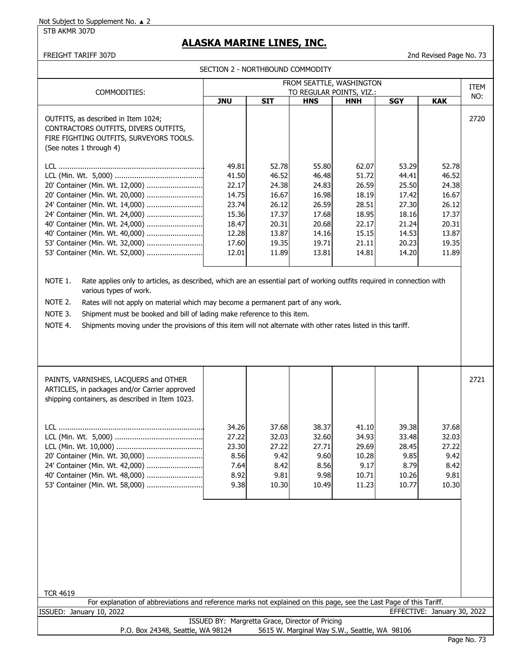STB AKMR 307D

# **ALASKA MARINE LINES, INC.**

FREIGHT TARIFF 307D 2nd Revised Page No. 73

SECTION 2 - NORTHBOUND COMMODITY

| COMMODITIES:                                                                                                                                                                                                                                                                                                                                                                                                                                                                 | FROM SEATTLE, WASHINGTON<br>TO REGULAR POINTS, VIZ.:                                   |                                                                                        |                                                                                        | <b>ITEM</b>                                                                            |                                                                                        |                                                                                        |      |
|------------------------------------------------------------------------------------------------------------------------------------------------------------------------------------------------------------------------------------------------------------------------------------------------------------------------------------------------------------------------------------------------------------------------------------------------------------------------------|----------------------------------------------------------------------------------------|----------------------------------------------------------------------------------------|----------------------------------------------------------------------------------------|----------------------------------------------------------------------------------------|----------------------------------------------------------------------------------------|----------------------------------------------------------------------------------------|------|
|                                                                                                                                                                                                                                                                                                                                                                                                                                                                              | <b>JNU</b>                                                                             | <b>SIT</b>                                                                             | <b>HNS</b>                                                                             | <b>HNH</b>                                                                             | <b>SGY</b>                                                                             | <b>KAK</b>                                                                             | NO:  |
| OUTFITS, as described in Item 1024;<br>CONTRACTORS OUTFITS, DIVERS OUTFITS,<br>FIRE FIGHTING OUTFITS, SURVEYORS TOOLS.<br>(See notes 1 through 4)                                                                                                                                                                                                                                                                                                                            |                                                                                        |                                                                                        |                                                                                        |                                                                                        |                                                                                        |                                                                                        | 2720 |
| 20' Container (Min. Wt. 12,000)<br>20' Container (Min. Wt. 20,000)<br>24' Container (Min. Wt. 14,000)<br>24' Container (Min. Wt. 24,000)<br>40' Container (Min. Wt. 24,000)<br>40' Container (Min. Wt. 40,000)<br>53' Container (Min. Wt. 32,000)<br>53' Container (Min. Wt. 52,000)                                                                                                                                                                                         | 49.81<br>41.50<br>22.17<br>14.75<br>23.74<br>15.36<br>18.47<br>12.28<br>17.60<br>12.01 | 52.78<br>46.52<br>24.38<br>16.67<br>26.12<br>17.37<br>20.31<br>13.87<br>19.35<br>11.89 | 55.80<br>46.48<br>24.83<br>16.98<br>26.59<br>17.68<br>20.68<br>14.16<br>19.71<br>13.81 | 62.07<br>51.72<br>26.59<br>18.19<br>28.51<br>18.95<br>22.17<br>15.15<br>21.11<br>14.81 | 53.29<br>44.41<br>25.50<br>17.42<br>27.30<br>18.16<br>21.24<br>14.53<br>20.23<br>14.20 | 52.78<br>46.52<br>24.38<br>16.67<br>26.12<br>17.37<br>20.31<br>13.87<br>19.35<br>11.89 |      |
| NOTE 1.<br>Rate applies only to articles, as described, which are an essential part of working outfits required in connection with<br>various types of work.<br>NOTE 2.<br>Rates will not apply on material which may become a permanent part of any work.<br>NOTE 3.<br>Shipment must be booked and bill of lading make reference to this item.<br>NOTE 4.<br>Shipments moving under the provisions of this item will not alternate with other rates listed in this tariff. |                                                                                        |                                                                                        |                                                                                        |                                                                                        |                                                                                        |                                                                                        |      |
|                                                                                                                                                                                                                                                                                                                                                                                                                                                                              |                                                                                        |                                                                                        |                                                                                        |                                                                                        |                                                                                        |                                                                                        |      |

| PAINTS, VARNISHES, LACOUERS and OTHER<br>ARTICLES, in packages and/or Carrier approved<br>shipping containers, as described in Item 1023. |       |       |       |       |       |       | 2721 |
|-------------------------------------------------------------------------------------------------------------------------------------------|-------|-------|-------|-------|-------|-------|------|
| I CL.                                                                                                                                     | 34.26 | 37.68 | 38.37 | 41.10 | 39.38 | 37.68 |      |
|                                                                                                                                           | 27.22 | 32.03 | 32.60 | 34.93 | 33.48 | 32.03 |      |
|                                                                                                                                           | 23.30 | 27.22 | 27.71 | 29.69 | 28.45 | 27.22 |      |
| 20' Container (Min. Wt. 30,000)                                                                                                           | 8.56  | 9.42  | 9.60  | 10.28 | 9.85  | 9.42  |      |
| 24' Container (Min. Wt. 42,000)                                                                                                           | 7.64  | 8.42  | 8.56  | 9.17  | 8.79  | 8.42  |      |
|                                                                                                                                           | 8.92  | 9.81  | 9.98  | 10.71 | 10.26 | 9.81  |      |
|                                                                                                                                           | 9.38  | 10.30 | 10.49 | 11.23 | 10.77 | 10.30 |      |
|                                                                                                                                           |       |       |       |       |       |       |      |

| <b>TCR 4619</b>                                                                                                    |  |
|--------------------------------------------------------------------------------------------------------------------|--|
| For explanation of abbreviations and reference marks not explained on this page, see the Last Page of this Tariff. |  |
| ISSUED: January 10, 2022<br>EFFECTIVE: January 30, 2022                                                            |  |
| ISSUED BY: Margretta Grace, Director of Pricing                                                                    |  |
| P.O. Box 24348, Seattle, WA 98124<br>5615 W. Marginal Way S.W., Seattle, WA 98106                                  |  |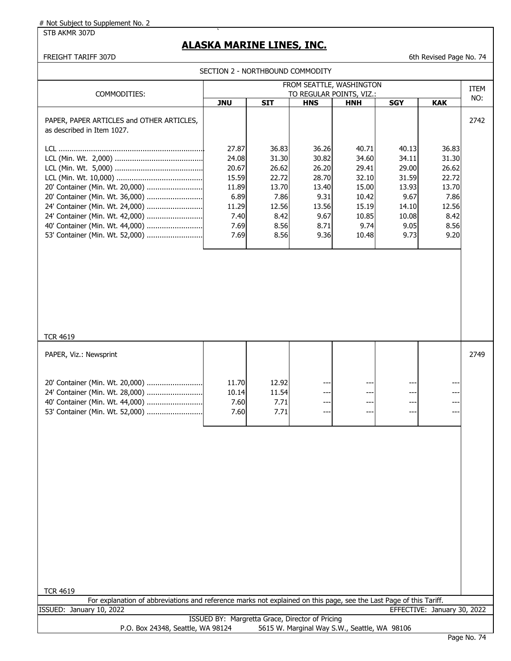#### STB AKMR 307D

# **ALASKA MARINE LINES, INC.**

FREIGHT TARIFF 307D 6th Revised Page No. 74

|                                                                                                                                                                                                                | SECTION 2 - NORTHBOUND COMMODITY                                                   |                                                                                    |                                                                                    |                                                                                       |                                                                                     |                                                                                    |      |  |
|----------------------------------------------------------------------------------------------------------------------------------------------------------------------------------------------------------------|------------------------------------------------------------------------------------|------------------------------------------------------------------------------------|------------------------------------------------------------------------------------|---------------------------------------------------------------------------------------|-------------------------------------------------------------------------------------|------------------------------------------------------------------------------------|------|--|
| COMMODITIES:                                                                                                                                                                                                   |                                                                                    |                                                                                    | FROM SEATTLE, WASHINGTON<br>TO REGULAR POINTS, VIZ.:                               |                                                                                       |                                                                                     |                                                                                    |      |  |
|                                                                                                                                                                                                                | <b>JNU</b>                                                                         | <b>SIT</b>                                                                         | <b>HNS</b>                                                                         | <b>HNH</b>                                                                            | <b>SGY</b>                                                                          | <b>KAK</b>                                                                         | NO:  |  |
| PAPER, PAPER ARTICLES and OTHER ARTICLES,<br>as described in Item 1027.                                                                                                                                        |                                                                                    |                                                                                    |                                                                                    |                                                                                       |                                                                                     |                                                                                    | 2742 |  |
| 20' Container (Min. Wt. 20,000)<br>20' Container (Min. Wt. 36,000)<br>24' Container (Min. Wt. 24,000)<br>24' Container (Min. Wt. 42,000)<br>40' Container (Min. Wt. 44,000)<br>53' Container (Min. Wt. 52,000) | 27.87<br>24.08<br>20.67<br>15.59<br>11.89<br>6.89<br>11.29<br>7.40<br>7.69<br>7.69 | 36.83<br>31.30<br>26.62<br>22.72<br>13.70<br>7.86<br>12.56<br>8.42<br>8.56<br>8.56 | 36.26<br>30.82<br>26.20<br>28.70<br>13.40<br>9.31<br>13.56<br>9.67<br>8.71<br>9.36 | 40.71<br>34.60<br>29.41<br>32.10<br>15.00<br>10.42<br>15.19<br>10.85<br>9.74<br>10.48 | 40.13<br>34.11<br>29.00<br>31.59<br>13.93<br>9.67<br>14.10<br>10.08<br>9.05<br>9.73 | 36.83<br>31.30<br>26.62<br>22.72<br>13.70<br>7.86<br>12.56<br>8.42<br>8.56<br>9.20 |      |  |
| <b>TCR 4619</b>                                                                                                                                                                                                |                                                                                    |                                                                                    |                                                                                    |                                                                                       |                                                                                     |                                                                                    |      |  |
| PAPER, Viz.: Newsprint                                                                                                                                                                                         |                                                                                    |                                                                                    |                                                                                    |                                                                                       |                                                                                     |                                                                                    | 2749 |  |
| 20' Container (Min. Wt. 20,000)<br>24' Container (Min. Wt. 28,000)<br>40' Container (Min. Wt. 44,000)<br>53' Container (Min. Wt. 52,000)                                                                       | 11.70<br>10.14<br>7.60<br>7.60                                                     | 12.92<br>11.54<br>7.71<br>7.71                                                     | --<br>---<br>---<br>---                                                            | ---<br>---<br>---                                                                     | ---<br>$---$<br>$---$                                                               | ---<br>---                                                                         |      |  |
| <b>TCR 4619</b><br>For explanation of abbreviations and reference marks not explained on this page, see the Last Page of this Tariff.                                                                          |                                                                                    |                                                                                    |                                                                                    |                                                                                       |                                                                                     |                                                                                    |      |  |
| ISSUED: January 10, 2022                                                                                                                                                                                       |                                                                                    |                                                                                    |                                                                                    |                                                                                       |                                                                                     | EFFECTIVE: January 30, 2022                                                        |      |  |
|                                                                                                                                                                                                                | ISSUED BY: Margretta Grace, Director of Pricing                                    |                                                                                    |                                                                                    |                                                                                       |                                                                                     |                                                                                    |      |  |
| P.O. Box 24348, Seattle, WA 98124                                                                                                                                                                              |                                                                                    |                                                                                    |                                                                                    | 5615 W. Marginal Way S.W., Seattle, WA 98106                                          |                                                                                     |                                                                                    |      |  |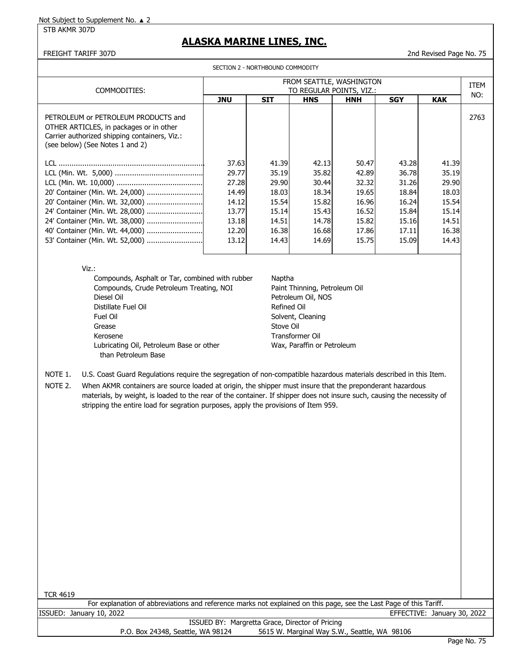STB AKMR 307D

# **ALASKA MARINE LINES, INC.**

FREIGHT TARIFF 307D 2nd Revised Page No. 75

|                                                                                                                                                                                                                                                                                                                                                                                                                                                                         |                                                                               | SECTION 2 - NORTHBOUND COMMODITY                                              |                                                                                                                                  |                                                                               |                                                                               |                                                                               |      |
|-------------------------------------------------------------------------------------------------------------------------------------------------------------------------------------------------------------------------------------------------------------------------------------------------------------------------------------------------------------------------------------------------------------------------------------------------------------------------|-------------------------------------------------------------------------------|-------------------------------------------------------------------------------|----------------------------------------------------------------------------------------------------------------------------------|-------------------------------------------------------------------------------|-------------------------------------------------------------------------------|-------------------------------------------------------------------------------|------|
|                                                                                                                                                                                                                                                                                                                                                                                                                                                                         |                                                                               |                                                                               | FROM SEATTLE, WASHINGTON                                                                                                         |                                                                               |                                                                               |                                                                               | ITEM |
| COMMODITIES:                                                                                                                                                                                                                                                                                                                                                                                                                                                            |                                                                               |                                                                               | TO REGULAR POINTS, VIZ.:                                                                                                         |                                                                               |                                                                               |                                                                               | NO:  |
|                                                                                                                                                                                                                                                                                                                                                                                                                                                                         | <b>JNU</b>                                                                    | <b>SIT</b>                                                                    | <b>HNS</b>                                                                                                                       | <b>HNH</b>                                                                    | <b>SGY</b>                                                                    | <b>KAK</b>                                                                    |      |
| PETROLEUM or PETROLEUM PRODUCTS and<br>OTHER ARTICLES, in packages or in other<br>Carrier authorized shipping containers, Viz.:<br>(see below) (See Notes 1 and 2)                                                                                                                                                                                                                                                                                                      |                                                                               |                                                                               |                                                                                                                                  |                                                                               |                                                                               |                                                                               | 2763 |
| 20' Container (Min. Wt. 24,000)<br>20' Container (Min. Wt. 32,000)<br>24' Container (Min. Wt. 28,000)<br>24' Container (Min. Wt. 38,000)<br>40' Container (Min. Wt. 44,000)<br>53' Container (Min. Wt. 52,000)                                                                                                                                                                                                                                                          | 37.63<br>29.77<br>27.28<br>14.49<br>14.12<br>13.77<br>13.18<br>12.20<br>13.12 | 41.39<br>35.19<br>29.90<br>18.03<br>15.54<br>15.14<br>14.51<br>16.38<br>14.43 | 42.13<br>35.82<br>30.44<br>18.34<br>15.82<br>15.43<br>14.78<br>16.68<br>14.69                                                    | 50.47<br>42.89<br>32.32<br>19.65<br>16.96<br>16.52<br>15.82<br>17.86<br>15.75 | 43.28<br>36.78<br>31.26<br>18.84<br>16.24<br>15.84<br>15.16<br>17.11<br>15.09 | 41.39<br>35.19<br>29.90<br>18.03<br>15.54<br>15.14<br>14.51<br>16.38<br>14.43 |      |
| Viz.:<br>Compounds, Asphalt or Tar, combined with rubber<br>Compounds, Crude Petroleum Treating, NOI<br>Diesel Oil<br>Distillate Fuel Oil<br>Fuel Oil<br>Grease<br>Kerosene<br>Lubricating Oil, Petroleum Base or other<br>than Petroleum Base                                                                                                                                                                                                                          |                                                                               | Naptha<br><b>Refined Oil</b><br>Stove Oil                                     | Paint Thinning, Petroleum Oil<br>Petroleum Oil, NOS<br>Solvent, Cleaning<br><b>Transformer Oil</b><br>Wax, Paraffin or Petroleum |                                                                               |                                                                               |                                                                               |      |
| NOTE 1.<br>U.S. Coast Guard Regulations require the segregation of non-compatible hazardous materials described in this Item.<br>NOTE 2.<br>When AKMR containers are source loaded at origin, the shipper must insure that the preponderant hazardous<br>materials, by weight, is loaded to the rear of the container. If shipper does not insure such, causing the necessity of<br>stripping the entire load for segration purposes, apply the provisions of Item 959. |                                                                               |                                                                               |                                                                                                                                  |                                                                               |                                                                               |                                                                               |      |
| <b>TCR 4619</b>                                                                                                                                                                                                                                                                                                                                                                                                                                                         |                                                                               |                                                                               |                                                                                                                                  |                                                                               |                                                                               |                                                                               |      |

|                                                 | For explanation of abbreviations and reference marks not explained on this page, see the Last Page of this Tariff. |                             |  |  |  |  |  |  |
|-------------------------------------------------|--------------------------------------------------------------------------------------------------------------------|-----------------------------|--|--|--|--|--|--|
|                                                 | ISSUED: January 10, 2022                                                                                           | EFFECTIVE: January 30, 2022 |  |  |  |  |  |  |
| ISSUED BY: Margretta Grace, Director of Pricing |                                                                                                                    |                             |  |  |  |  |  |  |
|                                                 | 5615 W. Marginal Way S.W., Seattle, WA 98106<br>P.O. Box 24348, Seattle, WA 98124                                  |                             |  |  |  |  |  |  |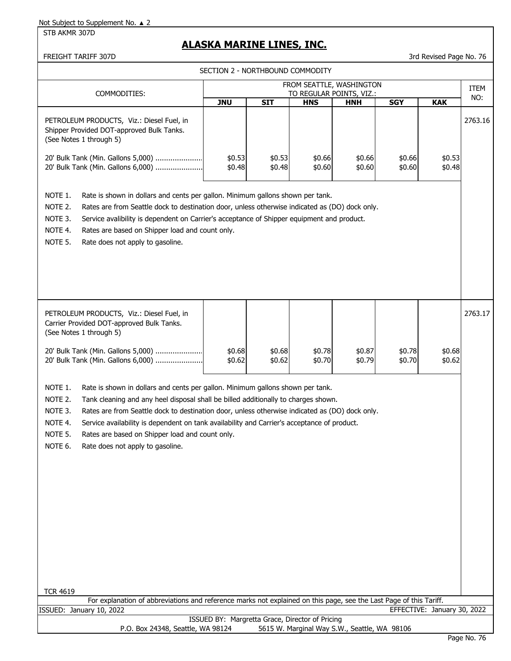STB AKMR 307D

# **ALASKA MARINE LINES, INC.**

FREIGHT TARIFF 307D 3rd Revised Page No. 76

|                                                                                                                                                                                                                                                                                                                                                                                                                                                                                                                                | SECTION 2 - NORTHBOUND COMMODITY                |                  |                  |                                              |                  |                             |         |
|--------------------------------------------------------------------------------------------------------------------------------------------------------------------------------------------------------------------------------------------------------------------------------------------------------------------------------------------------------------------------------------------------------------------------------------------------------------------------------------------------------------------------------|-------------------------------------------------|------------------|------------------|----------------------------------------------|------------------|-----------------------------|---------|
|                                                                                                                                                                                                                                                                                                                                                                                                                                                                                                                                |                                                 |                  |                  | FROM SEATTLE, WASHINGTON                     |                  |                             | ITEM    |
| COMMODITIES:                                                                                                                                                                                                                                                                                                                                                                                                                                                                                                                   | <b>JNU</b>                                      | <b>SIT</b>       | <b>HNS</b>       | TO REGULAR POINTS, VIZ.:<br><b>HNH</b>       | <b>SGY</b>       | <b>KAK</b>                  | NO:     |
| PETROLEUM PRODUCTS, Viz.: Diesel Fuel, in<br>Shipper Provided DOT-approved Bulk Tanks.<br>(See Notes 1 through 5)                                                                                                                                                                                                                                                                                                                                                                                                              |                                                 |                  |                  |                                              |                  |                             | 2763.16 |
| 20' Bulk Tank (Min. Gallons 5,000)<br>20' Bulk Tank (Min. Gallons 6,000)                                                                                                                                                                                                                                                                                                                                                                                                                                                       | \$0.53<br>\$0.48                                | \$0.53<br>\$0.48 | \$0.66<br>\$0.60 | \$0.66<br>\$0.60                             | \$0.66<br>\$0.60 | \$0.53<br>\$0.48            |         |
| NOTE 1.<br>Rate is shown in dollars and cents per gallon. Minimum gallons shown per tank.<br>NOTE 2.<br>Rates are from Seattle dock to destination door, unless otherwise indicated as (DO) dock only.<br>NOTE 3.<br>Service avalibility is dependent on Carrier's acceptance of Shipper equipment and product.<br>NOTE 4.<br>Rates are based on Shipper load and count only.<br>NOTE 5.<br>Rate does not apply to gasoline.                                                                                                   |                                                 |                  |                  |                                              |                  |                             |         |
| PETROLEUM PRODUCTS, Viz.: Diesel Fuel, in<br>Carrier Provided DOT-approved Bulk Tanks.<br>(See Notes 1 through 5)                                                                                                                                                                                                                                                                                                                                                                                                              |                                                 |                  |                  |                                              |                  |                             | 2763.17 |
| 20' Bulk Tank (Min. Gallons 5,000)<br>20' Bulk Tank (Min. Gallons 6,000)                                                                                                                                                                                                                                                                                                                                                                                                                                                       | \$0.68<br>\$0.62                                | \$0.68<br>\$0.62 | \$0.78<br>\$0.70 | \$0.87<br>\$0.79                             | \$0.78<br>\$0.70 | \$0.68<br>\$0.62            |         |
| NOTE 1.<br>Rate is shown in dollars and cents per gallon. Minimum gallons shown per tank.<br>NOTE 2.<br>Tank cleaning and any heel disposal shall be billed additionally to charges shown.<br>Rates are from Seattle dock to destination door, unless otherwise indicated as (DO) dock only.<br>NOTE 3.<br>NOTE 4.<br>Service availability is dependent on tank availability and Carrier's acceptance of product.<br>NOTE 5.<br>Rates are based on Shipper load and count only.<br>NOTE 6.<br>Rate does not apply to gasoline. |                                                 |                  |                  |                                              |                  |                             |         |
| <b>TCR 4619</b><br>For explanation of abbreviations and reference marks not explained on this page, see the Last Page of this Tariff.                                                                                                                                                                                                                                                                                                                                                                                          |                                                 |                  |                  |                                              |                  |                             |         |
| ISSUED: January 10, 2022                                                                                                                                                                                                                                                                                                                                                                                                                                                                                                       |                                                 |                  |                  |                                              |                  | EFFECTIVE: January 30, 2022 |         |
| P.O. Box 24348, Seattle, WA 98124                                                                                                                                                                                                                                                                                                                                                                                                                                                                                              | ISSUED BY: Margretta Grace, Director of Pricing |                  |                  | 5615 W. Marginal Way S.W., Seattle, WA 98106 |                  |                             |         |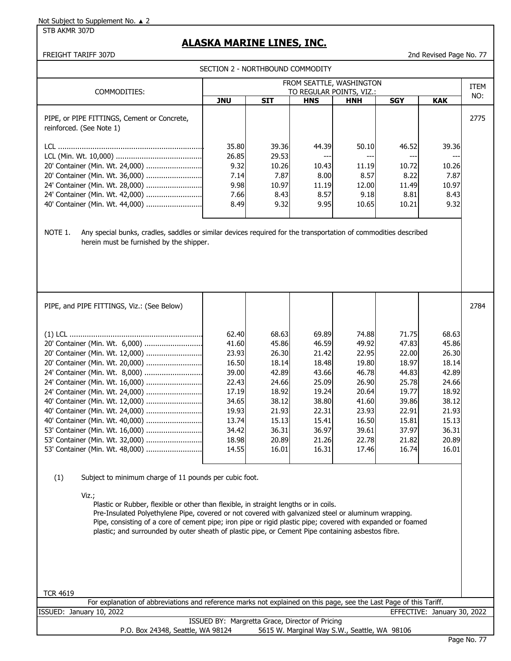STB AKMR 307D

# **ALASKA MARINE LINES, INC.**

FREIGHT TARIFF 307D 2nd Revised Page No. 77

|                                                                                                                                                                                                                                                                                                                                                       | SECTION 2 - NORTHBOUND COMMODITY                       |                                                          |                                                          |                                                         |                                                         |                                                        |      |
|-------------------------------------------------------------------------------------------------------------------------------------------------------------------------------------------------------------------------------------------------------------------------------------------------------------------------------------------------------|--------------------------------------------------------|----------------------------------------------------------|----------------------------------------------------------|---------------------------------------------------------|---------------------------------------------------------|--------------------------------------------------------|------|
| COMMODITIES:                                                                                                                                                                                                                                                                                                                                          | FROM SEATTLE, WASHINGTON<br>TO REGULAR POINTS, VIZ.:   |                                                          |                                                          |                                                         |                                                         |                                                        |      |
|                                                                                                                                                                                                                                                                                                                                                       | <b>JNU</b>                                             | <b>SIT</b>                                               | <b>HNS</b>                                               | <b>HNH</b>                                              | <b>SGY</b>                                              | <b>KAK</b>                                             | NO:  |
| PIPE, or PIPE FITTINGS, Cement or Concrete,<br>reinforced. (See Note 1)                                                                                                                                                                                                                                                                               |                                                        |                                                          |                                                          |                                                         |                                                         |                                                        | 2775 |
| 20' Container (Min. Wt. 24,000)<br>20' Container (Min. Wt. 36,000)<br>24' Container (Min. Wt. 28,000)<br>24' Container (Min. Wt. 42,000)<br>40' Container (Min. Wt. 44,000)<br>NOTE 1.<br>Any special bunks, cradles, saddles or similar devices required for the transportation of commodities described<br>herein must be furnished by the shipper. | 35.80<br>26.85<br>9.32<br>7.14<br>9.98<br>7.66<br>8.49 | 39.36<br>29.53<br>10.26<br>7.87<br>10.97<br>8.43<br>9.32 | 44.39<br>$---$<br>10.43<br>8.00<br>11.19<br>8.57<br>9.95 | 50.10<br>---<br>11.19<br>8.57<br>12.00<br>9.18<br>10.65 | 46.52<br>---<br>10.72<br>8.22<br>11.49<br>8.81<br>10.21 | 39.36<br>---<br>10.26<br>7.87<br>10.97<br>8.43<br>9.32 |      |
| PIPE, and PIPE FITTINGS, Viz.: (See Below)                                                                                                                                                                                                                                                                                                            |                                                        |                                                          |                                                          |                                                         |                                                         |                                                        | 2784 |

| FIFL, GIIU FIFL FITTINGS, VIZ (SEE DEIUW) |       |       |       |       |       |       | <b>2707</b> |
|-------------------------------------------|-------|-------|-------|-------|-------|-------|-------------|
|                                           |       |       |       |       |       |       |             |
|                                           | 62.40 | 68.63 | 69.89 | 74.88 | 71.75 | 68.63 |             |
| 20' Container (Min. Wt. 6,000)            | 41.60 | 45.86 | 46.59 | 49.92 | 47.83 | 45.86 |             |
|                                           | 23.93 | 26.30 | 21.42 | 22.95 | 22.00 | 26.30 |             |
| 20' Container (Min. Wt. 20,000)           | 16.50 | 18.14 | 18.48 | 19.80 | 18.97 | 18.14 |             |
| 24' Container (Min. Wt. 8,000)            | 39.00 | 42.89 | 43.66 | 46.78 | 44.83 | 42.89 |             |
| 24' Container (Min. Wt. 16,000)           | 22.43 | 24.66 | 25.09 | 26.90 | 25.78 | 24.66 |             |
|                                           | 17.19 | 18.92 | 19.24 | 20.64 | 19.77 | 18.92 |             |
| 40' Container (Min. Wt. 12,000)           | 34.65 | 38.12 | 38.80 | 41.60 | 39.86 | 38.12 |             |
| 40' Container (Min. Wt. 24,000)           | 19.93 | 21.93 | 22.31 | 23.93 | 22.91 | 21.93 |             |
|                                           | 13.74 | 15.13 | 15.41 | 16.50 | 15.81 | 15.13 |             |
| 53' Container (Min. Wt. 16,000)           | 34.42 | 36.31 | 36.97 | 39.61 | 37.97 | 36.31 |             |
|                                           | 18.98 | 20.89 | 21.26 | 22.78 | 21.82 | 20.89 |             |
|                                           | 14.55 | 16.01 | 16.31 | 17.46 | 16.74 | 16.01 |             |

(1) Subject to minimum charge of 11 pounds per cubic foot.

Viz.;

Plastic or Rubber, flexible or other than flexible, in straight lengths or in coils. Pre-Insulated Polyethylene Pipe, covered or not covered with galvanized steel or aluminum wrapping. Pipe, consisting of a core of cement pipe; iron pipe or rigid plastic pipe; covered with expanded or foamed plastic; and surrounded by outer sheath of plastic pipe, or Cement Pipe containing asbestos fibre.

TCR 4619

| For explanation of abbreviations and reference marks not explained on this page, see the Last Page of this Tariff. |                             |  |
|--------------------------------------------------------------------------------------------------------------------|-----------------------------|--|
| ISSUED: January 10, 2022                                                                                           | EFFECTIVE: January 30, 2022 |  |
| ISSUED BY: Margretta Grace, Director of Pricing                                                                    |                             |  |
| 5615 W. Marginal Way S.W., Seattle, WA 98106<br>P.O. Box 24348, Seattle, WA 98124                                  |                             |  |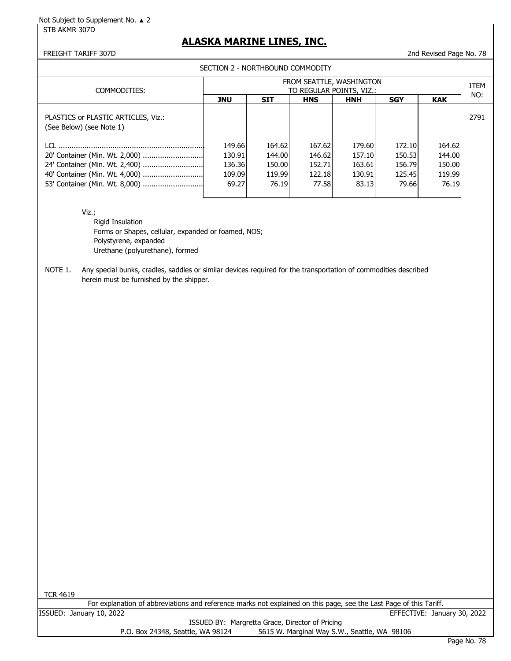STB AKMR 307D

## **ALASKA MARINE LINES, INC.**

## FREIGHT TARIFF 307D 2nd Revised Page No. 78

SECTION 2 - NORTHBOUND COMMODITY

| COMMODITIES:                                                    | FROM SEATTLE, WASHINGTON<br>TO REGULAR POINTS, VIZ.: |            |            |            |            |            |      |
|-----------------------------------------------------------------|------------------------------------------------------|------------|------------|------------|------------|------------|------|
|                                                                 | JNU                                                  | <b>SIT</b> | <b>HNS</b> | <b>HNH</b> | <b>SGY</b> | <b>KAK</b> | NO:  |
| PLASTICS or PLASTIC ARTICLES, Viz.:<br>(See Below) (see Note 1) |                                                      |            |            |            |            |            | 2791 |
|                                                                 | 149.66                                               | 164.62     | 167.62     | 179.60     | 172.10     | 164.62     |      |
|                                                                 | 130.91                                               | 144.00     | 146.62     | 157.10     | 150.53     | 144.00     |      |
| 24' Container (Min. Wt. 2,400)                                  | 136.36                                               | 150.00     | 152.71     | 163.61     | 156.79     | 150.00     |      |
|                                                                 | 109.09                                               | 119.99     | 122.18     | 130.91     | 125.45     | 119.99     |      |
| 53' Container (Min. Wt. 8,000)                                  | 69.27                                                | 76.19      | 77.58      | 83.13      | 79.66      | 76.19      |      |
|                                                                 |                                                      |            |            |            |            |            |      |

Viz.;

Rigid Insulation Forms or Shapes, cellular, expanded or foamed, NOS; Polystyrene, expanded Urethane (polyurethane), formed

NOTE 1. Any special bunks, cradles, saddles or similar devices required for the transportation of commodities described herein must be furnished by the shipper.

| For explanation of abbreviations and reference marks not explained on this page, see the Last Page of this Tariff. |                                              |  |  |  |  |  |  |  |  |
|--------------------------------------------------------------------------------------------------------------------|----------------------------------------------|--|--|--|--|--|--|--|--|
| ISSUED: January 10, 2022                                                                                           | EFFECTIVE: January 30, 2022                  |  |  |  |  |  |  |  |  |
| ISSUED BY: Margretta Grace, Director of Pricing                                                                    |                                              |  |  |  |  |  |  |  |  |
| P.O. Box 24348, Seattle, WA 98124                                                                                  | 5615 W. Marginal Way S.W., Seattle, WA 98106 |  |  |  |  |  |  |  |  |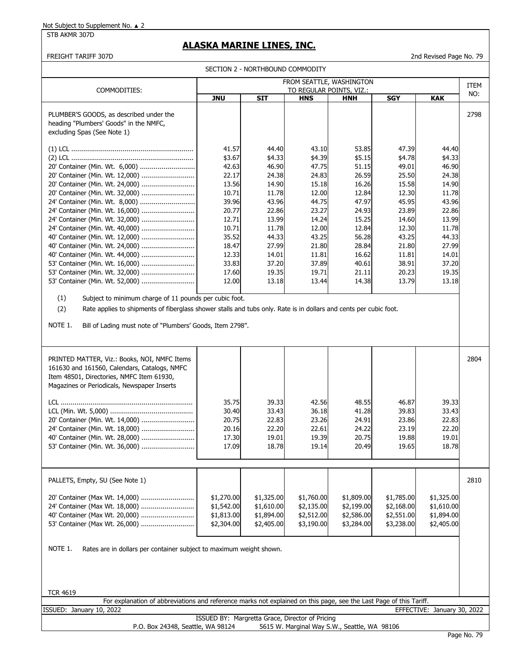## **ALASKA MARINE LINES, INC.**

FREIGHT TARIFF 307D 2nd Revised Page No. 79

| SECTION 2 - NORTHBOUND COMMODITY |  |  |  |
|----------------------------------|--|--|--|
|----------------------------------|--|--|--|

| SECTION 2 - NORTHBOUND COMMODITY<br>FROM SEATTLE, WASHINGTON                                                                                                                                                                                                      |                          |                |                |                |                |                             |      |  |
|-------------------------------------------------------------------------------------------------------------------------------------------------------------------------------------------------------------------------------------------------------------------|--------------------------|----------------|----------------|----------------|----------------|-----------------------------|------|--|
| COMMODITIES:                                                                                                                                                                                                                                                      | TO REGULAR POINTS, VIZ.: |                |                |                |                |                             |      |  |
|                                                                                                                                                                                                                                                                   | <b>JNU</b>               | <b>SIT</b>     | <b>HNS</b>     | <b>HNH</b>     | <b>SGY</b>     | <b>KAK</b>                  | NO:  |  |
| PLUMBER'S GOODS, as described under the<br>heading "Plumbers' Goods" in the NMFC,<br>excluding Spas (See Note 1)                                                                                                                                                  |                          |                |                |                |                |                             | 2798 |  |
|                                                                                                                                                                                                                                                                   | 41.57                    | 44.40          | 43.10          | 53.85          | 47.39          | 44.40                       |      |  |
|                                                                                                                                                                                                                                                                   | \$3.67                   | \$4.33         | \$4.39         | \$5.15         | \$4.78         | \$4.33                      |      |  |
| 20' Container (Min. Wt. 6,000)                                                                                                                                                                                                                                    | 42.63                    | 46.90          | 47.75          | 51.15          | 49.01          | 46.90                       |      |  |
| 20' Container (Min. Wt. 12,000)                                                                                                                                                                                                                                   | 22.17                    | 24.38          | 24.83          | 26.59          | 25.50          | 24.38                       |      |  |
| 20' Container (Min. Wt. 24,000)                                                                                                                                                                                                                                   | 13.56                    | 14.90          | 15.18          | 16.26          | 15.58          | 14.90                       |      |  |
| 20' Container (Min. Wt. 32,000)                                                                                                                                                                                                                                   | 10.71                    | 11.78          | 12.00          | 12.84          | 12.30          | 11.78                       |      |  |
| 24' Container (Min. Wt. 8,000)                                                                                                                                                                                                                                    | 39.96                    | 43.96          | 44.75          | 47.97          | 45.95          | 43.96                       |      |  |
| 24' Container (Min. Wt. 16,000)                                                                                                                                                                                                                                   | 20.77                    | 22.86          | 23.27          | 24.93          | 23.89          | 22.86                       |      |  |
| 24' Container (Min. Wt. 32,000)                                                                                                                                                                                                                                   | 12.71                    | 13.99          | 14.24          | 15.25          | 14.60          | 13.99                       |      |  |
|                                                                                                                                                                                                                                                                   | 10.71                    | 11.78          | 12.00          | 12.84          | 12.30          | 11.78                       |      |  |
| 40' Container (Min. Wt. 12,000)<br>40' Container (Min. Wt. 24,000)                                                                                                                                                                                                | 35.52<br>18.47           | 44.33<br>27.99 | 43.25<br>21.80 | 56.28<br>28.84 | 43.25<br>21.80 | 44.33<br>27.99              |      |  |
| 40' Container (Min. Wt. 44,000)                                                                                                                                                                                                                                   | 12.33                    | 14.01          | 11.81          | 16.62          | 11.81          | 14.01                       |      |  |
| 53' Container (Min. Wt. 16,000)                                                                                                                                                                                                                                   | 33.83                    | 37.20          | 37.89          | 40.61          | 38.91          | 37.20                       |      |  |
| 53' Container (Min. Wt. 32,000)                                                                                                                                                                                                                                   | 17.60                    | 19.35          | 19.71          | 21.11          | 20.23          | 19.35                       |      |  |
| 53' Container (Min. Wt. 52,000)                                                                                                                                                                                                                                   | 12.00                    | 13.18          | 13.44          | 14.38          | 13.79          | 13.18                       |      |  |
| (1)<br>Subject to minimum charge of 11 pounds per cubic foot.<br>(2)<br>Rate applies to shipments of fiberglass shower stalls and tubs only. Rate is in dollars and cents per cubic foot.<br>NOTE 1.<br>Bill of Lading must note of "Plumbers' Goods, Item 2798". |                          |                |                |                |                |                             |      |  |
| PRINTED MATTER, Viz.: Books, NOI, NMFC Items<br>161630 and 161560, Calendars, Catalogs, NMFC<br>Item 48501, Directories, NMFC Item 61930,<br>Magazines or Periodicals, Newspaper Inserts                                                                          | 35.75                    | 39.33          | 42.56          | 48.55          | 46.87          | 39.33                       | 2804 |  |
|                                                                                                                                                                                                                                                                   | 30.40                    | 33.43          | 36.18          | 41.28          | 39.83          | 33.43                       |      |  |
| 20' Container (Min. Wt. 14,000)                                                                                                                                                                                                                                   | 20.75                    | 22.83          | 23.26          | 24.91          | 23.86          | 22.83                       |      |  |
| 24' Container (Min. Wt. 18,000)                                                                                                                                                                                                                                   | 20.16                    | 22.20          | 22.61          | 24.22          | 23.19          | 22.20                       |      |  |
| 40' Container (Min. Wt. 28,000)                                                                                                                                                                                                                                   | 17.30                    | 19.01          | 19.39          | 20.75          | 19.88          | 19.01                       |      |  |
| 53' Container (Min. Wt. 36,000)                                                                                                                                                                                                                                   | 17.09                    | 18.78          | 19.14          | 20.49          | 19.65          | 18.78                       |      |  |
| PALLETS, Empty, SU (See Note 1)                                                                                                                                                                                                                                   |                          |                |                |                |                |                             | 2810 |  |
| 20' Container (Max Wt. 14,000)                                                                                                                                                                                                                                    | \$1,270.00               | \$1,325.00     | \$1,760.00     | \$1,809.00     | \$1,785.00     | \$1,325.00                  |      |  |
| 24' Container (Max Wt. 18,000)                                                                                                                                                                                                                                    | \$1,542.00               | \$1,610.00     | \$2,135.00     | \$2,199.00     | \$2,168.00     | \$1,610.00                  |      |  |
| 40' Container (Max Wt. 20,000)                                                                                                                                                                                                                                    | \$1,813.00               | \$1,894.00     | \$2,512.00     | \$2,586.00     | \$2,551.00     | \$1,894.00                  |      |  |
| 53' Container (Max Wt. 26,000)                                                                                                                                                                                                                                    | \$2,304.00               | \$2,405.00     | \$3,190.00     | \$3,284.00     | \$3,238.00     | \$2,405.00                  |      |  |
| NOTE 1.<br>Rates are in dollars per container subject to maximum weight shown.<br><b>TCR 4619</b>                                                                                                                                                                 |                          |                |                |                |                |                             |      |  |
| For explanation of abbreviations and reference marks not explained on this page, see the Last Page of this Tariff.<br>ISSUED: January 10, 2022                                                                                                                    |                          |                |                |                |                | EFFECTIVE: January 30, 2022 |      |  |

ISSUED BY: Margretta Grace, Director of Pricing<br>P.O. Box 24348, Seattle, WA 98124 5615 W. Marginal Way S.W 5615 W. Marginal Way S.W., Seattle, WA 98106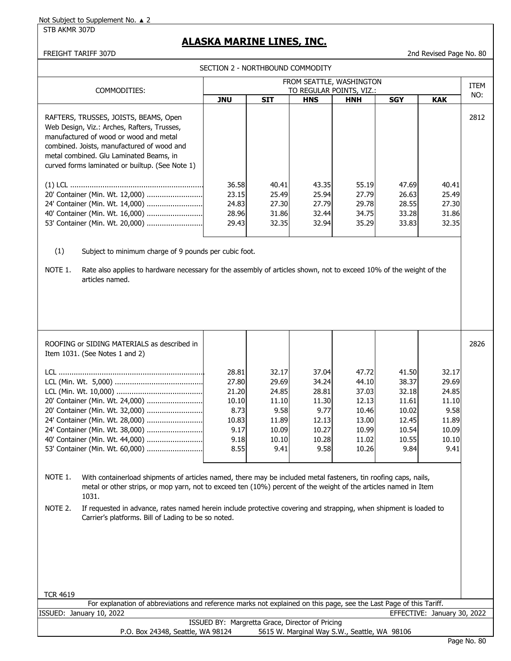STB AKMR 307D

## **ALASKA MARINE LINES, INC.**

## FREIGHT TARIFF 307D 2nd Revised Page No. 80

SECTION 2 - NORTHBOUND COMMODITY

|                                                                                                                                                                                                                                                                            | FROM SEATTLE, WASHINGTON<br>TO REGULAR POINTS, VIZ.:                      |                                                                             |                                                                             |                                                                               |                                                                              |                                                                             | <b>ITEM</b> |
|----------------------------------------------------------------------------------------------------------------------------------------------------------------------------------------------------------------------------------------------------------------------------|---------------------------------------------------------------------------|-----------------------------------------------------------------------------|-----------------------------------------------------------------------------|-------------------------------------------------------------------------------|------------------------------------------------------------------------------|-----------------------------------------------------------------------------|-------------|
| COMMODITIES:                                                                                                                                                                                                                                                               | <b>JNU</b>                                                                | <b>SIT</b>                                                                  | <b>HNS</b>                                                                  | <b>HNH</b>                                                                    | <b>SGY</b>                                                                   | <b>KAK</b>                                                                  | NO:         |
| RAFTERS, TRUSSES, JOISTS, BEAMS, Open<br>Web Design, Viz.: Arches, Rafters, Trusses,<br>manufactured of wood or wood and metal<br>combined. Joists, manufactured of wood and<br>metal combined. Glu Laminated Beams, in<br>curved forms laminated or builtup. (See Note 1) | 36.58                                                                     | 40.41                                                                       | 43.35                                                                       | 55.19                                                                         | 47.69                                                                        | 40.41                                                                       | 2812        |
| 20' Container (Min. Wt. 12,000)<br>24' Container (Min. Wt. 14,000)<br>40' Container (Min. Wt. 16,000)<br>53' Container (Min. Wt. 20,000)                                                                                                                                   | 23.15<br>24.83<br>28.96<br>29.43                                          | 25.49<br>27.30<br>31.86<br>32.35                                            | 25.94<br>27.79<br>32.44<br>32.94                                            | 27.79<br>29.78<br>34.75<br>35.29                                              | 26.63<br>28.55<br>33.28<br>33.83                                             | 25.49<br>27.30<br>31.86<br>32.35                                            |             |
| (1)<br>Subject to minimum charge of 9 pounds per cubic foot.<br>Rate also applies to hardware necessary for the assembly of articles shown, not to exceed 10% of the weight of the<br>NOTE 1.<br>articles named.                                                           |                                                                           |                                                                             |                                                                             |                                                                               |                                                                              |                                                                             |             |
| ROOFING or SIDING MATERIALS as described in<br>Item 1031. (See Notes 1 and 2)                                                                                                                                                                                              |                                                                           |                                                                             |                                                                             |                                                                               |                                                                              |                                                                             | 2826        |
| 20' Container (Min. Wt. 24,000)<br>20' Container (Min. Wt. 32,000)<br>24' Container (Min. Wt. 28,000)<br>24' Container (Min. Wt. 38,000)<br>40' Container (Min. Wt. 44,000)<br>53' Container (Min. Wt. 60,000)                                                             | 28.81<br>27.80<br>21.20<br>10.10<br>8.73<br>10.83<br>9.17<br>9.18<br>8.55 | 32.17<br>29.69<br>24.85<br>11.10<br>9.58<br>11.89<br>10.09<br>10.10<br>9.41 | 37.04<br>34.24<br>28.81<br>11.30<br>9.77<br>12.13<br>10.27<br>10.28<br>9.58 | 47.72<br>44.10<br>37.03<br>12.13<br>10.46<br>13.00<br>10.99<br>11.02<br>10.26 | 41.50<br>38.37<br>32.18<br>11.61<br>10.02<br>12.45<br>10.54<br>10.55<br>9.84 | 32.17<br>29.69<br>24.85<br>11.10<br>9.58<br>11.89<br>10.09<br>10.10<br>9.41 |             |
| NOTE 1.<br>With containerload shipments of articles named, there may be included metal fasteners, tin roofing caps, nails,<br>metal or other strips, or mop yarn, not to exceed ten (10%) percent of the weight of the articles named in Item<br>1031.                     |                                                                           |                                                                             |                                                                             |                                                                               |                                                                              |                                                                             |             |
| NOTE 2.<br>If requested in advance, rates named herein include protective covering and strapping, when shipment is loaded to<br>Carrier's platforms. Bill of Lading to be so noted.                                                                                        |                                                                           |                                                                             |                                                                             |                                                                               |                                                                              |                                                                             |             |
| <b>TCR 4619</b>                                                                                                                                                                                                                                                            |                                                                           |                                                                             |                                                                             |                                                                               |                                                                              |                                                                             |             |
| For explanation of abbreviations and reference marks not explained on this page, see the Last Page of this Tariff.<br>ISSUED: January 10, 2022                                                                                                                             |                                                                           |                                                                             |                                                                             |                                                                               |                                                                              | EFFECTIVE: January 30, 2022                                                 |             |
|                                                                                                                                                                                                                                                                            | ISSUED BY: Margretta Grace, Director of Pricing                           |                                                                             |                                                                             |                                                                               |                                                                              |                                                                             |             |
| P.O. Box 24348, Seattle, WA 98124                                                                                                                                                                                                                                          |                                                                           |                                                                             |                                                                             | 5615 W. Marginal Way S.W., Seattle, WA 98106                                  |                                                                              |                                                                             |             |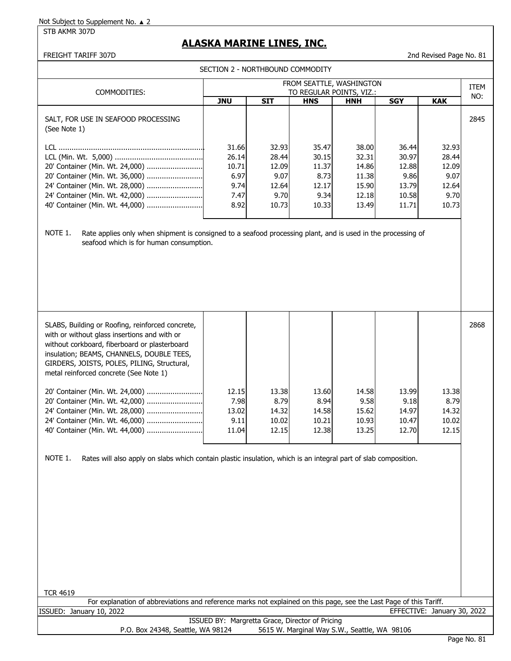STB AKMR 307D

# **ALASKA MARINE LINES, INC.**

FREIGHT TARIFF 307D 2nd Revised Page No. 81

| SECTION 2 - NORTHBOUND COMMODITY                                                                                                                                                                                                                                                                                                                                                                                                                                                                                                                                                                                        |                                                         |                                                           |                                                           |                                                             |                                                            |                                                           |             |  |
|-------------------------------------------------------------------------------------------------------------------------------------------------------------------------------------------------------------------------------------------------------------------------------------------------------------------------------------------------------------------------------------------------------------------------------------------------------------------------------------------------------------------------------------------------------------------------------------------------------------------------|---------------------------------------------------------|-----------------------------------------------------------|-----------------------------------------------------------|-------------------------------------------------------------|------------------------------------------------------------|-----------------------------------------------------------|-------------|--|
|                                                                                                                                                                                                                                                                                                                                                                                                                                                                                                                                                                                                                         |                                                         |                                                           | FROM SEATTLE, WASHINGTON                                  |                                                             |                                                            |                                                           | <b>ITEM</b> |  |
| COMMODITIES:                                                                                                                                                                                                                                                                                                                                                                                                                                                                                                                                                                                                            | <b>JNU</b>                                              | <b>SIT</b>                                                | TO REGULAR POINTS, VIZ.:<br><b>HNS</b>                    | <b>HNH</b>                                                  | <b>SGY</b>                                                 | <b>KAK</b>                                                | NO:         |  |
| SALT, FOR USE IN SEAFOOD PROCESSING<br>(See Note 1)                                                                                                                                                                                                                                                                                                                                                                                                                                                                                                                                                                     |                                                         |                                                           |                                                           |                                                             |                                                            |                                                           | 2845        |  |
| 20' Container (Min. Wt. 24,000)<br>20' Container (Min. Wt. 36,000)<br>24' Container (Min. Wt. 28,000)<br>24' Container (Min. Wt. 42,000)<br>40' Container (Min. Wt. 44,000)<br>NOTE 1.<br>Rate applies only when shipment is consigned to a seafood processing plant, and is used in the processing of<br>seafood which is for human consumption.                                                                                                                                                                                                                                                                       | 31.66<br>26.14<br>10.71<br>6.97<br>9.74<br>7.47<br>8.92 | 32.93<br>28.44<br>12.09<br>9.07<br>12.64<br>9.70<br>10.73 | 35.47<br>30.15<br>11.37<br>8.73<br>12.17<br>9.34<br>10.33 | 38.00<br>32.31<br>14.86<br>11.38<br>15.90<br>12.18<br>13.49 | 36.44<br>30.97<br>12.88<br>9.86<br>13.79<br>10.58<br>11.71 | 32.93<br>28.44<br>12.09<br>9.07<br>12.64<br>9.70<br>10.73 |             |  |
| SLABS, Building or Roofing, reinforced concrete,<br>with or without glass insertions and with or<br>without corkboard, fiberboard or plasterboard<br>insulation; BEAMS, CHANNELS, DOUBLE TEES,<br>GIRDERS, JOISTS, POLES, PILING, Structural,<br>metal reinforced concrete (See Note 1)<br>20' Container (Min. Wt. 24,000)<br>20' Container (Min. Wt. 42,000)<br>24' Container (Min. Wt. 28,000)<br>24' Container (Min. Wt. 46,000)<br>40' Container (Min. Wt. 44,000)<br>Rates will also apply on slabs which contain plastic insulation, which is an integral part of slab composition.<br>NOTE 1.<br><b>TCR 4619</b> | 12.15<br>7.98<br>13.02<br>9.11<br>11.04                 | 13.38<br>8.79<br>14.32<br>10.02<br>12.15                  | 13.60<br>8.94<br>14.58<br>10.21<br>12.38                  | 14.58<br>9.58<br>15.62<br>10.93<br>13.25                    | 13.99<br>9.18<br>14.97<br>10.47<br>12.70                   | 13.38<br>8.79<br>14.32<br>10.02<br>12.15                  | 2868        |  |
| For explanation of abbreviations and reference marks not explained on this page, see the Last Page of this Tariff.                                                                                                                                                                                                                                                                                                                                                                                                                                                                                                      |                                                         |                                                           |                                                           |                                                             |                                                            |                                                           |             |  |
| ISSUED: January 10, 2022                                                                                                                                                                                                                                                                                                                                                                                                                                                                                                                                                                                                | ISSUED BY: Margretta Grace, Director of Pricing         |                                                           |                                                           |                                                             |                                                            | EFFECTIVE: January 30, 2022                               |             |  |
| P.O. Box 24348, Seattle, WA 98124                                                                                                                                                                                                                                                                                                                                                                                                                                                                                                                                                                                       |                                                         |                                                           | 5615 W. Marginal Way S.W., Seattle, WA 98106              |                                                             |                                                            |                                                           |             |  |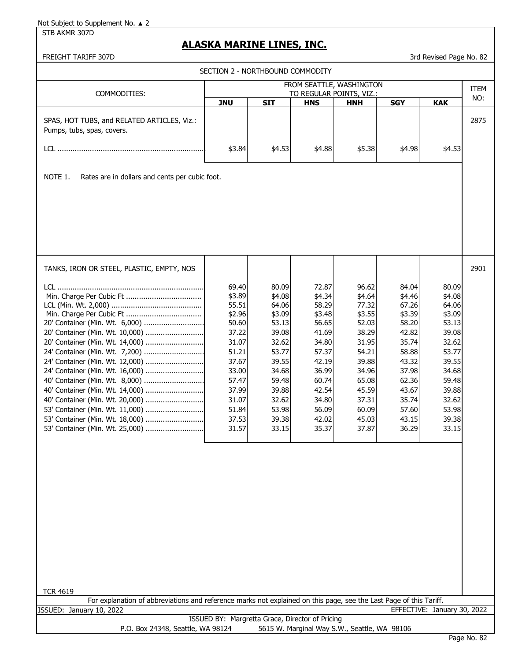STB AKMR 307D

## **ALASKA MARINE LINES, INC.**

FREIGHT TARIFF 307D 300 STOLEN 1999 120 STOLEN 1999 120 STOLEN 1999 13rd Revised Page No. 82

| ווער וועותו וועגביו                                                                                                | SECTION 2 - NORTHBOUND COMMODITY                |                 |                 |                                        |                 | אט ויש וועטוואטוואר         |      |
|--------------------------------------------------------------------------------------------------------------------|-------------------------------------------------|-----------------|-----------------|----------------------------------------|-----------------|-----------------------------|------|
|                                                                                                                    |                                                 |                 |                 | FROM SEATTLE, WASHINGTON               |                 |                             | ITEM |
| COMMODITIES:                                                                                                       | <b>JNU</b>                                      | <b>SIT</b>      | <b>HNS</b>      | TO REGULAR POINTS, VIZ.:<br><b>HNH</b> | <b>SGY</b>      | <b>KAK</b>                  | NO:  |
| SPAS, HOT TUBS, and RELATED ARTICLES, Viz.:<br>Pumps, tubs, spas, covers.                                          |                                                 |                 |                 |                                        |                 |                             | 2875 |
|                                                                                                                    | \$3.84                                          | \$4.53          | \$4.88          | \$5.38                                 | \$4.98          | \$4.53                      |      |
| NOTE 1.<br>Rates are in dollars and cents per cubic foot.                                                          |                                                 |                 |                 |                                        |                 |                             |      |
|                                                                                                                    |                                                 |                 |                 |                                        |                 |                             |      |
|                                                                                                                    |                                                 |                 |                 |                                        |                 |                             |      |
|                                                                                                                    |                                                 |                 |                 |                                        |                 |                             |      |
|                                                                                                                    |                                                 |                 |                 |                                        |                 |                             |      |
| TANKS, IRON OR STEEL, PLASTIC, EMPTY, NOS                                                                          |                                                 |                 |                 |                                        |                 |                             | 2901 |
|                                                                                                                    | 69.40<br>\$3.89                                 | 80.09<br>\$4.08 | 72.87<br>\$4.34 | 96.62<br>\$4.64                        | 84.04<br>\$4.46 | 80.09<br>\$4.08             |      |
|                                                                                                                    | 55.51                                           | 64.06           | 58.29           | 77.32                                  | 67.26           | 64.06                       |      |
|                                                                                                                    | \$2.96                                          | \$3.09          | \$3.48          | \$3.55                                 | \$3.39          | \$3.09                      |      |
| 20' Container (Min. Wt. 6,000)<br>20' Container (Min. Wt. 10,000)                                                  | 50.60<br>37.22                                  | 53.13<br>39.08  | 56.65<br>41.69  | 52.03<br>38.29                         | 58.20<br>42.82  | 53.13<br>39.08              |      |
| 20' Container (Min. Wt. 14,000)                                                                                    | 31.07                                           | 32.62           | 34.80           | 31.95                                  | 35.74           | 32.62                       |      |
| 24' Container (Min. Wt. 7,200)                                                                                     | 51.21                                           | 53.77           | 57.37           | 54.21                                  | 58.88           | 53.77                       |      |
| 24' Container (Min. Wt. 12,000)                                                                                    | 37.67                                           | 39.55           | 42.19           | 39.88                                  | 43.32           | 39.55                       |      |
| 24' Container (Min. Wt. 16,000)                                                                                    | 33.00                                           | 34.68           | 36.99           | 34.96                                  | 37.98           | 34.68                       |      |
| 40' Container (Min. Wt. 8,000)                                                                                     | 57.47                                           | 59.48           | 60.74           | 65.08                                  | 62.36           | 59.48                       |      |
| 40' Container (Min. Wt. 14,000)                                                                                    | 37.99                                           | 39.88           | 42.54           | 45.59                                  | 43.67           | 39.88                       |      |
| 40' Container (Min. Wt. 20,000)                                                                                    | 31.07                                           | 32.62           | 34.80           | 37.31                                  | 35.74           | 32.62                       |      |
| 53' Container (Min. Wt. 11,000)<br>53' Container (Min. Wt. 18,000)                                                 | 51.84<br>37.53                                  | 53.98<br>39.38  | 56.09<br>42.02  | 60.09<br>45.03                         | 57.60<br>43.15  | 53.98<br>39.38              |      |
| 53' Container (Min. Wt. 25,000)                                                                                    | 31.57                                           | 33.15           | 35.37           | 37.87                                  | 36.29           | 33.15                       |      |
|                                                                                                                    |                                                 |                 |                 |                                        |                 |                             |      |
|                                                                                                                    |                                                 |                 |                 |                                        |                 |                             |      |
|                                                                                                                    |                                                 |                 |                 |                                        |                 |                             |      |
|                                                                                                                    |                                                 |                 |                 |                                        |                 |                             |      |
|                                                                                                                    |                                                 |                 |                 |                                        |                 |                             |      |
|                                                                                                                    |                                                 |                 |                 |                                        |                 |                             |      |
|                                                                                                                    |                                                 |                 |                 |                                        |                 |                             |      |
|                                                                                                                    |                                                 |                 |                 |                                        |                 |                             |      |
| <b>TCR 4619</b>                                                                                                    |                                                 |                 |                 |                                        |                 |                             |      |
| For explanation of abbreviations and reference marks not explained on this page, see the Last Page of this Tariff. |                                                 |                 |                 |                                        |                 |                             |      |
| ISSUED: January 10, 2022                                                                                           | ISSUED BY: Margretta Grace, Director of Pricing |                 |                 |                                        |                 | EFFECTIVE: January 30, 2022 |      |

P.O. Box 24348, Seattle, WA 98124 5615 W. Marginal Way S.W., Seattle, WA 98106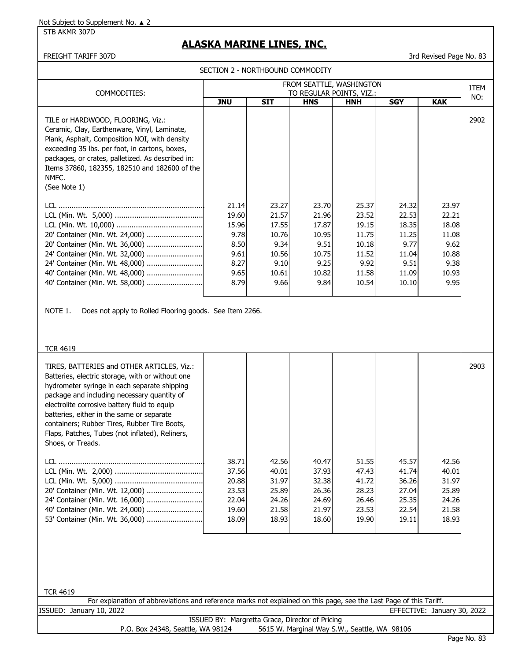STB AKMR 307D

# **ALASKA MARINE LINES, INC.**

## FREIGHT TARIFF 307D 3rd Revised Page No. 83

SECTION 2 - NORTHBOUND COMMODITY

| FROM SEATTLE, WASHINGTON<br>TO REGULAR POINTS, VIZ.:                                                                                                                                                                                                                                                                                                                                                                                                                                                                                                                              |                                                                         |                                                                            |                                                                            |                                                                              |                                                                             |                                                                            | <b>ITEM</b> |
|-----------------------------------------------------------------------------------------------------------------------------------------------------------------------------------------------------------------------------------------------------------------------------------------------------------------------------------------------------------------------------------------------------------------------------------------------------------------------------------------------------------------------------------------------------------------------------------|-------------------------------------------------------------------------|----------------------------------------------------------------------------|----------------------------------------------------------------------------|------------------------------------------------------------------------------|-----------------------------------------------------------------------------|----------------------------------------------------------------------------|-------------|
| COMMODITIES:                                                                                                                                                                                                                                                                                                                                                                                                                                                                                                                                                                      | <b>JNU</b>                                                              | <b>SIT</b>                                                                 | <b>HNS</b>                                                                 | <b>HNH</b>                                                                   | <b>SGY</b>                                                                  | <b>KAK</b>                                                                 | NO:         |
| TILE or HARDWOOD, FLOORING, Viz.:<br>Ceramic, Clay, Earthenware, Vinyl, Laminate,<br>Plank, Asphalt, Composition NOI, with density<br>exceeding 35 lbs. per foot, in cartons, boxes,<br>packages, or crates, palletized. As described in:<br>Items 37860, 182355, 182510 and 182600 of the<br>NMFC.<br>(See Note 1)                                                                                                                                                                                                                                                               |                                                                         |                                                                            |                                                                            |                                                                              |                                                                             |                                                                            | 2902        |
| 20' Container (Min. Wt. 24,000)<br>20' Container (Min. Wt. 36,000)<br>24' Container (Min. Wt. 32,000)<br>24' Container (Min. Wt. 48,000)<br>40' Container (Min. Wt. 48,000)<br>40' Container (Min. Wt. 58,000)                                                                                                                                                                                                                                                                                                                                                                    | 21.14<br>19.60<br>15.96<br>9.78<br>8.50<br>9.61<br>8.27<br>9.65<br>8.79 | 23.27<br>21.57<br>17.55<br>10.76<br>9.34<br>10.56<br>9.10<br>10.61<br>9.66 | 23.70<br>21.96<br>17.87<br>10.95<br>9.51<br>10.75<br>9.25<br>10.82<br>9.84 | 25.37<br>23.52<br>19.15<br>11.75<br>10.18<br>11.52<br>9.92<br>11.58<br>10.54 | 24.32<br>22.53<br>18.35<br>11.25<br>9.77<br>11.04<br>9.51<br>11.09<br>10.10 | 23.97<br>22.21<br>18.08<br>11.08<br>9.62<br>10.88<br>9.38<br>10.93<br>9.95 |             |
| NOTE 1.<br>Does not apply to Rolled Flooring goods. See Item 2266.<br><b>TCR 4619</b>                                                                                                                                                                                                                                                                                                                                                                                                                                                                                             |                                                                         |                                                                            |                                                                            |                                                                              |                                                                             |                                                                            |             |
| TIRES, BATTERIES and OTHER ARTICLES, Viz.:<br>Batteries, electric storage, with or without one<br>hydrometer syringe in each separate shipping<br>package and including necessary quantity of<br>electrolite corrosive battery fluid to equip<br>batteries, either in the same or separate<br>containers; Rubber Tires, Rubber Tire Boots,<br>Flaps, Patches, Tubes (not inflated), Reliners,<br>Shoes, or Treads.<br>20' Container (Min. Wt. 12,000)<br>24' Container (Min. Wt. 16,000)<br>40' Container (Min. Wt. 24,000)<br>53' Container (Min. Wt. 36,000)<br><b>TCR 4619</b> | 38.71<br>37.56<br>20.88<br>23.53<br>22.04<br>19.60<br>18.09             | 42.56<br>40.01<br>31.97<br>25.89<br>24.26<br>21.58<br>18.93                | 40.47<br>37.93<br>32.38<br>26.36<br>24.69<br>21.97<br>18.60                | 51.55<br>47.43<br>41.72<br>28.23<br>26.46<br>23.53<br>19.90                  | 45.57<br>41.74<br>36.26<br>27.04<br>25.35<br>22.54<br>19.11                 | 42.56<br>40.01<br>31.97<br>25.89<br>24.26<br>21.58<br>18.93                | 2903        |
| For explanation of abbreviations and reference marks not explained on this page, see the Last Page of this Tariff.                                                                                                                                                                                                                                                                                                                                                                                                                                                                |                                                                         |                                                                            |                                                                            |                                                                              |                                                                             |                                                                            |             |
| ISSUED: January 10, 2022                                                                                                                                                                                                                                                                                                                                                                                                                                                                                                                                                          |                                                                         |                                                                            |                                                                            |                                                                              |                                                                             | EFFECTIVE: January 30, 2022                                                |             |
| P.O. Box 24348, Seattle, WA 98124                                                                                                                                                                                                                                                                                                                                                                                                                                                                                                                                                 |                                                                         | ISSUED BY: Margretta Grace, Director of Pricing                            |                                                                            | 5615 W. Marginal Way S.W., Seattle, WA 98106                                 |                                                                             |                                                                            |             |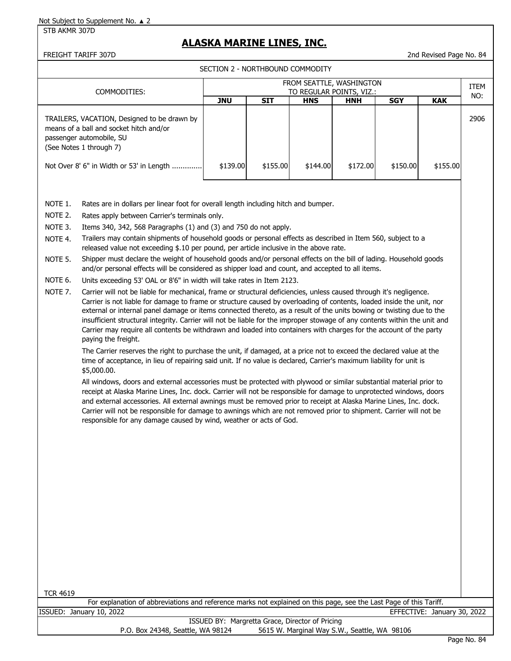STB AKMR 307D

# **ALASKA MARINE LINES, INC.**

FREIGHT TARIFF 307D 2nd Revised Page No. 84

SECTION 2 - NORTHBOUND COMMODITY

|                                                                           |                                                                                                                                                                                                                                                                                                                                                                                                                                                                                                                                                                                                                                                                                                                                                                                                                                                                                                                                                                                                                                                                                                                                                                                                                                                                                                                                                                                                                                                                                                                                                                                                                                                                                                                                                                                                                                                                                                                                                                                                                                                                                                                                                                                                        |            | SECTION 2 - NORTHBOUND COMMODITY |            |            |            |            |             |
|---------------------------------------------------------------------------|--------------------------------------------------------------------------------------------------------------------------------------------------------------------------------------------------------------------------------------------------------------------------------------------------------------------------------------------------------------------------------------------------------------------------------------------------------------------------------------------------------------------------------------------------------------------------------------------------------------------------------------------------------------------------------------------------------------------------------------------------------------------------------------------------------------------------------------------------------------------------------------------------------------------------------------------------------------------------------------------------------------------------------------------------------------------------------------------------------------------------------------------------------------------------------------------------------------------------------------------------------------------------------------------------------------------------------------------------------------------------------------------------------------------------------------------------------------------------------------------------------------------------------------------------------------------------------------------------------------------------------------------------------------------------------------------------------------------------------------------------------------------------------------------------------------------------------------------------------------------------------------------------------------------------------------------------------------------------------------------------------------------------------------------------------------------------------------------------------------------------------------------------------------------------------------------------------|------------|----------------------------------|------------|------------|------------|------------|-------------|
|                                                                           | FROM SEATTLE, WASHINGTON<br>TO REGULAR POINTS, VIZ.:                                                                                                                                                                                                                                                                                                                                                                                                                                                                                                                                                                                                                                                                                                                                                                                                                                                                                                                                                                                                                                                                                                                                                                                                                                                                                                                                                                                                                                                                                                                                                                                                                                                                                                                                                                                                                                                                                                                                                                                                                                                                                                                                                   |            |                                  |            |            |            |            | <b>ITEM</b> |
|                                                                           | COMMODITIES:                                                                                                                                                                                                                                                                                                                                                                                                                                                                                                                                                                                                                                                                                                                                                                                                                                                                                                                                                                                                                                                                                                                                                                                                                                                                                                                                                                                                                                                                                                                                                                                                                                                                                                                                                                                                                                                                                                                                                                                                                                                                                                                                                                                           | <b>JNU</b> | <b>SIT</b>                       | <b>HNS</b> | <b>HNH</b> | <b>SGY</b> | <b>KAK</b> | NO:         |
|                                                                           | TRAILERS, VACATION, Designed to be drawn by<br>means of a ball and socket hitch and/or<br>passenger automobile, SU<br>(See Notes 1 through 7)<br>Not Over 8' 6" in Width or 53' in Length                                                                                                                                                                                                                                                                                                                                                                                                                                                                                                                                                                                                                                                                                                                                                                                                                                                                                                                                                                                                                                                                                                                                                                                                                                                                                                                                                                                                                                                                                                                                                                                                                                                                                                                                                                                                                                                                                                                                                                                                              | \$139.00   | \$155.00                         | \$144.00   | \$172.00   | \$150.00   | \$155.00   | 2906        |
| NOTE 1.<br>NOTE 2.<br>NOTE 3.<br>NOTE 4.<br>NOTE 5.<br>NOTE 6.<br>NOTE 7. | Rates are in dollars per linear foot for overall length including hitch and bumper.<br>Rates apply between Carrier's terminals only.<br>Items 340, 342, 568 Paragraphs (1) and (3) and 750 do not apply.<br>Trailers may contain shipments of household goods or personal effects as described in Item 560, subject to a<br>released value not exceeding \$.10 per pound, per article inclusive in the above rate.<br>Shipper must declare the weight of household goods and/or personal effects on the bill of lading. Household goods<br>and/or personal effects will be considered as shipper load and count, and accepted to all items.<br>Units exceeding 53' OAL or 8'6" in width will take rates in Item 2123.<br>Carrier will not be liable for mechanical, frame or structural deficiencies, unless caused through it's negligence.<br>Carrier is not liable for damage to frame or structure caused by overloading of contents, loaded inside the unit, nor<br>external or internal panel damage or items connected thereto, as a result of the units bowing or twisting due to the<br>insufficient structural integrity. Carrier will not be liable for the improper stowage of any contents within the unit and<br>Carrier may require all contents be withdrawn and loaded into containers with charges for the account of the party<br>paying the freight.<br>The Carrier reserves the right to purchase the unit, if damaged, at a price not to exceed the declared value at the<br>time of acceptance, in lieu of repairing said unit. If no value is declared, Carrier's maximum liability for unit is<br>\$5,000.00.<br>All windows, doors and external accessories must be protected with plywood or similar substantial material prior to<br>receipt at Alaska Marine Lines, Inc. dock. Carrier will not be responsible for damage to unprotected windows, doors<br>and external accessories. All external awnings must be removed prior to receipt at Alaska Marine Lines, Inc. dock.<br>Carrier will not be responsible for damage to awnings which are not removed prior to shipment. Carrier will not be<br>responsible for any damage caused by wind, weather or acts of God. |            |                                  |            |            |            |            |             |

TCR 4619

For explanation of abbreviations and reference marks not explained on this page, see the Last Page of this Tariff. ISSUED: January 10, 2022 EFFECTIVE: January 30, 2022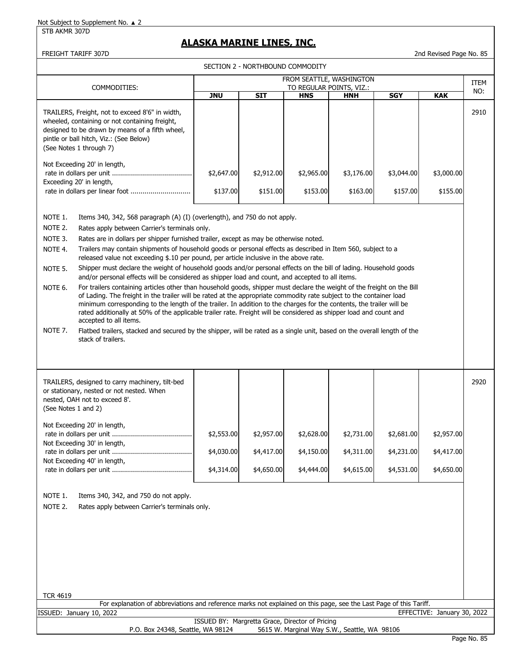#### STB AKMR 307D

## **ALASKA MARINE LINES, INC.**

FREIGHT TARIFF 307D 2nd Revised Page No. 85

| SECTION 2 - NORTHBOUND COMMODITY                                                                                                                                                                                                                                                                                                                                                        |                                                                                                                                                                                                                                                                                                                                                                                                                                                                                                                                                                                                                                                                                                                                                                                                                                                                                                                                                                                                                                                                                                                                                                                                                                                                                    |                                        |                                        |                                        |                                        |                                        |      |  |  |
|-----------------------------------------------------------------------------------------------------------------------------------------------------------------------------------------------------------------------------------------------------------------------------------------------------------------------------------------------------------------------------------------|------------------------------------------------------------------------------------------------------------------------------------------------------------------------------------------------------------------------------------------------------------------------------------------------------------------------------------------------------------------------------------------------------------------------------------------------------------------------------------------------------------------------------------------------------------------------------------------------------------------------------------------------------------------------------------------------------------------------------------------------------------------------------------------------------------------------------------------------------------------------------------------------------------------------------------------------------------------------------------------------------------------------------------------------------------------------------------------------------------------------------------------------------------------------------------------------------------------------------------------------------------------------------------|----------------------------------------|----------------------------------------|----------------------------------------|----------------------------------------|----------------------------------------|------|--|--|
|                                                                                                                                                                                                                                                                                                                                                                                         |                                                                                                                                                                                                                                                                                                                                                                                                                                                                                                                                                                                                                                                                                                                                                                                                                                                                                                                                                                                                                                                                                                                                                                                                                                                                                    |                                        | FROM SEATTLE, WASHINGTON               |                                        |                                        |                                        | ITEM |  |  |
| COMMODITIES:                                                                                                                                                                                                                                                                                                                                                                            | <b>JNU</b>                                                                                                                                                                                                                                                                                                                                                                                                                                                                                                                                                                                                                                                                                                                                                                                                                                                                                                                                                                                                                                                                                                                                                                                                                                                                         | <b>SIT</b>                             | TO REGULAR POINTS, VIZ.:<br><b>HNS</b> | <b>HNH</b>                             | <b>SGY</b>                             | <b>KAK</b>                             | NO:  |  |  |
| TRAILERS, Freight, not to exceed 8'6" in width,<br>wheeled, containing or not containing freight,<br>designed to be drawn by means of a fifth wheel,<br>pintle or ball hitch, Viz.: (See Below)<br>(See Notes 1 through 7)                                                                                                                                                              |                                                                                                                                                                                                                                                                                                                                                                                                                                                                                                                                                                                                                                                                                                                                                                                                                                                                                                                                                                                                                                                                                                                                                                                                                                                                                    |                                        |                                        |                                        |                                        |                                        |      |  |  |
| Not Exceeding 20' in length,<br>Exceeding 20' in length,<br>rate in dollars per linear foot                                                                                                                                                                                                                                                                                             | \$2,647.00<br>\$2,912.00<br>\$2,965.00<br>\$3,176.00<br>\$3,044.00<br>\$3,000.00<br>\$151.00<br>\$157.00<br>\$155.00<br>\$137.00<br>\$153.00<br>\$163.00                                                                                                                                                                                                                                                                                                                                                                                                                                                                                                                                                                                                                                                                                                                                                                                                                                                                                                                                                                                                                                                                                                                           |                                        |                                        |                                        |                                        |                                        |      |  |  |
| NOTE 1.<br>NOTE 2.<br>NOTE 3.<br>NOTE 4.<br>NOTE 5.<br>NOTE 6.<br>accepted to all items.<br>NOTE 7.<br>stack of trailers.                                                                                                                                                                                                                                                               | Items 340, 342, 568 paragraph (A) (I) (overlength), and 750 do not apply.<br>Rates apply between Carrier's terminals only.<br>Rates are in dollars per shipper furnished trailer, except as may be otherwise noted.<br>Trailers may contain shipments of household goods or personal effects as described in Item 560, subject to a<br>released value not exceeding \$.10 per pound, per article inclusive in the above rate.<br>Shipper must declare the weight of household goods and/or personal effects on the bill of lading. Household goods<br>and/or personal effects will be considered as shipper load and count, and accepted to all items.<br>For trailers containing articles other than household goods, shipper must declare the weight of the freight on the Bill<br>of Lading. The freight in the trailer will be rated at the appropriate commodity rate subject to the container load<br>minimum corresponding to the length of the trailer. In addition to the charges for the contents, the trailer will be<br>rated additionally at 50% of the applicable trailer rate. Freight will be considered as shipper load and count and<br>Flatbed trailers, stacked and secured by the shipper, will be rated as a single unit, based on the overall length of the |                                        |                                        |                                        |                                        |                                        |      |  |  |
| TRAILERS, designed to carry machinery, tilt-bed<br>or stationary, nested or not nested. When<br>nested, OAH not to exceed 8'.<br>(See Notes 1 and 2)<br>Not Exceeding 20' in length,<br>Not Exceeding 30' in length,<br>Not Exceeding 40' in length,<br>NOTE 1.<br>Items 340, 342, and 750 do not apply.<br>NOTE 2.<br>Rates apply between Carrier's terminals only.<br><b>TCR 4619</b> | \$2,553.00<br>\$4,030.00<br>\$4,314.00                                                                                                                                                                                                                                                                                                                                                                                                                                                                                                                                                                                                                                                                                                                                                                                                                                                                                                                                                                                                                                                                                                                                                                                                                                             | \$2,957.00<br>\$4,417.00<br>\$4,650.00 | \$2,628.00<br>\$4,150.00<br>\$4,444.00 | \$2,731.00<br>\$4,311.00<br>\$4,615.00 | \$2,681.00<br>\$4,231.00<br>\$4,531.00 | \$2,957.00<br>\$4,417.00<br>\$4,650.00 | 2920 |  |  |

For explanation of abbreviations and reference marks not explained on this page, see the Last Page of this Tariff. ISSUED: January 10, 2022 EFFECTIVE: January 30, 2022

|                                   | ISSUED BY: Margretta Grace, Director of Pricing |  |
|-----------------------------------|-------------------------------------------------|--|
| P.O. Box 24348, Seattle, WA 98124 | 5615 W. Marginal Way S.W., Seattle, WA 98106    |  |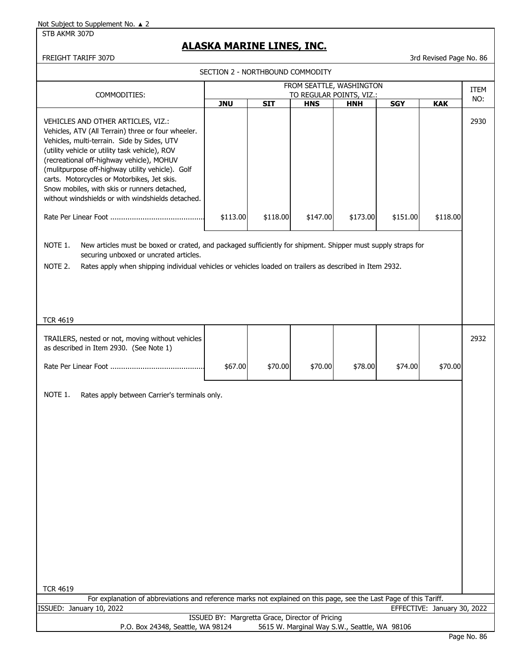STB AKMR 307D

## **ALASKA MARINE LINES, INC.**

FREIGHT TARIFF 307D 3rd Revised Page No. 86

|                                                                                                                                                                                                                                                                                                                                                                                                                                                |            | SECTION 2 - NORTHBOUND COMMODITY                |                                                      |                                              |            |                             |             |
|------------------------------------------------------------------------------------------------------------------------------------------------------------------------------------------------------------------------------------------------------------------------------------------------------------------------------------------------------------------------------------------------------------------------------------------------|------------|-------------------------------------------------|------------------------------------------------------|----------------------------------------------|------------|-----------------------------|-------------|
| COMMODITIES:                                                                                                                                                                                                                                                                                                                                                                                                                                   |            |                                                 | FROM SEATTLE, WASHINGTON<br>TO REGULAR POINTS, VIZ.: |                                              |            |                             | <b>ITEM</b> |
|                                                                                                                                                                                                                                                                                                                                                                                                                                                | <b>JNU</b> | <b>SIT</b>                                      | <b>HNS</b>                                           | <b>HNH</b>                                   | <b>SGY</b> | <b>KAK</b>                  | NO:         |
| VEHICLES AND OTHER ARTICLES, VIZ.:<br>Vehicles, ATV (All Terrain) three or four wheeler.<br>Vehicles, multi-terrain. Side by Sides, UTV<br>(utility vehicle or utility task vehicle), ROV<br>(recreational off-highway vehicle), MOHUV<br>(mulitpurpose off-highway utility vehicle). Golf<br>carts. Motorcycles or Motorbikes, Jet skis.<br>Snow mobiles, with skis or runners detached,<br>without windshields or with windshields detached. | \$113.00   | \$118.00                                        | \$147.00                                             | \$173.00                                     | \$151.00   | \$118.00                    | 2930        |
| NOTE 1.<br>New articles must be boxed or crated, and packaged sufficiently for shipment. Shipper must supply straps for<br>securing unboxed or uncrated articles.                                                                                                                                                                                                                                                                              |            |                                                 |                                                      |                                              |            |                             |             |
| NOTE 2.<br>Rates apply when shipping individual vehicles or vehicles loaded on trailers as described in Item 2932.                                                                                                                                                                                                                                                                                                                             |            |                                                 |                                                      |                                              |            |                             |             |
|                                                                                                                                                                                                                                                                                                                                                                                                                                                |            |                                                 |                                                      |                                              |            |                             |             |
| <b>TCR 4619</b>                                                                                                                                                                                                                                                                                                                                                                                                                                |            |                                                 |                                                      |                                              |            |                             |             |
| TRAILERS, nested or not, moving without vehicles<br>as described in Item 2930. (See Note 1)                                                                                                                                                                                                                                                                                                                                                    |            |                                                 |                                                      |                                              |            |                             | 2932        |
|                                                                                                                                                                                                                                                                                                                                                                                                                                                | \$67.00    | \$70.00                                         | \$70.00                                              | \$78.00                                      | \$74.00    | \$70.00                     |             |
| NOTE 1.<br>Rates apply between Carrier's terminals only.<br><b>TCR 4619</b>                                                                                                                                                                                                                                                                                                                                                                    |            |                                                 |                                                      |                                              |            |                             |             |
| For explanation of abbreviations and reference marks not explained on this page, see the Last Page of this Tariff.<br>ISSUED: January 10, 2022                                                                                                                                                                                                                                                                                                 |            |                                                 |                                                      |                                              |            | EFFECTIVE: January 30, 2022 |             |
| P.O. Box 24348, Seattle, WA 98124                                                                                                                                                                                                                                                                                                                                                                                                              |            | ISSUED BY: Margretta Grace, Director of Pricing |                                                      | 5615 W. Marginal Way S.W., Seattle, WA 98106 |            |                             |             |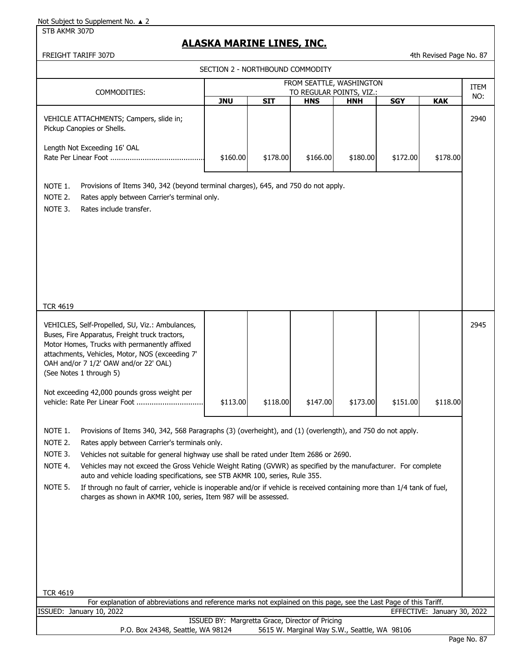STB AKMR 307D

# **ALASKA MARINE LINES, INC.**

| FREIGHT TARIFF 307D |  |
|---------------------|--|

| FREIGHT TARIFF 307D                                                                                                                                                                                                                                                                                                                                                                                                                                                                                                                                                                                                                                                                                                                                                                                                                                     |                                                      |            |                                              |            |            | 4th Revised Page No. 87     |             |  |
|---------------------------------------------------------------------------------------------------------------------------------------------------------------------------------------------------------------------------------------------------------------------------------------------------------------------------------------------------------------------------------------------------------------------------------------------------------------------------------------------------------------------------------------------------------------------------------------------------------------------------------------------------------------------------------------------------------------------------------------------------------------------------------------------------------------------------------------------------------|------------------------------------------------------|------------|----------------------------------------------|------------|------------|-----------------------------|-------------|--|
|                                                                                                                                                                                                                                                                                                                                                                                                                                                                                                                                                                                                                                                                                                                                                                                                                                                         | SECTION 2 - NORTHBOUND COMMODITY                     |            |                                              |            |            |                             |             |  |
|                                                                                                                                                                                                                                                                                                                                                                                                                                                                                                                                                                                                                                                                                                                                                                                                                                                         | FROM SEATTLE, WASHINGTON<br>TO REGULAR POINTS, VIZ.: |            |                                              |            |            |                             |             |  |
| COMMODITIES:                                                                                                                                                                                                                                                                                                                                                                                                                                                                                                                                                                                                                                                                                                                                                                                                                                            | <b>JNU</b>                                           | <b>SIT</b> | <b>HNS</b>                                   | <b>HNH</b> | <b>SGY</b> | <b>KAK</b>                  | ITEM<br>NO: |  |
| VEHICLE ATTACHMENTS; Campers, slide in;<br>Pickup Canopies or Shells.<br>Length Not Exceeding 16' OAL                                                                                                                                                                                                                                                                                                                                                                                                                                                                                                                                                                                                                                                                                                                                                   |                                                      |            |                                              |            |            |                             | 2940        |  |
|                                                                                                                                                                                                                                                                                                                                                                                                                                                                                                                                                                                                                                                                                                                                                                                                                                                         | \$160.00                                             | \$178.00   | \$166.00                                     | \$180.00   | \$172.00   | \$178.00                    |             |  |
| Provisions of Items 340, 342 (beyond terminal charges), 645, and 750 do not apply.<br>NOTE 1.<br>NOTE 2.<br>Rates apply between Carrier's terminal only.<br>NOTE 3.<br>Rates include transfer.<br><b>TCR 4619</b>                                                                                                                                                                                                                                                                                                                                                                                                                                                                                                                                                                                                                                       |                                                      |            |                                              |            |            |                             |             |  |
|                                                                                                                                                                                                                                                                                                                                                                                                                                                                                                                                                                                                                                                                                                                                                                                                                                                         |                                                      |            |                                              |            |            |                             |             |  |
| VEHICLES, Self-Propelled, SU, Viz.: Ambulances,<br>Buses, Fire Apparatus, Freight truck tractors,<br>Motor Homes, Trucks with permanently affixed<br>attachments, Vehicles, Motor, NOS (exceeding 7'<br>OAH and/or 7 1/2' OAW and/or 22' OAL)<br>(See Notes 1 through 5)<br>Not exceeding 42,000 pounds gross weight per<br>vehicle: Rate Per Linear Foot                                                                                                                                                                                                                                                                                                                                                                                                                                                                                               | \$113.00                                             | \$118.00   | \$147.00                                     | \$173.00   | \$151.00   | \$118.00                    | 2945        |  |
| NOTE 1.<br>Provisions of Items 340, 342, 568 Paragraphs (3) (overheight), and (1) (overlength), and 750 do not apply.<br>NOTE 2.<br>Rates apply between Carrier's terminals only.<br>NOTE 3.<br>Vehicles not suitable for general highway use shall be rated under Item 2686 or 2690.<br>NOTE 4.<br>Vehicles may not exceed the Gross Vehicle Weight Rating (GVWR) as specified by the manufacturer. For complete<br>auto and vehicle loading specifications, see STB AKMR 100, series, Rule 355.<br>NOTE 5.<br>If through no fault of carrier, vehicle is inoperable and/or if vehicle is received containing more than 1/4 tank of fuel,<br>charges as shown in AKMR 100, series, Item 987 will be assessed.<br><b>TCR 4619</b><br>For explanation of abbreviations and reference marks not explained on this page, see the Last Page of this Tariff. |                                                      |            |                                              |            |            |                             |             |  |
| ISSUED: January 10, 2022                                                                                                                                                                                                                                                                                                                                                                                                                                                                                                                                                                                                                                                                                                                                                                                                                                |                                                      |            |                                              |            |            | EFFECTIVE: January 30, 2022 |             |  |
|                                                                                                                                                                                                                                                                                                                                                                                                                                                                                                                                                                                                                                                                                                                                                                                                                                                         | ISSUED BY: Margretta Grace, Director of Pricing      |            |                                              |            |            |                             |             |  |
| P.O. Box 24348, Seattle, WA 98124                                                                                                                                                                                                                                                                                                                                                                                                                                                                                                                                                                                                                                                                                                                                                                                                                       |                                                      |            | 5615 W. Marginal Way S.W., Seattle, WA 98106 |            |            |                             |             |  |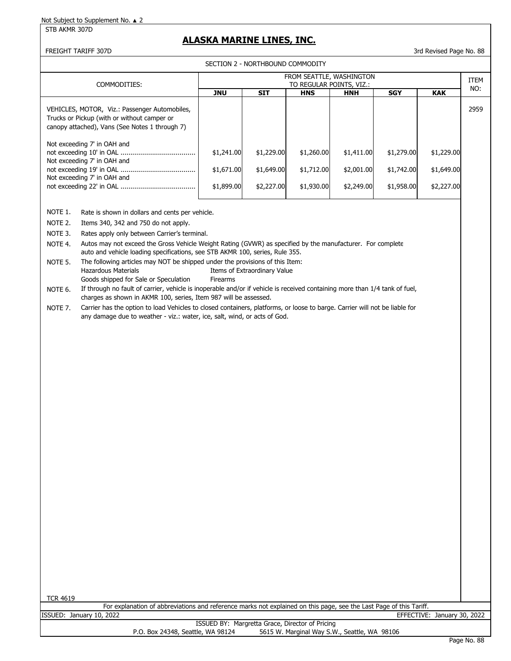STB AKMR 307D

## **ALASKA MARINE LINES, INC.**

FREIGHT TARIFF 307D 3rd Revised Page No. 88

SECTION 2 - NORTHBOUND COMMODITY

|                                                                                                                                                | SECTION 2 - NORTHBOUND COMMODITY<br>FROM SEATTLE, WASHINGTON                                                                                                                                            |            |            |                          |            |            |            |             |  |  |
|------------------------------------------------------------------------------------------------------------------------------------------------|---------------------------------------------------------------------------------------------------------------------------------------------------------------------------------------------------------|------------|------------|--------------------------|------------|------------|------------|-------------|--|--|
|                                                                                                                                                | COMMODITIES:                                                                                                                                                                                            |            |            | TO REGULAR POINTS, VIZ.: |            |            |            | ITEM<br>NO: |  |  |
|                                                                                                                                                |                                                                                                                                                                                                         | <b>JNU</b> | <b>SIT</b> | <b>HNS</b>               | <b>HNH</b> | <b>SGY</b> | <b>KAK</b> |             |  |  |
|                                                                                                                                                | VEHICLES, MOTOR, Viz.: Passenger Automobiles,<br>Trucks or Pickup (with or without camper or<br>canopy attached), Vans (See Notes 1 through 7)                                                          |            |            |                          |            |            |            | 2959        |  |  |
| Not exceeding 7' in OAH and<br>\$1,241.00<br>\$1,229.00<br>\$1,260.00<br>\$1,411.00<br>\$1,279.00<br>\$1,229.00<br>Not exceeding 7' in OAH and |                                                                                                                                                                                                         |            |            |                          |            |            |            |             |  |  |
|                                                                                                                                                | \$1,671.00<br>\$1,649.00<br>\$1,712.00<br>\$2,001.00<br>\$1,742.00<br>\$1,649.00<br>Not exceeding 7' in OAH and                                                                                         |            |            |                          |            |            |            |             |  |  |
|                                                                                                                                                |                                                                                                                                                                                                         | \$1,899.00 | \$2,227.00 | \$1,930.00               | \$2,249.00 | \$1,958.00 | \$2,227.00 |             |  |  |
| NOTE 1.                                                                                                                                        | Rate is shown in dollars and cents per vehicle.                                                                                                                                                         |            |            |                          |            |            |            |             |  |  |
| NOTE 2.                                                                                                                                        | Items 340, 342 and 750 do not apply.                                                                                                                                                                    |            |            |                          |            |            |            |             |  |  |
| NOTE 3.                                                                                                                                        | Rates apply only between Carrier's terminal.                                                                                                                                                            |            |            |                          |            |            |            |             |  |  |
| NOTE 4.                                                                                                                                        | Autos may not exceed the Gross Vehicle Weight Rating (GVWR) as specified by the manufacturer. For complete<br>auto and vehicle loading specifications, see STB AKMR 100, series, Rule 355.              |            |            |                          |            |            |            |             |  |  |
| NOTE 5.                                                                                                                                        | The following articles may NOT be shipped under the provisions of this Item:<br><b>Hazardous Materials</b><br>Items of Extraordinary Value<br>Goods shipped for Sale or Speculation<br>Firearms         |            |            |                          |            |            |            |             |  |  |
| NOTE 6.                                                                                                                                        | If through no fault of carrier, vehicle is inoperable and/or if vehicle is received containing more than 1/4 tank of fuel,<br>charges as shown in AKMR 100, series, Item 987 will be assessed.          |            |            |                          |            |            |            |             |  |  |
| NOTE 7.                                                                                                                                        | Carrier has the option to load Vehicles to closed containers, platforms, or loose to barge. Carrier will not be liable for<br>any damage due to weather - viz.: water, ice, salt, wind, or acts of God. |            |            |                          |            |            |            |             |  |  |
|                                                                                                                                                |                                                                                                                                                                                                         |            |            |                          |            |            |            |             |  |  |
|                                                                                                                                                |                                                                                                                                                                                                         |            |            |                          |            |            |            |             |  |  |
| <b>TCR 4619</b>                                                                                                                                | For explanation of abbreviations and reference marks not explained on this page, see the Last Page of this Tariff.                                                                                      |            |            |                          |            |            |            |             |  |  |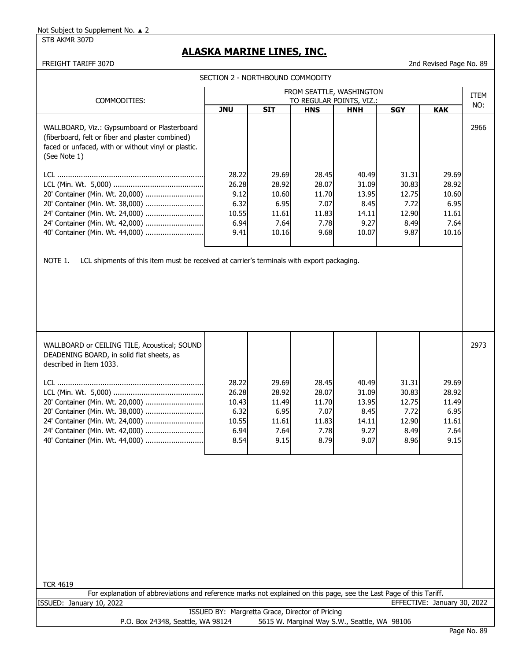STB AKMR 307D

# **ALASKA MARINE LINES, INC.**

FREIGHT TARIFF 307D 2nd Revised Page No. 89

| SECTION 2 - NORTHBOUND COMMODITY                                                                                                                                            |                                                          |                                                          |                                                          |                                                          |                                                          |                                                          |             |  |  |
|-----------------------------------------------------------------------------------------------------------------------------------------------------------------------------|----------------------------------------------------------|----------------------------------------------------------|----------------------------------------------------------|----------------------------------------------------------|----------------------------------------------------------|----------------------------------------------------------|-------------|--|--|
| FROM SEATTLE, WASHINGTON<br>TO REGULAR POINTS, VIZ.:<br>COMMODITIES:                                                                                                        |                                                          |                                                          |                                                          |                                                          |                                                          |                                                          |             |  |  |
|                                                                                                                                                                             | <b>JNU</b>                                               | $\overline{S}$ IT                                        | <b>HNS</b>                                               | <b>HNH</b>                                               | <b>SGY</b>                                               | <b>KAK</b>                                               | ITEM<br>NO: |  |  |
| WALLBOARD, Viz.: Gypsumboard or Plasterboard<br>(fiberboard, felt or fiber and plaster combined)<br>faced or unfaced, with or without vinyl or plastic.<br>(See Note 1)     | 28.22                                                    | 29.69                                                    | 28.45                                                    | 40.49                                                    | 31.31                                                    | 29.69                                                    | 2966        |  |  |
|                                                                                                                                                                             | 26.28                                                    | 28.92                                                    | 28.07                                                    | 31.09                                                    | 30.83                                                    | 28.92                                                    |             |  |  |
| 20' Container (Min. Wt. 20,000)<br>20' Container (Min. Wt. 38,000)                                                                                                          | 9.12<br>6.32                                             | 10.60<br>6.95                                            | 11.70<br>7.07                                            | 13.95<br>8.45                                            | 12.75<br>7.72                                            | 10.60<br>6.95                                            |             |  |  |
| 24' Container (Min. Wt. 24,000)                                                                                                                                             | 10.55                                                    | 11.61                                                    | 11.83                                                    | 14.11                                                    | 12.90                                                    | 11.61                                                    |             |  |  |
| 24' Container (Min. Wt. 42,000)                                                                                                                                             | 6.94                                                     | 7.64                                                     | 7.78                                                     | 9.27                                                     | 8.49                                                     | 7.64                                                     |             |  |  |
| 40' Container (Min. Wt. 44,000)                                                                                                                                             | 9.41                                                     | 10.16                                                    | 9.68                                                     | 10.07                                                    | 9.87                                                     | 10.16                                                    |             |  |  |
| WALLBOARD or CEILING TILE, Acoustical; SOUND<br>DEADENING BOARD, in solid flat sheets, as                                                                                   |                                                          |                                                          |                                                          |                                                          |                                                          |                                                          | 2973        |  |  |
| described in Item 1033.                                                                                                                                                     |                                                          |                                                          |                                                          |                                                          |                                                          |                                                          |             |  |  |
| 20' Container (Min. Wt. 20,000)<br>20' Container (Min. Wt. 38,000)<br>24' Container (Min. Wt. 24,000)<br>24' Container (Min. Wt. 42,000)<br>40' Container (Min. Wt. 44,000) | 28.22<br>26.28<br>10.43<br>6.32<br>10.55<br>6.94<br>8.54 | 29.69<br>28.92<br>11.49<br>6.95<br>11.61<br>7.64<br>9.15 | 28.45<br>28.07<br>11.70<br>7.07<br>11.83<br>7.78<br>8.79 | 40.49<br>31.09<br>13.95<br>8.45<br>14.11<br>9.27<br>9.07 | 31.31<br>30.83<br>12.75<br>7.72<br>12.90<br>8.49<br>8.96 | 29.69<br>28.92<br>11.49<br>6.95<br>11.61<br>7.64<br>9.15 |             |  |  |
| <b>TCR 4619</b><br>For explanation of abbreviations and reference marks not explained on this page, see the Last Page of this Tariff.                                       |                                                          |                                                          |                                                          |                                                          |                                                          |                                                          |             |  |  |
| ISSUED: January 10, 2022                                                                                                                                                    |                                                          |                                                          |                                                          |                                                          |                                                          | EFFECTIVE: January 30, 2022                              |             |  |  |
| P.O. Box 24348, Seattle, WA 98124                                                                                                                                           | ISSUED BY: Margretta Grace, Director of Pricing          |                                                          |                                                          | 5615 W. Marginal Way S.W., Seattle, WA 98106             |                                                          |                                                          |             |  |  |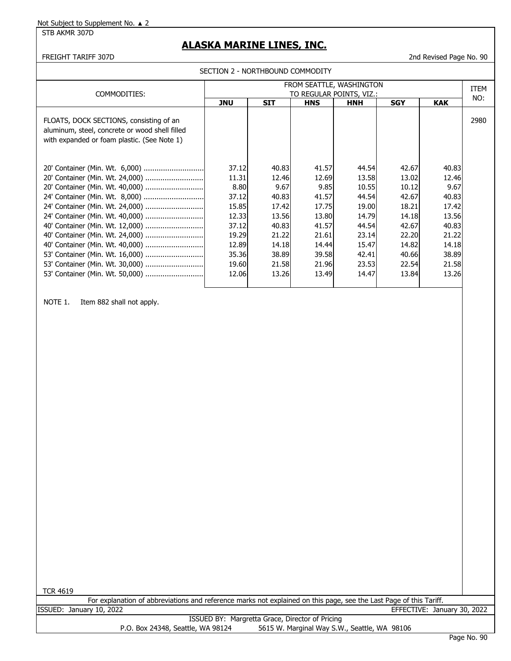STB AKMR 307D

# **ALASKA MARINE LINES, INC.**

FREIGHT TARIFF 307D 2nd Revised Page No. 90

|                                                                                                                                                                                                                                                                                                                                                           | FROM SEATTLE, WASHINGTON                                                                       |                                                                                                |                                                                                                |                                                                                                 |                                                                                                 |                                                                                                |      |  |
|-----------------------------------------------------------------------------------------------------------------------------------------------------------------------------------------------------------------------------------------------------------------------------------------------------------------------------------------------------------|------------------------------------------------------------------------------------------------|------------------------------------------------------------------------------------------------|------------------------------------------------------------------------------------------------|-------------------------------------------------------------------------------------------------|-------------------------------------------------------------------------------------------------|------------------------------------------------------------------------------------------------|------|--|
| COMMODITIES:                                                                                                                                                                                                                                                                                                                                              | TO REGULAR POINTS, VIZ.:                                                                       |                                                                                                |                                                                                                |                                                                                                 |                                                                                                 |                                                                                                |      |  |
|                                                                                                                                                                                                                                                                                                                                                           | <b>JNU</b>                                                                                     | <b>SIT</b>                                                                                     | <b>HNS</b>                                                                                     | <b>HNH</b>                                                                                      | <b>SGY</b>                                                                                      | <b>KAK</b>                                                                                     | NO:  |  |
| FLOATS, DOCK SECTIONS, consisting of an<br>aluminum, steel, concrete or wood shell filled<br>with expanded or foam plastic. (See Note 1)                                                                                                                                                                                                                  |                                                                                                |                                                                                                |                                                                                                |                                                                                                 |                                                                                                 |                                                                                                | 2980 |  |
| 20' Container (Min. Wt. 24,000)<br>20' Container (Min. Wt. 40,000)<br>24' Container (Min. Wt. 8,000)<br>24' Container (Min. Wt. 24,000)<br>24' Container (Min. Wt. 40,000)<br>40' Container (Min. Wt. 12,000)<br>40' Container (Min. Wt. 24,000)<br>40' Container (Min. Wt. 40,000)<br>53' Container (Min. Wt. 16,000)<br>53' Container (Min. Wt. 30,000) | 37.12<br>11.31<br>8.80<br>37.12<br>15.85<br>12.33<br>37.12<br>19.29<br>12.89<br>35.36<br>19.60 | 40.83<br>12.46<br>9.67<br>40.83<br>17.42<br>13.56<br>40.83<br>21.22<br>14.18<br>38.89<br>21.58 | 41.57<br>12.69<br>9.85<br>41.57<br>17.75<br>13.80<br>41.57<br>21.61<br>14.44<br>39.58<br>21.96 | 44.54<br>13.58<br>10.55<br>44.54<br>19.00<br>14.79<br>44.54<br>23.14<br>15.47<br>42.41<br>23.53 | 42.67<br>13.02<br>10.12<br>42.67<br>18.21<br>14.18<br>42.67<br>22.20<br>14.82<br>40.66<br>22.54 | 40.83<br>12.46<br>9.67<br>40.83<br>17.42<br>13.56<br>40.83<br>21.22<br>14.18<br>38.89<br>21.58 |      |  |
| 53' Container (Min. Wt. 50,000)                                                                                                                                                                                                                                                                                                                           | 12.06                                                                                          | 13.26                                                                                          | 13.49                                                                                          | 14.47                                                                                           | 13.84                                                                                           | 13.26                                                                                          |      |  |

NOTE 1. Item 882 shall not apply.

| <b>TCR 4619</b>                                                                                                    |  |  |  |  |  |  |
|--------------------------------------------------------------------------------------------------------------------|--|--|--|--|--|--|
| For explanation of abbreviations and reference marks not explained on this page, see the Last Page of this Tariff. |  |  |  |  |  |  |
| EFFECTIVE: January 30, 2022<br>ISSUED: January 10, 2022                                                            |  |  |  |  |  |  |
| ISSUED BY: Margretta Grace, Director of Pricing                                                                    |  |  |  |  |  |  |
| 5615 W. Marginal Way S.W., Seattle, WA 98106<br>P.O. Box 24348, Seattle, WA 98124                                  |  |  |  |  |  |  |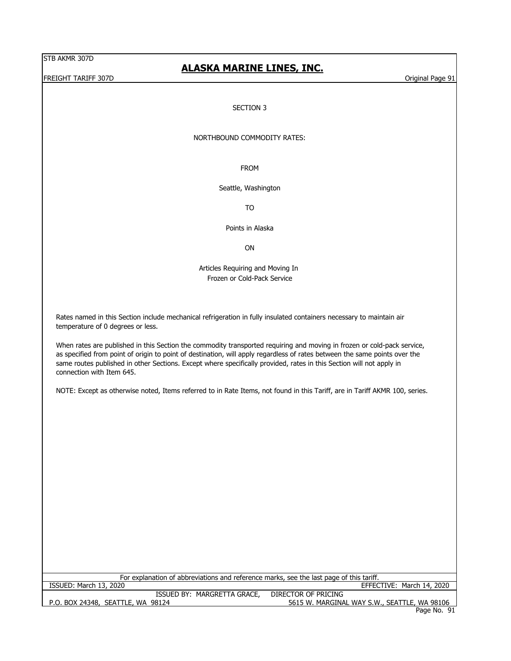FREIGHT TARIFF 307D **CHARGE 1989** STATES AND THE REIGHT TARIFF 307D

## **ALASKA MARINE LINES, INC.**

### SECTION 3

#### NORTHBOUND COMMODITY RATES:

FROM

Seattle, Washington

TO

Points in Alaska

ON

Articles Requiring and Moving In Frozen or Cold-Pack Service

Rates named in this Section include mechanical refrigeration in fully insulated containers necessary to maintain air temperature of 0 degrees or less.

When rates are published in this Section the commodity transported requiring and moving in frozen or cold-pack service, as specified from point of origin to point of destination, will apply regardless of rates between the same points over the same routes published in other Sections. Except where specifically provided, rates in this Section will not apply in connection with Item 645.

NOTE: Except as otherwise noted, Items referred to in Rate Items, not found in this Tariff, are in Tariff AKMR 100, series.

P.O. BOX 24348, SEATTLE, WA 98124 5615 W. MARGINAL WAY S.W., SEATTLE, WA 98106 Page No. 91 ISSUED BY: MARGRETTA GRACE, DIRECTOR OF PRICING For explanation of abbreviations and reference marks, see the last page of this tariff. ISSUED: March 13, 2020 EFFECTIVE: March 14, 2020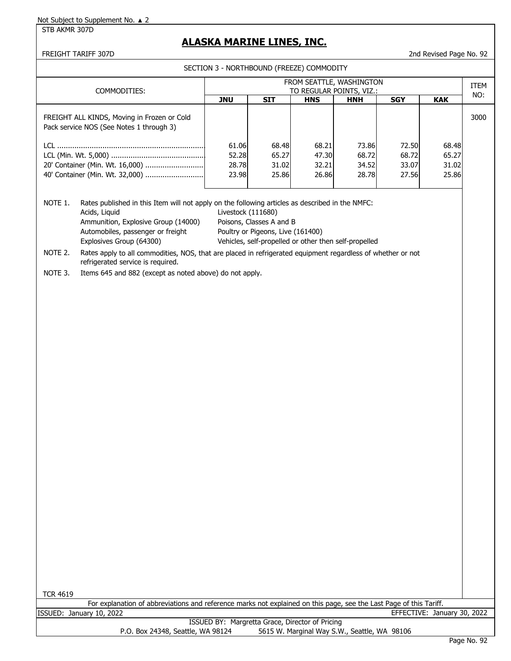## STB AKMR 307D

## **ALASKA MARINE LINES, INC.**

## FREIGHT TARIFF 307D 2nd Revised Page No. 92

SECTION 3 - NORTHBOUND (FREEZE) COMMODITY

| COMMODITIES:                                                                                                                                                | FROM SEATTLE, WASHINGTON<br>TO REGULAR POINTS, VIZ.:                                                                                                                                                                                            |            |            |            |            |            |      |
|-------------------------------------------------------------------------------------------------------------------------------------------------------------|-------------------------------------------------------------------------------------------------------------------------------------------------------------------------------------------------------------------------------------------------|------------|------------|------------|------------|------------|------|
|                                                                                                                                                             | <b>JNU</b>                                                                                                                                                                                                                                      | <b>SIT</b> | <b>HNS</b> | <b>HNH</b> | <b>SGY</b> | <b>KAK</b> | NO:  |
| FREIGHT ALL KINDS, Moving in Frozen or Cold<br>Pack service NOS (See Notes 1 through 3)                                                                     |                                                                                                                                                                                                                                                 |            |            |            |            |            | 3000 |
| 40' Container (Min. Wt. 32,000)                                                                                                                             | 61.06<br>68.21<br>68.48<br>73.86<br>72.50<br>68.48<br>65.27<br>52.28<br>68.72<br>65.27<br>47.30<br>68.72<br>28.78<br>31.02<br>32.21<br>34.52<br>33.07<br>31.02<br>23.98<br>25.86<br>25.86<br>26.86<br>28.78<br>27.56                            |            |            |            |            |            |      |
| NOTE 1.<br>Acids, Liquid<br>Ammunition, Explosive Group (14000)<br>Automobiles, passenger or freight<br>Explosives Group (64300)                            | Rates published in this Item will not apply on the following articles as described in the NMFC:<br>Livestock (111680)<br>Poisons, Classes A and B<br>Poultry or Pigeons, Live (161400)<br>Vehicles, self-propelled or other then self-propelled |            |            |            |            |            |      |
| NOTE 2.<br>Rates apply to all commodities, NOS, that are placed in refrigerated equipment regardless of whether or not<br>refrigerated service is required. |                                                                                                                                                                                                                                                 |            |            |            |            |            |      |

NOTE 3. Items 645 and 882 (except as noted above) do not apply.

| <b>TCR 4619</b> |                                                                                                                    |                             |  |
|-----------------|--------------------------------------------------------------------------------------------------------------------|-----------------------------|--|
|                 | For explanation of abbreviations and reference marks not explained on this page, see the Last Page of this Tariff. |                             |  |
|                 | ISSUED: January 10, 2022                                                                                           | EFFECTIVE: January 30, 2022 |  |
|                 | ISSUED BY: Margretta Grace, Director of Pricing                                                                    |                             |  |
|                 | 5615 W. Marginal Way S.W., Seattle, WA 98106<br>P.O. Box 24348, Seattle, WA 98124                                  |                             |  |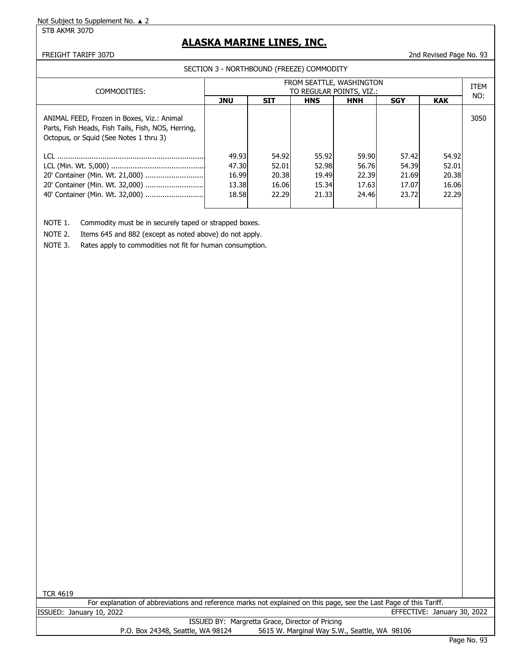STB AKMR 307D

# **ALASKA MARINE LINES, INC.**

FREIGHT TARIFF 307D 2nd Revised Page No. 93

SECTION 3 - NORTHBOUND (FREEZE) COMMODITY

| COMMODITIES:                                                                                                                               | FROM SEATTLE, WASHINGTON<br>TO REGULAR POINTS, VIZ.: |            |            |            |            |            |      |
|--------------------------------------------------------------------------------------------------------------------------------------------|------------------------------------------------------|------------|------------|------------|------------|------------|------|
|                                                                                                                                            | <b>JNU</b>                                           | <b>SIT</b> | <b>HNS</b> | <b>HNH</b> | <b>SGY</b> | <b>KAK</b> | NO:  |
| ANIMAL FEED, Frozen in Boxes, Viz.: Animal<br>Parts, Fish Heads, Fish Tails, Fish, NOS, Herring,<br>Octopus, or Squid (See Notes 1 thru 3) |                                                      |            |            |            |            |            | 3050 |
|                                                                                                                                            | 49.93                                                | 54.92      | 55.92      | 59.90      | 57.42      | 54.92      |      |
|                                                                                                                                            | 47.30                                                | 52.01      | 52.98      | 56.76      | 54.39      | 52.01      |      |
| 20' Container (Min. Wt. 21,000)                                                                                                            | 16.99                                                | 20.38      | 19.49      | 22.39      | 21.69      | 20.38      |      |
|                                                                                                                                            | 13.38                                                | 16.06      | 15.34      | 17.63      | 17.07      | 16.06      |      |
| 40' Container (Min. Wt. 32,000)                                                                                                            | 18.58                                                | 22.29      | 21.33      | 24.46      | 23.72      | 22.29      |      |
|                                                                                                                                            |                                                      |            |            |            |            |            |      |

NOTE 1. Commodity must be in securely taped or strapped boxes.

NOTE 2. Items 645 and 882 (except as noted above) do not apply.

NOTE 3. Rates apply to commodities not fit for human consumption.

| <b>TCR 4619</b>                                                                                                    |                             |  |
|--------------------------------------------------------------------------------------------------------------------|-----------------------------|--|
| For explanation of abbreviations and reference marks not explained on this page, see the Last Page of this Tariff. |                             |  |
| ISSUED: January 10, 2022                                                                                           | EFFECTIVE: January 30, 2022 |  |
| ISSUED BY: Margretta Grace, Director of Pricing                                                                    |                             |  |
| 5615 W. Marginal Way S.W., Seattle, WA 98106<br>P.O. Box 24348, Seattle, WA 98124                                  |                             |  |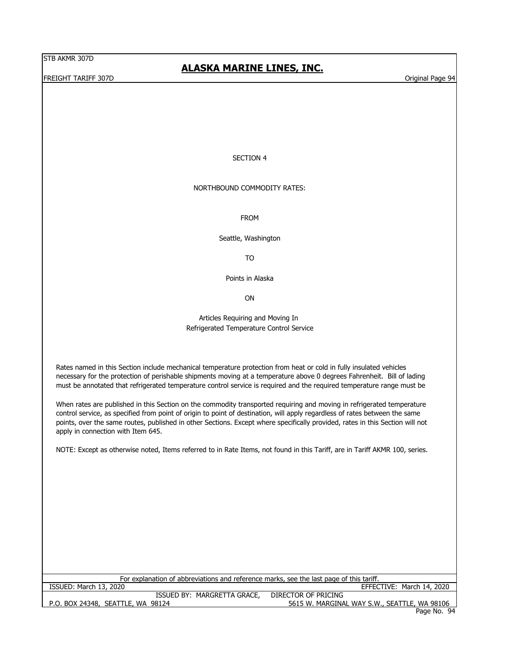FREIGHT TARIFF 307D **CHARGE 1998** STATES AND THE REIGHT TARIFF 307D

# **ALASKA MARINE LINES, INC.**

#### SECTION 4

#### NORTHBOUND COMMODITY RATES:

FROM

Seattle, Washington

TO

Points in Alaska

ON

#### Articles Requiring and Moving In Refrigerated Temperature Control Service

Rates named in this Section include mechanical temperature protection from heat or cold in fully insulated vehicles necessary for the protection of perishable shipments moving at a temperature above 0 degrees Fahrenheit. Bill of lading must be annotated that refrigerated temperature control service is required and the required temperature range must be

When rates are published in this Section on the commodity transported requiring and moving in refrigerated temperature control service, as specified from point of origin to point of destination, will apply regardless of rates between the same points, over the same routes, published in other Sections. Except where specifically provided, rates in this Section will not apply in connection with Item 645.

NOTE: Except as otherwise noted, Items referred to in Rate Items, not found in this Tariff, are in Tariff AKMR 100, series.

| For explanation of abbreviations and reference marks, see the last page of this tariff. |                                              |
|-----------------------------------------------------------------------------------------|----------------------------------------------|
| ISSUED: March 13, 2020                                                                  | EFFECTIVE: March 14, 2020                    |
| ISSUED BY: MARGRETTA GRACE,                                                             | DIRECTOR OF PRICING                          |
| P.O. BOX 24348, SEATTLE, WA 98124                                                       | 5615 W. MARGINAL WAY S.W., SEATTLE, WA 98106 |
|                                                                                         | Page No. 94                                  |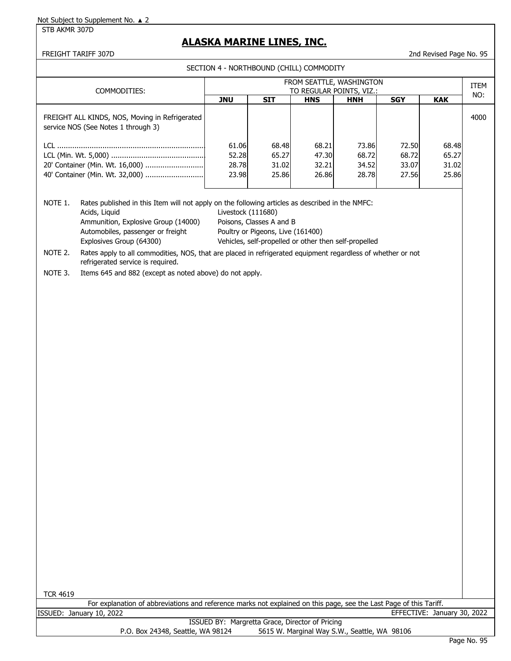## STB AKMR 307D

## **ALASKA MARINE LINES, INC.**

## FREIGHT TARIFF 307D 2nd Revised Page No. 95

SECTION 4 - NORTHBOUND (CHILL) COMMODITY

| COMMODITIES:                                                                                                                | FROM SEATTLE, WASHINGTON<br>TO REGULAR POINTS, VIZ.: |            |            |            |            |            |      |
|-----------------------------------------------------------------------------------------------------------------------------|------------------------------------------------------|------------|------------|------------|------------|------------|------|
|                                                                                                                             | <b>JNU</b>                                           | <b>SIT</b> | <b>HNS</b> | <b>HNH</b> | <b>SGY</b> | <b>KAK</b> | NO:  |
| FREIGHT ALL KINDS, NOS, Moving in Refrigerated<br>service NOS (See Notes 1 through 3)                                       |                                                      |            |            |            |            |            | 4000 |
|                                                                                                                             | 61.06                                                | 68.48      | 68.21      | 73.86      | 72.50      | 68.48      |      |
|                                                                                                                             | 52.28                                                | 65.27      | 47.30      | 68.72      | 68.72      | 65.27      |      |
| 20' Container (Min. Wt. 16,000)                                                                                             | 28.78                                                | 31.02      | 32.21      | 34.52      | 33.07      | 31.02      |      |
|                                                                                                                             | 23.98                                                | 25.86      | 26.86      | 28.78      | 27.56      | 25.86      |      |
| NOTE 1.<br>Rates published in this Item will not apply on the following articles as described in the NMFC:<br>Acids, Liquid | Livestock (111680)                                   |            |            |            |            |            |      |

Ammunition, Explosive Group (14000) Poisons, Classes A and B Automobiles, passenger or freight Poultry or Pigeons, Live (161400) Explosives Group (64300) Vehicles, self-propelled or other then self-propelled

NOTE 2. Rates apply to all commodities, NOS, that are placed in refrigerated equipment regardless of whether or not refrigerated service is required.

NOTE 3. Items 645 and 882 (except as noted above) do not apply.

| <b>TCR 4619</b>                                                                                                    |                                                                                   |                             |  |  |  |  |
|--------------------------------------------------------------------------------------------------------------------|-----------------------------------------------------------------------------------|-----------------------------|--|--|--|--|
| For explanation of abbreviations and reference marks not explained on this page, see the Last Page of this Tariff. |                                                                                   |                             |  |  |  |  |
|                                                                                                                    | ISSUED: January 10, 2022                                                          | EFFECTIVE: January 30, 2022 |  |  |  |  |
|                                                                                                                    | ISSUED BY: Margretta Grace, Director of Pricing                                   |                             |  |  |  |  |
|                                                                                                                    | 5615 W. Marginal Way S.W., Seattle, WA 98106<br>P.O. Box 24348, Seattle, WA 98124 |                             |  |  |  |  |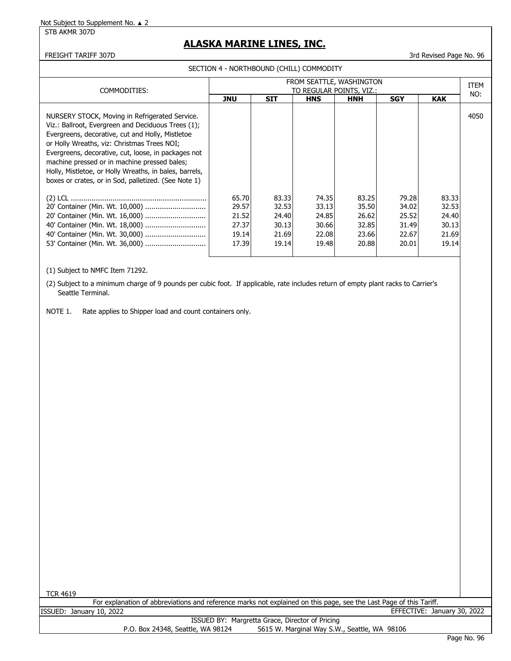#### STB AKMR 307D

## **ALASKA MARINE LINES, INC.**

## FREIGHT TARIFF 307D 3rd Revised Page No. 96

SECTION 4 - NORTHBOUND (CHILL) COMMODITY

| COMMODITIES:                                                                                                                                                                                                                                                                                                                                                                                                                     | FROM SEATTLE, WASHINGTON<br>TO REGULAR POINTS, VIZ.: |                                                    |                                                    |                                                    |                                                    |                                                    |      |
|----------------------------------------------------------------------------------------------------------------------------------------------------------------------------------------------------------------------------------------------------------------------------------------------------------------------------------------------------------------------------------------------------------------------------------|------------------------------------------------------|----------------------------------------------------|----------------------------------------------------|----------------------------------------------------|----------------------------------------------------|----------------------------------------------------|------|
|                                                                                                                                                                                                                                                                                                                                                                                                                                  | <b>JNU</b>                                           | <b>SIT</b>                                         | <b>HNS</b>                                         | <b>HNH</b>                                         | <b>SGY</b>                                         | <b>KAK</b>                                         | NO:  |
| NURSERY STOCK, Moving in Refrigerated Service.<br>Viz.: Ballroot, Evergreen and Deciduous Trees (1);<br>Evergreens, decorative, cut and Holly, Mistletoe<br>or Holly Wreaths, viz: Christmas Trees NOI;<br>Evergreens, decorative, cut, loose, in packages not<br>machine pressed or in machine pressed bales;<br>Holly, Mistletoe, or Holly Wreaths, in bales, barrels,<br>boxes or crates, or in Sod, palletized. (See Note 1) |                                                      |                                                    |                                                    |                                                    |                                                    |                                                    | 4050 |
| 40' Container (Min. Wt. 18,000)                                                                                                                                                                                                                                                                                                                                                                                                  | 65.70<br>29.57<br>21.52<br>27.37<br>19.14<br>17.39   | 83.33<br>32.53<br>24.40<br>30.13<br>21.69<br>19.14 | 74.35<br>33.13<br>24.85<br>30.66<br>22.08<br>19.48 | 83.25<br>35.50<br>26.62<br>32.85<br>23.66<br>20.88 | 79.28<br>34.02<br>25.52<br>31.49<br>22.67<br>20.01 | 83.33<br>32.53<br>24.40<br>30.13<br>21.69<br>19.14 |      |

(1) Subject to NMFC Item 71292.

(2) Subject to a minimum charge of 9 pounds per cubic foot. If applicable, rate includes return of empty plant racks to Carrier's Seattle Terminal.

NOTE 1. Rate applies to Shipper load and count containers only.

| <b>TCR 4619</b>                                                                                                    |  |
|--------------------------------------------------------------------------------------------------------------------|--|
| For explanation of abbreviations and reference marks not explained on this page, see the Last Page of this Tariff. |  |
|                                                                                                                    |  |
| EFFECTIVE: January 30, 2022<br>ISSUED: January 10, 2022                                                            |  |
| ISSUED BY: Margretta Grace, Director of Pricing                                                                    |  |
| 5615 W. Marginal Way S.W., Seattle, WA 98106<br>P.O. Box 24348, Seattle, WA 98124                                  |  |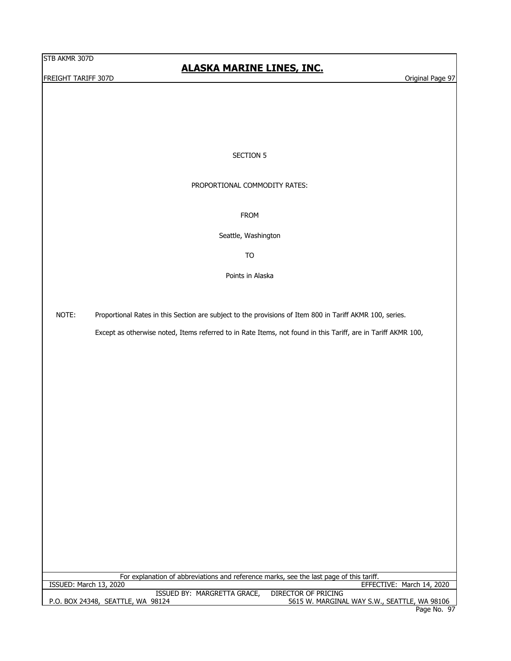**FREIGHT TARIFF 307D CONSIDERING THE CONSIDERING TO A CONSIDERATION CONSIDERING TO A CONSIDERATION Original Page 97** 

# **ALASKA MARINE LINES, INC.**

#### SECTION 5

#### PROPORTIONAL COMMODITY RATES:

FROM

Seattle, Washington

TO

Points in Alaska

NOTE: Proportional Rates in this Section are subject to the provisions of Item 800 in Tariff AKMR 100, series.

Except as otherwise noted, Items referred to in Rate Items, not found in this Tariff, are in Tariff AKMR 100,

For explanation of abbreviations and reference marks, see the last page of this tariff.<br>ISSUED: March 13, 2020

EFFECTIVE: March 14, 2020

| MARGRETTA GRACE,<br><b>ISSUED BY:</b>  | DIRECTOR OF PRICING                          |
|----------------------------------------|----------------------------------------------|
| , SEATTLE, WA 98124<br>P.O. BOX 24348, | 5615 W. MARGINAL WAY S.W., SEATTLE, WA 98106 |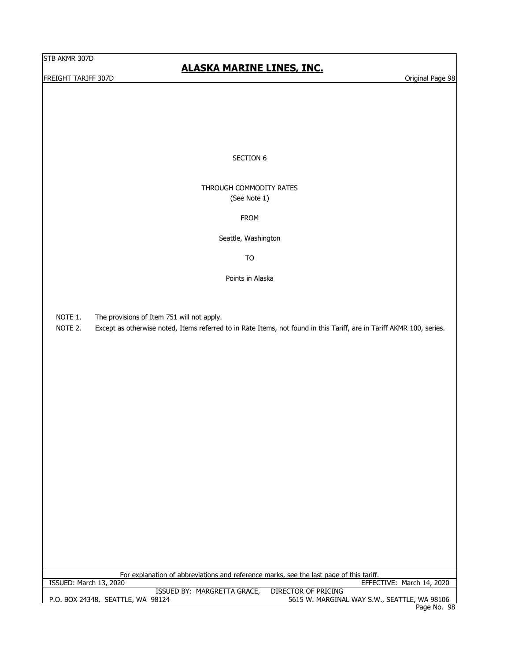FREIGHT TARIFF 307D **External Page 98** Criginal Page 98

# **ALASKA MARINE LINES, INC.**

## SECTION 6

## THROUGH COMMODITY RATES (See Note 1)

#### FROM

Seattle, Washington

TO

Points in Alaska

NOTE 1. The provisions of Item 751 will not apply.

NOTE 2. Except as otherwise noted, Items referred to in Rate Items, not found in this Tariff, are in Tariff AKMR 100, series.

| For explanation of abbreviations and reference marks, see the last page of this tariff. |                                              |
|-----------------------------------------------------------------------------------------|----------------------------------------------|
| ISSUED: March 13, 2020                                                                  | EFFECTIVE: March 14, 2020                    |
| ISSUED BY: MARGRETTA GRACE,                                                             | DIRECTOR OF PRICING                          |
| P.O. BOX 24348, SEATTLE, WA 98124                                                       | 5615 W. MARGINAL WAY S.W., SEATTLE, WA 98106 |
|                                                                                         | Page No. 98                                  |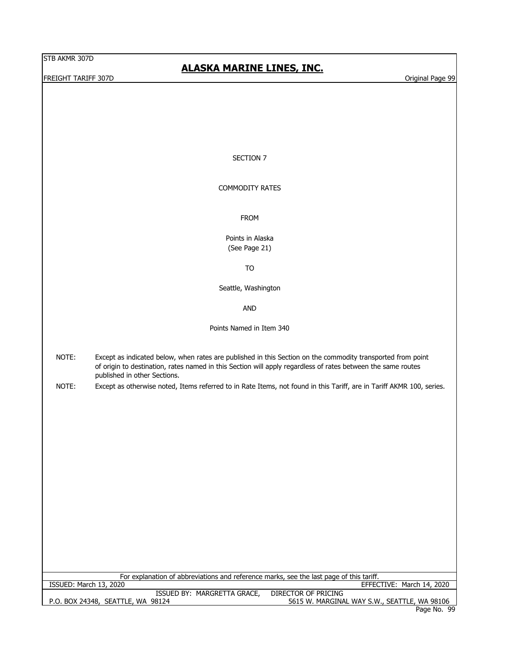FREIGHT TARIFF 307D **Original Page 99** 

# **ALASKA MARINE LINES, INC.**

#### SECTION 7

#### COMMODITY RATES

FROM

Points in Alaska (See Page 21)

TO

Seattle, Washington

AND

Points Named in Item 340

- NOTE: Except as indicated below, when rates are published in this Section on the commodity transported from point of origin to destination, rates named in this Section will apply regardless of rates between the same routes published in other Sections.
- NOTE: Except as otherwise noted, Items referred to in Rate Items, not found in this Tariff, are in Tariff AKMR 100, series.

For explanation of abbreviations and reference marks, see the last page of this tariff.

ISSUED: March 13, 2020 EFFECTIVE: March 14, 2020

| ISSUED BY: MARGRETTA GRACE. DIRECTOR OF PRICING |                                              |
|-------------------------------------------------|----------------------------------------------|
| P.O. BOX 24348, SEATTLE, WA 98124               | 5615 W. MARGINAL WAY S.W., SEATTLE, WA 98106 |
|                                                 | Page No. 99                                  |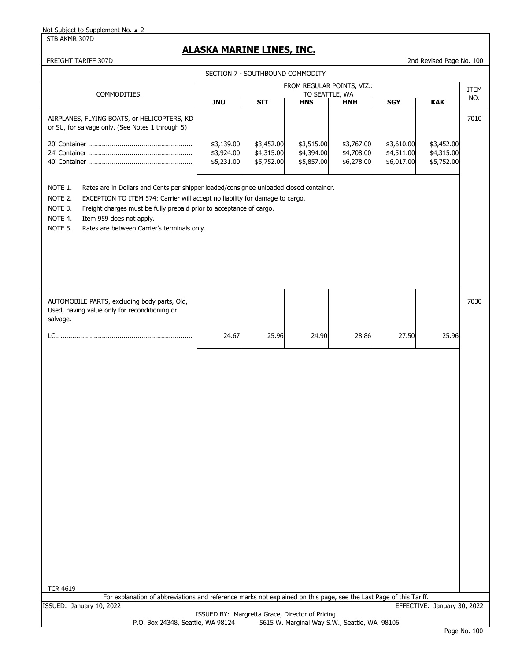STB AKMR 307D

## **ALASKA MARINE LINES, INC.**

FREIGHT TARIFF 307D 2nd Revised Page No. 100

| SECTION 7 - SOUTHBOUND COMMODITY                                                                                                                                                                                                                                                                                                                                                |                                                 |                          |                              |                                              |                          |                             |             |
|---------------------------------------------------------------------------------------------------------------------------------------------------------------------------------------------------------------------------------------------------------------------------------------------------------------------------------------------------------------------------------|-------------------------------------------------|--------------------------|------------------------------|----------------------------------------------|--------------------------|-----------------------------|-------------|
| COMMODITIES:                                                                                                                                                                                                                                                                                                                                                                    |                                                 |                          |                              | FROM REGULAR POINTS, VIZ.:                   |                          |                             | <b>ITEM</b> |
|                                                                                                                                                                                                                                                                                                                                                                                 | <b>JNU</b>                                      | <b>SIT</b>               | TO SEATTLE, WA<br><b>HNS</b> | <b>HNH</b>                                   | <b>SGY</b>               | <b>KAK</b>                  | NO:         |
| AIRPLANES, FLYING BOATS, or HELICOPTERS, KD<br>or SU, for salvage only. (See Notes 1 through 5)                                                                                                                                                                                                                                                                                 | \$3,139.00<br>\$3,924.00                        | \$3,452.00<br>\$4,315.00 | \$3,515.00<br>\$4,394.00     | \$3,767.00<br>\$4,708.00                     | \$3,610.00<br>\$4,511.00 | \$3,452.00<br>\$4,315.00    | 7010        |
|                                                                                                                                                                                                                                                                                                                                                                                 | \$5,231.00                                      | \$5,752.00               | \$5,857.00                   | \$6,278.00                                   | \$6,017.00               | \$5,752.00                  |             |
| NOTE 1.<br>Rates are in Dollars and Cents per shipper loaded/consignee unloaded closed container.<br>NOTE 2.<br>EXCEPTION TO ITEM 574: Carrier will accept no liability for damage to cargo.<br>NOTE 3.<br>Freight charges must be fully prepaid prior to acceptance of cargo.<br>NOTE 4.<br>Item 959 does not apply.<br>NOTE 5.<br>Rates are between Carrier's terminals only. |                                                 |                          |                              |                                              |                          |                             |             |
| AUTOMOBILE PARTS, excluding body parts, Old,<br>Used, having value only for reconditioning or<br>salvage.                                                                                                                                                                                                                                                                       |                                                 |                          |                              |                                              |                          |                             | 7030        |
|                                                                                                                                                                                                                                                                                                                                                                                 | 24.67                                           | 25.96                    | 24.90                        | 28.86                                        | 27.50                    | 25.96                       |             |
| <b>TCR 4619</b>                                                                                                                                                                                                                                                                                                                                                                 |                                                 |                          |                              |                                              |                          |                             |             |
| For explanation of abbreviations and reference marks not explained on this page, see the Last Page of this Tariff.<br>ISSUED: January 10, 2022                                                                                                                                                                                                                                  |                                                 |                          |                              |                                              |                          | EFFECTIVE: January 30, 2022 |             |
| P.O. Box 24348, Seattle, WA 98124                                                                                                                                                                                                                                                                                                                                               | ISSUED BY: Margretta Grace, Director of Pricing |                          |                              | 5615 W. Marginal Way S.W., Seattle, WA 98106 |                          |                             |             |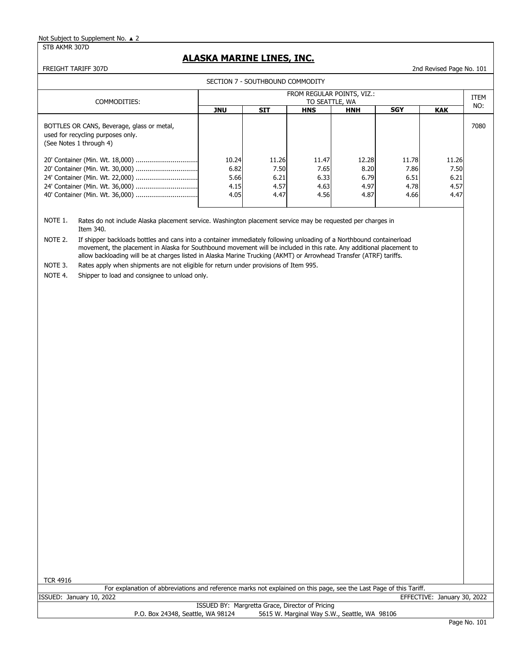STB AKMR 307D

## **ALASKA MARINE LINES, INC.**

FREIGHT TARIFF 307D 2nd Revised Page No. 101

| SECTION 7 - SOUTHBOUND COMMODITY                                                                           |                                              |       |            |            |            |            |      |  |  |  |
|------------------------------------------------------------------------------------------------------------|----------------------------------------------|-------|------------|------------|------------|------------|------|--|--|--|
| COMMODITIES:                                                                                               | FROM REGULAR POINTS, VIZ.:<br>TO SEATTLE, WA |       |            |            |            |            |      |  |  |  |
|                                                                                                            | JNU                                          | SIT   | <b>HNS</b> | <b>HNH</b> | <b>SGY</b> | <b>KAK</b> | NO:  |  |  |  |
| BOTTLES OR CANS, Beverage, glass or metal,<br>used for recycling purposes only.<br>(See Notes 1 through 4) |                                              |       |            |            |            |            | 7080 |  |  |  |
|                                                                                                            | 10.24                                        | 11.26 | 11.47      | 12.28      | 11.78      | 11.26      |      |  |  |  |
|                                                                                                            | 6.82                                         | 7.50  | 7.65       | 8.20       | 7.86       | 7.50       |      |  |  |  |
|                                                                                                            | 5.66                                         | 6.21  | 6.33       | 6.79       | 6.51       | 6.21       |      |  |  |  |
|                                                                                                            | 4.15                                         | 4.57  | 4.63       | 4.97       | 4.78       | 4.57       |      |  |  |  |
|                                                                                                            | 4.05                                         | 4.47  | 4.56       | 4.87       | 4.66       | 4.47       |      |  |  |  |

NOTE 1. Rates do not include Alaska placement service. Washington placement service may be requested per charges in Item 340.

NOTE 2. If shipper backloads bottles and cans into a container immediately following unloading of a Northbound containerload movement, the placement in Alaska for Southbound movement will be included in this rate. Any additional placement to allow backloading will be at charges listed in Alaska Marine Trucking (AKMT) or Arrowhead Transfer (ATRF) tariffs.

NOTE 3. Rates apply when shipments are not eligible for return under provisions of Item 995.

NOTE 4. Shipper to load and consignee to unload only.

TCR 4916

For explanation of abbreviations and reference marks not explained on this page, see the Last Page of this Tariff.

ISSUED: January 10, 2022 EFFECTIVE: January 30, 2022

ISSUED BY: Margretta Grace, Director of Pricing P.O. Box 24348, Seattle, WA 98124 5615 W. Marginal Way S.W., Seattle, WA 98106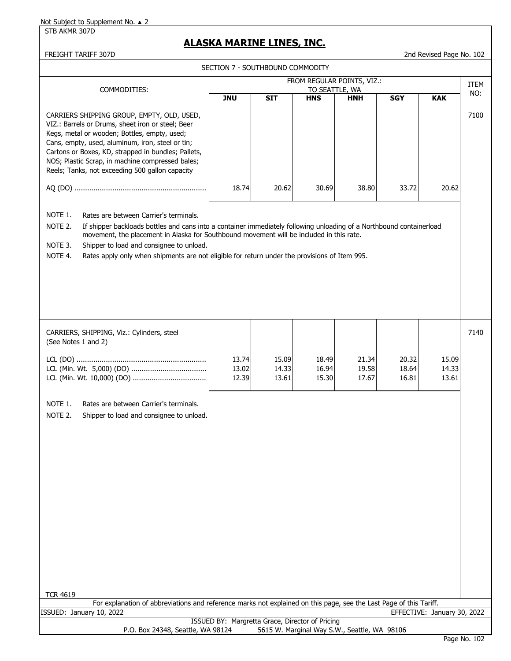STB AKMR 307D

# **ALASKA MARINE LINES, INC.**

SECTION 7 - SOUTHBOUND COMMODITY

FREIGHT TARIFF 307D 2nd Revised Page No. 102

| ו ונסטהוהיוסט שווטטשו ווטטכ                                                                                                                                                                                                                                                                                                                                                                                                                         |                                              |                         |                         |                         |                         |                             |      |  |
|-----------------------------------------------------------------------------------------------------------------------------------------------------------------------------------------------------------------------------------------------------------------------------------------------------------------------------------------------------------------------------------------------------------------------------------------------------|----------------------------------------------|-------------------------|-------------------------|-------------------------|-------------------------|-----------------------------|------|--|
| COMMODITIES:                                                                                                                                                                                                                                                                                                                                                                                                                                        | FROM REGULAR POINTS, VIZ.:<br>TO SEATTLE, WA |                         |                         |                         |                         |                             |      |  |
|                                                                                                                                                                                                                                                                                                                                                                                                                                                     | <b>JNU</b>                                   | <b>SIT</b>              | <b>HNS</b>              | <b>HNH</b>              | <b>SGY</b>              | <b>KAK</b>                  | NO:  |  |
| CARRIERS SHIPPING GROUP, EMPTY, OLD, USED,<br>VIZ.: Barrels or Drums, sheet iron or steel; Beer<br>Kegs, metal or wooden; Bottles, empty, used;<br>Cans, empty, used, aluminum, iron, steel or tin;<br>Cartons or Boxes, KD, strapped in bundles; Pallets,<br>NOS; Plastic Scrap, in machine compressed bales;<br>Reels; Tanks, not exceeding 500 gallon capacity                                                                                   |                                              |                         |                         |                         |                         |                             | 7100 |  |
|                                                                                                                                                                                                                                                                                                                                                                                                                                                     | 18.74                                        | 20.62                   | 30.69                   | 38.80                   | 33.72                   | 20.62                       |      |  |
| NOTE 1.<br>Rates are between Carrier's terminals.<br>NOTE 2.<br>If shipper backloads bottles and cans into a container immediately following unloading of a Northbound containerload<br>movement, the placement in Alaska for Southbound movement will be included in this rate.<br>NOTE 3.<br>Shipper to load and consignee to unload.<br>NOTE 4.<br>Rates apply only when shipments are not eligible for return under the provisions of Item 995. |                                              |                         |                         |                         |                         |                             |      |  |
| CARRIERS, SHIPPING, Viz.: Cylinders, steel<br>(See Notes 1 and 2)                                                                                                                                                                                                                                                                                                                                                                                   |                                              |                         |                         |                         |                         |                             | 7140 |  |
|                                                                                                                                                                                                                                                                                                                                                                                                                                                     | 13.74<br>13.02<br>12.39                      | 15.09<br>14.33<br>13.61 | 18.49<br>16.94<br>15.30 | 21.34<br>19.58<br>17.67 | 20.32<br>18.64<br>16.81 | 15.09<br>14.33<br>13.61     |      |  |
| NOTE 1.<br>Rates are between Carrier's terminals.<br>NOTE 2.<br>Shipper to load and consignee to unload.                                                                                                                                                                                                                                                                                                                                            |                                              |                         |                         |                         |                         |                             |      |  |
| <b>TCR 4619</b><br>For explanation of abbreviations and reference marks not explained on this page, see the Last Page of this Tariff.                                                                                                                                                                                                                                                                                                               |                                              |                         |                         |                         |                         |                             |      |  |
| ISSUED: January 10, 2022                                                                                                                                                                                                                                                                                                                                                                                                                            |                                              |                         |                         |                         |                         | EFFECTIVE: January 30, 2022 |      |  |
| ISSUED BY: Margretta Grace, Director of Pricing<br>P.O. Box 24348, Seattle, WA 98124<br>5615 W. Marginal Way S.W., Seattle, WA 98106                                                                                                                                                                                                                                                                                                                |                                              |                         |                         |                         |                         |                             |      |  |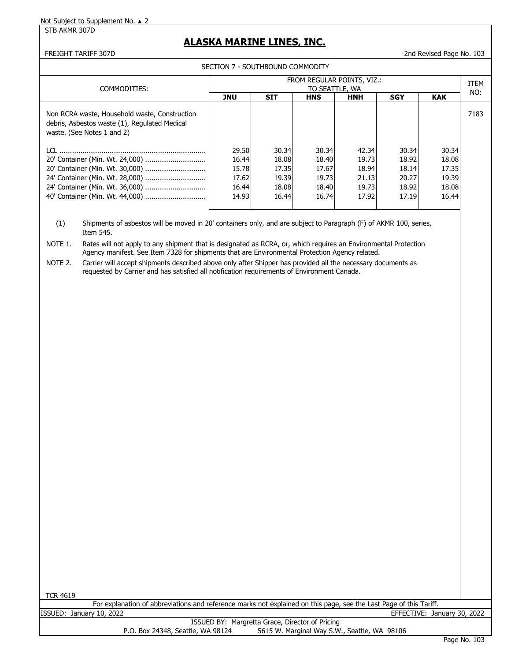STB AKMR 307D

## **ALASKA MARINE LINES, INC.**

#### FREIGHT TARIFF 307D 2nd Revised Page No. 103

SECTION 7 - SOUTHBOUND COMMODITY

|                                                                                                                              | FROM REGULAR POINTS, VIZ.:                                                                         |       |       |       |       |       |      |  |
|------------------------------------------------------------------------------------------------------------------------------|----------------------------------------------------------------------------------------------------|-------|-------|-------|-------|-------|------|--|
| COMMODITIES:                                                                                                                 | TO SEATTLE, WA<br><b>SIT</b><br><b>SGY</b><br><b>JNU</b><br><b>KAK</b><br><b>HNS</b><br><b>HNH</b> |       |       |       |       |       |      |  |
| Non RCRA waste, Household waste, Construction<br>debris, Asbestos waste (1), Regulated Medical<br>waste. (See Notes 1 and 2) |                                                                                                    |       |       |       |       |       | 7183 |  |
| LCL.                                                                                                                         | 29.50                                                                                              | 30.34 | 30.34 | 42.34 | 30.34 | 30.34 |      |  |
|                                                                                                                              | 16.44                                                                                              | 18.08 | 18.40 | 19.73 | 18.92 | 18.08 |      |  |
| 20' Container (Min. Wt. 30,000)                                                                                              | 15.78                                                                                              | 17.35 | 17.67 | 18.94 | 18.14 | 17.35 |      |  |
|                                                                                                                              | 17.62                                                                                              | 19.39 | 19.73 | 21.13 | 20.27 | 19.39 |      |  |
| 24' Container (Min. Wt. 36,000)                                                                                              | 16.44                                                                                              | 18.08 | 18.40 | 19.73 | 18.92 | 18.08 |      |  |
|                                                                                                                              | 14.93                                                                                              | 16.44 | 16.74 | 17.92 | 17.19 | 16.44 |      |  |

(1) Shipments of asbestos will be moved in 20' containers only, and are subject to Paragraph (F) of AKMR 100, series, Item 545.

NOTE 1. Rates will not apply to any shipment that is designated as RCRA, or, which requires an Environmental Protection Agency manifest. See Item 7328 for shipments that are Environmental Protection Agency related.

NOTE 2. Carrier will accept shipments described above only after Shipper has provided all the necessary documents as requested by Carrier and has satisfied all notification requirements of Environment Canada.

TCR 4619

|         |                  | For explanation of abbreviations and reference marks not explained on this page, see the Last Page of this $l_{\rm c}$ |  |  | Tariff.           |                  |  |
|---------|------------------|------------------------------------------------------------------------------------------------------------------------|--|--|-------------------|------------------|--|
| ISSUED: | January 10, 2022 |                                                                                                                        |  |  | Fective:<br>FFFF( | January 30, 2022 |  |
|         |                  |                                                                                                                        |  |  |                   |                  |  |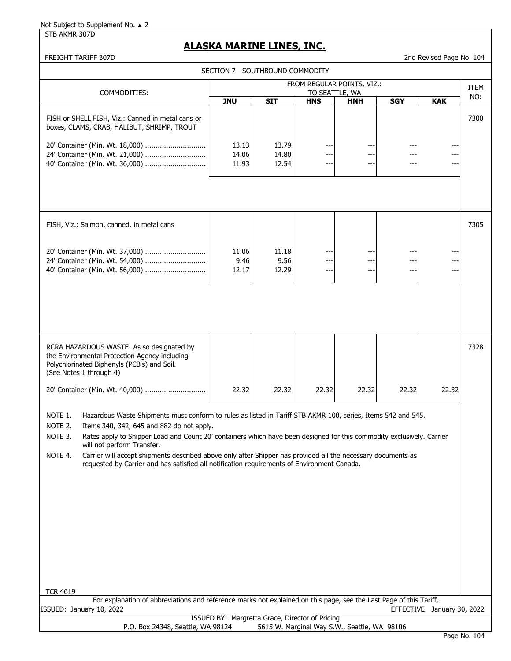STB AKMR 307D

# **ALASKA MARINE LINES, INC.**

FREIGHT TARIFF 307D 2nd Revised Page No. 104

| SECTION 7 - SOUTHBOUND COMMODITY                                                                                                                                                                                                                                                                                                                                                                                                                                                                                                                                                               |                                              |                         |            |            |            |                             |             |  |
|------------------------------------------------------------------------------------------------------------------------------------------------------------------------------------------------------------------------------------------------------------------------------------------------------------------------------------------------------------------------------------------------------------------------------------------------------------------------------------------------------------------------------------------------------------------------------------------------|----------------------------------------------|-------------------------|------------|------------|------------|-----------------------------|-------------|--|
| COMMODITIES:                                                                                                                                                                                                                                                                                                                                                                                                                                                                                                                                                                                   | FROM REGULAR POINTS, VIZ.:<br>TO SEATTLE, WA |                         |            |            |            |                             | <b>ITEM</b> |  |
|                                                                                                                                                                                                                                                                                                                                                                                                                                                                                                                                                                                                | <b>JNU</b>                                   | <b>SIT</b>              | <b>HNS</b> | <b>HNH</b> | <b>SGY</b> | <b>KAK</b>                  | NO:         |  |
| FISH or SHELL FISH, Viz.: Canned in metal cans or<br>boxes, CLAMS, CRAB, HALIBUT, SHRIMP, TROUT                                                                                                                                                                                                                                                                                                                                                                                                                                                                                                |                                              |                         |            |            |            |                             | 7300        |  |
| 20' Container (Min. Wt. 18,000)<br>24' Container (Min. Wt. 21,000)<br>40' Container (Min. Wt. 36,000)                                                                                                                                                                                                                                                                                                                                                                                                                                                                                          | 13.13<br>14.06<br>11.93                      | 13.79<br>14.80<br>12.54 | ---        | ---        | ---        | ---<br>---                  |             |  |
|                                                                                                                                                                                                                                                                                                                                                                                                                                                                                                                                                                                                |                                              |                         |            |            |            |                             |             |  |
| FISH, Viz.: Salmon, canned, in metal cans                                                                                                                                                                                                                                                                                                                                                                                                                                                                                                                                                      |                                              |                         |            |            |            |                             | 7305        |  |
| 20' Container (Min. Wt. 37,000)<br>24' Container (Min. Wt. 54,000)                                                                                                                                                                                                                                                                                                                                                                                                                                                                                                                             | 11.06<br>9.46<br>12.17                       | 11.18<br>9.56<br>12.29  | ---        | ---        | ---        | ---                         |             |  |
|                                                                                                                                                                                                                                                                                                                                                                                                                                                                                                                                                                                                |                                              |                         |            |            |            |                             |             |  |
| RCRA HAZARDOUS WASTE: As so designated by<br>the Environmental Protection Agency including<br>Polychlorinated Biphenyls (PCB's) and Soil.<br>(See Notes 1 through 4)                                                                                                                                                                                                                                                                                                                                                                                                                           |                                              |                         |            |            |            |                             | 7328        |  |
| 20' Container (Min. Wt. 40,000)                                                                                                                                                                                                                                                                                                                                                                                                                                                                                                                                                                | 22.32                                        | 22.32                   | 22.32      | 22.32      | 22.32      | 22.32                       |             |  |
| NOTE 1.<br>Hazardous Waste Shipments must conform to rules as listed in Tariff STB AKMR 100, series, Items 542 and 545.<br>NOTE 2.<br>Items 340, 342, 645 and 882 do not apply.<br>Rates apply to Shipper Load and Count 20' containers which have been designed for this commodity exclusively. Carrier<br>NOTE 3.<br>will not perform Transfer.<br>NOTE 4.<br>Carrier will accept shipments described above only after Shipper has provided all the necessary documents as<br>requested by Carrier and has satisfied all notification requirements of Environment Canada.<br><b>TCR 4619</b> |                                              |                         |            |            |            |                             |             |  |
| For explanation of abbreviations and reference marks not explained on this page, see the Last Page of this Tariff.                                                                                                                                                                                                                                                                                                                                                                                                                                                                             |                                              |                         |            |            |            |                             |             |  |
| ISSUED: January 10, 2022                                                                                                                                                                                                                                                                                                                                                                                                                                                                                                                                                                       |                                              |                         |            |            |            | EFFECTIVE: January 30, 2022 |             |  |
| ISSUED BY: Margretta Grace, Director of Pricing<br>P.O. Box 24348, Seattle, WA 98124<br>5615 W. Marginal Way S.W., Seattle, WA 98106                                                                                                                                                                                                                                                                                                                                                                                                                                                           |                                              |                         |            |            |            |                             |             |  |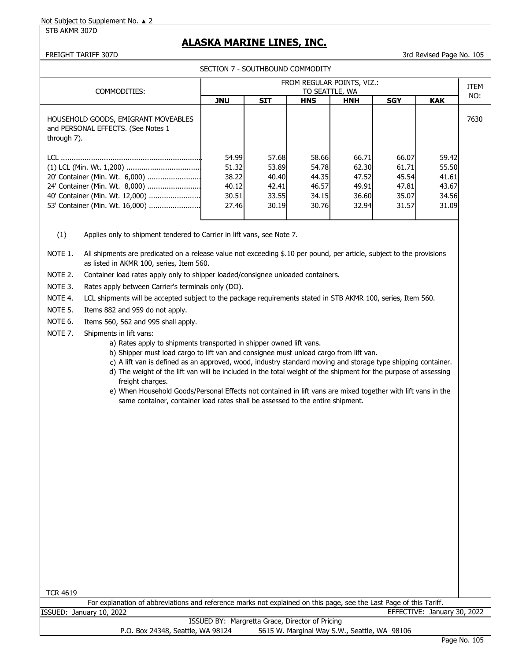STB AKMR 307D

## **ALASKA MARINE LINES, INC.**

FREIGHT TARIFF 307D 3rd Revised Page No. 105

| SECTION 7 - SOUTHBOUND COMMODITY                                                         |                                              |            |            |            |            |            |      |  |  |  |
|------------------------------------------------------------------------------------------|----------------------------------------------|------------|------------|------------|------------|------------|------|--|--|--|
| COMMODITIES:                                                                             | FROM REGULAR POINTS, VIZ.:<br>TO SEATTLE, WA |            |            |            |            |            |      |  |  |  |
|                                                                                          | <b>JNU</b>                                   | <b>SIT</b> | <b>HNS</b> | <b>HNH</b> | <b>SGY</b> | <b>KAK</b> | NO:  |  |  |  |
| HOUSEHOLD GOODS, EMIGRANT MOVEABLES<br>and PERSONAL EFFECTS. (See Notes 1<br>through 7). |                                              |            |            |            |            |            | 7630 |  |  |  |
|                                                                                          | 54.99                                        | 57.68      | 58.66      | 66.71      | 66.07      | 59.42      |      |  |  |  |
|                                                                                          | 51.32                                        | 53.89      | 54.78      | 62.30      | 61.71      | 55.50      |      |  |  |  |
| 20' Container (Min. Wt. 6,000)                                                           | 38.22                                        | 40.40      | 44.35      | 47.52      | 45.54      | 41.61      |      |  |  |  |
| 24' Container (Min. Wt. 8,000)                                                           | 40.12                                        | 42.41      | 46.57      | 49.91      | 47.81      | 43.67      |      |  |  |  |
| 40' Container (Min. Wt. 12,000)                                                          | 30.51                                        | 33.55      | 34.15      | 36.60      | 35.07      | 34.56      |      |  |  |  |
|                                                                                          | 27.46                                        | 30.19      | 30.76      | 32.94      | 31.57      | 31.09      |      |  |  |  |

(1) Applies only to shipment tendered to Carrier in lift vans, see Note 7.

NOTE 1. All shipments are predicated on a release value not exceeding \$.10 per pound, per article, subject to the provisions as listed in AKMR 100, series, Item 560.

NOTE 2. Container load rates apply only to shipper loaded/consignee unloaded containers.

NOTE 3. Rates apply between Carrier's terminals only (DO).

NOTE 4. LCL shipments will be accepted subject to the package requirements stated in STB AKMR 100, series, Item 560.

NOTE 5. Items 882 and 959 do not apply.

NOTE 6. Items 560, 562 and 995 shall apply.

- NOTE 7. Shipments in lift vans:
	- a) Rates apply to shipments transported in shipper owned lift vans.
	- b) Shipper must load cargo to lift van and consignee must unload cargo from lift van.
	- c) A lift van is defined as an approved, wood, industry standard moving and storage type shipping container.
	- d) The weight of the lift van will be included in the total weight of the shipment for the purpose of assessing freight charges.
	- e) When Household Goods/Personal Effects not contained in lift vans are mixed together with lift vans in the same container, container load rates shall be assessed to the entire shipment.

For explanation of abbreviations and reference marks not explained on this page, see the Last Page of this Tariff. ISSUED: January 10, 2022 EFFECTIVE: January 30, 2022 ISSUED BY: Margretta Grace, Director of Pricing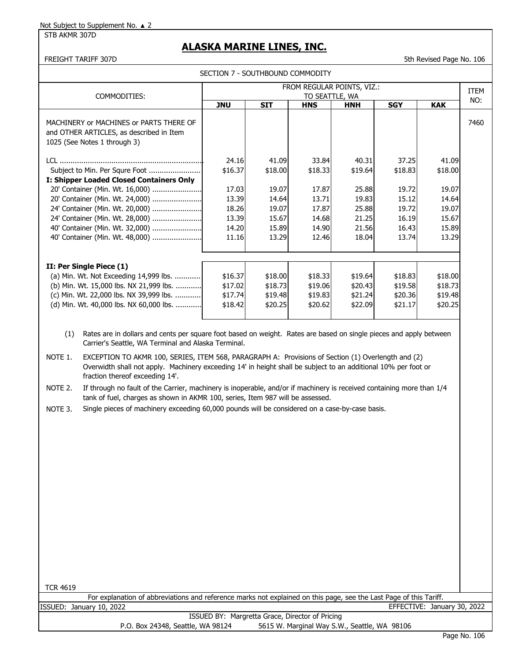STB AKMR 307D

## **ALASKA MARINE LINES, INC.**

FREIGHT TARIFF 307D 5th Revised Page No. 106

| COMMODITIES:                                                                                                        | FROM REGULAR POINTS, VIZ.:<br>TO SEATTLE, WA |            |            |            |            |            |      |  |
|---------------------------------------------------------------------------------------------------------------------|----------------------------------------------|------------|------------|------------|------------|------------|------|--|
|                                                                                                                     | <b>JNU</b>                                   | <b>SIT</b> | <b>HNS</b> | <b>HNH</b> | <b>SGY</b> | <b>KAK</b> | NO:  |  |
| MACHINERY or MACHINES or PARTS THERE OF<br>and OTHER ARTICLES, as described in Item<br>1025 (See Notes 1 through 3) |                                              |            |            |            |            |            | 7460 |  |
|                                                                                                                     | 24.16                                        | 41.09      | 33.84      | 40.31      | 37.25      | 41.09      |      |  |
| Subject to Min. Per Squre Foot                                                                                      | \$16.37                                      | \$18.00    | \$18.33    | \$19.64    | \$18.83    | \$18.00    |      |  |
| I: Shipper Loaded Closed Containers Only                                                                            |                                              |            |            |            |            |            |      |  |
| 20' Container (Min. Wt. 16,000)                                                                                     | 17.03                                        | 19.07      | 17.87      | 25.88      | 19.72      | 19.07      |      |  |
| 20' Container (Min. Wt. 24,000)                                                                                     | 13.39                                        | 14.64      | 13.71      | 19.83      | 15.12      | 14.64      |      |  |
| 24' Container (Min. Wt. 20,000)                                                                                     | 18.26                                        | 19.07      | 17.87      | 25.88      | 19.72      | 19.07      |      |  |
| 24' Container (Min. Wt. 28,000)                                                                                     | 13.39                                        | 15.67      | 14.68      | 21.25      | 16.19      | 15.67      |      |  |
| 40' Container (Min. Wt. 32,000)                                                                                     | 14.20                                        | 15.89      | 14.90      | 21.56      | 16.43      | 15.89      |      |  |
| 40' Container (Min. Wt. 48,000)                                                                                     | 11.16                                        | 13.29      | 12.46      | 18.04      | 13.74      | 13.29      |      |  |
| II: Per Single Piece (1)                                                                                            |                                              |            |            |            |            |            |      |  |
| (a) Min. Wt. Not Exceeding 14,999 lbs.                                                                              | \$16.37                                      | \$18.00    | \$18.33    | \$19.64    | \$18.83    | \$18.00    |      |  |
| (b) Min. Wt. 15,000 lbs. NX 21,999 lbs.                                                                             | \$17.02                                      | \$18.73    | \$19.06    | \$20.43    | \$19.58    | \$18.73    |      |  |
| (c) Min. Wt. 22,000 lbs. NX 39,999 lbs.                                                                             | \$17.74                                      | \$19.48    | \$19.83    | \$21.24    | \$20.36    | \$19.48    |      |  |
| (d) Min. Wt. 40,000 lbs. NX 60,000 lbs.                                                                             | \$18.42                                      | \$20.25    | \$20.62    | \$22.09    | \$21.17    | \$20.25    |      |  |

 (1) Rates are in dollars and cents per square foot based on weight. Rates are based on single pieces and apply between Carrier's Seattle, WA Terminal and Alaska Terminal.

NOTE 1. EXCEPTION TO AKMR 100, SERIES, ITEM 568, PARAGRAPH A: Provisions of Section (1) Overlength and (2) Overwidth shall not apply. Machinery exceeding 14' in height shall be subject to an additional 10% per foot or fraction thereof exceeding 14'.

NOTE 2. If through no fault of the Carrier, machinery is inoperable, and/or if machinery is received containing more than 1/4 tank of fuel, charges as shown in AKMR 100, series, Item 987 will be assessed.

NOTE 3. Single pieces of machinery exceeding 60,000 pounds will be considered on a case-by-case basis.

TCR 4619

For explanation of abbreviations and reference marks not explained on this page, see the Last Page of this Tariff.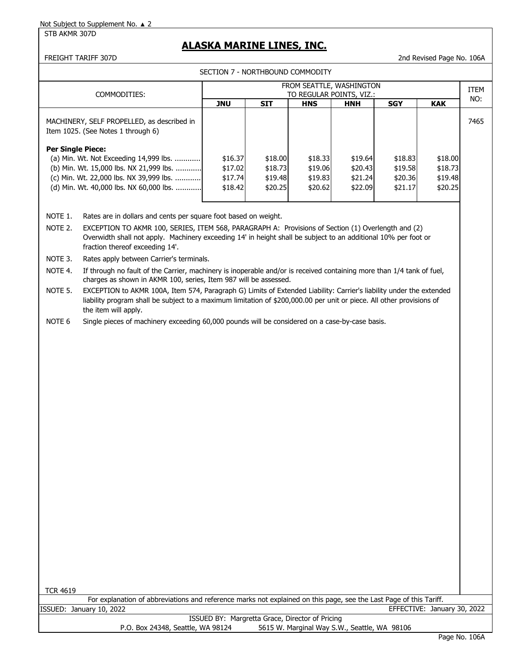## **ALASKA MARINE LINES, INC.**

FREIGHT TARIFF 307D 2nd Revised Page No. 106A

SECTION 7 - NORTHROUND COMMODITY

|                          |                                                                                                                                                                                                                                                                                                                            | <b>JLCTION / "NONTHDOUND COMMODITI</b><br>FROM SEATTLE, WASHINGTON |                                                 |                                          |                                              |                                          |                                          |             |  |  |  |
|--------------------------|----------------------------------------------------------------------------------------------------------------------------------------------------------------------------------------------------------------------------------------------------------------------------------------------------------------------------|--------------------------------------------------------------------|-------------------------------------------------|------------------------------------------|----------------------------------------------|------------------------------------------|------------------------------------------|-------------|--|--|--|
|                          | COMMODITIES:                                                                                                                                                                                                                                                                                                               |                                                                    |                                                 | TO REGULAR POINTS, VIZ.:                 |                                              |                                          |                                          | ITEM<br>NO: |  |  |  |
|                          |                                                                                                                                                                                                                                                                                                                            | <b>JNU</b>                                                         | <b>SIT</b>                                      | <b>HNS</b>                               | <b>HNH</b>                                   | <b>SGY</b>                               | <b>KAK</b>                               |             |  |  |  |
|                          | MACHINERY, SELF PROPELLED, as described in<br>Item 1025. (See Notes 1 through 6)                                                                                                                                                                                                                                           |                                                                    |                                                 |                                          |                                              |                                          |                                          | 7465        |  |  |  |
| <b>Per Single Piece:</b> | (a) Min. Wt. Not Exceeding 14,999 lbs.<br>(b) Min. Wt. 15,000 lbs. NX 21,999 lbs.<br>(c) Min. Wt. 22,000 lbs. NX 39,999 lbs.<br>(d) Min. Wt. 40,000 lbs. NX 60,000 lbs.                                                                                                                                                    | \$16.37<br>\$17.02<br>\$17.74<br>\$18.42                           | \$18.00<br>\$18.73<br>\$19.48<br>\$20.25        | \$18.33<br>\$19.06<br>\$19.83<br>\$20.62 | \$19.64<br>\$20.43<br>\$21.24<br>\$22.09     | \$18.83<br>\$19.58<br>\$20.36<br>\$21.17 | \$18.00<br>\$18.73<br>\$19.48<br>\$20.25 |             |  |  |  |
| NOTE 1.                  |                                                                                                                                                                                                                                                                                                                            |                                                                    |                                                 |                                          |                                              |                                          |                                          |             |  |  |  |
| NOTE 2.                  | Rates are in dollars and cents per square foot based on weight.<br>EXCEPTION TO AKMR 100, SERIES, ITEM 568, PARAGRAPH A: Provisions of Section (1) Overlength and (2)<br>Overwidth shall not apply. Machinery exceeding 14' in height shall be subject to an additional 10% per foot or<br>fraction thereof exceeding 14'. |                                                                    |                                                 |                                          |                                              |                                          |                                          |             |  |  |  |
| NOTE 3.                  | Rates apply between Carrier's terminals.                                                                                                                                                                                                                                                                                   |                                                                    |                                                 |                                          |                                              |                                          |                                          |             |  |  |  |
| NOTE 4.                  | If through no fault of the Carrier, machinery is inoperable and/or is received containing more than 1/4 tank of fuel,<br>charges as shown in AKMR 100, series, Item 987 will be assessed.                                                                                                                                  |                                                                    |                                                 |                                          |                                              |                                          |                                          |             |  |  |  |
| NOTE 5.                  | EXCEPTION to AKMR 100A, Item 574, Paragraph G) Limits of Extended Liability: Carrier's liability under the extended<br>liability program shall be subject to a maximum limitation of \$200,000.00 per unit or piece. All other provisions of<br>the item will apply.                                                       |                                                                    |                                                 |                                          |                                              |                                          |                                          |             |  |  |  |
| NOTE <sub>6</sub>        | Single pieces of machinery exceeding 60,000 pounds will be considered on a case-by-case basis.                                                                                                                                                                                                                             |                                                                    |                                                 |                                          |                                              |                                          |                                          |             |  |  |  |
|                          |                                                                                                                                                                                                                                                                                                                            |                                                                    |                                                 |                                          |                                              |                                          |                                          |             |  |  |  |
| <b>TCR 4619</b>          | For explanation of abbreviations and reference marks not explained on this page, see the Last Page of this Tariff.                                                                                                                                                                                                         |                                                                    |                                                 |                                          |                                              |                                          |                                          |             |  |  |  |
| ISSUED:                  | January 10, 2022                                                                                                                                                                                                                                                                                                           |                                                                    |                                                 |                                          |                                              |                                          | EFFECTIVE: January 30, 2022              |             |  |  |  |
|                          | P.O. Box 24348, Seattle, WA 98124                                                                                                                                                                                                                                                                                          |                                                                    | ISSUED BY: Margretta Grace, Director of Pricing |                                          | 5615 W. Marginal Way S.W., Seattle, WA 98106 |                                          |                                          |             |  |  |  |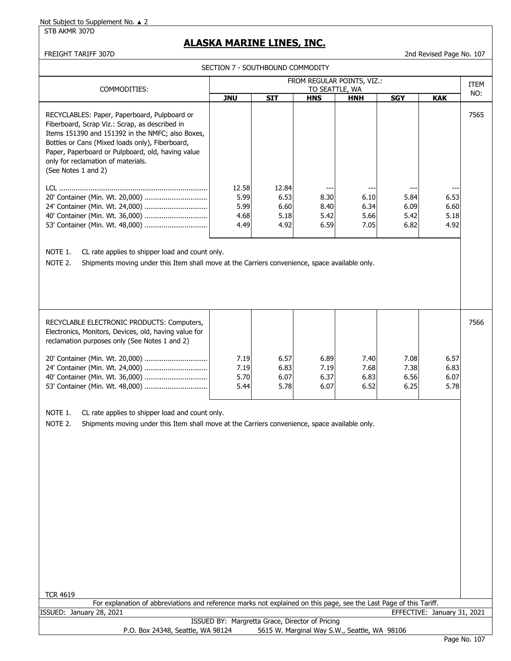#### STB AKMR 307D

# **ALASKA MARINE LINES, INC.**

SECTION 7 - SOUTHBOUND COMMODITY

FREIGHT TARIFF 307D **2nd Revised Page No. 107** 

| COMMODITIES:                                                                                                                                                                                                                                                                                                            | FROM REGULAR POINTS, VIZ.:<br>TO SEATTLE, WA |                                       |                              |                               |                              |                              |      |  |
|-------------------------------------------------------------------------------------------------------------------------------------------------------------------------------------------------------------------------------------------------------------------------------------------------------------------------|----------------------------------------------|---------------------------------------|------------------------------|-------------------------------|------------------------------|------------------------------|------|--|
|                                                                                                                                                                                                                                                                                                                         | JNU                                          | <b>SIT</b>                            | <b>HNS</b>                   | <b>HNH</b>                    | <b>SGY</b>                   | KAK                          | NO:  |  |
| RECYCLABLES: Paper, Paperboard, Pulpboard or<br>Fiberboard, Scrap Viz.: Scrap, as described in<br>Items 151390 and 151392 in the NMFC; also Boxes,<br>Bottles or Cans (Mixed loads only), Fiberboard,<br>Paper, Paperboard or Pulpboard, old, having value<br>only for reclamation of materials.<br>(See Notes 1 and 2) |                                              |                                       |                              |                               |                              |                              | 7565 |  |
| LCL.<br>24' Container (Min. Wt. 24,000)                                                                                                                                                                                                                                                                                 | 12.58<br>5.99<br>5.99<br>4.68<br>4.49        | 12.84<br>6.53<br>6.60<br>5.18<br>4.92 | 8.30<br>8.40<br>5.42<br>6.59 | 6.10<br>6.34<br>5.66<br>7.051 | 5.84<br>6.09<br>5.42<br>6.82 | 6.53<br>6.60<br>5.18<br>4.92 |      |  |

NOTE 1. CL rate applies to shipper load and count only.

NOTE 2. Shipments moving under this Item shall move at the Carriers convenience, space available only.

| RECYCLABLE ELECTRONIC PRODUCTS: Computers,<br>Electronics, Monitors, Devices, old, having value for<br>reclamation purposes only (See Notes 1 and 2) |      |      |      |      |      |      | 7566 |
|------------------------------------------------------------------------------------------------------------------------------------------------------|------|------|------|------|------|------|------|
|                                                                                                                                                      | 7.19 | 6.57 | 6.89 | 7.40 | 7.08 | 6.57 |      |
|                                                                                                                                                      | 7.19 | 6.83 | 7.19 | 7.68 | 7.38 | 6.83 |      |
|                                                                                                                                                      | 5.70 | 6.07 | 6.37 | 6.83 | 6.56 | 6.07 |      |
|                                                                                                                                                      | 5.44 | 5.78 | 6.07 | 6.52 | 6.25 | 5.78 |      |
|                                                                                                                                                      |      |      |      |      |      |      |      |

NOTE 1. CL rate applies to shipper load and count only.

NOTE 2. Shipments moving under this Item shall move at the Carriers convenience, space available only.

| <b>TCR 4619</b>                                                                                                    |  |  |  |  |  |  |  |
|--------------------------------------------------------------------------------------------------------------------|--|--|--|--|--|--|--|
| For explanation of abbreviations and reference marks not explained on this page, see the Last Page of this Tariff. |  |  |  |  |  |  |  |
| ISSUED: January 28, 2021<br>EFFECTIVE: January 31, 2021                                                            |  |  |  |  |  |  |  |
| ISSUED BY: Margretta Grace, Director of Pricing                                                                    |  |  |  |  |  |  |  |
| 5615 W. Marginal Way S.W., Seattle, WA 98106<br>P.O. Box 24348, Seattle, WA 98124                                  |  |  |  |  |  |  |  |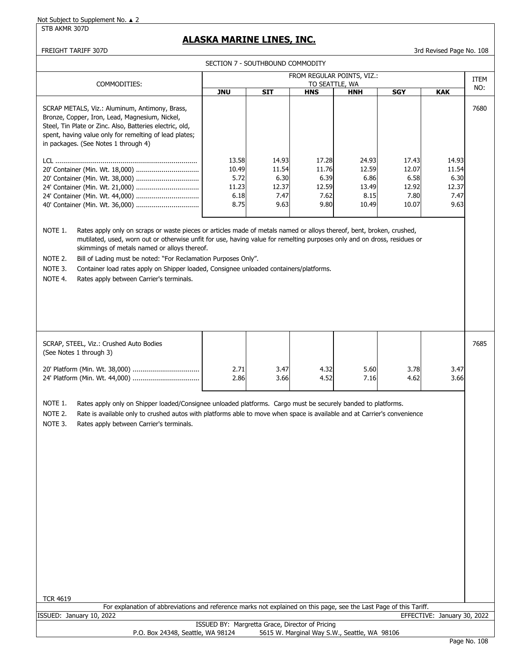STB AKMR 307D

# **ALASKA MARINE LINES, INC.**

FREIGHT TARIFF 307D 3rd Revised Page No. 108

| SECTION 7 - SOUTHBOUND COMMODITY                                                                                                                                                                                                                                                                                                                                                                                                                               |                                        |                                                 |                                        |                                         |                                         |                                        |      |  |
|----------------------------------------------------------------------------------------------------------------------------------------------------------------------------------------------------------------------------------------------------------------------------------------------------------------------------------------------------------------------------------------------------------------------------------------------------------------|----------------------------------------|-------------------------------------------------|----------------------------------------|-----------------------------------------|-----------------------------------------|----------------------------------------|------|--|
| COMMODITIES:                                                                                                                                                                                                                                                                                                                                                                                                                                                   |                                        |                                                 | TO SEATTLE, WA                         | FROM REGULAR POINTS, VIZ.:              |                                         |                                        | ITEM |  |
|                                                                                                                                                                                                                                                                                                                                                                                                                                                                | <b>JNU</b>                             | <b>SIT</b>                                      | <b>HNS</b>                             | <b>HNH</b>                              | <b>SGY</b>                              | <b>KAK</b>                             | NO:  |  |
| SCRAP METALS, Viz.: Aluminum, Antimony, Brass,<br>Bronze, Copper, Iron, Lead, Magnesium, Nickel,<br>Steel, Tin Plate or Zinc. Also, Batteries electric, old,<br>spent, having value only for remelting of lead plates;<br>in packages. (See Notes 1 through 4)                                                                                                                                                                                                 | 13.58                                  | 14.93                                           | 17.28                                  | 24.93                                   | 17.43                                   | 14.93                                  | 7680 |  |
| 24' Container (Min. Wt. 21,000)<br>NOTE 1.<br>Rates apply only on scraps or waste pieces or articles made of metals named or alloys thereof, bent, broken, crushed,                                                                                                                                                                                                                                                                                            | 10.49<br>5.72<br>11.23<br>6.18<br>8.75 | 11.54<br>6.30<br>12.37<br>7.47<br>9.63          | 11.76<br>6.39<br>12.59<br>7.62<br>9.80 | 12.59<br>6.86<br>13.49<br>8.15<br>10.49 | 12.07<br>6.58<br>12.92<br>7.80<br>10.07 | 11.54<br>6.30<br>12.37<br>7.47<br>9.63 |      |  |
| mutilated, used, worn out or otherwise unfit for use, having value for remelting purposes only and on dross, residues or<br>skimmings of metals named or alloys thereof.<br>NOTE 2.<br>Bill of Lading must be noted: "For Reclamation Purposes Only".<br>NOTE 3.<br>Container load rates apply on Shipper loaded, Consignee unloaded containers/platforms.<br>NOTE 4.<br>Rates apply between Carrier's terminals.                                              |                                        |                                                 |                                        |                                         |                                         |                                        |      |  |
| SCRAP, STEEL, Viz.: Crushed Auto Bodies<br>(See Notes 1 through 3)                                                                                                                                                                                                                                                                                                                                                                                             |                                        |                                                 |                                        |                                         |                                         |                                        | 7685 |  |
|                                                                                                                                                                                                                                                                                                                                                                                                                                                                | 2.71<br>2.86                           | 3.47<br>3.66                                    | 4.32<br>4.52                           | 5.60<br>7.16                            | 3.78<br>4.62                            | 3.47<br>3.66                           |      |  |
| NOTE 1.<br>Rates apply only on Shipper loaded/Consignee unloaded platforms. Cargo must be securely banded to platforms.<br>NOTE 2.<br>Rate is available only to crushed autos with platforms able to move when space is available and at Carrier's convenience<br>NOTE 3.<br>Rates apply between Carrier's terminals.<br><b>TCR 4619</b><br>For explanation of abbreviations and reference marks not explained on this page, see the Last Page of this Tariff. |                                        |                                                 |                                        |                                         |                                         |                                        |      |  |
| ISSUED: January 10, 2022                                                                                                                                                                                                                                                                                                                                                                                                                                       |                                        |                                                 |                                        |                                         |                                         | EFFECTIVE: January 30, 2022            |      |  |
|                                                                                                                                                                                                                                                                                                                                                                                                                                                                |                                        | ISSUED BY: Margretta Grace, Director of Pricing |                                        |                                         |                                         |                                        |      |  |

P.O. Box 24348, Seattle, WA 98124 5615 W. Marginal Way S.W., Seattle, WA 98106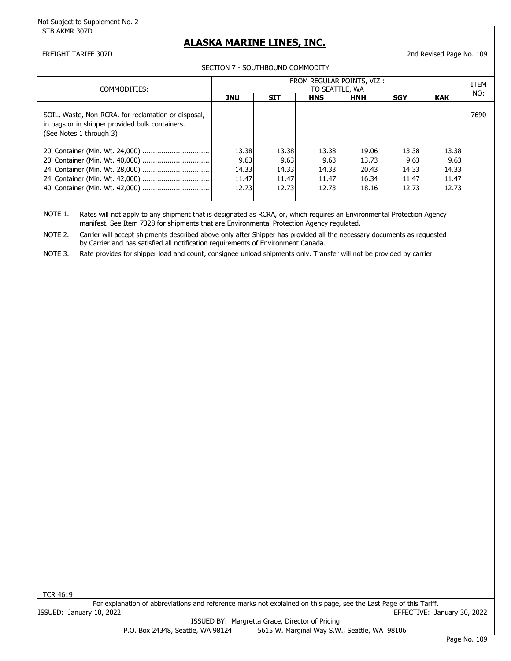#### STB AKMR 307D

## **ALASKA MARINE LINES, INC.**

#### FREIGHT TARIFF 307D 2nd Revised Page No. 109

SECTION 7 - SOUTHBOUND COMMODITY

| COMMODITIES:                                                                                                                      | FROM REGULAR POINTS, VIZ.:<br>TO SEATTLE, WA |            |            |            |            |            |      |  |
|-----------------------------------------------------------------------------------------------------------------------------------|----------------------------------------------|------------|------------|------------|------------|------------|------|--|
|                                                                                                                                   | <b>JNU</b>                                   | <b>SIT</b> | <b>HNS</b> | <b>HNH</b> | <b>SGY</b> | <b>KAK</b> | NO:  |  |
| SOIL, Waste, Non-RCRA, for reclamation or disposal,<br>in bags or in shipper provided bulk containers.<br>(See Notes 1 through 3) |                                              |            |            |            |            |            | 7690 |  |
| 20' Container (Min. Wt. 24,000)                                                                                                   | 13.38                                        | 13.38      | 13.38      | 19.06      | 13.38      | 13.38      |      |  |
|                                                                                                                                   | 9.63                                         | 9.63       | 9.63       | 13.73      | 9.63       | 9.63       |      |  |
|                                                                                                                                   | 14.33                                        | 14.33      | 14.33      | 20.43      | 14.33      | 14.33      |      |  |
| 24' Container (Min. Wt. 42,000)                                                                                                   | 11.47                                        | 11.47      | 11.47      | 16.34      | 11.47      | 11.47      |      |  |
| 40' Container (Min. Wt. 42,000)                                                                                                   | 12.73                                        | 12.73      | 12.73      | 18.16      | 12.73      | 12.73      |      |  |
|                                                                                                                                   |                                              |            |            |            |            |            |      |  |

NOTE 1. Rates will not apply to any shipment that is designated as RCRA, or, which requires an Environmental Protection Agency manifest. See Item 7328 for shipments that are Environmental Protection Agency regulated.

NOTE 2. Carrier will accept shipments described above only after Shipper has provided all the necessary documents as requested by Carrier and has satisfied all notification requirements of Environment Canada.

NOTE 3. Rate provides for shipper load and count, consignee unload shipments only. Transfer will not be provided by carrier.

|                          | For explanation of abbreviations and reference marks not explained on this page, see the Last Page of this Tariff. |  |                             |
|--------------------------|--------------------------------------------------------------------------------------------------------------------|--|-----------------------------|
| ISSUED: January 10, 2022 |                                                                                                                    |  | EFFECTIVE: January 30, 2022 |
|                          | ISSUED BY: Margretta Grace, Director of Pricing                                                                    |  |                             |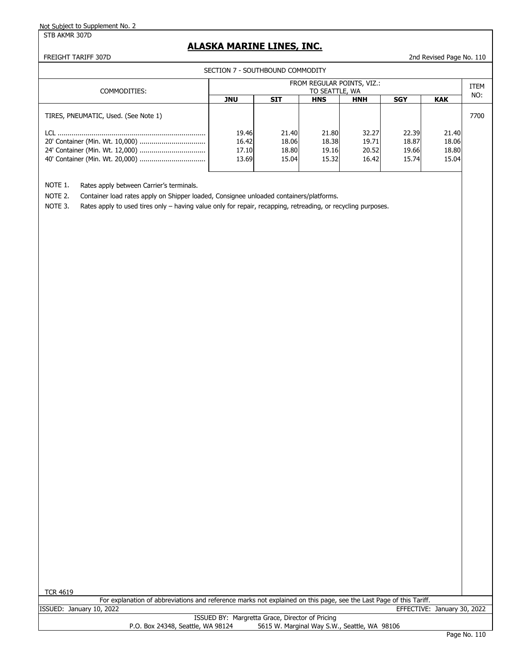STB AKMR 307D

## **ALASKA MARINE LINES, INC.**

FREIGHT TARIFF 307D 2nd Revised Page No. 110

SECTION 7 - SOUTHBOUND COMMODITY

| COMMODITIES:                         | FROM REGULAR POINTS, VIZ.:<br>TO SEATTLE, WA |                                  |                                  |                                  |                                  |                                  |      |  |
|--------------------------------------|----------------------------------------------|----------------------------------|----------------------------------|----------------------------------|----------------------------------|----------------------------------|------|--|
|                                      | <b>JNU</b>                                   | SIT                              | <b>HNS</b>                       | <b>HNH</b>                       | <b>SGY</b>                       | <b>KAK</b>                       | NO:  |  |
| TIRES, PNEUMATIC, Used. (See Note 1) |                                              |                                  |                                  |                                  |                                  |                                  | 7700 |  |
|                                      | 19.46<br>16.42<br>17.10<br>13.69             | 21.40<br>18.06<br>18.80<br>15.04 | 21.80<br>18.38<br>19.16<br>15.32 | 32.27<br>19.71<br>20.52<br>16.42 | 22.39<br>18.87<br>19.66<br>15.74 | 21.40<br>18.06<br>18.80<br>15.04 |      |  |

NOTE 1. Rates apply between Carrier's terminals.

NOTE 2. Container load rates apply on Shipper loaded, Consignee unloaded containers/platforms.

NOTE 3. Rates apply to used tires only – having value only for repair, recapping, retreading, or recycling purposes.

| <b>TCR 4619</b>                                                                                                    |  |  |  |  |  |  |  |
|--------------------------------------------------------------------------------------------------------------------|--|--|--|--|--|--|--|
| For explanation of abbreviations and reference marks not explained on this page, see the Last Page of this Tariff. |  |  |  |  |  |  |  |
| ISSUED: January 10, 2022<br>EFFECTIVE: January 30, 2022                                                            |  |  |  |  |  |  |  |
| ISSUED BY: Margretta Grace, Director of Pricing                                                                    |  |  |  |  |  |  |  |
| 5615 W. Marginal Way S.W., Seattle, WA 98106<br>P.O. Box 24348, Seattle, WA 98124                                  |  |  |  |  |  |  |  |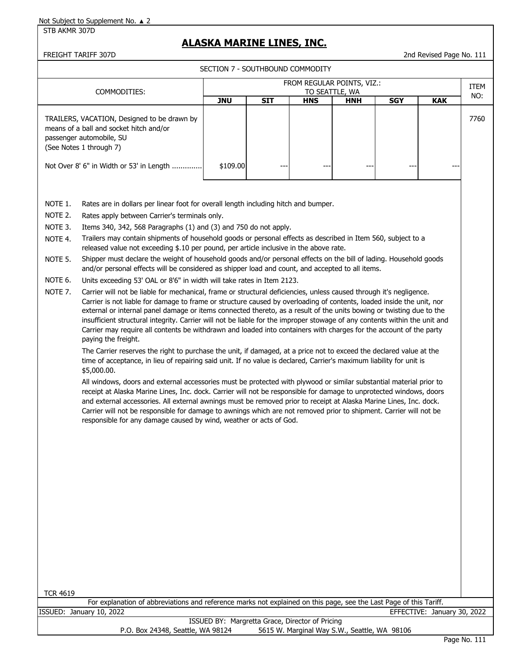STB AKMR 307D

# **ALASKA MARINE LINES, INC.**

FREIGHT TARIFF 307D 2nd Revised Page No. 111

|                                                                                                                                                                                                                                                                                                                                                                                                                                                                                                                                                                             | SECTION 7 - SOUTHBOUND COMMODITY                                                                                                                                                                                                                                                                                                                                                                                                                                                                                                                                                                                                                                                                                                                                                                                                                                                                          |                                                 |            |                                              |                              |            |                             |             |  |  |  |
|-----------------------------------------------------------------------------------------------------------------------------------------------------------------------------------------------------------------------------------------------------------------------------------------------------------------------------------------------------------------------------------------------------------------------------------------------------------------------------------------------------------------------------------------------------------------------------|-----------------------------------------------------------------------------------------------------------------------------------------------------------------------------------------------------------------------------------------------------------------------------------------------------------------------------------------------------------------------------------------------------------------------------------------------------------------------------------------------------------------------------------------------------------------------------------------------------------------------------------------------------------------------------------------------------------------------------------------------------------------------------------------------------------------------------------------------------------------------------------------------------------|-------------------------------------------------|------------|----------------------------------------------|------------------------------|------------|-----------------------------|-------------|--|--|--|
|                                                                                                                                                                                                                                                                                                                                                                                                                                                                                                                                                                             |                                                                                                                                                                                                                                                                                                                                                                                                                                                                                                                                                                                                                                                                                                                                                                                                                                                                                                           |                                                 |            | FROM REGULAR POINTS, VIZ.:                   |                              |            |                             | <b>ITEM</b> |  |  |  |
|                                                                                                                                                                                                                                                                                                                                                                                                                                                                                                                                                                             | COMMODITIES:                                                                                                                                                                                                                                                                                                                                                                                                                                                                                                                                                                                                                                                                                                                                                                                                                                                                                              | <b>JNU</b>                                      | <b>SIT</b> | <b>HNS</b>                                   | TO SEATTLE, WA<br><b>HNH</b> | <b>SGY</b> | <b>KAK</b>                  | NO:         |  |  |  |
|                                                                                                                                                                                                                                                                                                                                                                                                                                                                                                                                                                             | TRAILERS, VACATION, Designed to be drawn by<br>means of a ball and socket hitch and/or<br>passenger automobile, SU<br>(See Notes 1 through 7)<br>Not Over 8' 6" in Width or 53' in Length<br>\$109.00                                                                                                                                                                                                                                                                                                                                                                                                                                                                                                                                                                                                                                                                                                     |                                                 |            |                                              |                              |            |                             |             |  |  |  |
|                                                                                                                                                                                                                                                                                                                                                                                                                                                                                                                                                                             |                                                                                                                                                                                                                                                                                                                                                                                                                                                                                                                                                                                                                                                                                                                                                                                                                                                                                                           |                                                 |            |                                              |                              |            |                             |             |  |  |  |
| NOTE 1.<br>Rates are in dollars per linear foot for overall length including hitch and bumper.                                                                                                                                                                                                                                                                                                                                                                                                                                                                              |                                                                                                                                                                                                                                                                                                                                                                                                                                                                                                                                                                                                                                                                                                                                                                                                                                                                                                           |                                                 |            |                                              |                              |            |                             |             |  |  |  |
| NOTE 2.                                                                                                                                                                                                                                                                                                                                                                                                                                                                                                                                                                     | Rates apply between Carrier's terminals only.                                                                                                                                                                                                                                                                                                                                                                                                                                                                                                                                                                                                                                                                                                                                                                                                                                                             |                                                 |            |                                              |                              |            |                             |             |  |  |  |
| NOTE 3.                                                                                                                                                                                                                                                                                                                                                                                                                                                                                                                                                                     | Items 340, 342, 568 Paragraphs (1) and (3) and 750 do not apply.                                                                                                                                                                                                                                                                                                                                                                                                                                                                                                                                                                                                                                                                                                                                                                                                                                          |                                                 |            |                                              |                              |            |                             |             |  |  |  |
| NOTE 4.                                                                                                                                                                                                                                                                                                                                                                                                                                                                                                                                                                     | Trailers may contain shipments of household goods or personal effects as described in Item 560, subject to a<br>released value not exceeding \$.10 per pound, per article inclusive in the above rate.                                                                                                                                                                                                                                                                                                                                                                                                                                                                                                                                                                                                                                                                                                    |                                                 |            |                                              |                              |            |                             |             |  |  |  |
| NOTE 5.                                                                                                                                                                                                                                                                                                                                                                                                                                                                                                                                                                     | Shipper must declare the weight of household goods and/or personal effects on the bill of lading. Household goods<br>and/or personal effects will be considered as shipper load and count, and accepted to all items.                                                                                                                                                                                                                                                                                                                                                                                                                                                                                                                                                                                                                                                                                     |                                                 |            |                                              |                              |            |                             |             |  |  |  |
| NOTE 6.                                                                                                                                                                                                                                                                                                                                                                                                                                                                                                                                                                     | Units exceeding 53' OAL or 8'6" in width will take rates in Item 2123.                                                                                                                                                                                                                                                                                                                                                                                                                                                                                                                                                                                                                                                                                                                                                                                                                                    |                                                 |            |                                              |                              |            |                             |             |  |  |  |
|                                                                                                                                                                                                                                                                                                                                                                                                                                                                                                                                                                             | NOTE 7.<br>Carrier will not be liable for mechanical, frame or structural deficiencies, unless caused through it's negligence.<br>Carrier is not liable for damage to frame or structure caused by overloading of contents, loaded inside the unit, nor<br>external or internal panel damage or items connected thereto, as a result of the units bowing or twisting due to the<br>insufficient structural integrity. Carrier will not be liable for the improper stowage of any contents within the unit and<br>Carrier may require all contents be withdrawn and loaded into containers with charges for the account of the party<br>paying the freight.<br>The Carrier reserves the right to purchase the unit, if damaged, at a price not to exceed the declared value at the<br>time of acceptance, in lieu of repairing said unit. If no value is declared, Carrier's maximum liability for unit is |                                                 |            |                                              |                              |            |                             |             |  |  |  |
| \$5,000.00.<br>All windows, doors and external accessories must be protected with plywood or similar substantial material prior to<br>receipt at Alaska Marine Lines, Inc. dock. Carrier will not be responsible for damage to unprotected windows, doors<br>and external accessories. All external awnings must be removed prior to receipt at Alaska Marine Lines, Inc. dock.<br>Carrier will not be responsible for damage to awnings which are not removed prior to shipment. Carrier will not be<br>responsible for any damage caused by wind, weather or acts of God. |                                                                                                                                                                                                                                                                                                                                                                                                                                                                                                                                                                                                                                                                                                                                                                                                                                                                                                           |                                                 |            |                                              |                              |            |                             |             |  |  |  |
|                                                                                                                                                                                                                                                                                                                                                                                                                                                                                                                                                                             |                                                                                                                                                                                                                                                                                                                                                                                                                                                                                                                                                                                                                                                                                                                                                                                                                                                                                                           |                                                 |            |                                              |                              |            |                             |             |  |  |  |
|                                                                                                                                                                                                                                                                                                                                                                                                                                                                                                                                                                             |                                                                                                                                                                                                                                                                                                                                                                                                                                                                                                                                                                                                                                                                                                                                                                                                                                                                                                           |                                                 |            |                                              |                              |            |                             |             |  |  |  |
| <b>TCR 4619</b>                                                                                                                                                                                                                                                                                                                                                                                                                                                                                                                                                             |                                                                                                                                                                                                                                                                                                                                                                                                                                                                                                                                                                                                                                                                                                                                                                                                                                                                                                           |                                                 |            |                                              |                              |            |                             |             |  |  |  |
|                                                                                                                                                                                                                                                                                                                                                                                                                                                                                                                                                                             | For explanation of abbreviations and reference marks not explained on this page, see the Last Page of this Tariff.<br>ISSUED: January 10, 2022                                                                                                                                                                                                                                                                                                                                                                                                                                                                                                                                                                                                                                                                                                                                                            |                                                 |            |                                              |                              |            | EFFECTIVE: January 30, 2022 |             |  |  |  |
|                                                                                                                                                                                                                                                                                                                                                                                                                                                                                                                                                                             |                                                                                                                                                                                                                                                                                                                                                                                                                                                                                                                                                                                                                                                                                                                                                                                                                                                                                                           | ISSUED BY: Margretta Grace, Director of Pricing |            |                                              |                              |            |                             |             |  |  |  |
|                                                                                                                                                                                                                                                                                                                                                                                                                                                                                                                                                                             | P.O. Box 24348, Seattle, WA 98124                                                                                                                                                                                                                                                                                                                                                                                                                                                                                                                                                                                                                                                                                                                                                                                                                                                                         |                                                 |            | 5615 W. Marginal Way S.W., Seattle, WA 98106 |                              |            |                             |             |  |  |  |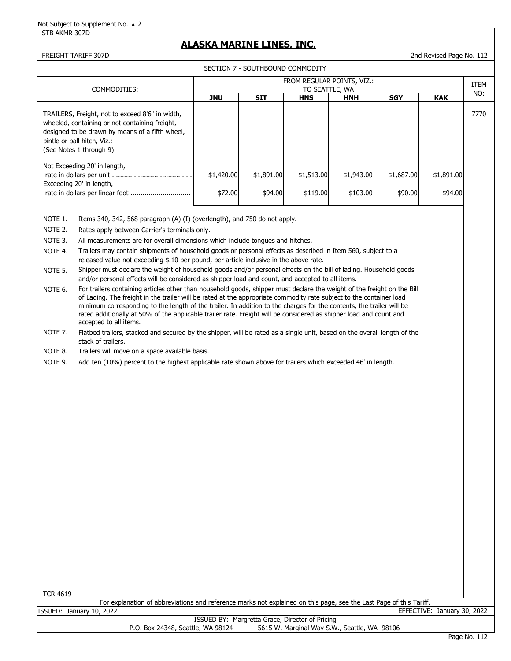STB AKMR 307D

## **ALASKA MARINE LINES, INC.**

#### SECTION 7 - SOUTHBOUND COMMODITY

FREIGHT TARIFF 307D 2nd Revised Page No. 112

| COMMODITIES:                                                                                                                                                                                                   | FROM REGULAR POINTS, VIZ.:<br>TO SEATTLE, WA |                       |                        |                        |                       |                       |      |  |
|----------------------------------------------------------------------------------------------------------------------------------------------------------------------------------------------------------------|----------------------------------------------|-----------------------|------------------------|------------------------|-----------------------|-----------------------|------|--|
|                                                                                                                                                                                                                | <b>JNU</b>                                   | <b>SIT</b>            | <b>HNS</b>             | <b>HNH</b>             | <b>SGY</b>            | <b>KAK</b>            | NO:  |  |
| TRAILERS, Freight, not to exceed 8'6" in width,<br>wheeled, containing or not containing freight,<br>designed to be drawn by means of a fifth wheel,<br>pintle or ball hitch, Viz.:<br>(See Notes 1 through 9) |                                              |                       |                        |                        |                       |                       | 7770 |  |
| Not Exceeding 20' in length,<br>Exceeding 20' in length,                                                                                                                                                       | \$1,420.00<br>\$72.00                        | \$1,891.00<br>\$94.00 | \$1,513.00<br>\$119.00 | \$1,943.00<br>\$103.00 | \$1,687.00<br>\$90.00 | \$1,891.00<br>\$94.00 |      |  |

NOTE 1. Items 340, 342, 568 paragraph (A) (I) (overlength), and 750 do not apply.

NOTE 2. Rates apply between Carrier's terminals only.

NOTE 3. All measurements are for overall dimensions which include tongues and hitches.

NOTE 4. Trailers may contain shipments of household goods or personal effects as described in Item 560, subject to a released value not exceeding \$.10 per pound, per article inclusive in the above rate.

NOTE 5. Shipper must declare the weight of household goods and/or personal effects on the bill of lading. Household goods and/or personal effects will be considered as shipper load and count, and accepted to all items.

NOTE 6. For trailers containing articles other than household goods, shipper must declare the weight of the freight on the Bill of Lading. The freight in the trailer will be rated at the appropriate commodity rate subject to the container load minimum corresponding to the length of the trailer. In addition to the charges for the contents, the trailer will be rated additionally at 50% of the applicable trailer rate. Freight will be considered as shipper load and count and accepted to all items.

NOTE 7. Flatbed trailers, stacked and secured by the shipper, will be rated as a single unit, based on the overall length of the stack of trailers.

NOTE 8. Trailers will move on a space available basis.

NOTE 9. Add ten (10%) percent to the highest applicable rate shown above for trailers which exceeded 46' in length.

| <b>TCR 4619</b>                                                                                                    |  |  |  |  |  |  |  |
|--------------------------------------------------------------------------------------------------------------------|--|--|--|--|--|--|--|
| For explanation of abbreviations and reference marks not explained on this page, see the Last Page of this Tariff. |  |  |  |  |  |  |  |
| ISSUED: Januarv 10, 2022<br>EFFECTIVE: January 30, 2022                                                            |  |  |  |  |  |  |  |
| ISSUED BY: Margretta Grace, Director of Pricing                                                                    |  |  |  |  |  |  |  |
| 5615 W. Marginal Way S.W., Seattle, WA 98106<br>P.O. Box 24348, Seattle, WA 98124                                  |  |  |  |  |  |  |  |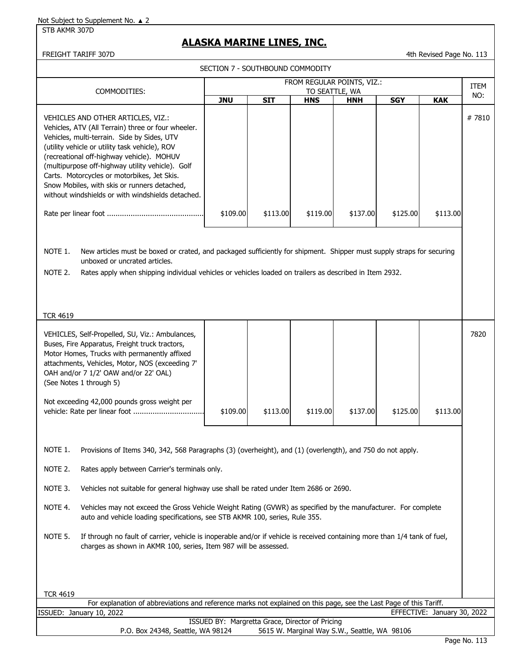STB AKMR 307D

## **ALASKA MARINE LINES, INC.**

FREIGHT TARIFF 307D **12 CONTROLLER IN THE CONTROL** AND REVISED A 4th Revised Page No. 113

SECTION 7 - SOUTHBOUND COMMODITY

|                                                                                                                                                                                                                                                                                                                                                                                                                                                | FROM REGULAR POINTS, VIZ.:<br>COMMODITIES:<br>TO SEATTLE, WA |            |                                              |            |            |                             |       |  |  |
|------------------------------------------------------------------------------------------------------------------------------------------------------------------------------------------------------------------------------------------------------------------------------------------------------------------------------------------------------------------------------------------------------------------------------------------------|--------------------------------------------------------------|------------|----------------------------------------------|------------|------------|-----------------------------|-------|--|--|
|                                                                                                                                                                                                                                                                                                                                                                                                                                                | <b>JNU</b>                                                   | <b>SIT</b> | <b>HNS</b>                                   | <b>HNH</b> | <b>SGY</b> | <b>KAK</b>                  | NO:   |  |  |
| VEHICLES AND OTHER ARTICLES, VIZ.:<br>Vehicles, ATV (All Terrain) three or four wheeler.<br>Vehicles, multi-terrain. Side by Sides, UTV<br>(utility vehicle or utility task vehicle), ROV<br>(recreational off-highway vehicle). MOHUV<br>(multipurpose off-highway utility vehicle). Golf<br>Carts. Motorcycles or motorbikes, Jet Skis.<br>Snow Mobiles, with skis or runners detached,<br>without windshields or with windshields detached. |                                                              |            |                                              |            |            |                             | #7810 |  |  |
|                                                                                                                                                                                                                                                                                                                                                                                                                                                | \$109.00                                                     | \$113.00   | \$119.00                                     | \$137.00   | \$125.00   | \$113.00                    |       |  |  |
| NOTE 1.<br>New articles must be boxed or crated, and packaged sufficiently for shipment. Shipper must supply straps for securing<br>unboxed or uncrated articles.<br>NOTE 2.<br>Rates apply when shipping individual vehicles or vehicles loaded on trailers as described in Item 2932.<br><b>TCR 4619</b>                                                                                                                                     |                                                              |            |                                              |            |            |                             | 7820  |  |  |
| VEHICLES, Self-Propelled, SU, Viz.: Ambulances,<br>Buses, Fire Apparatus, Freight truck tractors,<br>Motor Homes, Trucks with permanently affixed<br>attachments, Vehicles, Motor, NOS (exceeding 7'<br>OAH and/or 7 1/2' OAW and/or 22' OAL)<br>(See Notes 1 through 5)                                                                                                                                                                       |                                                              |            |                                              |            |            |                             |       |  |  |
| Not exceeding 42,000 pounds gross weight per                                                                                                                                                                                                                                                                                                                                                                                                   | \$109.00                                                     | \$113.00   | \$119.00                                     | \$137.00   | \$125.00   | \$113.00                    |       |  |  |
| NOTE 1.<br>Provisions of Items 340, 342, 568 Paragraphs (3) (overheight), and (1) (overlength), and 750 do not apply.                                                                                                                                                                                                                                                                                                                          |                                                              |            |                                              |            |            |                             |       |  |  |
| NOTE 2.<br>Rates apply between Carrier's terminals only.                                                                                                                                                                                                                                                                                                                                                                                       |                                                              |            |                                              |            |            |                             |       |  |  |
| NOTE 3.<br>Vehicles not suitable for general highway use shall be rated under Item 2686 or 2690.                                                                                                                                                                                                                                                                                                                                               |                                                              |            |                                              |            |            |                             |       |  |  |
| NOTE 4.<br>Vehicles may not exceed the Gross Vehicle Weight Rating (GVWR) as specified by the manufacturer. For complete<br>auto and vehicle loading specifications, see STB AKMR 100, series, Rule 355.                                                                                                                                                                                                                                       |                                                              |            |                                              |            |            |                             |       |  |  |
| NOTE 5.<br>If through no fault of carrier, vehicle is inoperable and/or if vehicle is received containing more than 1/4 tank of fuel,<br>charges as shown in AKMR 100, series, Item 987 will be assessed.                                                                                                                                                                                                                                      |                                                              |            |                                              |            |            |                             |       |  |  |
| <b>TCR 4619</b>                                                                                                                                                                                                                                                                                                                                                                                                                                |                                                              |            |                                              |            |            |                             |       |  |  |
| For explanation of abbreviations and reference marks not explained on this page, see the Last Page of this Tariff.<br>ISSUED: January 10, 2022                                                                                                                                                                                                                                                                                                 |                                                              |            |                                              |            |            | EFFECTIVE: January 30, 2022 |       |  |  |
|                                                                                                                                                                                                                                                                                                                                                                                                                                                | ISSUED BY: Margretta Grace, Director of Pricing              |            |                                              |            |            |                             |       |  |  |
| P.O. Box 24348, Seattle, WA 98124                                                                                                                                                                                                                                                                                                                                                                                                              |                                                              |            | 5615 W. Marginal Way S.W., Seattle, WA 98106 |            |            |                             |       |  |  |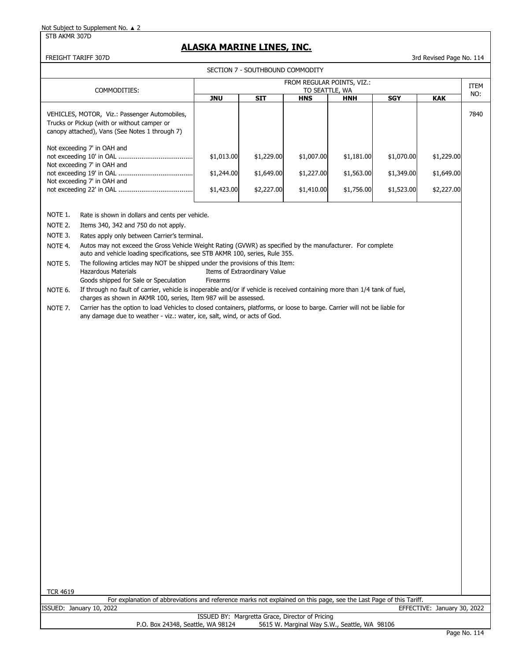STB AKMR 307D

## **ALASKA MARINE LINES, INC.**

### FREIGHT TARIFF 307D 3rd Revised Page No. 114

|                 |                                                                                                                                                                                                |            | SECTION 7 - SOUTHBOUND COMMODITY |                            |            |            |                             |      |
|-----------------|------------------------------------------------------------------------------------------------------------------------------------------------------------------------------------------------|------------|----------------------------------|----------------------------|------------|------------|-----------------------------|------|
|                 |                                                                                                                                                                                                |            |                                  | FROM REGULAR POINTS, VIZ.: |            |            |                             | ITEM |
|                 | COMMODITIES:                                                                                                                                                                                   |            |                                  | TO SEATTLE, WA             |            |            |                             | NO:  |
|                 |                                                                                                                                                                                                | <b>JNU</b> | <b>SIT</b>                       | <b>HNS</b>                 | <b>HNH</b> | <b>SGY</b> | <b>KAK</b>                  |      |
|                 | VEHICLES, MOTOR, Viz.: Passenger Automobiles,                                                                                                                                                  |            |                                  |                            |            |            |                             | 7840 |
|                 | Trucks or Pickup (with or without camper or<br>canopy attached), Vans (See Notes 1 through 7)                                                                                                  |            |                                  |                            |            |            |                             |      |
|                 |                                                                                                                                                                                                |            |                                  |                            |            |            |                             |      |
|                 | Not exceeding 7' in OAH and                                                                                                                                                                    |            |                                  |                            |            |            |                             |      |
|                 | Not exceeding 7' in OAH and                                                                                                                                                                    | \$1,013.00 | \$1,229.00                       | \$1,007.00                 | \$1,181.00 | \$1,070.00 | \$1,229.00                  |      |
|                 |                                                                                                                                                                                                | \$1,244.00 | \$1,649.00                       | \$1,227.00                 | \$1,563.00 | \$1,349.00 | \$1,649.00                  |      |
|                 | Not exceeding 7' in OAH and                                                                                                                                                                    |            |                                  |                            |            |            |                             |      |
|                 |                                                                                                                                                                                                | \$1,423.00 | \$2,227.00                       | \$1,410.00                 | \$1,756.00 | \$1,523.00 | \$2,227.00                  |      |
|                 |                                                                                                                                                                                                |            |                                  |                            |            |            |                             |      |
| NOTE 1.         | Rate is shown in dollars and cents per vehicle.                                                                                                                                                |            |                                  |                            |            |            |                             |      |
| NOTE 2.         | Items 340, 342 and 750 do not apply.                                                                                                                                                           |            |                                  |                            |            |            |                             |      |
| NOTE 3.         | Rates apply only between Carrier's terminal.                                                                                                                                                   |            |                                  |                            |            |            |                             |      |
| NOTE 4.         | Autos may not exceed the Gross Vehicle Weight Rating (GVWR) as specified by the manufacturer. For complete<br>auto and vehicle loading specifications, see STB AKMR 100, series, Rule 355.     |            |                                  |                            |            |            |                             |      |
| NOTE 5.         | The following articles may NOT be shipped under the provisions of this Item:                                                                                                                   |            |                                  |                            |            |            |                             |      |
|                 | <b>Hazardous Materials</b>                                                                                                                                                                     |            | Items of Extraordinary Value     |                            |            |            |                             |      |
|                 | Goods shipped for Sale or Speculation                                                                                                                                                          | Firearms   |                                  |                            |            |            |                             |      |
| NOTE 6.         | If through no fault of carrier, vehicle is inoperable and/or if vehicle is received containing more than 1/4 tank of fuel,<br>charges as shown in AKMR 100, series, Item 987 will be assessed. |            |                                  |                            |            |            |                             |      |
| NOTE 7.         | Carrier has the option to load Vehicles to closed containers, platforms, or loose to barge. Carrier will not be liable for                                                                     |            |                                  |                            |            |            |                             |      |
|                 | any damage due to weather - viz.: water, ice, salt, wind, or acts of God.                                                                                                                      |            |                                  |                            |            |            |                             |      |
|                 |                                                                                                                                                                                                |            |                                  |                            |            |            |                             |      |
|                 |                                                                                                                                                                                                |            |                                  |                            |            |            |                             |      |
|                 |                                                                                                                                                                                                |            |                                  |                            |            |            |                             |      |
|                 |                                                                                                                                                                                                |            |                                  |                            |            |            |                             |      |
|                 |                                                                                                                                                                                                |            |                                  |                            |            |            |                             |      |
|                 |                                                                                                                                                                                                |            |                                  |                            |            |            |                             |      |
|                 |                                                                                                                                                                                                |            |                                  |                            |            |            |                             |      |
|                 |                                                                                                                                                                                                |            |                                  |                            |            |            |                             |      |
|                 |                                                                                                                                                                                                |            |                                  |                            |            |            |                             |      |
|                 |                                                                                                                                                                                                |            |                                  |                            |            |            |                             |      |
|                 |                                                                                                                                                                                                |            |                                  |                            |            |            |                             |      |
|                 |                                                                                                                                                                                                |            |                                  |                            |            |            |                             |      |
|                 |                                                                                                                                                                                                |            |                                  |                            |            |            |                             |      |
|                 |                                                                                                                                                                                                |            |                                  |                            |            |            |                             |      |
|                 |                                                                                                                                                                                                |            |                                  |                            |            |            |                             |      |
|                 |                                                                                                                                                                                                |            |                                  |                            |            |            |                             |      |
|                 |                                                                                                                                                                                                |            |                                  |                            |            |            |                             |      |
|                 |                                                                                                                                                                                                |            |                                  |                            |            |            |                             |      |
|                 |                                                                                                                                                                                                |            |                                  |                            |            |            |                             |      |
|                 |                                                                                                                                                                                                |            |                                  |                            |            |            |                             |      |
|                 |                                                                                                                                                                                                |            |                                  |                            |            |            |                             |      |
|                 |                                                                                                                                                                                                |            |                                  |                            |            |            |                             |      |
|                 |                                                                                                                                                                                                |            |                                  |                            |            |            |                             |      |
|                 |                                                                                                                                                                                                |            |                                  |                            |            |            |                             |      |
|                 |                                                                                                                                                                                                |            |                                  |                            |            |            |                             |      |
| <b>TCR 4619</b> | For explanation of abbreviations and reference marks not explained on this page, see the Last Page of this Tariff.                                                                             |            |                                  |                            |            |            |                             |      |
|                 | ISSUED: January 10, 2022                                                                                                                                                                       |            |                                  |                            |            |            | EFFECTIVE: January 30, 2022 |      |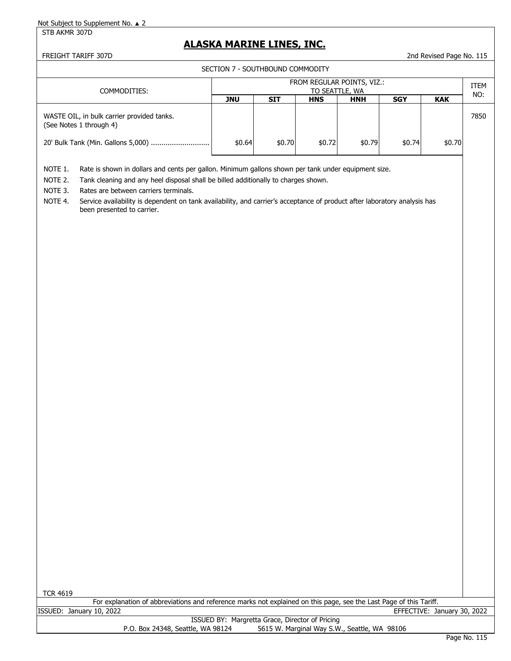#### STB AKMR 307D

## **ALASKA MARINE LINES, INC.**

FREIGHT TARIFF 307D 2nd Revised Page No. 115

SECTION 7 - SOUTHBOUND COMMODITY

| COMMODITIES:                                                          | FROM REGULAR POINTS, VIZ.:<br>TO SEATTLE, WA |            |            |            |            |            |      |
|-----------------------------------------------------------------------|----------------------------------------------|------------|------------|------------|------------|------------|------|
|                                                                       | <b>JNU</b>                                   | <b>SIT</b> | <b>HNS</b> | <b>HNH</b> | <b>SGY</b> | <b>KAK</b> | NO:  |
| WASTE OIL, in bulk carrier provided tanks.<br>(See Notes 1 through 4) |                                              |            |            |            |            |            | 7850 |
| 20' Bulk Tank (Min. Gallons 5,000)                                    | \$0.64                                       | \$0.70     | \$0.72     | \$0.79     | \$0.74     | \$0.70     |      |

NOTE 1. Rate is shown in dollars and cents per gallon. Minimum gallons shown per tank under equipment size.

NOTE 2. Tank cleaning and any heel disposal shall be billed additionally to charges shown.

NOTE 3. Rates are between carriers terminals.

NOTE 4. Service availability is dependent on tank availability, and carrier's acceptance of product after laboratory analysis has been presented to carrier.

| <b>TCR 4619</b>                                 |  |                                   |                                                                                                                    |                             |  |  |  |
|-------------------------------------------------|--|-----------------------------------|--------------------------------------------------------------------------------------------------------------------|-----------------------------|--|--|--|
|                                                 |  |                                   | For explanation of abbreviations and reference marks not explained on this page, see the Last Page of this Tariff. |                             |  |  |  |
| ISSUED: January 10, 2022                        |  |                                   |                                                                                                                    | EFFECTIVE: January 30, 2022 |  |  |  |
| ISSUED BY: Margretta Grace, Director of Pricing |  |                                   |                                                                                                                    |                             |  |  |  |
|                                                 |  | P.O. Box 24348, Seattle, WA 98124 | 5615 W. Marginal Way S.W., Seattle, WA 98106                                                                       |                             |  |  |  |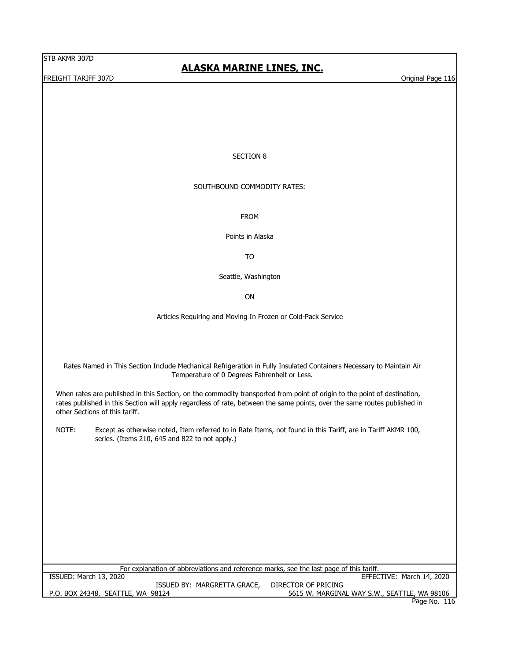FREIGHT TARIFF 307D Original Page 116

# **ALASKA MARINE LINES, INC.**

### SECTION 8

## SOUTHBOUND COMMODITY RATES:

FROM

Points in Alaska

TO

Seattle, Washington

ON

Articles Requiring and Moving In Frozen or Cold-Pack Service

Rates Named in This Section Include Mechanical Refrigeration in Fully Insulated Containers Necessary to Maintain Air Temperature of 0 Degrees Fahrenheit or Less.

When rates are published in this Section, on the commodity transported from point of origin to the point of destination, rates published in this Section will apply regardless of rate, between the same points, over the same routes published in other Sections of this tariff.

NOTE: Except as otherwise noted, Item referred to in Rate Items, not found in this Tariff, are in Tariff AKMR 100, series. (Items 210, 645 and 822 to not apply.)

| For explanation of abbreviations and reference marks, see the last page of this tariff. |  |                     |                                              |  |  |  |  |  |
|-----------------------------------------------------------------------------------------|--|---------------------|----------------------------------------------|--|--|--|--|--|
| ISSUED: March 13, 2020                                                                  |  |                     | EFFECTIVE: March 14, 2020                    |  |  |  |  |  |
| ISSUED BY: MARGRETTA GRACE,                                                             |  | DIRECTOR OF PRICING |                                              |  |  |  |  |  |
| P.O. BOX 24348, SEATTLE, WA 98124                                                       |  |                     | 5615 W. MARGINAL WAY S.W., SEATTLE, WA 98106 |  |  |  |  |  |
|                                                                                         |  |                     | Page No. 116                                 |  |  |  |  |  |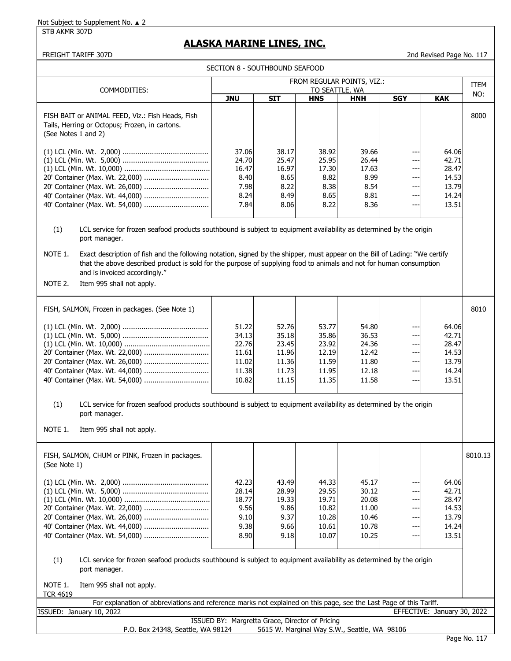#### STB AKMR 307D

## **ALASKA MARINE LINES, INC.**

 FREIGHT TARIFF 307D 2nd Revised Page No. 117 FISH BAIT or ANIMAL FEED, Viz.: Fish Heads, Fish 8000 Tails, Herring or Octopus; Frozen, in cartons. (See Notes 1 and 2) 37.06 38.17 38.92 39.66 --- 64.06 24.70 25.47 25.95 26.44 --- 42.71 16.47 16.97 17.30 17.63 --- 28.47 8.40 8.65 8.82 8.99 --- 14.53 7.98 8.22 8.38 8.54 --- 13.79 8.24 8.49 8.65 8.81 --- 14.24 7.84 8.06 8.22 8.36 --- 13.51 (1) LCL service for frozen seafood products southbound is subject to equipment availability as determined by the origin port manager. NOTE 1. Exact description of fish and the following notation, signed by the shipper, must appear on the Bill of Lading: "We certify that the above described product is sold for the purpose of supplying food to animals and not for human consumption and is invoiced accordingly." NOTE 2. Item 995 shall not apply. FISH, SALMON, Frozen in packages. (See Note 1) And Review and March 2010 (See Note 1) 8010 51.22 52.76 53.77 54.80 --- 64.06 34.13 35.18 35.86 36.53 --- 42.71 22.76 23.45 23.92 24.36 --- 28.47 11.61 11.96 12.19 12.42 --- 14.53 11.02 11.36 11.59 11.80 --- 13.79 11.38 11.73 11.95 12.18 --- 14.24 10.82  $\vert$  11.15 11.35 11.58 --- 13.51 (1) LCL service for frozen seafood products southbound is subject to equipment availability as determined by the origin port manager. NOTE 1. Item 995 shall not apply. FISH, SALMON, CHUM or PINK, Frozen in packages. | All and the state of the state of the state of the state of the state of the state of the state of the state of the state of the state of the state of the state of the stat (See Note 1) 42.23 43.49 44.33 45.17 --- 64.06 28.14 28.99 29.55 30.12 --- 42.71 18.77 19.33 19.71 20.08 --- 28.47 9.56 9.86 10.82 11.00 --- 14.53 9.10 9.37 10.28 10.46 --- 13.79 9.38 9.66 10.61 10.78 --- 14.24 8.90 9.18 10.07 10.25 --- 13.51 (1) LCL service for frozen seafood products southbound is subject to equipment availability as determined by the origin port manager. NOTE 1. Item 995 shall not apply. TCR 4619 SECTION 8 - SOUTHBOUND SEAFOOD ITEM COMMODITIES: TO SEATTLE, WA TO SEATTLE ON THE COMMODITIES: **JNU SIT HNS HNH SGY** 40' Container (Max. Wt. 44,000) ............................... (1) LCL (Min. Wt. 5,000) ......................................... (1) LCL (Min. Wt. 10,000) ......................................... FROM REGULAR POINTS, VIZ.: **KAK** (1) LCL (Min. Wt. 2,000) ......................................... 20' Container (Max. Wt. 22,000) ............................... 20' Container (Max. Wt. 26,000) ............................... ISSUED: January 10, 2022 EFFECTIVE: January 30, 2022 ISSUED BY: Margretta Grace, Director of Pricing 20' Container (Max. Wt. 22,000) ............................... 20' Container (Max. Wt. 26,000) ............................... 40' Container (Max. Wt. 44,000) ............................... 40' Container (Max. Wt. 54,000) ............................... For explanation of abbreviations and reference marks not explained on this page, see the Last Page of this Tariff. (1) LCL (Min. Wt. 2,000) ......................................... (1) LCL (Min. Wt. 5,000) ......................................... (1) LCL (Min. Wt. 10,000) ......................................... 20' Container (Max. Wt. 22,000) ............................... 20' Container (Max. Wt. 26,000) ............................... 40' Container (Max. Wt. 44,000) ............................... 40' Container (Max. Wt. 54,000) ............................... 40' Container (Max. Wt. 54,000) ............................... (1) LCL (Min. Wt. 2,000) ......................................... (1) LCL (Min. Wt. 5,000) ......................................... (1) LCL (Min. Wt. 10,000) .........................................

P.O. Box 24348, Seattle, WA 98124 5615 W. Marginal Way S.W., Seattle, WA 98106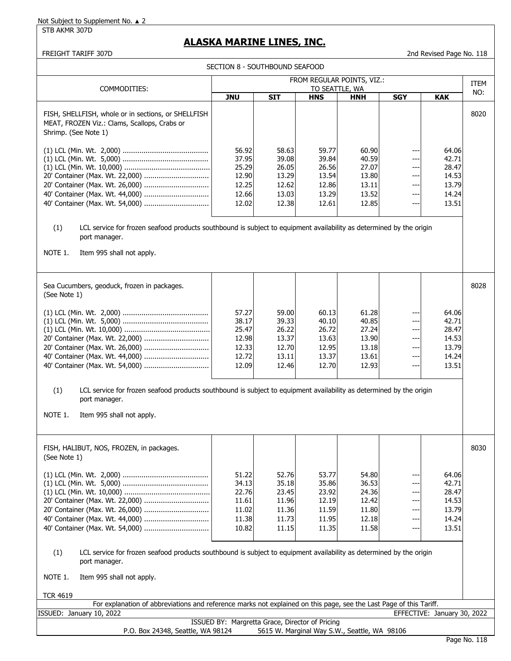STB AKMR 307D

## **ALASKA MARINE LINES, INC.**

FREIGHT TARIFF 307D 2nd Revised Page No. 118

| SECTION 8 - SOUTHBOUND SEAFOOD                                                                                                                                                      |                                                             |                                                             |                                                             |                                                             |                                                |                                                             |             |
|-------------------------------------------------------------------------------------------------------------------------------------------------------------------------------------|-------------------------------------------------------------|-------------------------------------------------------------|-------------------------------------------------------------|-------------------------------------------------------------|------------------------------------------------|-------------------------------------------------------------|-------------|
|                                                                                                                                                                                     |                                                             |                                                             |                                                             | FROM REGULAR POINTS, VIZ.:                                  |                                                |                                                             | <b>ITEM</b> |
| COMMODITIES:                                                                                                                                                                        | <b>JNU</b>                                                  | <b>SIT</b>                                                  | TO SEATTLE, WA<br><b>HNS</b>                                | <b>HNH</b>                                                  | <b>SGY</b>                                     | <b>KAK</b>                                                  | NO:         |
| FISH, SHELLFISH, whole or in sections, or SHELLFISH<br>MEAT, FROZEN Viz.: Clams, Scallops, Crabs or<br>Shrimp. (See Note 1)                                                         |                                                             |                                                             |                                                             |                                                             |                                                |                                                             | 8020        |
| 20' Container (Max. Wt. 22,000)<br>40' Container (Max. Wt. 44,000)<br>40' Container (Max. Wt. 54,000)                                                                               | 56.92<br>37.95<br>25.29<br>12.90<br>12.25<br>12.66<br>12.02 | 58.63<br>39.08<br>26.05<br>13.29<br>12.62<br>13.03<br>12.38 | 59.77<br>39.84<br>26.56<br>13.54<br>12.86<br>13.29<br>12.61 | 60.90<br>40.59<br>27.07<br>13.80<br>13.11<br>13.52<br>12.85 | ---<br>---<br>---<br>$--$<br>---<br>---<br>--- | 64.06<br>42.71<br>28.47<br>14.53<br>13.79<br>14.24<br>13.51 |             |
| (1)<br>LCL service for frozen seafood products southbound is subject to equipment availability as determined by the origin<br>port manager.<br>NOTE 1.<br>Item 995 shall not apply. |                                                             |                                                             |                                                             |                                                             |                                                |                                                             |             |
| Sea Cucumbers, geoduck, frozen in packages.<br>(See Note 1)                                                                                                                         |                                                             |                                                             |                                                             |                                                             |                                                |                                                             | 8028        |
| 20' Container (Max. Wt. 22,000)<br>20' Container (Max. Wt. 26,000)<br>40' Container (Max. Wt. 44,000)                                                                               | 57.27<br>38.17<br>25.47<br>12.98<br>12.33<br>12.72<br>12.09 | 59.00<br>39.33<br>26.22<br>13.37<br>12.70<br>13.11<br>12.46 | 60.13<br>40.10<br>26.72<br>13.63<br>12.95<br>13.37<br>12.70 | 61.28<br>40.85<br>27.24<br>13.90<br>13.18<br>13.61<br>12.93 | $-$<br>---<br>---<br>---<br>---<br>---         | 64.06<br>42.71<br>28.47<br>14.53<br>13.79<br>14.24<br>13.51 |             |
| (1)<br>LCL service for frozen seafood products southbound is subject to equipment availability as determined by the origin<br>port manager.<br>NOTE 1.<br>Item 995 shall not apply. |                                                             |                                                             |                                                             |                                                             |                                                |                                                             |             |
| FISH, HALIBUT, NOS, FROZEN, in packages.<br>(See Note 1)                                                                                                                            |                                                             |                                                             |                                                             |                                                             |                                                |                                                             | 8030        |
| 20' Container (Max. Wt. 26,000)<br>40' Container (Max. Wt. 44,000)<br>40' Container (Max. Wt. 54,000)                                                                               | 51.22<br>34.13<br>22.76<br>11.61<br>11.02<br>11.38<br>10.82 | 52.76<br>35.18<br>23.45<br>11.96<br>11.36<br>11.73<br>11.15 | 53.77<br>35.86<br>23.92<br>12.19<br>11.59<br>11.95<br>11.35 | 54.80<br>36.53<br>24.36<br>12.42<br>11.80<br>12.18<br>11.58 | ---<br>---<br>---<br>---<br>---<br>---<br>---  | 64.06<br>42.71<br>28.47<br>14.53<br>13.79<br>14.24<br>13.51 |             |
| LCL service for frozen seafood products southbound is subject to equipment availability as determined by the origin<br>(1)<br>port manager.                                         |                                                             |                                                             |                                                             |                                                             |                                                |                                                             |             |
| NOTE 1.<br>Item 995 shall not apply.                                                                                                                                                |                                                             |                                                             |                                                             |                                                             |                                                |                                                             |             |
| <b>TCR 4619</b><br>For explanation of abbreviations and reference marks not explained on this page, see the Last Page of this Tariff.                                               |                                                             |                                                             |                                                             |                                                             |                                                |                                                             |             |
| ISSUED: January 10, 2022                                                                                                                                                            |                                                             |                                                             |                                                             |                                                             |                                                | EFFECTIVE: January 30, 2022                                 |             |
|                                                                                                                                                                                     | ISSUED BY: Margretta Grace, Director of Pricing             |                                                             |                                                             |                                                             |                                                |                                                             |             |

P.O. Box 24348, Seattle, WA 98124 5615 W. Marginal Way S.W., Seattle, WA 98106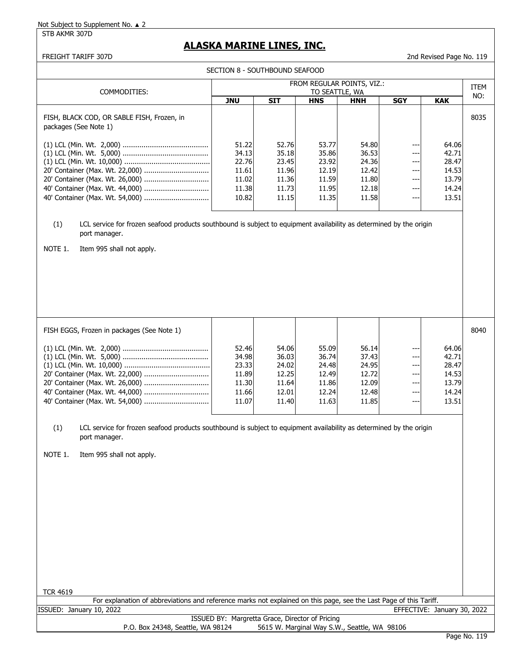STB AKMR 307D

# **ALASKA MARINE LINES, INC.**

FREIGHT TARIFF 307D 2nd Revised Page No. 119

| SECTION 8 - SOUTHBOUND SEAFOOD                                                                                                                                                                                                                            |                                                             |                                                             |                                                             |                                                             |                                               |                                                             |      |  |
|-----------------------------------------------------------------------------------------------------------------------------------------------------------------------------------------------------------------------------------------------------------|-------------------------------------------------------------|-------------------------------------------------------------|-------------------------------------------------------------|-------------------------------------------------------------|-----------------------------------------------|-------------------------------------------------------------|------|--|
|                                                                                                                                                                                                                                                           |                                                             |                                                             |                                                             | FROM REGULAR POINTS, VIZ.:                                  |                                               |                                                             | ITEM |  |
| COMMODITIES:                                                                                                                                                                                                                                              | <b>JNU</b>                                                  | <b>SIT</b>                                                  | TO SEATTLE, WA<br><b>HNS</b>                                | <b>HNH</b>                                                  | <b>SGY</b>                                    | <b>KAK</b>                                                  | NO:  |  |
| FISH, BLACK COD, OR SABLE FISH, Frozen, in<br>packages (See Note 1)                                                                                                                                                                                       |                                                             |                                                             |                                                             |                                                             |                                               |                                                             | 8035 |  |
| 20' Container (Max. Wt. 22,000)<br>20' Container (Max. Wt. 26,000)                                                                                                                                                                                        | 51.22<br>34.13<br>22.76<br>11.61<br>11.02<br>11.38<br>10.82 | 52.76<br>35.18<br>23.45<br>11.96<br>11.36<br>11.73<br>11.15 | 53.77<br>35.86<br>23.92<br>12.19<br>11.59<br>11.95<br>11.35 | 54.80<br>36.53<br>24.36<br>12.42<br>11.80<br>12.18<br>11.58 | ---<br>---<br>---<br>---<br>---<br>---<br>--- | 64.06<br>42.71<br>28.47<br>14.53<br>13.79<br>14.24<br>13.51 |      |  |
| (1)<br>LCL service for frozen seafood products southbound is subject to equipment availability as determined by the origin<br>port manager.<br>NOTE 1.<br>Item 995 shall not apply.                                                                       |                                                             |                                                             |                                                             |                                                             |                                               |                                                             |      |  |
| FISH EGGS, Frozen in packages (See Note 1)                                                                                                                                                                                                                |                                                             |                                                             |                                                             |                                                             |                                               |                                                             | 8040 |  |
| 20' Container (Max. Wt. 26,000)<br>40' Container (Max. Wt. 44,000)<br>LCL service for frozen seafood products southbound is subject to equipment availability as determined by the origin<br>(1)<br>port manager.<br>NOTE 1.<br>Item 995 shall not apply. | 52.46<br>34.98<br>23.33<br>11.89<br>11.30<br>11.66<br>11.07 | 54.06<br>36.03<br>24.02<br>12.25<br>11.64<br>12.01<br>11.40 | 55.09<br>36.74<br>24.48<br>12.49<br>11.86<br>12.24<br>11.63 | 56.14<br>37.43<br>24.95<br>12.72<br>12.09<br>12.48<br>11.85 | ---<br>---<br>---<br>---<br>---<br>---<br>--- | 64.06<br>42.71<br>28.47<br>14.53<br>13.79<br>14.24<br>13.51 |      |  |
| <b>TCR 4619</b><br>For explanation of abbreviations and reference marks not explained on this page, see the Last Page of this Tariff.                                                                                                                     |                                                             |                                                             |                                                             |                                                             |                                               |                                                             |      |  |
| ISSUED: January 10, 2022                                                                                                                                                                                                                                  |                                                             |                                                             |                                                             |                                                             |                                               | EFFECTIVE: January 30, 2022                                 |      |  |
| P.O. Box 24348, Seattle, WA 98124                                                                                                                                                                                                                         | ISSUED BY: Margretta Grace, Director of Pricing             |                                                             |                                                             | 5615 W. Marginal Way S.W., Seattle, WA 98106                |                                               |                                                             |      |  |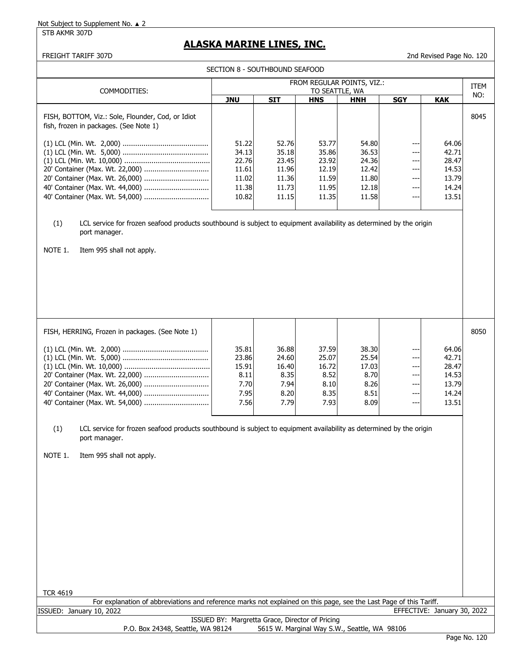STB AKMR 307D

## **ALASKA MARINE LINES, INC.**

FREIGHT TARIFF 307D 2nd Revised Page No. 120

SECTION 8 - SOUTHBOUND SEAFOOD

| SECTION 8 - SOUTHBOUND SEAFOOD                                                                                                                                                                                                                                                                                  |                                                         |                                                         |                                                         |                                                         |                                              |                                                             |      |  |
|-----------------------------------------------------------------------------------------------------------------------------------------------------------------------------------------------------------------------------------------------------------------------------------------------------------------|---------------------------------------------------------|---------------------------------------------------------|---------------------------------------------------------|---------------------------------------------------------|----------------------------------------------|-------------------------------------------------------------|------|--|
| COMMODITIES:                                                                                                                                                                                                                                                                                                    | FROM REGULAR POINTS, VIZ.:<br>TO SEATTLE, WA            |                                                         |                                                         |                                                         |                                              |                                                             |      |  |
|                                                                                                                                                                                                                                                                                                                 | <b>JNU</b>                                              | <b>SIT</b>                                              | <b>HNS</b>                                              | <b>HNH</b>                                              | <b>SGY</b>                                   | <b>KAK</b>                                                  | NO:  |  |
| FISH, BOTTOM, Viz.: Sole, Flounder, Cod, or Idiot<br>fish, frozen in packages. (See Note 1)<br>20' Container (Max. Wt. 26,000)                                                                                                                                                                                  | 51.22<br>34.13<br>22.76<br>11.61<br>11.02               | 52.76<br>35.18<br>23.45<br>11.96<br>11.36               | 53.77<br>35.86<br>23.92<br>12.19<br>11.59               | 54.80<br>36.53<br>24.36<br>12.42<br>11.80               | ---<br>$--$<br>$\sim$ $\sim$<br>$--$<br>---  | 64.06<br>42.71<br>28.47<br>14.53<br>13.79                   | 8045 |  |
|                                                                                                                                                                                                                                                                                                                 | 11.38                                                   | 11.73                                                   | 11.95                                                   | 12.18                                                   | ---                                          | 14.24                                                       |      |  |
|                                                                                                                                                                                                                                                                                                                 | 10.82                                                   | 11.15                                                   | 11.35                                                   | 11.58                                                   | ---                                          | 13.51                                                       |      |  |
| (1)<br>LCL service for frozen seafood products southbound is subject to equipment availability as determined by the origin<br>port manager.<br>NOTE 1.<br>Item 995 shall not apply.<br>FISH, HERRING, Frozen in packages. (See Note 1)                                                                          |                                                         |                                                         |                                                         |                                                         |                                              |                                                             | 8050 |  |
|                                                                                                                                                                                                                                                                                                                 |                                                         |                                                         |                                                         |                                                         |                                              |                                                             |      |  |
| 20' Container (Max. Wt. 22,000)<br>20' Container (Max. Wt. 26,000)<br>40' Container (Max. Wt. 44,000)<br>LCL service for frozen seafood products southbound is subject to equipment availability as determined by the origin<br>(1)<br>port manager.<br>NOTE 1.<br>Item 995 shall not apply.<br><b>TCR 4619</b> | 35.81<br>23.86<br>15.91<br>8.11<br>7.70<br>7.95<br>7.56 | 36.88<br>24.60<br>16.40<br>8.35<br>7.94<br>8.20<br>7.79 | 37.59<br>25.07<br>16.72<br>8.52<br>8.10<br>8.35<br>7.93 | 38.30<br>25.54<br>17.03<br>8.70<br>8.26<br>8.51<br>8.09 | $--$<br>---<br>$- - -$<br>---<br>---<br>$--$ | 64.06<br>42.71<br>28.47<br>14.53<br>13.79<br>14.24<br>13.51 |      |  |
| For explanation of abbreviations and reference marks not explained on this page, see the Last Page of this Tariff.                                                                                                                                                                                              |                                                         |                                                         |                                                         |                                                         |                                              |                                                             |      |  |
| ISSUED: January 10, 2022                                                                                                                                                                                                                                                                                        | ISSUED BY: Margretta Grace, Director of Pricing         |                                                         |                                                         |                                                         |                                              | EFFECTIVE: January 30, 2022                                 |      |  |
| P.O. Box 24348, Seattle, WA 98124                                                                                                                                                                                                                                                                               |                                                         |                                                         |                                                         | 5615 W. Marginal Way S.W., Seattle, WA 98106            |                                              |                                                             |      |  |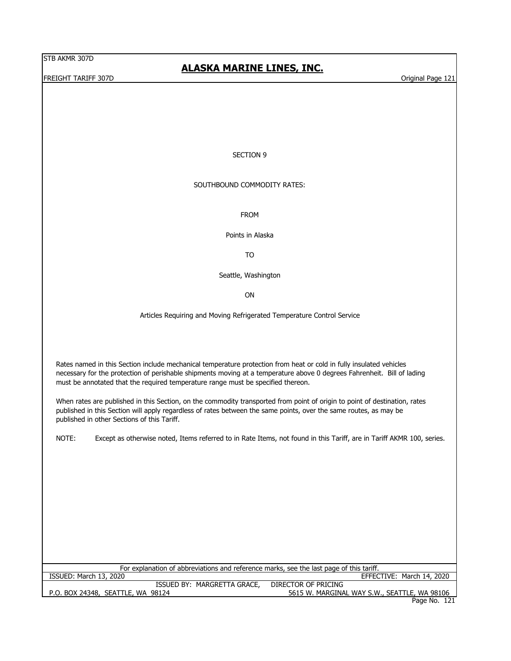FREIGHT TARIFF 307D **CONTACT CONTACT CONTACT CONTACT CONTACT CONTACT CONTACT CONTACT CONTACT CONTACT CONTACT CONTACT CONTACT CONTACT CONTACT CONTACT CONTACT CONTACT CONTACT CONTACT CONTACT CONTACT CONTACT CONTACT CONTACT C** 

# **ALASKA MARINE LINES, INC.**

### SECTION 9

## SOUTHBOUND COMMODITY RATES:

FROM

Points in Alaska

TO

Seattle, Washington

ON

Articles Requiring and Moving Refrigerated Temperature Control Service

Rates named in this Section include mechanical temperature protection from heat or cold in fully insulated vehicles necessary for the protection of perishable shipments moving at a temperature above 0 degrees Fahrenheit. Bill of lading must be annotated that the required temperature range must be specified thereon.

When rates are published in this Section, on the commodity transported from point of origin to point of destination, rates published in this Section will apply regardless of rates between the same points, over the same routes, as may be published in other Sections of this Tariff.

NOTE: Except as otherwise noted, Items referred to in Rate Items, not found in this Tariff, are in Tariff AKMR 100, series.

| For explanation of abbreviations and reference marks, see the last page of this tariff. |                                              |  |  |  |  |
|-----------------------------------------------------------------------------------------|----------------------------------------------|--|--|--|--|
| ISSUED: March 13, 2020                                                                  | EFFECTIVE: March 14, 2020                    |  |  |  |  |
| ISSUED BY: MARGRETTA GRACE,                                                             | DIRECTOR OF PRICING                          |  |  |  |  |
| P.O. BOX 24348, SEATTLE, WA 98124                                                       | 5615 W. MARGINAL WAY S.W., SEATTLE, WA 98106 |  |  |  |  |
|                                                                                         | Page No. 121                                 |  |  |  |  |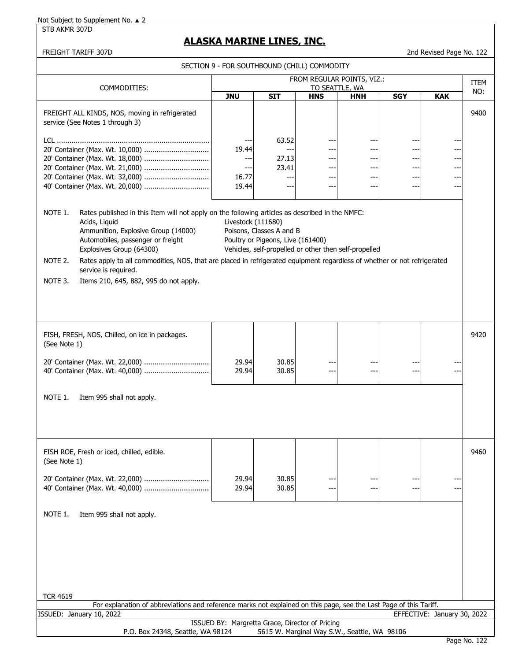STB AKMR 307D

# **ALASKA MARINE LINES, INC.**

## FREIGHT TARIFF 307D 2nd Revised Page No. 122

|                                                                                                                                       |                                                                                                                                                                                                                                                                                                                                                                              | SECTION 9 - FOR SOUTHBOUND (CHILL) COMMODITY                                         |                                                               |                                                                |                                                       |                                 |                          |      |
|---------------------------------------------------------------------------------------------------------------------------------------|------------------------------------------------------------------------------------------------------------------------------------------------------------------------------------------------------------------------------------------------------------------------------------------------------------------------------------------------------------------------------|--------------------------------------------------------------------------------------|---------------------------------------------------------------|----------------------------------------------------------------|-------------------------------------------------------|---------------------------------|--------------------------|------|
| COMMODITIES:                                                                                                                          |                                                                                                                                                                                                                                                                                                                                                                              |                                                                                      | FROM REGULAR POINTS, VIZ.:                                    |                                                                |                                                       | ITEM                            |                          |      |
|                                                                                                                                       |                                                                                                                                                                                                                                                                                                                                                                              | TO SEATTLE, WA<br><b>JNU</b><br><b>SIT</b><br><b>SGY</b><br><b>HNS</b><br><b>HNH</b> |                                                               |                                                                |                                                       | <b>KAK</b>                      | NO:                      |      |
|                                                                                                                                       | FREIGHT ALL KINDS, NOS, moving in refrigerated<br>service (See Notes 1 through 3)                                                                                                                                                                                                                                                                                            |                                                                                      |                                                               |                                                                |                                                       |                                 |                          | 9400 |
|                                                                                                                                       | 20' Container (Max. Wt. 18,000)<br>20' Container (Max. Wt. 21,000)<br>20' Container (Max. Wt. 32,000)<br>40' Container (Max. Wt. 20,000)                                                                                                                                                                                                                                     | ---<br>19.44<br>$---$<br>$\overline{\phantom{a}}$<br>16.77<br>19.44                  | 63.52<br>$\frac{1}{2}$<br>27.13<br>23.41<br>$-$<br>--         | ---<br>---<br>$---$<br>$--$<br>$\overline{\phantom{a}}$<br>--- | $--$<br>$--$<br>$---$<br>---<br>$- - -$<br>---        | ---<br>---<br>---<br>---<br>--- | ---<br>---<br>---<br>--- |      |
| NOTE 1.<br>NOTE 2.                                                                                                                    | Rates published in this Item will not apply on the following articles as described in the NMFC:<br>Acids, Liquid<br>Ammunition, Explosive Group (14000)<br>Automobiles, passenger or freight<br>Explosives Group (64300)<br>Rates apply to all commodities, NOS, that are placed in refrigerated equipment regardless of whether or not refrigerated<br>service is required. | Livestock (111680)                                                                   | Poisons, Classes A and B<br>Poultry or Pigeons, Live (161400) |                                                                | Vehicles, self-propelled or other then self-propelled |                                 |                          |      |
| NOTE 3.                                                                                                                               | Items 210, 645, 882, 995 do not apply.                                                                                                                                                                                                                                                                                                                                       |                                                                                      |                                                               |                                                                |                                                       |                                 |                          |      |
| (See Note 1)                                                                                                                          | FISH, FRESH, NOS, Chilled, on ice in packages.                                                                                                                                                                                                                                                                                                                               |                                                                                      |                                                               |                                                                |                                                       |                                 |                          | 9420 |
|                                                                                                                                       | 20' Container (Max. Wt. 22,000)<br>40' Container (Max. Wt. 40,000)                                                                                                                                                                                                                                                                                                           | 29.94<br>29.94                                                                       | 30.85<br>30.85                                                | --<br>---                                                      | ---                                                   | ---                             |                          |      |
| NOTE 1.                                                                                                                               | Item 995 shall not apply.                                                                                                                                                                                                                                                                                                                                                    |                                                                                      |                                                               |                                                                |                                                       |                                 |                          |      |
| (See Note 1)                                                                                                                          | FISH ROE, Fresh or iced, chilled, edible.                                                                                                                                                                                                                                                                                                                                    |                                                                                      |                                                               |                                                                |                                                       |                                 |                          | 9460 |
|                                                                                                                                       | 20' Container (Max. Wt. 22,000)<br>40' Container (Max. Wt. 40,000)                                                                                                                                                                                                                                                                                                           | 29.94<br>29.94                                                                       | 30.85<br>30.85                                                | --                                                             | $- -$                                                 |                                 |                          |      |
| NOTE 1.                                                                                                                               | Item 995 shall not apply.                                                                                                                                                                                                                                                                                                                                                    |                                                                                      |                                                               |                                                                |                                                       |                                 |                          |      |
| <b>TCR 4619</b><br>For explanation of abbreviations and reference marks not explained on this page, see the Last Page of this Tariff. |                                                                                                                                                                                                                                                                                                                                                                              |                                                                                      |                                                               |                                                                |                                                       |                                 |                          |      |
| EFFECTIVE: January 30, 2022<br>ISSUED: January 10, 2022                                                                               |                                                                                                                                                                                                                                                                                                                                                                              |                                                                                      |                                                               |                                                                |                                                       |                                 |                          |      |
|                                                                                                                                       | P.O. Box 24348, Seattle, WA 98124                                                                                                                                                                                                                                                                                                                                            | ISSUED BY: Margretta Grace, Director of Pricing                                      |                                                               |                                                                | 5615 W. Marginal Way S.W., Seattle, WA 98106          |                                 |                          |      |
|                                                                                                                                       |                                                                                                                                                                                                                                                                                                                                                                              |                                                                                      |                                                               |                                                                |                                                       |                                 |                          |      |